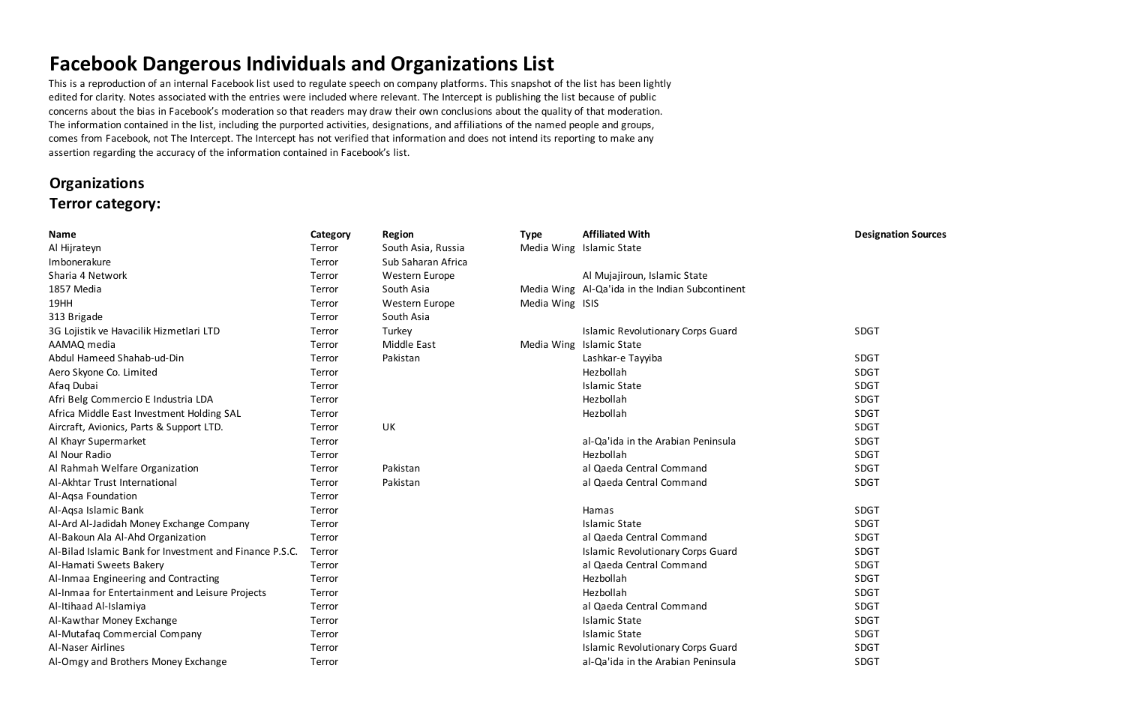## **Facebook Dangerous Individuals and Organizations List**

This is a reproduction of an internal Facebook list used to regulate speech on company platforms. This snapshot of the list has been lightly edited for clarity. Notes associated with the entries were included where relevant. The Intercept is publishing the list because of public concerns about the bias in Facebook's moderation so that readers may draw their own conclusions about the quality of that moderation. The information contained in the list, including the purported activities, designations, and affiliations of the named people and groups, comes from Facebook, not The Intercept. The Intercept has not verified that information and does not intend its reporting to make any assertion regarding the accuracy of the information contained in Facebook's list.

#### **Organizations Terror category:**

| <b>Name</b>                                             | Category | <b>Region</b>      | <b>Type</b>     | <b>Affiliated With</b>                          | <b>Designation Sources</b> |
|---------------------------------------------------------|----------|--------------------|-----------------|-------------------------------------------------|----------------------------|
| Al Hijrateyn                                            | Terror   | South Asia, Russia |                 | Media Wing Islamic State                        |                            |
| Imbonerakure                                            | Terror   | Sub Saharan Africa |                 |                                                 |                            |
| Sharia 4 Network                                        | Terror   | Western Europe     |                 | Al Mujajiroun, Islamic State                    |                            |
| 1857 Media                                              | Terror   | South Asia         |                 | Media Wing Al-Qa'ida in the Indian Subcontinent |                            |
| 19HH                                                    | Terror   | Western Europe     | Media Wing ISIS |                                                 |                            |
| 313 Brigade                                             | Terror   | South Asia         |                 |                                                 |                            |
| 3G Lojistik ve Havacilik Hizmetlari LTD                 | Terror   | Turkey             |                 | <b>Islamic Revolutionary Corps Guard</b>        | SDGT                       |
| AAMAQ media                                             | Terror   | Middle East        | Media Wing      | <b>Islamic State</b>                            |                            |
| Abdul Hameed Shahab-ud-Din                              | Terror   | Pakistan           |                 | Lashkar-e Tayyiba                               | <b>SDGT</b>                |
| Aero Skyone Co. Limited                                 | Terror   |                    |                 | Hezbollah                                       | <b>SDGT</b>                |
| Afaq Dubai                                              | Terror   |                    |                 | <b>Islamic State</b>                            | SDGT                       |
| Afri Belg Commercio E Industria LDA                     | Terror   |                    |                 | Hezbollah                                       | SDGT                       |
| Africa Middle East Investment Holding SAL               | Terror   |                    |                 | Hezbollah                                       | <b>SDGT</b>                |
| Aircraft, Avionics, Parts & Support LTD.                | Terror   | UK                 |                 |                                                 | SDGT                       |
| Al Khayr Supermarket                                    | Terror   |                    |                 | al-Qa'ida in the Arabian Peninsula              | <b>SDGT</b>                |
| Al Nour Radio                                           | Terror   |                    |                 | Hezbollah                                       | SDGT                       |
| Al Rahmah Welfare Organization                          | Terror   | Pakistan           |                 | al Qaeda Central Command                        | <b>SDGT</b>                |
| Al-Akhtar Trust International                           | Terror   | Pakistan           |                 | al Qaeda Central Command                        | SDGT                       |
| Al-Aqsa Foundation                                      | Terror   |                    |                 |                                                 |                            |
| Al-Aqsa Islamic Bank                                    | Terror   |                    |                 | Hamas                                           | SDGT                       |
| Al-Ard Al-Jadidah Money Exchange Company                | Terror   |                    |                 | <b>Islamic State</b>                            | SDGT                       |
| Al-Bakoun Ala Al-Ahd Organization                       | Terror   |                    |                 | al Qaeda Central Command                        | <b>SDGT</b>                |
| Al-Bilad Islamic Bank for Investment and Finance P.S.C. | Terror   |                    |                 | <b>Islamic Revolutionary Corps Guard</b>        | SDGT                       |
| Al-Hamati Sweets Bakery                                 | Terror   |                    |                 | al Qaeda Central Command                        | <b>SDGT</b>                |
| Al-Inmaa Engineering and Contracting                    | Terror   |                    |                 | Hezbollah                                       | SDGT                       |
| Al-Inmaa for Entertainment and Leisure Projects         | Terror   |                    |                 | Hezbollah                                       | <b>SDGT</b>                |
| Al-Itihaad Al-Islamiya                                  | Terror   |                    |                 | al Qaeda Central Command                        | SDGT                       |
| Al-Kawthar Money Exchange                               | Terror   |                    |                 | <b>Islamic State</b>                            | <b>SDGT</b>                |
| Al-Mutafaq Commercial Company                           | Terror   |                    |                 | <b>Islamic State</b>                            | <b>SDGT</b>                |
| <b>Al-Naser Airlines</b>                                | Terror   |                    |                 | <b>Islamic Revolutionary Corps Guard</b>        | SDGT                       |
| Al-Omgy and Brothers Money Exchange                     | Terror   |                    |                 | al-Qa'ida in the Arabian Peninsula              | <b>SDGT</b>                |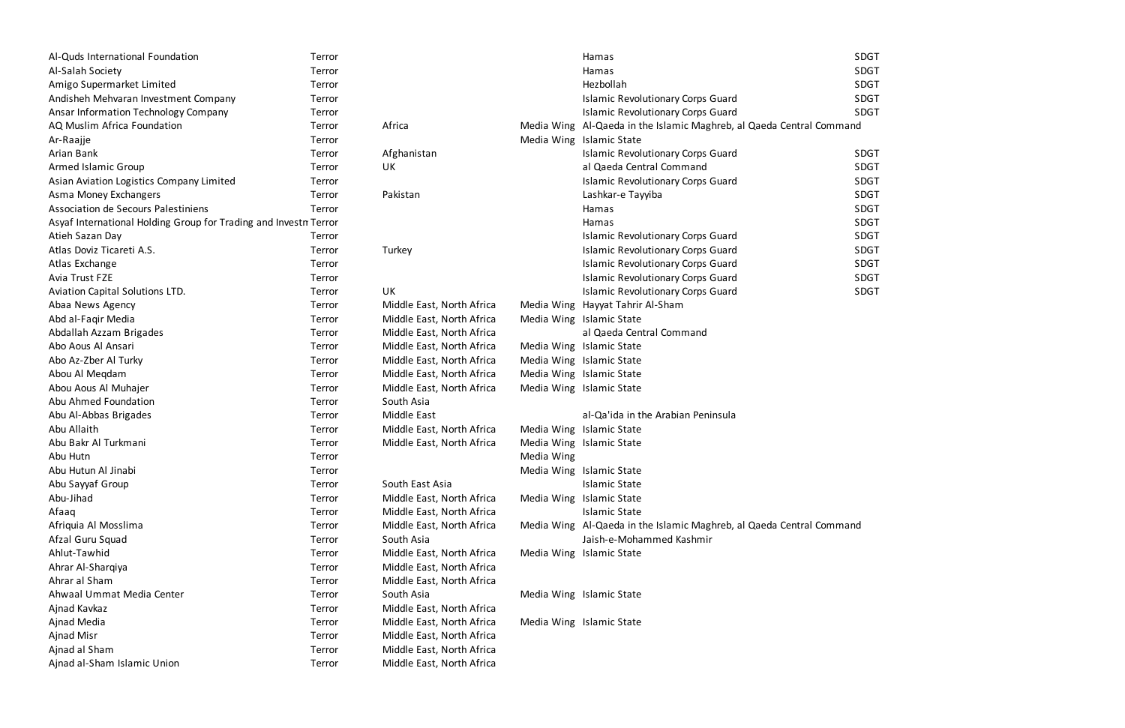| Al-Quds International Foundation                                 | Terror |                           |            | Hamas                                                                | <b>SDGT</b> |
|------------------------------------------------------------------|--------|---------------------------|------------|----------------------------------------------------------------------|-------------|
| Al-Salah Society                                                 | Terror |                           |            | Hamas                                                                | <b>SDGT</b> |
| Amigo Supermarket Limited                                        | Terror |                           |            | Hezbollah                                                            | <b>SDGT</b> |
| Andisheh Mehvaran Investment Company                             | Terror |                           |            | <b>Islamic Revolutionary Corps Guard</b>                             | <b>SDGT</b> |
| Ansar Information Technology Company                             | Terror |                           |            | <b>Islamic Revolutionary Corps Guard</b>                             | <b>SDGT</b> |
| AQ Muslim Africa Foundation                                      | Terror | Africa                    |            | Media Wing Al-Qaeda in the Islamic Maghreb, al Qaeda Central Command |             |
| Ar-Raajje                                                        | Terror |                           |            | Media Wing Islamic State                                             |             |
| Arian Bank                                                       | Terror | Afghanistan               |            | <b>Islamic Revolutionary Corps Guard</b>                             | <b>SDGT</b> |
| <b>Armed Islamic Group</b>                                       | Terror | UK                        |            | al Qaeda Central Command                                             | <b>SDGT</b> |
| Asian Aviation Logistics Company Limited                         | Terror |                           |            | <b>Islamic Revolutionary Corps Guard</b>                             | <b>SDGT</b> |
| Asma Money Exchangers                                            | Terror | Pakistan                  |            | Lashkar-e Tayyiba                                                    | <b>SDGT</b> |
| Association de Secours Palestiniens                              | Terror |                           |            | Hamas                                                                | <b>SDGT</b> |
| Asyaf International Holding Group for Trading and Investn Terror |        |                           |            | Hamas                                                                | <b>SDGT</b> |
| Atieh Sazan Day                                                  | Terror |                           |            | <b>Islamic Revolutionary Corps Guard</b>                             | <b>SDGT</b> |
| Atlas Doviz Ticareti A.S.                                        | Terror | Turkey                    |            | <b>Islamic Revolutionary Corps Guard</b>                             | <b>SDGT</b> |
| Atlas Exchange                                                   | Terror |                           |            | <b>Islamic Revolutionary Corps Guard</b>                             | <b>SDGT</b> |
| Avia Trust FZE                                                   | Terror |                           |            | <b>Islamic Revolutionary Corps Guard</b>                             | <b>SDGT</b> |
| Aviation Capital Solutions LTD.                                  | Terror | UK                        |            | <b>Islamic Revolutionary Corps Guard</b>                             | <b>SDGT</b> |
| Abaa News Agency                                                 | Terror | Middle East, North Africa |            | Media Wing Hayyat Tahrir Al-Sham                                     |             |
| Abd al-Faqir Media                                               | Terror | Middle East, North Africa |            | Media Wing Islamic State                                             |             |
| Abdallah Azzam Brigades                                          | Terror | Middle East, North Africa |            | al Qaeda Central Command                                             |             |
| Abo Aous Al Ansari                                               | Terror | Middle East, North Africa |            | Media Wing Islamic State                                             |             |
| Abo Az-Zber Al Turky                                             | Terror | Middle East, North Africa |            | Media Wing Islamic State                                             |             |
| Abou Al Megdam                                                   | Terror | Middle East, North Africa |            | Media Wing Islamic State                                             |             |
| Abou Aous Al Muhajer                                             | Terror | Middle East, North Africa |            | Media Wing Islamic State                                             |             |
| Abu Ahmed Foundation                                             | Terror | South Asia                |            |                                                                      |             |
| Abu Al-Abbas Brigades                                            | Terror | <b>Middle East</b>        |            | al-Qa'ida in the Arabian Peninsula                                   |             |
| Abu Allaith                                                      | Terror | Middle East, North Africa |            | Media Wing Islamic State                                             |             |
| Abu Bakr Al Turkmani                                             | Terror | Middle East, North Africa |            | Media Wing Islamic State                                             |             |
| Abu Hutn                                                         | Terror |                           | Media Wing |                                                                      |             |
| Abu Hutun Al Jinabi                                              | Terror |                           |            | Media Wing Islamic State                                             |             |
| Abu Sayyaf Group                                                 | Terror | South East Asia           |            | <b>Islamic State</b>                                                 |             |
| Abu-Jihad                                                        | Terror | Middle East, North Africa |            | Media Wing Islamic State                                             |             |
| Afaaq                                                            | Terror | Middle East, North Africa |            | <b>Islamic State</b>                                                 |             |
| Afriquia Al Mosslima                                             | Terror | Middle East, North Africa |            | Media Wing Al-Qaeda in the Islamic Maghreb, al Qaeda Central Command |             |
| Afzal Guru Squad                                                 | Terror | South Asia                |            | Jaish-e-Mohammed Kashmir                                             |             |
| Ahlut-Tawhid                                                     | Terror | Middle East, North Africa |            | Media Wing Islamic State                                             |             |
| Ahrar Al-Sharqiya                                                | Terror | Middle East, North Africa |            |                                                                      |             |
| Ahrar al Sham                                                    | Terror | Middle East, North Africa |            |                                                                      |             |
| Ahwaal Ummat Media Center                                        | Terror | South Asia                |            | Media Wing Islamic State                                             |             |
| Ajnad Kavkaz                                                     | Terror | Middle East, North Africa |            |                                                                      |             |
| Ajnad Media                                                      | Terror | Middle East, North Africa |            | Media Wing Islamic State                                             |             |
| Ajnad Misr                                                       | Terror | Middle East, North Africa |            |                                                                      |             |
| Ajnad al Sham                                                    | Terror | Middle East, North Africa |            |                                                                      |             |
| Ajnad al-Sham Islamic Union                                      | Terror | Middle East, North Africa |            |                                                                      |             |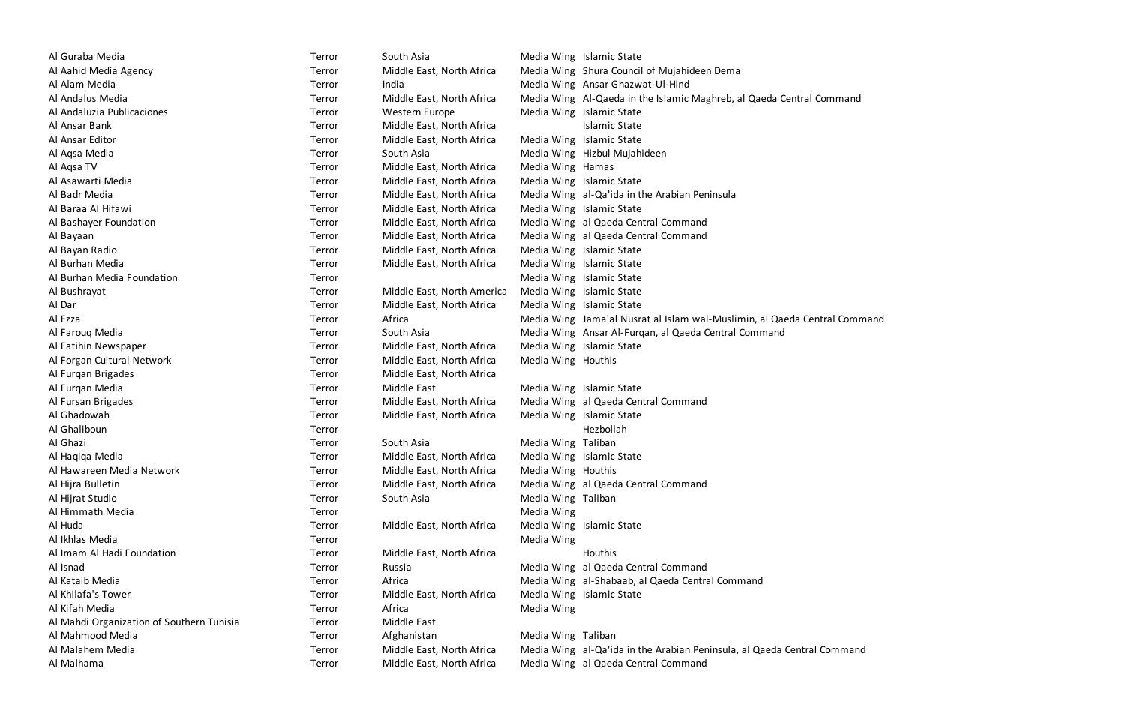| Al Guraba Media                           | Terror | South Asia                 |                    | Media Wing Islamic State  |
|-------------------------------------------|--------|----------------------------|--------------------|---------------------------|
| Al Aahid Media Agency                     | Terror | Middle East, North Africa  |                    | Media Wing Shura Counci   |
| Al Alam Media                             | Terror | India                      |                    | Media Wing Ansar Ghazw    |
| Al Andalus Media                          | Terror | Middle East, North Africa  |                    | Media Wing Al-Qaeda in t  |
| Al Andaluzia Publicaciones                | Terror | Western Europe             |                    | Media Wing Islamic State  |
| Al Ansar Bank                             | Terror | Middle East, North Africa  |                    | <b>Islamic State</b>      |
| Al Ansar Editor                           | Terror | Middle East, North Africa  |                    | Media Wing Islamic State  |
| Al Aqsa Media                             | Terror | South Asia                 |                    | Media Wing Hizbul Mujah   |
| Al Aqsa TV                                | Terror | Middle East, North Africa  | Media Wing Hamas   |                           |
| Al Asawarti Media                         | Terror | Middle East, North Africa  |                    | Media Wing Islamic State  |
| Al Badr Media                             | Terror | Middle East, North Africa  |                    | Media Wing al-Qa'ida in t |
| Al Baraa Al Hifawi                        | Terror | Middle East, North Africa  |                    | Media Wing Islamic State  |
| Al Bashayer Foundation                    | Terror | Middle East, North Africa  |                    | Media Wing al Qaeda Cer   |
| Al Bayaan                                 | Terror | Middle East, North Africa  |                    | Media Wing al Qaeda Cer   |
| Al Bayan Radio                            | Terror | Middle East, North Africa  |                    | Media Wing Islamic State  |
| Al Burhan Media                           | Terror | Middle East, North Africa  |                    | Media Wing Islamic State  |
| Al Burhan Media Foundation                | Terror |                            |                    | Media Wing Islamic State  |
| Al Bushrayat                              | Terror | Middle East, North America |                    | Media Wing Islamic State  |
| Al Dar                                    | Terror | Middle East, North Africa  |                    | Media Wing Islamic State  |
| Al Ezza                                   | Terror | Africa                     |                    | Media Wing Jama'al Nusr   |
| Al Farouq Media                           | Terror | South Asia                 |                    | Media Wing Ansar Al-Furd  |
| Al Fatihin Newspaper                      | Terror | Middle East, North Africa  |                    | Media Wing Islamic State  |
| Al Forgan Cultural Network                | Terror | Middle East, North Africa  | Media Wing Houthis |                           |
| Al Furqan Brigades                        | Terror | Middle East, North Africa  |                    |                           |
| Al Furqan Media                           | Terror | Middle East                |                    | Media Wing Islamic State  |
| Al Fursan Brigades                        | Terror | Middle East, North Africa  |                    | Media Wing al Qaeda Cer   |
| Al Ghadowah                               | Terror | Middle East, North Africa  |                    | Media Wing Islamic State  |
| Al Ghaliboun                              | Terror |                            |                    | Hezbollah                 |
| Al Ghazi                                  | Terror | South Asia                 | Media Wing Taliban |                           |
| Al Haqiqa Media                           | Terror | Middle East, North Africa  |                    | Media Wing Islamic State  |
| Al Hawareen Media Network                 | Terror | Middle East, North Africa  | Media Wing Houthis |                           |
| Al Hijra Bulletin                         | Terror | Middle East, North Africa  |                    | Media Wing al Qaeda Cer   |
| Al Hijrat Studio                          | Terror | South Asia                 | Media Wing Taliban |                           |
| Al Himmath Media                          | Terror |                            | Media Wing         |                           |
| Al Huda                                   | Terror | Middle East, North Africa  |                    | Media Wing Islamic State  |
| Al Ikhlas Media                           | Terror |                            | Media Wing         |                           |
| Al Imam Al Hadi Foundation                | Terror | Middle East, North Africa  |                    | Houthis                   |
| Al Isnad                                  | Terror | Russia                     |                    | Media Wing al Qaeda Cer   |
| Al Kataib Media                           | Terror | Africa                     |                    | Media Wing al-Shabaab, a  |
| Al Khilafa's Tower                        | Terror | Middle East, North Africa  |                    | Media Wing Islamic State  |
| Al Kifah Media                            | Terror | Africa                     | Media Wing         |                           |
| Al Mahdi Organization of Southern Tunisia | Terror | Middle East                |                    |                           |
| Al Mahmood Media                          | Terror | Afghanistan                | Media Wing Taliban |                           |
| Al Malahem Media                          | Terror | Middle East, North Africa  |                    | Media Wing al-Qa'ida in t |
| Al Malhama                                | Terror | Middle East, North Africa  |                    | Media Wing al Qaeda Cen   |

| Terror | South Asia                 |                    | Media Wing Islamic State                |
|--------|----------------------------|--------------------|-----------------------------------------|
| Terror | Middle East, North Africa  |                    | Media Wing Shura Council of Mujahideer  |
| Terror | India                      |                    | Media Wing Ansar Ghazwat-Ul-Hind        |
| Terror | Middle East, North Africa  |                    | Media Wing Al-Qaeda in the Islamic Mag  |
| Terror | <b>Western Europe</b>      |                    | Media Wing Islamic State                |
| Terror | Middle East, North Africa  |                    | <b>Islamic State</b>                    |
| Terror | Middle East, North Africa  |                    | Media Wing Islamic State                |
| Terror | South Asia                 |                    | Media Wing Hizbul Mujahideen            |
| Terror | Middle East, North Africa  | Media Wing Hamas   |                                         |
| Terror | Middle East, North Africa  |                    | Media Wing Islamic State                |
| Terror | Middle East, North Africa  |                    | Media Wing al-Qa'ida in the Arabian Pen |
| Terror | Middle East, North Africa  |                    | Media Wing Islamic State                |
| Terror | Middle East, North Africa  |                    | Media Wing al Qaeda Central Command     |
| Terror | Middle East, North Africa  |                    | Media Wing al Qaeda Central Command     |
| Terror | Middle East, North Africa  |                    | Media Wing Islamic State                |
| Terror | Middle East, North Africa  |                    | Media Wing Islamic State                |
| Terror |                            |                    | Media Wing Islamic State                |
| Terror | Middle East, North America |                    | Media Wing Islamic State                |
| Terror | Middle East, North Africa  |                    | Media Wing Islamic State                |
| Terror | Africa                     |                    | Media Wing Jama'al Nusrat al Islam wal  |
| Terror | South Asia                 |                    | Media Wing Ansar Al-Furgan, al Qaeda C  |
| Terror | Middle East, North Africa  |                    | Media Wing Islamic State                |
| Terror | Middle East, North Africa  | Media Wing Houthis |                                         |
| Terror | Middle East, North Africa  |                    |                                         |
| Terror | Middle East                |                    | Media Wing Islamic State                |
| Terror | Middle East, North Africa  |                    | Media Wing al Qaeda Central Command     |
| Terror | Middle East, North Africa  |                    | Media Wing Islamic State                |
| Terror |                            |                    | Hezbollah                               |
| Terror | South Asia                 | Media Wing Taliban |                                         |
| Terror | Middle East, North Africa  |                    | Media Wing Islamic State                |
| Terror | Middle East, North Africa  | Media Wing Houthis |                                         |
| Terror | Middle East, North Africa  |                    | Media Wing al Qaeda Central Command     |
| Terror | South Asia                 | Media Wing Taliban |                                         |
| Terror |                            | Media Wing         |                                         |
| Terror | Middle East, North Africa  |                    | Media Wing Islamic State                |
| Terror |                            | Media Wing         |                                         |
| Terror | Middle East, North Africa  |                    | Houthis                                 |
| Terror | Russia                     |                    | Media Wing al Qaeda Central Command     |
| Terror | Africa                     |                    | Media Wing al-Shabaab, al Qaeda Centra  |
| Terror | Middle East, North Africa  |                    | Media Wing Islamic State                |
| Terror | Africa                     | Media Wing         |                                         |
| Terror | Middle East                |                    |                                         |
| Terror | Afghanistan                | Media Wing Taliban |                                         |
| Terror | Middle East, North Africa  |                    | Media Wing al-Qa'ida in the Arabian Pen |
| Terror | Middle East, North Africa  |                    | Media Wing al Qaeda Central Command     |

Terror South Asia Media Wing Islamic State Terror Middle East, North Africa Media Wing Shura Council of Mujahideen Dema Al Alam Media Terror India Media Wing Ansar Ghazwat-Ul-Hind Terror Middle East, North Africa Media Wing Al-Qaeda in the Islamic Maghreb, al Qaeda Central Command Terror Middle East, North Africa Media Wing al-Qa'ida in the Arabian Peninsula Terror Middle East, North Africa Media Wing al Qaeda Central Command Terror Middle East, North Africa Media Wing al Qaeda Central Command Terror and Africa and Africa Media Wing Jama'al Nusrat al Islam wal-Muslimin, al Qaeda Central Command Terror South Asia Media Wing Ansar Al-Furqan, al Qaeda Central Command Terror Middle East, North Africa Media Wing al Qaeda Central Command Terror Middle East, North Africa Media Wing al Qaeda Central Command Terror **Russia** Russia Media Wing al Qaeda Central Command Terror Africa Media Wing al-Shabaab, al Qaeda Central Command Terror Middle East, North Africa Media Wing al-Qa'ida in the Arabian Peninsula, al Qaeda Central Command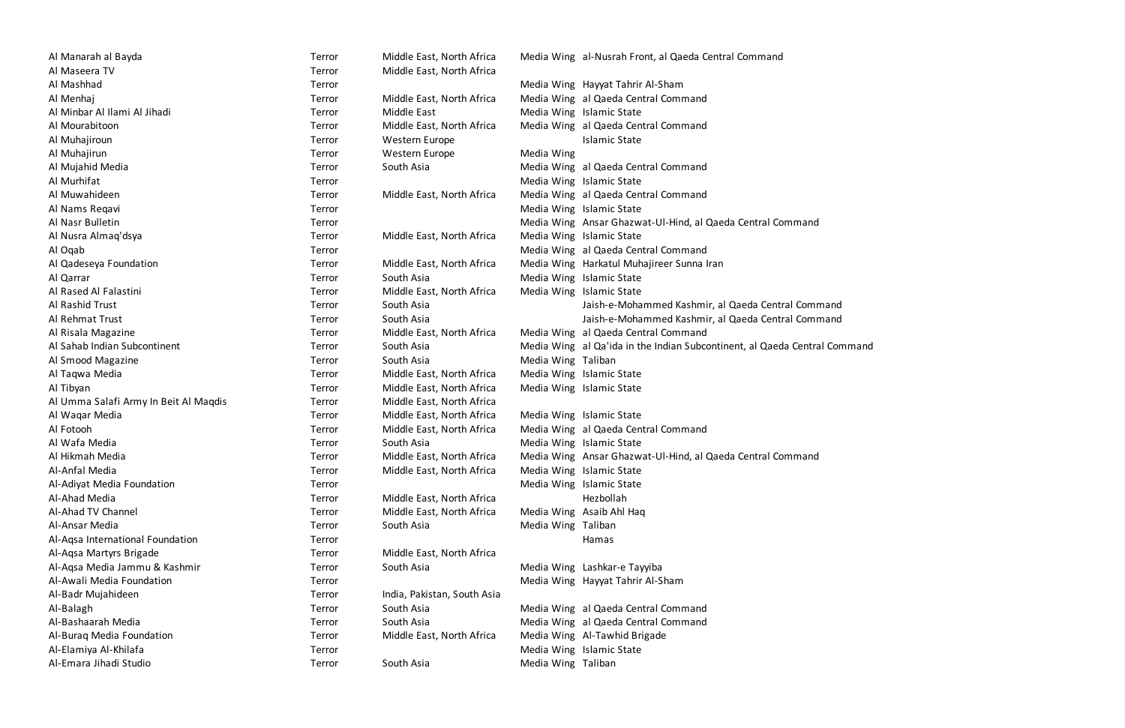| Al Manarah al Bayda                   | Terror | Middle East, North Africa   |                    | Media Wing al-Nusrah Fro  |
|---------------------------------------|--------|-----------------------------|--------------------|---------------------------|
| Al Maseera TV                         | Terror | Middle East, North Africa   |                    |                           |
| Al Mashhad                            | Terror |                             |                    | Media Wing Hayyat Tahrir  |
| Al Menhaj                             | Terror | Middle East, North Africa   |                    | Media Wing al Qaeda Cer   |
| Al Minbar Al Ilami Al Jihadi          | Terror | Middle East                 |                    | Media Wing Islamic State  |
| Al Mourabitoon                        | Terror | Middle East, North Africa   |                    | Media Wing al Qaeda Cer   |
| Al Muhajiroun                         | Terror | Western Europe              |                    | <b>Islamic State</b>      |
| Al Muhajirun                          | Terror | Western Europe              | Media Wing         |                           |
| Al Mujahid Media                      | Terror | South Asia                  |                    | Media Wing al Qaeda Cer   |
| Al Murhifat                           | Terror |                             |                    | Media Wing Islamic State  |
| Al Muwahideen                         | Terror | Middle East, North Africa   |                    | Media Wing al Qaeda Cer   |
| Al Nams Regavi                        | Terror |                             |                    | Media Wing Islamic State  |
| Al Nasr Bulletin                      | Terror |                             |                    | Media Wing Ansar Ghazw    |
| Al Nusra Almaq'dsya                   | Terror | Middle East, North Africa   |                    | Media Wing Islamic State  |
| Al Ogab                               | Terror |                             |                    | Media Wing al Qaeda Cer   |
| Al Qadeseya Foundation                | Terror | Middle East, North Africa   |                    | Media Wing Harkatul Mul   |
| Al Qarrar                             | Terror | South Asia                  |                    | Media Wing Islamic State  |
| Al Rased Al Falastini                 | Terror | Middle East, North Africa   |                    | Media Wing Islamic State  |
| Al Rashid Trust                       | Terror | South Asia                  |                    | Jaish-e-Moha              |
| Al Rehmat Trust                       | Terror | South Asia                  |                    | Jaish-e-Moha              |
| Al Risala Magazine                    | Terror | Middle East, North Africa   |                    | Media Wing al Qaeda Cer   |
| Al Sahab Indian Subcontinent          | Terror | South Asia                  |                    | Media Wing al Qa'ida in t |
| Al Smood Magazine                     | Terror | South Asia                  | Media Wing Taliban |                           |
| Al Taqwa Media                        | Terror | Middle East, North Africa   |                    | Media Wing Islamic State  |
| Al Tibyan                             | Terror | Middle East, North Africa   |                    | Media Wing Islamic State  |
| Al Umma Salafi Army In Beit Al Magdis | Terror | Middle East, North Africa   |                    |                           |
| Al Waqar Media                        | Terror | Middle East, North Africa   |                    | Media Wing Islamic State  |
| Al Fotooh                             | Terror | Middle East, North Africa   |                    | Media Wing al Qaeda Cer   |
| Al Wafa Media                         | Terror | South Asia                  |                    | Media Wing Islamic State  |
| Al Hikmah Media                       | Terror | Middle East, North Africa   |                    | Media Wing Ansar Ghazw    |
| Al-Anfal Media                        | Terror | Middle East, North Africa   |                    | Media Wing Islamic State  |
| Al-Adiyat Media Foundation            | Terror |                             | Media Wing         | <b>Islamic State</b>      |
| Al-Ahad Media                         | Terror | Middle East, North Africa   |                    | Hezbollah                 |
| Al-Ahad TV Channel                    | Terror | Middle East, North Africa   |                    | Media Wing Asaib Ahl Ha   |
| Al-Ansar Media                        | Terror | South Asia                  | Media Wing Taliban |                           |
| Al-Aqsa International Foundation      | Terror |                             |                    | Hamas                     |
| Al-Aqsa Martyrs Brigade               | Terror | Middle East, North Africa   |                    |                           |
| Al-Aqsa Media Jammu & Kashmir         | Terror | South Asia                  |                    | Media Wing Lashkar-e Tay  |
| Al-Awali Media Foundation             | Terror |                             |                    | Media Wing Hayyat Tahrir  |
| Al-Badr Mujahideen                    | Terror | India, Pakistan, South Asia |                    |                           |
| Al-Balagh                             | Terror | South Asia                  |                    | Media Wing al Qaeda Cer   |
| Al-Bashaarah Media                    | Terror | South Asia                  |                    | Media Wing al Qaeda Cer   |
| Al-Buraq Media Foundation             | Terror | Middle East, North Africa   |                    | Media Wing Al-Tawhid Br   |
| Al-Elamiya Al-Khilafa                 | Terror |                             |                    | Media Wing Islamic State  |
| Al-Emara Jihadi Studio                | Terror | South Asia                  | Media Wing Taliban |                           |

| Al Manarah al Bayda                   | Terror | Middle East, North Africa   |                    | Media Wing al-Nusrah Front, al Qaeda Central Command     |
|---------------------------------------|--------|-----------------------------|--------------------|----------------------------------------------------------|
| Al Maseera TV                         | Terror | Middle East, North Africa   |                    |                                                          |
| Al Mashhad                            | Terror |                             |                    | Media Wing Hayyat Tahrir Al-Sham                         |
| Al Menhaj                             | Terror | Middle East, North Africa   |                    | Media Wing al Qaeda Central Command                      |
| Al Minbar Al Ilami Al Jihadi          | Terror | Middle East                 |                    | Media Wing Islamic State                                 |
| Al Mourabitoon                        | Terror | Middle East, North Africa   |                    | Media Wing al Qaeda Central Command                      |
| Al Muhajiroun                         | Terror | Western Europe              |                    | <b>Islamic State</b>                                     |
| Al Muhajirun                          | Terror | Western Europe              | Media Wing         |                                                          |
| Al Mujahid Media                      | Terror | South Asia                  |                    | Media Wing al Qaeda Central Command                      |
| Al Murhifat                           | Terror |                             |                    | Media Wing Islamic State                                 |
| Al Muwahideen                         | Terror | Middle East, North Africa   |                    | Media Wing al Qaeda Central Command                      |
| Al Nams Regavi                        | Terror |                             |                    | Media Wing Islamic State                                 |
| Al Nasr Bulletin                      | Terror |                             |                    | Media Wing Ansar Ghazwat-Ul-Hind, al Qaeda Central Co    |
| Al Nusra Almaq'dsya                   | Terror | Middle East, North Africa   |                    | Media Wing Islamic State                                 |
| Al Oqab                               | Terror |                             |                    | Media Wing al Qaeda Central Command                      |
| Al Qadeseya Foundation                | Terror | Middle East, North Africa   |                    | Media Wing Harkatul Muhajireer Sunna Iran                |
| Al Qarrar                             | Terror | South Asia                  |                    | Media Wing Islamic State                                 |
| Al Rased Al Falastini                 | Terror | Middle East, North Africa   |                    | Media Wing Islamic State                                 |
| Al Rashid Trust                       | Terror | South Asia                  |                    | Jaish-e-Mohammed Kashmir, al Qaeda Centr                 |
| Al Rehmat Trust                       | Terror | South Asia                  |                    | Jaish-e-Mohammed Kashmir, al Qaeda Centr                 |
| Al Risala Magazine                    | Terror | Middle East, North Africa   |                    | Media Wing al Qaeda Central Command                      |
| Al Sahab Indian Subcontinent          | Terror | South Asia                  |                    | Media Wing al Qa'ida in the Indian Subcontinent, al Qaed |
| Al Smood Magazine                     | Terror | South Asia                  | Media Wing Taliban |                                                          |
| Al Taqwa Media                        | Terror | Middle East, North Africa   |                    | Media Wing Islamic State                                 |
| Al Tibyan                             | Terror | Middle East, North Africa   |                    | Media Wing Islamic State                                 |
| Al Umma Salafi Army In Beit Al Maqdis | Terror | Middle East, North Africa   |                    |                                                          |
| Al Waqar Media                        | Terror | Middle East, North Africa   |                    | Media Wing Islamic State                                 |
| Al Fotooh                             | Terror | Middle East, North Africa   |                    | Media Wing al Qaeda Central Command                      |
| Al Wafa Media                         | Terror | South Asia                  |                    | Media Wing Islamic State                                 |
| Al Hikmah Media                       | Terror | Middle East, North Africa   |                    | Media Wing Ansar Ghazwat-Ul-Hind, al Qaeda Central Co    |
| Al-Anfal Media                        | Terror | Middle East, North Africa   |                    | Media Wing Islamic State                                 |
| Al-Adiyat Media Foundation            | Terror |                             |                    | Media Wing Islamic State                                 |
| Al-Ahad Media                         | Terror | Middle East, North Africa   |                    | Hezbollah                                                |
| Al-Ahad TV Channel                    | Terror | Middle East, North Africa   |                    | Media Wing Asaib Ahl Haq                                 |
| Al-Ansar Media                        | Terror | South Asia                  | Media Wing Taliban |                                                          |
| Al-Aqsa International Foundation      | Terror |                             |                    | Hamas                                                    |
| Al-Agsa Martyrs Brigade               | Terror | Middle East, North Africa   |                    |                                                          |
| Al-Aqsa Media Jammu & Kashmir         | Terror | South Asia                  |                    | Media Wing Lashkar-e Tayyiba                             |
| Al-Awali Media Foundation             | Terror |                             |                    | Media Wing Hayyat Tahrir Al-Sham                         |
| Al-Badr Mujahideen                    | Terror | India, Pakistan, South Asia |                    |                                                          |
| Al-Balagh                             | Terror | South Asia                  |                    | Media Wing al Qaeda Central Command                      |
| Al-Bashaarah Media                    | Terror | South Asia                  |                    | Media Wing al Qaeda Central Command                      |
| Al-Buraq Media Foundation             | Terror | Middle East, North Africa   |                    | Media Wing Al-Tawhid Brigade                             |
| Al-Elamiya Al-Khilafa                 | Terror |                             |                    | Media Wing Islamic State                                 |
| Al-Emara Jihadi Studio                | Terror | South Asia                  | Media Wing Taliban |                                                          |

Terror Terror Media Wing Hayyat Tahrir Al-Sham Al Menhaj Terror Middle East, North Africa Media Wing al Qaeda Central Command Terror Middle East, North Africa Media Wing al Qaeda Central Command Terror South Asia Media Wing al Qaeda Central Command Terror Middle East, North Africa Media Wing al Qaeda Central Command Terror Terror **All Nasr Bulletin Terror** Media Wing Ansar Ghazwat-Ul-Hind, al Qaeda Central Command Terror **All Oquab Terror** Media Wing al Qaeda Central Command Terror **Middle East, North Africa** Media Wing Harkatul Muhajireer Sunna Iran Al Rashid Trust Terror South Asia Jaish-e-Mohammed Kashmir, al Qaeda Central Command Al Rehmat Trust Terror South Asia Jaish-e-Mohammed Kashmir, al Qaeda Central Command Terror Middle East, North Africa Media Wing al Qaeda Central Command Terror South Asia Subcontinent Terror South Asia Media Wing al Qa'ida in the Indian Subcontinent, al Qaeda Central Command Terror Middle East, North Africa Media Wing al Qaeda Central Command Terror Middle East, North Africa Media Wing Ansar Ghazwat-Ul-Hind, al Qaeda Central Command Terror **Al-Awali Media Wing Hayyat Tahrir Al-Sham** Terror South Asia **Media Wing al Qaeda Central Command** Terror South Asia Media Wing al Qaeda Central Command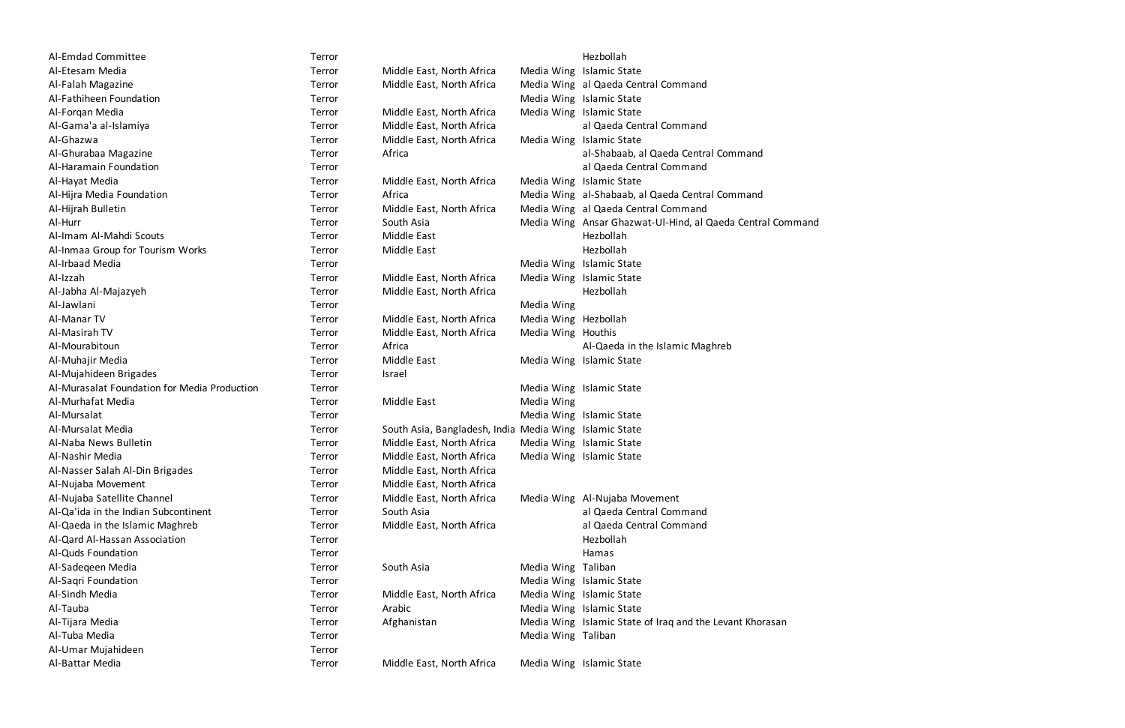| Al-Emdad Committee                           | Terror |                                                     |                       | Hezbollah  |
|----------------------------------------------|--------|-----------------------------------------------------|-----------------------|------------|
| Al-Etesam Media                              | Terror | Middle East, North Africa                           | Media Wing            | Islamic St |
| Al-Falah Magazine                            | Terror | Middle East, North Africa                           | Media Wing al Qaeda   |            |
| Al-Fathiheen Foundation                      | Terror |                                                     | Media Wing Islamic St |            |
| Al-Forgan Media                              | Terror | Middle East, North Africa                           | Media Wing Islamic St |            |
| Al-Gama'a al-Islamiya                        | Terror | Middle East, North Africa                           |                       | al Qaeda   |
| Al-Ghazwa                                    | Terror | Middle East, North Africa                           | Media Wing Islamic St |            |
| Al-Ghurabaa Magazine                         | Terror | Africa                                              |                       | al-Shabaa  |
| Al-Haramain Foundation                       | Terror |                                                     |                       | al Qaeda   |
| Al-Hayat Media                               | Terror | Middle East, North Africa                           | Media Wing            | Islamic St |
| Al-Hijra Media Foundation                    | Terror | Africa                                              | Media Wing al-Shabaa  |            |
| Al-Hijrah Bulletin                           | Terror | Middle East, North Africa                           | Media Wing al Qaeda   |            |
| Al-Hurr                                      | Terror | South Asia                                          | Media Wing Ansar Gha  |            |
| Al-Imam Al-Mahdi Scouts                      | Terror | Middle East                                         |                       | Hezbollah  |
| Al-Inmaa Group for Tourism Works             | Terror | Middle East                                         |                       | Hezbollah  |
| Al-Irbaad Media                              | Terror |                                                     | Media Wing            | Islamic St |
| Al-Izzah                                     | Terror | Middle East, North Africa                           | Media Wing Islamic St |            |
| Al-Jabha Al-Majazyeh                         | Terror | Middle East, North Africa                           |                       | Hezbollah  |
| Al-Jawlani                                   | Terror |                                                     | Media Wing            |            |
| Al-Manar TV                                  | Terror | Middle East, North Africa                           | Media Wing Hezbollah  |            |
| Al-Masirah TV                                | Terror | Middle East, North Africa                           | Media Wing Houthis    |            |
| Al-Mourabitoun                               | Terror | Africa                                              |                       | Al-Qaeda   |
| Al-Muhajir Media                             | Terror | Middle East                                         | Media Wing Islamic St |            |
| Al-Mujahideen Brigades                       | Terror | Israel                                              |                       |            |
| Al-Murasalat Foundation for Media Production | Terror |                                                     | Media Wing Islamic St |            |
| Al-Murhafat Media                            | Terror | Middle East                                         | Media Wing            |            |
| Al-Mursalat                                  | Terror |                                                     | Media Wing Islamic St |            |
| Al-Mursalat Media                            | Terror | South Asia, Bangladesh, India Media Wing Islamic St |                       |            |
| Al-Naba News Bulletin                        | Terror | Middle East, North Africa                           | Media Wing Islamic St |            |
| Al-Nashir Media                              | Terror | Middle East, North Africa                           | Media Wing Islamic St |            |
| Al-Nasser Salah Al-Din Brigades              | Terror | Middle East, North Africa                           |                       |            |
| Al-Nujaba Movement                           | Terror | Middle East, North Africa                           |                       |            |
| Al-Nujaba Satellite Channel                  | Terror | Middle East, North Africa                           | Media Wing Al-Nujaba  |            |
| Al-Qa'ida in the Indian Subcontinent         | Terror | South Asia                                          |                       | al Qaeda   |
| Al-Qaeda in the Islamic Maghreb              | Terror | Middle East, North Africa                           |                       | al Qaeda   |
| Al-Qard Al-Hassan Association                | Terror |                                                     |                       | Hezbollah  |
| Al-Quds Foundation                           | Terror |                                                     |                       | Hamas      |
| Al-Sadegeen Media                            | Terror | South Asia                                          | Media Wing            | Taliban    |
| Al-Saqri Foundation                          | Terror |                                                     | Media Wing Islamic St |            |
| Al-Sindh Media                               | Terror | Middle East, North Africa                           | Media Wing Islamic St |            |
| Al-Tauba                                     | Terror | Arabic                                              | Media Wing Islamic St |            |
| Al-Tijara Media                              | Terror | Afghanistan                                         | Media Wing Islamic St |            |
| Al-Tuba Media                                | Terror |                                                     | Media Wing Taliban    |            |
| Al-Umar Mujahideen                           | Terror |                                                     |                       |            |
| Al-Rattar Modia                              | Terror | Middle Fast, North Africa                           | Madia Wing Islamic St |            |

| Al-Emdad Committee                           | Terror |                                                        |                      | Hezbollah                          |
|----------------------------------------------|--------|--------------------------------------------------------|----------------------|------------------------------------|
| Al-Etesam Media                              | Terror | Middle East, North Africa                              |                      | Media Wing Islamic State           |
| Al-Falah Magazine                            | Terror | Middle East, North Africa                              |                      | Media Wing al Qaeda Central Com    |
| Al-Fathiheen Foundation                      | Terror |                                                        |                      | Media Wing Islamic State           |
| Al-Forgan Media                              | Terror | Middle East, North Africa                              |                      | Media Wing Islamic State           |
| Al-Gama'a al-Islamiya                        | Terror | Middle East, North Africa                              |                      | al Qaeda Central Com               |
| Al-Ghazwa                                    | Terror | Middle East, North Africa                              |                      | Media Wing Islamic State           |
| Al-Ghurabaa Magazine                         | Terror | Africa                                                 |                      | al-Shabaab, al Qaeda               |
| Al-Haramain Foundation                       | Terror |                                                        |                      | al Qaeda Central Com               |
| Al-Hayat Media                               | Terror | Middle East, North Africa                              |                      | Media Wing Islamic State           |
| Al-Hijra Media Foundation                    | Terror | Africa                                                 |                      | Media Wing al-Shabaab, al Qaeda    |
| Al-Hijrah Bulletin                           | Terror | Middle East, North Africa                              |                      | Media Wing al Qaeda Central Com    |
| Al-Hurr                                      | Terror | South Asia                                             |                      | Media Wing Ansar Ghazwat-Ul-Hir    |
| Al-Imam Al-Mahdi Scouts                      | Terror | Middle East                                            |                      | Hezbollah                          |
| Al-Inmaa Group for Tourism Works             | Terror | Middle East                                            |                      | Hezbollah                          |
| Al-Irbaad Media                              | Terror |                                                        |                      | Media Wing Islamic State           |
| Al-Izzah                                     | Terror | Middle East, North Africa                              |                      | Media Wing Islamic State           |
| Al-Jabha Al-Majazyeh                         | Terror | Middle East, North Africa                              |                      | Hezbollah                          |
| Al-Jawlani                                   | Terror |                                                        | Media Wing           |                                    |
| Al-Manar TV                                  | Terror | Middle East, North Africa                              | Media Wing Hezbollah |                                    |
| Al-Masirah TV                                | Terror | Middle East, North Africa                              | Media Wing Houthis   |                                    |
| Al-Mourabitoun                               | Terror | Africa                                                 |                      | Al-Qaeda in the Islam              |
| Al-Muhajir Media                             | Terror | Middle East                                            |                      | Media Wing Islamic State           |
| Al-Mujahideen Brigades                       | Terror | Israel                                                 |                      |                                    |
| Al-Murasalat Foundation for Media Production | Terror |                                                        |                      | Media Wing Islamic State           |
| Al-Murhafat Media                            | Terror | Middle East                                            | Media Wing           |                                    |
| Al-Mursalat                                  | Terror |                                                        |                      | Media Wing Islamic State           |
| Al-Mursalat Media                            | Terror | South Asia, Bangladesh, India Media Wing Islamic State |                      |                                    |
| Al-Naba News Bulletin                        | Terror | Middle East, North Africa                              |                      | Media Wing Islamic State           |
| Al-Nashir Media                              | Terror | Middle East, North Africa                              |                      | Media Wing Islamic State           |
| Al-Nasser Salah Al-Din Brigades              | Terror | Middle East, North Africa                              |                      |                                    |
| Al-Nujaba Movement                           | Terror | Middle East, North Africa                              |                      |                                    |
| Al-Nujaba Satellite Channel                  | Terror | Middle East, North Africa                              |                      | Media Wing Al-Nujaba Movement      |
| Al-Qa'ida in the Indian Subcontinent         | Terror | South Asia                                             |                      | al Qaeda Central Com               |
| Al-Qaeda in the Islamic Maghreb              | Terror | Middle East, North Africa                              |                      | al Qaeda Central Com               |
| Al-Qard Al-Hassan Association                | Terror |                                                        |                      | Hezbollah                          |
| Al-Quds Foundation                           | Terror |                                                        |                      | Hamas                              |
| Al-Sadegeen Media                            | Terror | South Asia                                             | Media Wing Taliban   |                                    |
| Al-Saqri Foundation                          | Terror |                                                        |                      | Media Wing Islamic State           |
| Al-Sindh Media                               | Terror | Middle East, North Africa                              |                      | Media Wing Islamic State           |
| Al-Tauba                                     | Terror | Arabic                                                 |                      | Media Wing Islamic State           |
| Al-Tijara Media                              | Terror | Afghanistan                                            |                      | Media Wing Islamic State of Iraq a |
| Al-Tuba Media                                | Terror |                                                        | Media Wing Taliban   |                                    |
| Al-Umar Mujahideen                           | Terror |                                                        |                      |                                    |
| Al-Battar Media                              | Terror | Middle East, North Africa                              |                      | Media Wing Islamic State           |

Terror Middle East, North Africa Media Wing al Qaeda Central Command Terror Middle East, North Africa al-Qaeda Central Command Terror Africa Africa al-Shabaab, al Qaeda Central Command Al-Haramain Foundation Terror al Qaeda Central Command Terror Africa Media Wing al-Shabaab, al Qaeda Central Command Terror Middle East, North Africa Media Wing al Qaeda Central Command Terror South Asia **Media Wing Ansar Ghazwat-Ul-Hind, al Qaeda Central Command** Terror **Africa** Al-Qaeda in the Islamic Maghreb Al-Qa'ida in the Indian Subcontinent Terror South Asia al Qaeda Central Command Terror Middle East, North Africa and Islamic Magda Central Command Terror Afghanistan Media Wing Islamic State of Iraq and the Levant Khorasan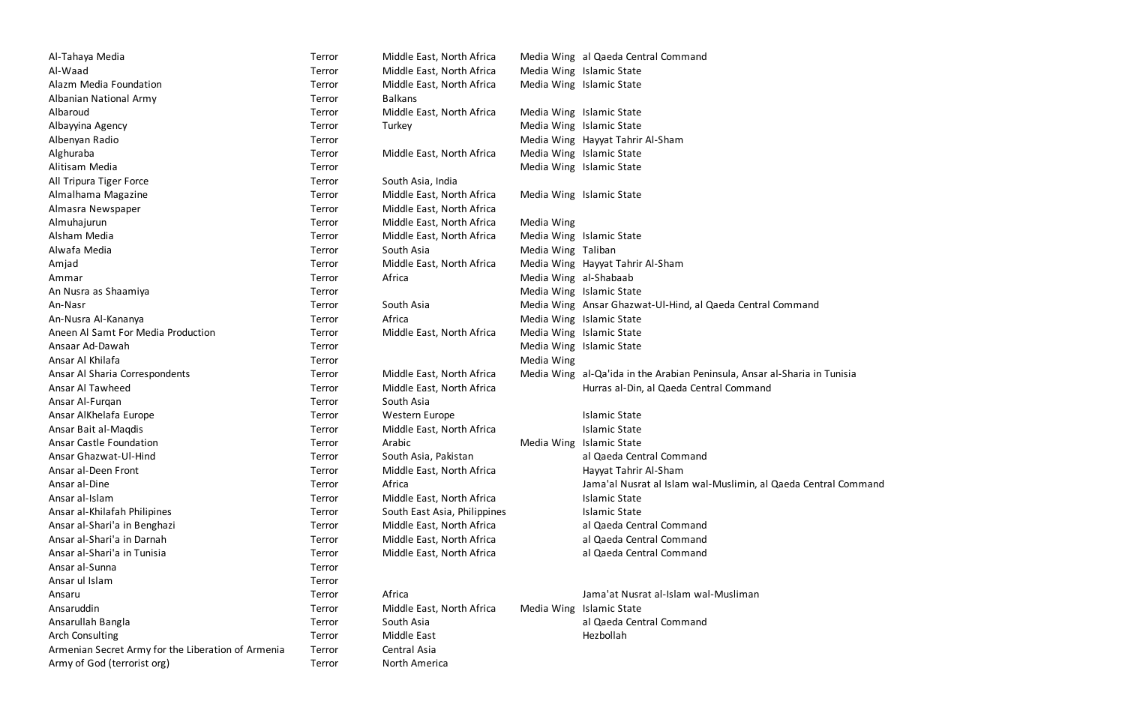Terror Middle East, North Africa Media Wing al Qaeda Central Command Terror South Asia **Media Wing Ansar Ghazwat-Ul-Hind, al Qaeda Central Command** Terror Middle East, North Africa Media Wing al-Qa'ida in the Arabian Peninsula, Ansar al-Sharia in Tunisia Terror Middle East, North Africa Hurras al-Din, al Qaeda Central Command Terror South Asia, Pakistan al Qaeda Central Command Terror Africa Africa Africa Africa Africa Jama'al Nusrat al Islam wal-Muslimin, al Qaeda Central Command Terror Middle East, North Africa and al-Qaeda Central Command Terror Middle East, North Africa and Daeda Central Command Terror Middle East, North Africa and al Qaeda Central Command Ansaru Terror Africa Jama'at Nusrat al-Islam wal-Musliman Ansarullah Bangla Terror South Asia al Qaeda Central Command

| Terror | Middle East, North Africa    |                       | Media Wing al Qaeda Central Comn   |
|--------|------------------------------|-----------------------|------------------------------------|
| Terror | Middle East, North Africa    |                       | Media Wing Islamic State           |
| Terror | Middle East, North Africa    |                       | Media Wing Islamic State           |
| Terror | <b>Balkans</b>               |                       |                                    |
| Terror | Middle East, North Africa    |                       | Media Wing Islamic State           |
| Terror | Turkey                       |                       | Media Wing Islamic State           |
| Terror |                              |                       | Media Wing Hayyat Tahrir Al-Sham   |
| Terror | Middle East, North Africa    |                       | Media Wing Islamic State           |
| Terror |                              |                       | Media Wing Islamic State           |
| Terror | South Asia, India            |                       |                                    |
| Terror | Middle East, North Africa    |                       | Media Wing Islamic State           |
| Terror | Middle East, North Africa    |                       |                                    |
| Terror | Middle East, North Africa    | Media Wing            |                                    |
| Terror | Middle East, North Africa    |                       | Media Wing Islamic State           |
| Terror | South Asia                   | Media Wing Taliban    |                                    |
| Terror | Middle East, North Africa    |                       | Media Wing Hayyat Tahrir Al-Sham   |
| Terror | Africa                       | Media Wing al-Shabaab |                                    |
| Terror |                              |                       | Media Wing Islamic State           |
| Terror | South Asia                   |                       | Media Wing Ansar Ghazwat-Ul-Hin    |
| Terror | Africa                       |                       | Media Wing Islamic State           |
| Terror | Middle East, North Africa    |                       | Media Wing Islamic State           |
| Terror |                              |                       | Media Wing Islamic State           |
| Terror |                              | Media Wing            |                                    |
| Terror | Middle East, North Africa    |                       | Media Wing al-Qa'ida in the Arabia |
| Terror | Middle East, North Africa    |                       | Hurras al-Din, al Qaeda            |
| Terror | South Asia                   |                       |                                    |
| Terror | Western Europe               |                       | <b>Islamic State</b>               |
| Terror | Middle East, North Africa    |                       | <b>Islamic State</b>               |
| Terror | Arabic                       | Media Wing            | <b>Islamic State</b>               |
| Terror | South Asia, Pakistan         |                       | al Qaeda Central Comn              |
| Terror | Middle East, North Africa    |                       | Hayyat Tahrir Al-Sham              |
| Terror | Africa                       |                       | Jama'al Nusrat al Islan            |
| Terror | Middle East, North Africa    |                       | <b>Islamic State</b>               |
| Terror | South East Asia, Philippines |                       | <b>Islamic State</b>               |
| Terror | Middle East, North Africa    |                       | al Qaeda Central Comn              |
| Terror | Middle East, North Africa    |                       | al Qaeda Central Comn              |
| Terror | Middle East, North Africa    |                       | al Qaeda Central Comn              |
| Terror |                              |                       |                                    |
| Terror |                              |                       |                                    |
| Terror | Africa                       |                       | Jama'at Nusrat al-Islar            |
| Terror | Middle East, North Africa    |                       | Media Wing Islamic State           |
| Terror | South Asia                   |                       | al Qaeda Central Comn              |
| Terror | Middle East                  |                       | Hezbollah                          |
| Terror | Central Asia                 |                       |                                    |
| Terror | North America                |                       |                                    |
|        |                              |                       |                                    |

| Al-Tahaya Media                                    | Terror | Middle East, North Africa    |                       | Media Wing al Qaeda Cer   |
|----------------------------------------------------|--------|------------------------------|-----------------------|---------------------------|
| Al-Waad                                            | Terror | Middle East, North Africa    |                       | Media Wing Islamic State  |
| Alazm Media Foundation                             | Terror | Middle East, North Africa    |                       | Media Wing Islamic State  |
| Albanian National Army                             | Terror | <b>Balkans</b>               |                       |                           |
| Albaroud                                           | Terror | Middle East, North Africa    |                       | Media Wing Islamic State  |
| Albayyina Agency                                   | Terror | Turkey                       |                       | Media Wing Islamic State  |
| Albenyan Radio                                     | Terror |                              |                       | Media Wing Hayyat Tahrir  |
| Alghuraba                                          | Terror | Middle East, North Africa    |                       | Media Wing Islamic State  |
| Alitisam Media                                     | Terror |                              |                       | Media Wing Islamic State  |
| All Tripura Tiger Force                            | Terror | South Asia, India            |                       |                           |
| Almalhama Magazine                                 | Terror | Middle East, North Africa    |                       | Media Wing Islamic State  |
| Almasra Newspaper                                  | Terror | Middle East, North Africa    |                       |                           |
| Almuhajurun                                        | Terror | Middle East, North Africa    | Media Wing            |                           |
| Alsham Media                                       | Terror | Middle East, North Africa    |                       | Media Wing Islamic State  |
| Alwafa Media                                       | Terror | South Asia                   | Media Wing Taliban    |                           |
| Amjad                                              | Terror | Middle East, North Africa    |                       | Media Wing Hayyat Tahrir  |
| Ammar                                              | Terror | Africa                       | Media Wing al-Shabaab |                           |
| An Nusra as Shaamiya                               | Terror |                              |                       | Media Wing Islamic State  |
| An-Nasr                                            | Terror | South Asia                   |                       | Media Wing Ansar Ghazw    |
| An-Nusra Al-Kananya                                | Terror | Africa                       |                       | Media Wing Islamic State  |
| Aneen Al Samt For Media Production                 | Terror | Middle East, North Africa    |                       | Media Wing Islamic State  |
| Ansaar Ad-Dawah                                    | Terror |                              |                       | Media Wing Islamic State  |
| Ansar Al Khilafa                                   | Terror |                              | Media Wing            |                           |
| Ansar Al Sharia Correspondents                     | Terror | Middle East, North Africa    |                       | Media Wing al-Qa'ida in t |
| Ansar Al Tawheed                                   | Terror | Middle East, North Africa    |                       | Hurras al-Din             |
| Ansar Al-Furqan                                    | Terror | South Asia                   |                       |                           |
| Ansar AlKhelafa Europe                             | Terror | Western Europe               |                       | <b>Islamic State</b>      |
| Ansar Bait al-Maqdis                               | Terror | Middle East, North Africa    |                       | <b>Islamic State</b>      |
| <b>Ansar Castle Foundation</b>                     | Terror | Arabic                       | Media Wing            | <b>Islamic State</b>      |
| Ansar Ghazwat-Ul-Hind                              | Terror | South Asia, Pakistan         |                       | al Qaeda Cer              |
| Ansar al-Deen Front                                | Terror | Middle East, North Africa    |                       | Hayyat Tahrir             |
| Ansar al-Dine                                      | Terror | Africa                       |                       | Jama'al Nusr              |
| Ansar al-Islam                                     | Terror | Middle East, North Africa    |                       | <b>Islamic State</b>      |
| Ansar al-Khilafah Philipines                       | Terror | South East Asia, Philippines |                       | <b>Islamic State</b>      |
| Ansar al-Shari'a in Benghazi                       | Terror | Middle East, North Africa    |                       | al Qaeda Cer              |
| Ansar al-Shari'a in Darnah                         | Terror | Middle East, North Africa    |                       | al Qaeda Cer              |
| Ansar al-Shari'a in Tunisia                        | Terror | Middle East, North Africa    |                       | al Qaeda Cer              |
| Ansar al-Sunna                                     | Terror |                              |                       |                           |
| Ansar ul Islam                                     | Terror |                              |                       |                           |
| Ansaru                                             | Terror | Africa                       |                       | Jama'at Nusi              |
| Ansaruddin                                         | Terror | Middle East, North Africa    | Media Wing            | <b>Islamic State</b>      |
| Ansarullah Bangla                                  | Terror | South Asia                   |                       | al Qaeda Cer              |
| <b>Arch Consulting</b>                             | Terror | Middle East                  |                       | Hezbollah                 |
| Armenian Secret Army for the Liberation of Armenia | Terror | Central Asia                 |                       |                           |
| Army of God (terrorist org)                        | Terror | North America                |                       |                           |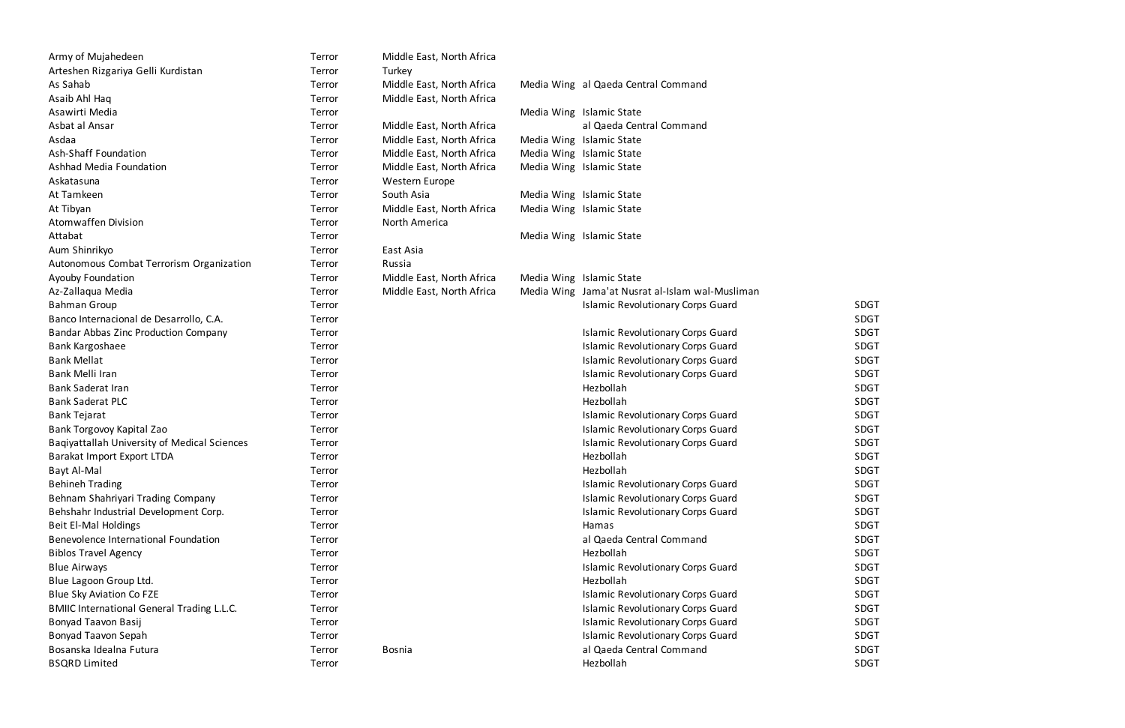| Army of Mujahedeen                                | Terror | Middle East, North Africa |                                                 |             |
|---------------------------------------------------|--------|---------------------------|-------------------------------------------------|-------------|
| Arteshen Rizgariya Gelli Kurdistan                | Terror | Turkey                    |                                                 |             |
| As Sahab                                          | Terror | Middle East, North Africa | Media Wing al Qaeda Central Command             |             |
| Asaib Ahl Haq                                     | Terror | Middle East, North Africa |                                                 |             |
| Asawirti Media                                    | Terror |                           | Media Wing Islamic State                        |             |
| Asbat al Ansar                                    | Terror | Middle East, North Africa | al Qaeda Central Command                        |             |
| Asdaa                                             | Terror | Middle East, North Africa | Media Wing Islamic State                        |             |
| Ash-Shaff Foundation                              | Terror | Middle East, North Africa | Media Wing Islamic State                        |             |
| Ashhad Media Foundation                           | Terror | Middle East, North Africa | Media Wing Islamic State                        |             |
| Askatasuna                                        | Terror | Western Europe            |                                                 |             |
| At Tamkeen                                        | Terror | South Asia                | Media Wing Islamic State                        |             |
| At Tibyan                                         | Terror | Middle East, North Africa | Media Wing Islamic State                        |             |
| <b>Atomwaffen Division</b>                        | Terror | North America             |                                                 |             |
| Attabat                                           | Terror |                           | Media Wing Islamic State                        |             |
| Aum Shinrikyo                                     | Terror | East Asia                 |                                                 |             |
| Autonomous Combat Terrorism Organization          | Terror | Russia                    |                                                 |             |
| Ayouby Foundation                                 | Terror | Middle East, North Africa | Media Wing Islamic State                        |             |
| Az-Zallaqua Media                                 | Terror | Middle East, North Africa | Media Wing Jama'at Nusrat al-Islam wal-Musliman |             |
| <b>Bahman Group</b>                               | Terror |                           | <b>Islamic Revolutionary Corps Guard</b>        | <b>SDGT</b> |
| Banco Internacional de Desarrollo, C.A.           | Terror |                           |                                                 | <b>SDGT</b> |
| Bandar Abbas Zinc Production Company              | Terror |                           | <b>Islamic Revolutionary Corps Guard</b>        | <b>SDGT</b> |
| <b>Bank Kargoshaee</b>                            | Terror |                           | <b>Islamic Revolutionary Corps Guard</b>        | <b>SDGT</b> |
| <b>Bank Mellat</b>                                | Terror |                           | <b>Islamic Revolutionary Corps Guard</b>        | <b>SDGT</b> |
| Bank Melli Iran                                   | Terror |                           | <b>Islamic Revolutionary Corps Guard</b>        | <b>SDGT</b> |
| <b>Bank Saderat Iran</b>                          | Terror |                           | Hezbollah                                       | <b>SDGT</b> |
| <b>Bank Saderat PLC</b>                           | Terror |                           | Hezbollah                                       | <b>SDGT</b> |
| <b>Bank Tejarat</b>                               | Terror |                           | <b>Islamic Revolutionary Corps Guard</b>        | <b>SDGT</b> |
| Bank Torgovoy Kapital Zao                         | Terror |                           | <b>Islamic Revolutionary Corps Guard</b>        | <b>SDGT</b> |
| Baqiyattallah University of Medical Sciences      | Terror |                           | <b>Islamic Revolutionary Corps Guard</b>        | <b>SDGT</b> |
| Barakat Import Export LTDA                        | Terror |                           | Hezbollah                                       | <b>SDGT</b> |
| Bayt Al-Mal                                       | Terror |                           | Hezbollah                                       | <b>SDGT</b> |
| <b>Behineh Trading</b>                            | Terror |                           | <b>Islamic Revolutionary Corps Guard</b>        | <b>SDGT</b> |
| Behnam Shahriyari Trading Company                 | Terror |                           | <b>Islamic Revolutionary Corps Guard</b>        | <b>SDGT</b> |
| Behshahr Industrial Development Corp.             | Terror |                           | <b>Islamic Revolutionary Corps Guard</b>        | <b>SDGT</b> |
| Beit El-Mal Holdings                              | Terror |                           | Hamas                                           | <b>SDGT</b> |
| Benevolence International Foundation              | Terror |                           | al Qaeda Central Command                        | <b>SDGT</b> |
| <b>Biblos Travel Agency</b>                       | Terror |                           | Hezbollah                                       | <b>SDGT</b> |
| <b>Blue Airways</b>                               | Terror |                           | <b>Islamic Revolutionary Corps Guard</b>        | <b>SDGT</b> |
| Blue Lagoon Group Ltd.                            | Terror |                           | Hezbollah                                       | <b>SDGT</b> |
| <b>Blue Sky Aviation Co FZE</b>                   | Terror |                           | <b>Islamic Revolutionary Corps Guard</b>        | <b>SDGT</b> |
| <b>BMIIC International General Trading L.L.C.</b> | Terror |                           | <b>Islamic Revolutionary Corps Guard</b>        | <b>SDGT</b> |
| Bonyad Taavon Basij                               | Terror |                           | <b>Islamic Revolutionary Corps Guard</b>        | <b>SDGT</b> |
| Bonyad Taavon Sepah                               | Terror |                           | <b>Islamic Revolutionary Corps Guard</b>        | <b>SDGT</b> |
| Bosanska Idealna Futura                           | Terror | <b>Bosnia</b>             | al Qaeda Central Command                        | <b>SDGT</b> |
| <b>BSQRD Limited</b>                              | Terror |                           | Hezbollah                                       | <b>SDGT</b> |

| Middle East, North Africa |            |           |
|---------------------------|------------|-----------|
| Turkey                    |            |           |
| Middle East, North Africa | Media Wing | a         |
| Middle East, North Africa |            |           |
|                           | Media Wing | ls        |
| Middle East, North Africa |            | a         |
| Middle East, North Africa | Media Wing | ls        |
| Middle East, North Africa | Media Wing | l         |
| Middle East, North Africa | Media Wing | Is        |
| <b>Western Europe</b>     |            |           |
| South Asia                | Media Wing | ls        |
| Middle East, North Africa | Media Wing | Is        |
| North America             |            |           |
|                           | Media Wing | Is        |
| East Asia                 |            |           |
| Russia                    |            |           |
| Middle East, North Africa | Media Wing | <u>Is</u> |
| Middle East, North Africa | Media Wing | J         |
|                           |            | l         |
|                           |            |           |
|                           |            | ls        |
|                           |            | ls        |
|                           |            | ls        |
|                           |            | l         |
|                           |            | ۲         |
|                           |            | ۲         |
|                           |            | l         |
|                           |            | l         |
|                           |            | l         |
|                           |            | ۲         |
|                           |            | Н         |
|                           |            | ls        |
|                           |            | ls        |
|                           |            | ls        |
|                           |            | ۲         |
|                           |            | a         |
|                           |            | Н         |
|                           |            | ls        |
|                           |            | ۲         |
|                           |            | ls        |
|                           |            | ls        |
|                           |            | ls        |
|                           |            | ls        |
| <b>Bosnia</b>             |            | a         |
|                           |            | Н         |
|                           |            |           |
|                           |            |           |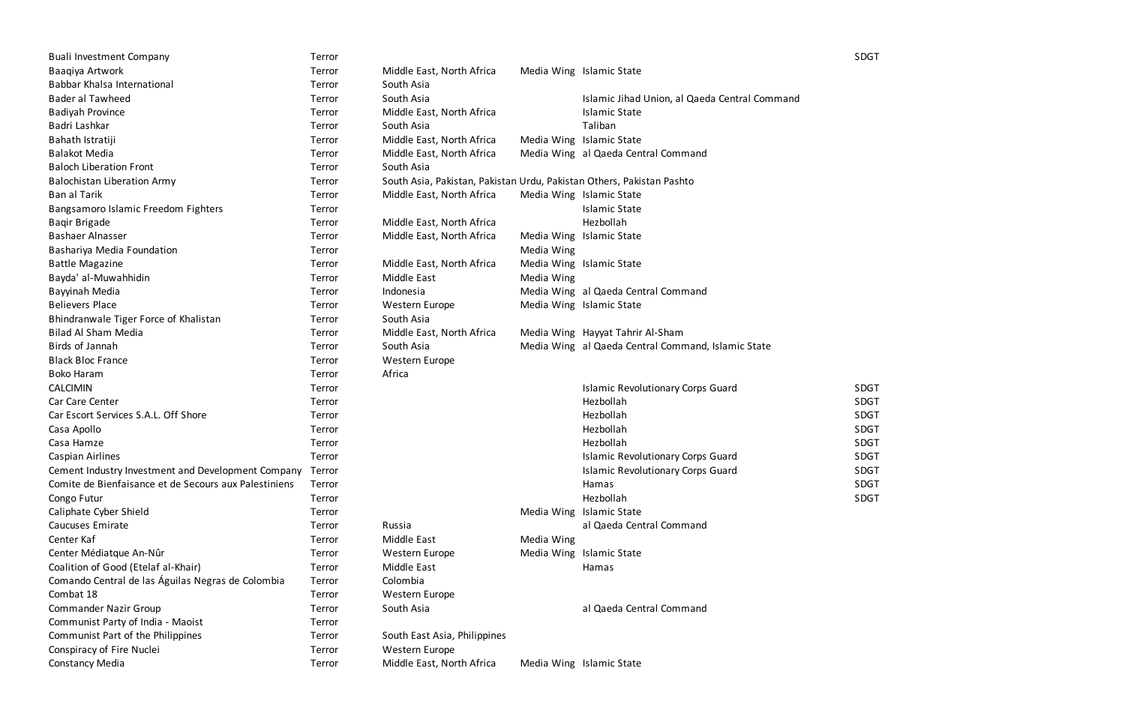| <b>Buali Investment Company</b>                       | Terror |                                                                       |            |                                                    | <b>SDGT</b> |
|-------------------------------------------------------|--------|-----------------------------------------------------------------------|------------|----------------------------------------------------|-------------|
| Baaqiya Artwork                                       | Terror | Middle East, North Africa                                             |            | Media Wing Islamic State                           |             |
| Babbar Khalsa International                           | Terror | South Asia                                                            |            |                                                    |             |
| Bader al Tawheed                                      | Terror | South Asia                                                            |            | Islamic Jihad Union, al Qaeda Central Command      |             |
| <b>Badiyah Province</b>                               | Terror | Middle East, North Africa                                             |            | <b>Islamic State</b>                               |             |
| Badri Lashkar                                         | Terror | South Asia                                                            |            | Taliban                                            |             |
| Bahath Istratiji                                      | Terror | Middle East, North Africa                                             |            | Media Wing Islamic State                           |             |
| <b>Balakot Media</b>                                  | Terror | Middle East, North Africa                                             |            | Media Wing al Qaeda Central Command                |             |
| <b>Baloch Liberation Front</b>                        | Terror | South Asia                                                            |            |                                                    |             |
| <b>Balochistan Liberation Army</b>                    | Terror | South Asia, Pakistan, Pakistan Urdu, Pakistan Others, Pakistan Pashto |            |                                                    |             |
| <b>Ban al Tarik</b>                                   | Terror | Middle East, North Africa                                             |            | Media Wing Islamic State                           |             |
| Bangsamoro Islamic Freedom Fighters                   | Terror |                                                                       |            | <b>Islamic State</b>                               |             |
| Bagir Brigade                                         | Terror | Middle East, North Africa                                             |            | Hezbollah                                          |             |
| <b>Bashaer Alnasser</b>                               | Terror | Middle East, North Africa                                             |            | Media Wing Islamic State                           |             |
| Bashariya Media Foundation                            | Terror |                                                                       | Media Wing |                                                    |             |
| <b>Battle Magazine</b>                                | Terror | Middle East, North Africa                                             |            | Media Wing Islamic State                           |             |
| Bayda' al-Muwahhidin                                  | Terror | Middle East                                                           | Media Wing |                                                    |             |
| Bayyinah Media                                        | Terror | Indonesia                                                             |            | Media Wing al Qaeda Central Command                |             |
| <b>Believers Place</b>                                | Terror | Western Europe                                                        |            | Media Wing Islamic State                           |             |
| Bhindranwale Tiger Force of Khalistan                 | Terror | South Asia                                                            |            |                                                    |             |
| <b>Bilad Al Sham Media</b>                            | Terror | Middle East, North Africa                                             |            | Media Wing Hayyat Tahrir Al-Sham                   |             |
| Birds of Jannah                                       | Terror | South Asia                                                            |            | Media Wing al Qaeda Central Command, Islamic State |             |
| <b>Black Bloc France</b>                              | Terror | Western Europe                                                        |            |                                                    |             |
| <b>Boko Haram</b>                                     | Terror | Africa                                                                |            |                                                    |             |
| <b>CALCIMIN</b>                                       | Terror |                                                                       |            | <b>Islamic Revolutionary Corps Guard</b>           | <b>SDGT</b> |
| Car Care Center                                       | Terror |                                                                       |            | Hezbollah                                          | <b>SDGT</b> |
| Car Escort Services S.A.L. Off Shore                  | Terror |                                                                       |            | Hezbollah                                          | <b>SDGT</b> |
| Casa Apollo                                           | Terror |                                                                       |            | Hezbollah                                          | <b>SDGT</b> |
| Casa Hamze                                            | Terror |                                                                       |            | Hezbollah                                          | <b>SDGT</b> |
| Caspian Airlines                                      | Terror |                                                                       |            | <b>Islamic Revolutionary Corps Guard</b>           | <b>SDGT</b> |
| Cement Industry Investment and Development Company    | Terror |                                                                       |            | Islamic Revolutionary Corps Guard                  | <b>SDGT</b> |
| Comite de Bienfaisance et de Secours aux Palestiniens | Terror |                                                                       |            | Hamas                                              | <b>SDGT</b> |
| Congo Futur                                           | Terror |                                                                       |            | Hezbollah                                          | <b>SDGT</b> |
| Caliphate Cyber Shield                                | Terror |                                                                       |            | Media Wing Islamic State                           |             |
| Caucuses Emirate                                      | Terror | Russia                                                                |            | al Qaeda Central Command                           |             |
| Center Kaf                                            | Terror | <b>Middle East</b>                                                    | Media Wing |                                                    |             |
| Center Médiatque An-Nûr                               | Terror | Western Europe                                                        |            | Media Wing Islamic State                           |             |
| Coalition of Good (Etelaf al-Khair)                   | Terror | Middle East                                                           |            | Hamas                                              |             |
| Comando Central de las Águilas Negras de Colombia     | Terror | Colombia                                                              |            |                                                    |             |
| Combat 18                                             | Terror | Western Europe                                                        |            |                                                    |             |
| <b>Commander Nazir Group</b>                          | Terror | South Asia                                                            |            | al Qaeda Central Command                           |             |
| Communist Party of India - Maoist                     | Terror |                                                                       |            |                                                    |             |
| Communist Part of the Philippines                     | Terror | South East Asia, Philippines                                          |            |                                                    |             |
| Conspiracy of Fire Nuclei                             | Terror | Western Europe                                                        |            |                                                    |             |
| <b>Constancy Media</b>                                | Terror | Middle East, North Africa                                             |            | Media Wing Islamic State                           |             |
|                                                       |        |                                                                       |            |                                                    |             |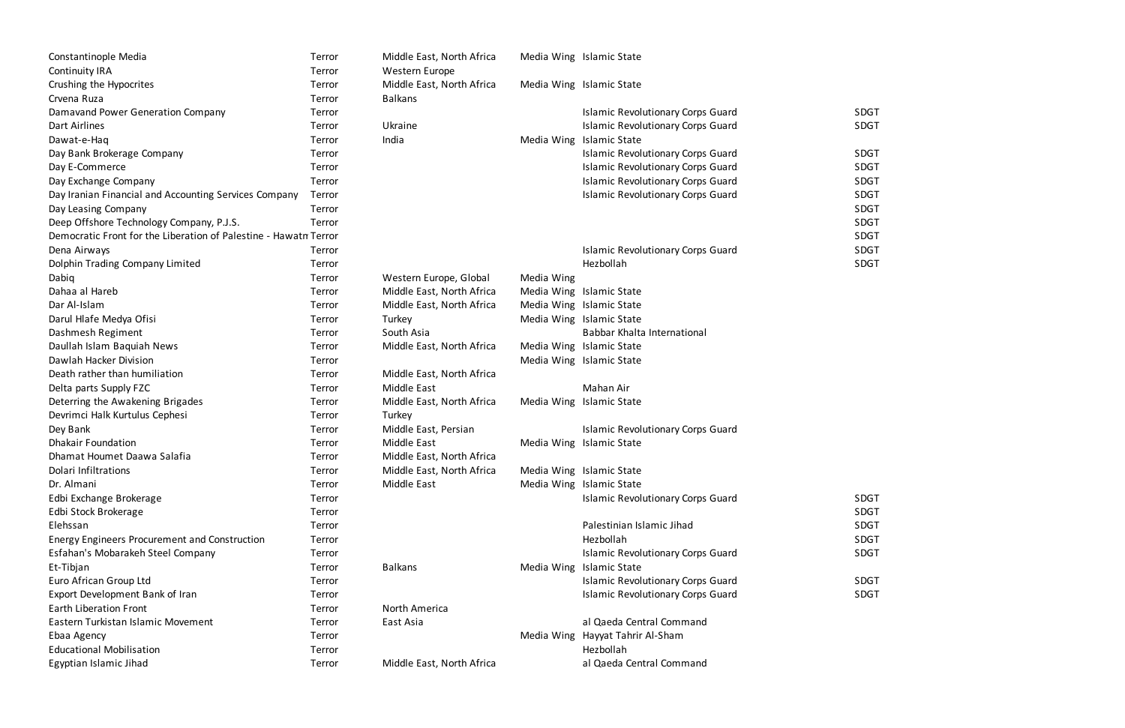| Constantinople Media                                             | Terror | Middle East, North Africa |            | Media Wing Islamic State                 |             |
|------------------------------------------------------------------|--------|---------------------------|------------|------------------------------------------|-------------|
| <b>Continuity IRA</b>                                            | Terror | Western Europe            |            |                                          |             |
| Crushing the Hypocrites                                          | Terror | Middle East, North Africa |            | Media Wing Islamic State                 |             |
| Crvena Ruza                                                      | Terror | <b>Balkans</b>            |            |                                          |             |
| Damavand Power Generation Company                                | Terror |                           |            | <b>Islamic Revolutionary Corps Guard</b> | <b>SDGT</b> |
| Dart Airlines                                                    | Terror | Ukraine                   |            | <b>Islamic Revolutionary Corps Guard</b> | <b>SDGT</b> |
| Dawat-e-Haq                                                      | Terror | India                     |            | Media Wing Islamic State                 |             |
| Day Bank Brokerage Company                                       | Terror |                           |            | <b>Islamic Revolutionary Corps Guard</b> | <b>SDGT</b> |
| Day E-Commerce                                                   | Terror |                           |            | <b>Islamic Revolutionary Corps Guard</b> | <b>SDGT</b> |
| Day Exchange Company                                             | Terror |                           |            | <b>Islamic Revolutionary Corps Guard</b> | <b>SDGT</b> |
| Day Iranian Financial and Accounting Services Company            | Terror |                           |            | <b>Islamic Revolutionary Corps Guard</b> | <b>SDGT</b> |
| Day Leasing Company                                              | Terror |                           |            |                                          | <b>SDGT</b> |
| Deep Offshore Technology Company, P.J.S.                         | Terror |                           |            |                                          | <b>SDGT</b> |
| Democratic Front for the Liberation of Palestine - Hawatn Terror |        |                           |            |                                          | <b>SDGT</b> |
| Dena Airways                                                     | Terror |                           |            | <b>Islamic Revolutionary Corps Guard</b> | <b>SDGT</b> |
| Dolphin Trading Company Limited                                  | Terror |                           |            | Hezbollah                                | <b>SDGT</b> |
| Dabiq                                                            | Terror | Western Europe, Global    | Media Wing |                                          |             |
| Dahaa al Hareb                                                   | Terror | Middle East, North Africa |            | Media Wing Islamic State                 |             |
| Dar Al-Islam                                                     | Terror | Middle East, North Africa |            | Media Wing Islamic State                 |             |
| Darul Hlafe Medya Ofisi                                          | Terror | Turkey                    |            | Media Wing Islamic State                 |             |
| Dashmesh Regiment                                                | Terror | South Asia                |            | Babbar Khalta International              |             |
| Daullah Islam Baquiah News                                       | Terror | Middle East, North Africa |            | Media Wing Islamic State                 |             |
| Dawlah Hacker Division                                           | Terror |                           |            | Media Wing Islamic State                 |             |
| Death rather than humiliation                                    | Terror | Middle East, North Africa |            |                                          |             |
| Delta parts Supply FZC                                           | Terror | Middle East               |            | Mahan Air                                |             |
| Deterring the Awakening Brigades                                 | Terror | Middle East, North Africa |            | Media Wing Islamic State                 |             |
| Devrimci Halk Kurtulus Cephesi                                   | Terror | Turkey                    |            |                                          |             |
| Dey Bank                                                         | Terror | Middle East, Persian      |            | <b>Islamic Revolutionary Corps Guard</b> |             |
| <b>Dhakair Foundation</b>                                        | Terror | Middle East               |            | Media Wing Islamic State                 |             |
| Dhamat Houmet Daawa Salafia                                      | Terror | Middle East, North Africa |            |                                          |             |
| Dolari Infiltrations                                             | Terror | Middle East, North Africa |            | Media Wing Islamic State                 |             |
| Dr. Almani                                                       | Terror | Middle East               |            | Media Wing Islamic State                 |             |
| Edbi Exchange Brokerage                                          | Terror |                           |            | <b>Islamic Revolutionary Corps Guard</b> | <b>SDGT</b> |
| Edbi Stock Brokerage                                             | Terror |                           |            |                                          | <b>SDGT</b> |
| Elehssan                                                         | Terror |                           |            | Palestinian Islamic Jihad                | <b>SDGT</b> |
| Energy Engineers Procurement and Construction                    | Terror |                           |            | Hezbollah                                | <b>SDGT</b> |
| Esfahan's Mobarakeh Steel Company                                | Terror |                           |            | <b>Islamic Revolutionary Corps Guard</b> | <b>SDGT</b> |
| Et-Tibjan                                                        | Terror | <b>Balkans</b>            |            | Media Wing Islamic State                 |             |
| Euro African Group Ltd                                           | Terror |                           |            | <b>Islamic Revolutionary Corps Guard</b> | <b>SDGT</b> |
| Export Development Bank of Iran                                  | Terror |                           |            | <b>Islamic Revolutionary Corps Guard</b> | <b>SDGT</b> |
| <b>Earth Liberation Front</b>                                    | Terror | North America             |            |                                          |             |
| Eastern Turkistan Islamic Movement                               | Terror | East Asia                 |            | al Qaeda Central Command                 |             |
| Ebaa Agency                                                      | Terror |                           |            | Media Wing Hayyat Tahrir Al-Sham         |             |
| <b>Educational Mobilisation</b>                                  | Terror |                           |            | Hezbollah                                |             |
| Egyptian Islamic Jihad                                           | Terror | Middle East, North Africa |            | al Qaeda Central Command                 |             |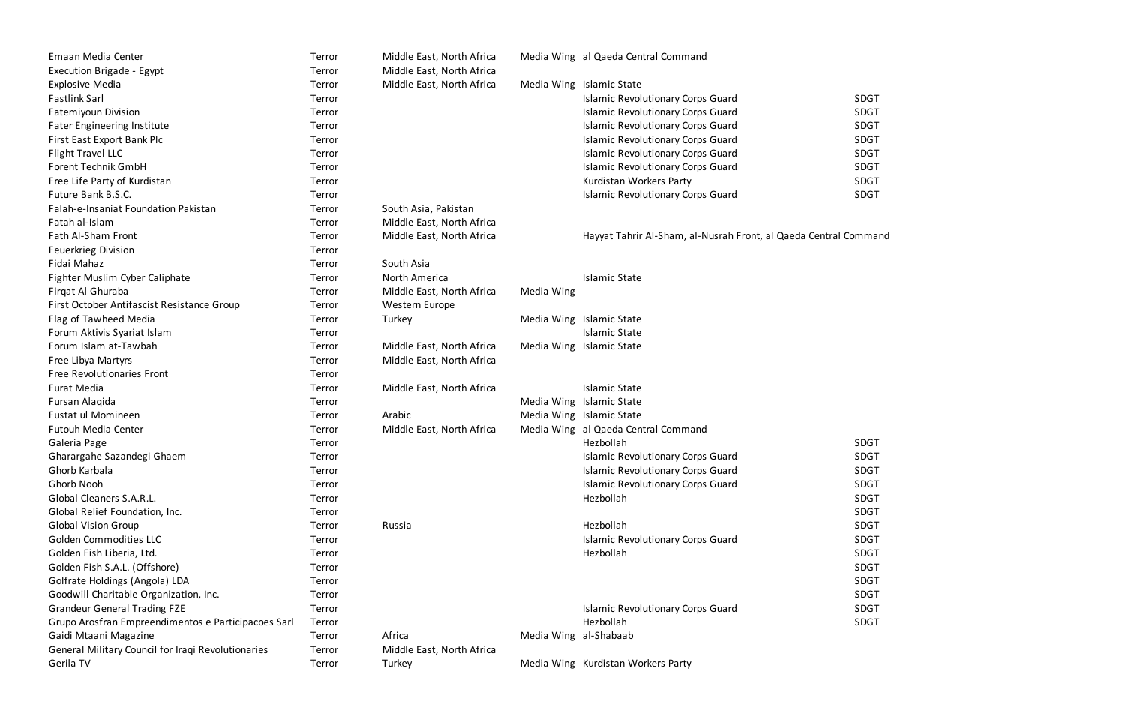| Emaan Media Center                                  | Terror | Middle East, North Africa |                       | Media Wing al Qaeda Central Command                              |             |
|-----------------------------------------------------|--------|---------------------------|-----------------------|------------------------------------------------------------------|-------------|
| <b>Execution Brigade - Egypt</b>                    | Terror | Middle East, North Africa |                       |                                                                  |             |
| <b>Explosive Media</b>                              | Terror | Middle East, North Africa |                       | Media Wing Islamic State                                         |             |
| <b>Fastlink Sarl</b>                                | Terror |                           |                       | <b>Islamic Revolutionary Corps Guard</b>                         | <b>SDGT</b> |
| Fatemiyoun Division                                 | Terror |                           |                       | <b>Islamic Revolutionary Corps Guard</b>                         | <b>SDGT</b> |
| <b>Fater Engineering Institute</b>                  | Terror |                           |                       | <b>Islamic Revolutionary Corps Guard</b>                         | <b>SDGT</b> |
| First East Export Bank Plc                          | Terror |                           |                       | <b>Islamic Revolutionary Corps Guard</b>                         | SDGT        |
| Flight Travel LLC                                   | Terror |                           |                       | <b>Islamic Revolutionary Corps Guard</b>                         | SDGT        |
| Forent Technik GmbH                                 | Terror |                           |                       | <b>Islamic Revolutionary Corps Guard</b>                         | SDGT        |
| Free Life Party of Kurdistan                        | Terror |                           |                       | Kurdistan Workers Party                                          | <b>SDGT</b> |
| Future Bank B.S.C.                                  | Terror |                           |                       | <b>Islamic Revolutionary Corps Guard</b>                         | SDGT        |
| Falah-e-Insaniat Foundation Pakistan                | Terror | South Asia, Pakistan      |                       |                                                                  |             |
| Fatah al-Islam                                      | Terror | Middle East, North Africa |                       |                                                                  |             |
| Fath Al-Sham Front                                  | Terror | Middle East, North Africa |                       | Hayyat Tahrir Al-Sham, al-Nusrah Front, al Qaeda Central Command |             |
| Feuerkrieg Division                                 | Terror |                           |                       |                                                                  |             |
| Fidai Mahaz                                         | Terror | South Asia                |                       |                                                                  |             |
| Fighter Muslim Cyber Caliphate                      | Terror | North America             |                       | <b>Islamic State</b>                                             |             |
| Firgat Al Ghuraba                                   | Terror | Middle East, North Africa | Media Wing            |                                                                  |             |
| First October Antifascist Resistance Group          | Terror | Western Europe            |                       |                                                                  |             |
| Flag of Tawheed Media                               | Terror | Turkey                    |                       | Media Wing Islamic State                                         |             |
| Forum Aktivis Syariat Islam                         | Terror |                           |                       | <b>Islamic State</b>                                             |             |
| Forum Islam at-Tawbah                               | Terror | Middle East, North Africa |                       | Media Wing Islamic State                                         |             |
| Free Libya Martyrs                                  | Terror | Middle East, North Africa |                       |                                                                  |             |
| <b>Free Revolutionaries Front</b>                   | Terror |                           |                       |                                                                  |             |
| Furat Media                                         | Terror | Middle East, North Africa |                       | <b>Islamic State</b>                                             |             |
| Fursan Alaqida                                      | Terror |                           |                       | Media Wing Islamic State                                         |             |
| Fustat ul Momineen                                  | Terror | Arabic                    |                       | Media Wing Islamic State                                         |             |
| <b>Futouh Media Center</b>                          | Terror | Middle East, North Africa |                       | Media Wing al Qaeda Central Command                              |             |
| Galeria Page                                        | Terror |                           |                       | Hezbollah                                                        | <b>SDGT</b> |
| Gharargahe Sazandegi Ghaem                          | Terror |                           |                       | <b>Islamic Revolutionary Corps Guard</b>                         | <b>SDGT</b> |
| Ghorb Karbala                                       | Terror |                           |                       | <b>Islamic Revolutionary Corps Guard</b>                         | <b>SDGT</b> |
| Ghorb Nooh                                          | Terror |                           |                       | <b>Islamic Revolutionary Corps Guard</b>                         | <b>SDGT</b> |
| Global Cleaners S.A.R.L.                            | Terror |                           |                       | Hezbollah                                                        | SDGT        |
| Global Relief Foundation, Inc.                      | Terror |                           |                       |                                                                  | SDGT        |
| <b>Global Vision Group</b>                          | Terror | Russia                    |                       | Hezbollah                                                        | SDGT        |
| <b>Golden Commodities LLC</b>                       | Terror |                           |                       | <b>Islamic Revolutionary Corps Guard</b>                         | SDGT        |
| Golden Fish Liberia, Ltd.                           | Terror |                           |                       | Hezbollah                                                        | SDGT        |
| Golden Fish S.A.L. (Offshore)                       | Terror |                           |                       |                                                                  | SDGT        |
| Golfrate Holdings (Angola) LDA                      | Terror |                           |                       |                                                                  | <b>SDGT</b> |
| Goodwill Charitable Organization, Inc.              | Terror |                           |                       |                                                                  | <b>SDGT</b> |
| <b>Grandeur General Trading FZE</b>                 | Terror |                           |                       | <b>Islamic Revolutionary Corps Guard</b>                         | SDGT        |
| Grupo Arosfran Empreendimentos e Participacoes Sarl | Terror |                           |                       | Hezbollah                                                        | SDGT        |
| Gaidi Mtaani Magazine                               | Terror | Africa                    | Media Wing al-Shabaab |                                                                  |             |
| General Military Council for Iraqi Revolutionaries  | Terror | Middle East, North Africa |                       |                                                                  |             |
| Gerila TV                                           | Terror | Turkey                    |                       | Media Wing Kurdistan Workers Party                               |             |

| SDGT        |
|-------------|
| <b>SDGT</b> |
| <b>SDGT</b> |
| <b>SDGT</b> |
| SDGT        |
| <b>SDGT</b> |
| <b>SDGT</b> |
| SDGT        |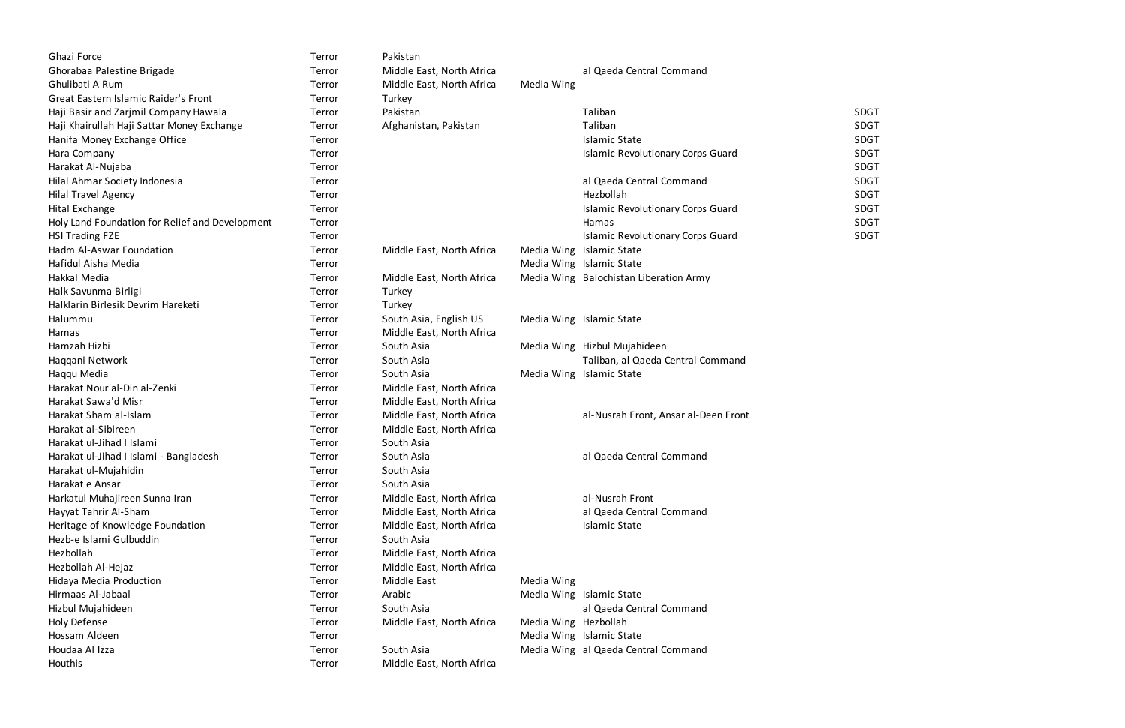| Ghazi Force                                     | Terror | Pakistan                  |                      |                                          |             |
|-------------------------------------------------|--------|---------------------------|----------------------|------------------------------------------|-------------|
| Ghorabaa Palestine Brigade                      | Terror | Middle East, North Africa |                      | al Qaeda Central Command                 |             |
| Ghulibati A Rum                                 | Terror | Middle East, North Africa | Media Wing           |                                          |             |
| Great Eastern Islamic Raider's Front            | Terror | Turkey                    |                      |                                          |             |
| Haji Basir and Zarjmil Company Hawala           | Terror | Pakistan                  |                      | Taliban                                  | <b>SDGT</b> |
| Haji Khairullah Haji Sattar Money Exchange      | Terror | Afghanistan, Pakistan     |                      | Taliban                                  | <b>SDGT</b> |
| Hanifa Money Exchange Office                    | Terror |                           |                      | <b>Islamic State</b>                     | <b>SDGT</b> |
| Hara Company                                    | Terror |                           |                      | <b>Islamic Revolutionary Corps Guard</b> | <b>SDGT</b> |
| Harakat Al-Nujaba                               | Terror |                           |                      |                                          | <b>SDGT</b> |
| Hilal Ahmar Society Indonesia                   | Terror |                           |                      | al Qaeda Central Command                 | <b>SDGT</b> |
| <b>Hilal Travel Agency</b>                      | Terror |                           |                      | Hezbollah                                | <b>SDGT</b> |
| Hital Exchange                                  | Terror |                           |                      | <b>Islamic Revolutionary Corps Guard</b> | <b>SDGT</b> |
| Holy Land Foundation for Relief and Development | Terror |                           |                      | Hamas                                    | <b>SDGT</b> |
| <b>HSI Trading FZE</b>                          | Terror |                           |                      | <b>Islamic Revolutionary Corps Guard</b> | <b>SDGT</b> |
| Hadm Al-Aswar Foundation                        | Terror | Middle East, North Africa |                      | Media Wing Islamic State                 |             |
| Hafidul Aisha Media                             | Terror |                           |                      | Media Wing Islamic State                 |             |
| Hakkal Media                                    | Terror | Middle East, North Africa |                      | Media Wing Balochistan Liberation Army   |             |
| Halk Savunma Birligi                            | Terror | Turkey                    |                      |                                          |             |
| Halklarin Birlesik Devrim Hareketi              | Terror | Turkey                    |                      |                                          |             |
| Halummu                                         | Terror | South Asia, English US    |                      | Media Wing Islamic State                 |             |
| Hamas                                           | Terror | Middle East, North Africa |                      |                                          |             |
| Hamzah Hizbi                                    | Terror | South Asia                |                      | Media Wing Hizbul Mujahideen             |             |
| Haqqani Network                                 | Terror | South Asia                |                      | Taliban, al Qaeda Central Command        |             |
| Haqqu Media                                     | Terror | South Asia                |                      | Media Wing Islamic State                 |             |
| Harakat Nour al-Din al-Zenki                    | Terror | Middle East, North Africa |                      |                                          |             |
| Harakat Sawa'd Misr                             | Terror | Middle East, North Africa |                      |                                          |             |
| Harakat Sham al-Islam                           | Terror | Middle East, North Africa |                      | al-Nusrah Front, Ansar al-Deen Front     |             |
| Harakat al-Sibireen                             | Terror | Middle East, North Africa |                      |                                          |             |
| Harakat ul-Jihad I Islami                       | Terror | South Asia                |                      |                                          |             |
| Harakat ul-Jihad I Islami - Bangladesh          | Terror | South Asia                |                      | al Qaeda Central Command                 |             |
| Harakat ul-Mujahidin                            | Terror | South Asia                |                      |                                          |             |
| Harakat e Ansar                                 | Terror | South Asia                |                      |                                          |             |
| Harkatul Muhajireen Sunna Iran                  | Terror | Middle East, North Africa |                      | al-Nusrah Front                          |             |
| Hayyat Tahrir Al-Sham                           | Terror | Middle East, North Africa |                      | al Qaeda Central Command                 |             |
| Heritage of Knowledge Foundation                | Terror | Middle East, North Africa |                      | <b>Islamic State</b>                     |             |
| Hezb-e Islami Gulbuddin                         | Terror | South Asia                |                      |                                          |             |
| Hezbollah                                       | Terror | Middle East, North Africa |                      |                                          |             |
| Hezbollah Al-Hejaz                              | Terror | Middle East, North Africa |                      |                                          |             |
| Hidaya Media Production                         | Terror | <b>Middle East</b>        | Media Wing           |                                          |             |
| Hirmaas Al-Jabaal                               | Terror | Arabic                    |                      | Media Wing Islamic State                 |             |
| Hizbul Mujahideen                               | Terror | South Asia                |                      | al Qaeda Central Command                 |             |
| Holy Defense                                    | Terror | Middle East, North Africa | Media Wing Hezbollah |                                          |             |
| Hossam Aldeen                                   | Terror |                           |                      | Media Wing Islamic State                 |             |
| Houdaa Al Izza                                  | Terror | South Asia                |                      | Media Wing al Qaeda Central Command      |             |
| Houthis                                         | Terror | Middle East, North Africa |                      |                                          |             |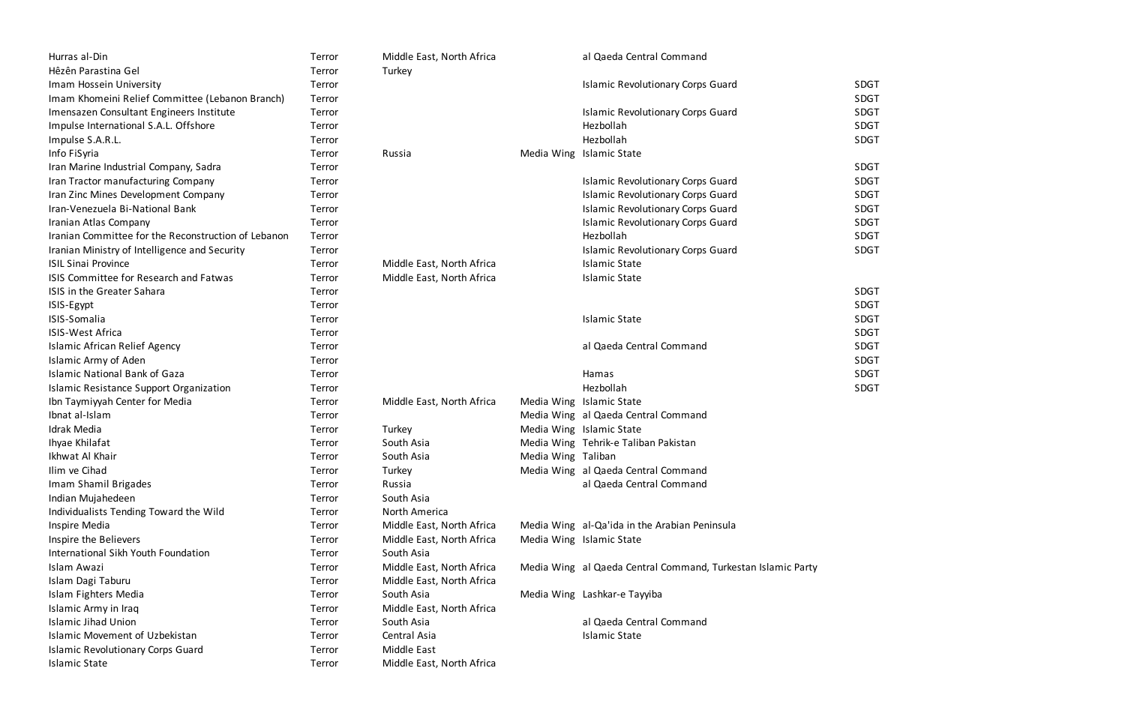| Hurras al-Din                                       | Terror | Middle East, North Africa |                    | al Qaeda Central Command                                     |             |
|-----------------------------------------------------|--------|---------------------------|--------------------|--------------------------------------------------------------|-------------|
| Hêzên Parastina Gel                                 | Terror | Turkey                    |                    |                                                              |             |
| Imam Hossein University                             | Terror |                           |                    | <b>Islamic Revolutionary Corps Guard</b>                     | <b>SDGT</b> |
| Imam Khomeini Relief Committee (Lebanon Branch)     | Terror |                           |                    |                                                              | <b>SDGT</b> |
| Imensazen Consultant Engineers Institute            | Terror |                           |                    | <b>Islamic Revolutionary Corps Guard</b>                     | <b>SDGT</b> |
| Impulse International S.A.L. Offshore               | Terror |                           |                    | Hezbollah                                                    | <b>SDGT</b> |
| Impulse S.A.R.L.                                    | Terror |                           |                    | Hezbollah                                                    | <b>SDGT</b> |
| Info FiSyria                                        | Terror | Russia                    |                    | Media Wing Islamic State                                     |             |
| Iran Marine Industrial Company, Sadra               | Terror |                           |                    |                                                              | <b>SDGT</b> |
| Iran Tractor manufacturing Company                  | Terror |                           |                    | <b>Islamic Revolutionary Corps Guard</b>                     | <b>SDGT</b> |
| Iran Zinc Mines Development Company                 | Terror |                           |                    | <b>Islamic Revolutionary Corps Guard</b>                     | <b>SDGT</b> |
| Iran-Venezuela Bi-National Bank                     | Terror |                           |                    | <b>Islamic Revolutionary Corps Guard</b>                     | <b>SDGT</b> |
| Iranian Atlas Company                               | Terror |                           |                    | <b>Islamic Revolutionary Corps Guard</b>                     | <b>SDGT</b> |
| Iranian Committee for the Reconstruction of Lebanon | Terror |                           |                    | Hezbollah                                                    | <b>SDGT</b> |
| Iranian Ministry of Intelligence and Security       | Terror |                           |                    | <b>Islamic Revolutionary Corps Guard</b>                     | <b>SDGT</b> |
| <b>ISIL Sinai Province</b>                          | Terror | Middle East, North Africa |                    | <b>Islamic State</b>                                         |             |
| ISIS Committee for Research and Fatwas              | Terror | Middle East, North Africa |                    | <b>Islamic State</b>                                         |             |
| ISIS in the Greater Sahara                          | Terror |                           |                    |                                                              | <b>SDGT</b> |
| ISIS-Egypt                                          | Terror |                           |                    |                                                              | <b>SDGT</b> |
| ISIS-Somalia                                        | Terror |                           |                    | <b>Islamic State</b>                                         | <b>SDGT</b> |
| <b>ISIS-West Africa</b>                             | Terror |                           |                    |                                                              | <b>SDGT</b> |
| <b>Islamic African Relief Agency</b>                | Terror |                           |                    | al Qaeda Central Command                                     | <b>SDGT</b> |
| Islamic Army of Aden                                | Terror |                           |                    |                                                              | <b>SDGT</b> |
| <b>Islamic National Bank of Gaza</b>                | Terror |                           |                    | Hamas                                                        | <b>SDGT</b> |
| Islamic Resistance Support Organization             | Terror |                           |                    | Hezbollah                                                    | <b>SDGT</b> |
| Ibn Taymiyyah Center for Media                      | Terror | Middle East, North Africa |                    | Media Wing Islamic State                                     |             |
| Ibnat al-Islam                                      | Terror |                           |                    | Media Wing al Qaeda Central Command                          |             |
| Idrak Media                                         | Terror | Turkey                    |                    | Media Wing Islamic State                                     |             |
| Ihyae Khilafat                                      | Terror | South Asia                |                    | Media Wing Tehrik-e Taliban Pakistan                         |             |
| Ikhwat Al Khair                                     | Terror | South Asia                | Media Wing Taliban |                                                              |             |
| Ilim ve Cihad                                       | Terror | Turkey                    |                    | Media Wing al Qaeda Central Command                          |             |
| Imam Shamil Brigades                                | Terror | Russia                    |                    | al Qaeda Central Command                                     |             |
| Indian Mujahedeen                                   | Terror | South Asia                |                    |                                                              |             |
| Individualists Tending Toward the Wild              | Terror | North America             |                    |                                                              |             |
| Inspire Media                                       | Terror | Middle East, North Africa |                    | Media Wing al-Qa'ida in the Arabian Peninsula                |             |
| Inspire the Believers                               | Terror | Middle East, North Africa |                    | Media Wing Islamic State                                     |             |
| International Sikh Youth Foundation                 | Terror | South Asia                |                    |                                                              |             |
| Islam Awazi                                         | Terror | Middle East, North Africa |                    | Media Wing al Qaeda Central Command, Turkestan Islamic Party |             |
| Islam Dagi Taburu                                   | Terror | Middle East, North Africa |                    |                                                              |             |
| Islam Fighters Media                                | Terror | South Asia                |                    | Media Wing Lashkar-e Tayyiba                                 |             |
| Islamic Army in Iraq                                | Terror | Middle East, North Africa |                    |                                                              |             |
| <b>Islamic Jihad Union</b>                          | Terror | South Asia                |                    | al Qaeda Central Command                                     |             |
| Islamic Movement of Uzbekistan                      | Terror | Central Asia              |                    | <b>Islamic State</b>                                         |             |
| <b>Islamic Revolutionary Corps Guard</b>            | Terror | <b>Middle East</b>        |                    |                                                              |             |
| <b>Islamic State</b>                                | Terror | Middle East, North Africa |                    |                                                              |             |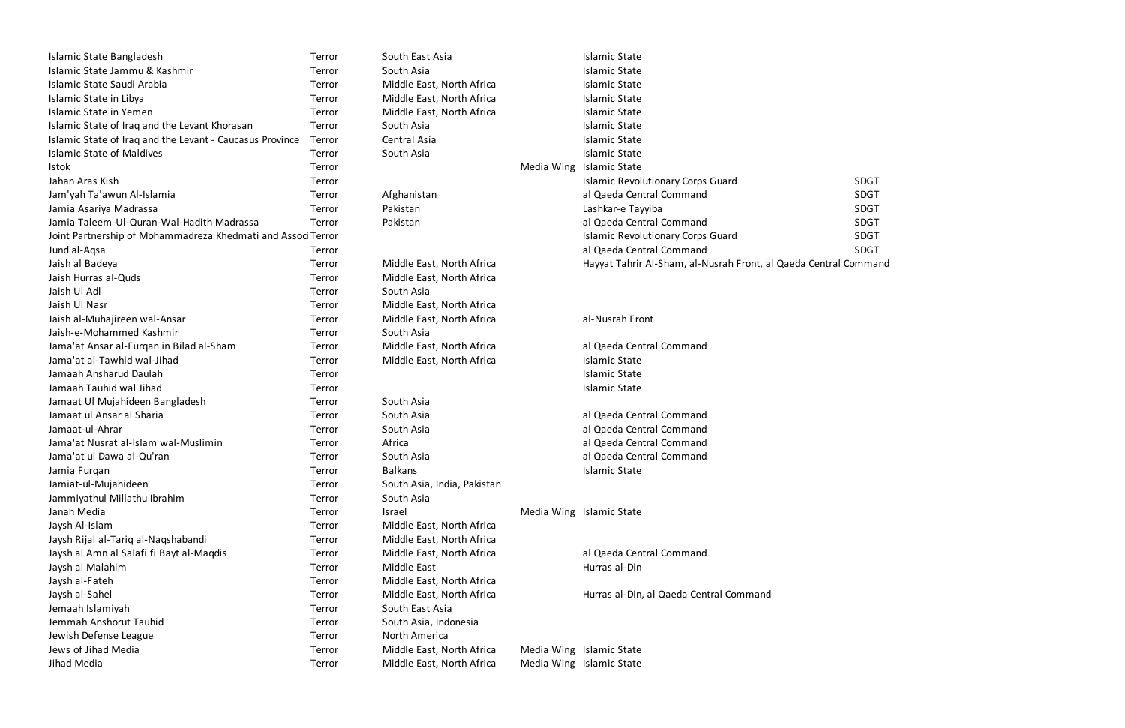| Islamic State Bangladesh                                     | Terror | South East Asia             | <b>Islamic State</b>                                           |             |
|--------------------------------------------------------------|--------|-----------------------------|----------------------------------------------------------------|-------------|
| Islamic State Jammu & Kashmir                                | Terror | South Asia                  | <b>Islamic State</b>                                           |             |
| Islamic State Saudi Arabia                                   | Terror | Middle East, North Africa   | <b>Islamic State</b>                                           |             |
| Islamic State in Libya                                       | Terror | Middle East, North Africa   | <b>Islamic State</b>                                           |             |
| <b>Islamic State in Yemen</b>                                | Terror | Middle East, North Africa   | <b>Islamic State</b>                                           |             |
| Islamic State of Iraq and the Levant Khorasan                | Terror | South Asia                  | <b>Islamic State</b>                                           |             |
| Islamic State of Iraq and the Levant - Caucasus Province     | Terror | Central Asia                | <b>Islamic State</b>                                           |             |
| <b>Islamic State of Maldives</b>                             | Terror | South Asia                  | <b>Islamic State</b>                                           |             |
| <b>Istok</b>                                                 | Terror |                             | Media Wing Islamic State                                       |             |
| Jahan Aras Kish                                              | Terror |                             | <b>Islamic Revolutionary Corps Guard</b>                       | <b>SDGT</b> |
| Jam'yah Ta'awun Al-Islamia                                   | Terror | Afghanistan                 | al Qaeda Central Command                                       | <b>SDGT</b> |
| Jamia Asariya Madrassa                                       | Terror | Pakistan                    | Lashkar-e Tayyiba                                              | <b>SDGT</b> |
| Jamia Taleem-Ul-Quran-Wal-Hadith Madrassa                    | Terror | Pakistan                    | al Qaeda Central Command                                       | <b>SDGT</b> |
| Joint Partnership of Mohammadreza Khedmati and Associ Terror |        |                             | <b>Islamic Revolutionary Corps Guard</b>                       | <b>SDGT</b> |
| Jund al-Aqsa                                                 | Terror |                             | al Qaeda Central Command                                       | <b>SDGT</b> |
| Jaish al Badeya                                              | Terror | Middle East, North Africa   | Hayyat Tahrir Al-Sham, al-Nusrah Front, al Qaeda Central Comma |             |
| Jaish Hurras al-Quds                                         | Terror | Middle East, North Africa   |                                                                |             |
| Jaish Ul Adl                                                 | Terror | South Asia                  |                                                                |             |
| Jaish Ul Nasr                                                | Terror | Middle East, North Africa   |                                                                |             |
| Jaish al-Muhajireen wal-Ansar                                | Terror | Middle East, North Africa   | al-Nusrah Front                                                |             |
| Jaish-e-Mohammed Kashmir                                     | Terror | South Asia                  |                                                                |             |
| Jama'at Ansar al-Furqan in Bilad al-Sham                     | Terror | Middle East, North Africa   | al Qaeda Central Command                                       |             |
| Jama'at al-Tawhid wal-Jihad                                  | Terror | Middle East, North Africa   | <b>Islamic State</b>                                           |             |
| Jamaah Ansharud Daulah                                       | Terror |                             | <b>Islamic State</b>                                           |             |
| Jamaah Tauhid wal Jihad                                      | Terror |                             | <b>Islamic State</b>                                           |             |
| Jamaat Ul Mujahideen Bangladesh                              | Terror | South Asia                  |                                                                |             |
| Jamaat ul Ansar al Sharia                                    | Terror | South Asia                  | al Qaeda Central Command                                       |             |
| Jamaat-ul-Ahrar                                              | Terror | South Asia                  | al Qaeda Central Command                                       |             |
| Jama'at Nusrat al-Islam wal-Muslimin                         | Terror | Africa                      | al Qaeda Central Command                                       |             |
| Jama'at ul Dawa al-Qu'ran                                    | Terror | South Asia                  | al Qaeda Central Command                                       |             |
| Jamia Furqan                                                 | Terror | <b>Balkans</b>              | <b>Islamic State</b>                                           |             |
| Jamiat-ul-Mujahideen                                         | Terror | South Asia, India, Pakistan |                                                                |             |
| Jammiyathul Millathu Ibrahim                                 | Terror | South Asia                  |                                                                |             |
| Janah Media                                                  | Terror | Israel                      | Media Wing Islamic State                                       |             |
| Jaysh Al-Islam                                               | Terror | Middle East, North Africa   |                                                                |             |
| Jaysh Rijal al-Tariq al-Naqshabandi                          | Terror | Middle East, North Africa   |                                                                |             |
| Jaysh al Amn al Salafi fi Bayt al-Maqdis                     | Terror | Middle East, North Africa   | al Qaeda Central Command                                       |             |
| Jaysh al Malahim                                             | Terror | Middle East                 | Hurras al-Din                                                  |             |
| Jaysh al-Fateh                                               | Terror | Middle East, North Africa   |                                                                |             |
| Jaysh al-Sahel                                               | Terror | Middle East, North Africa   | Hurras al-Din, al Qaeda Central Command                        |             |
| Jemaah Islamiyah                                             | Terror | South East Asia             |                                                                |             |
| Jemmah Anshorut Tauhid                                       | Terror | South Asia, Indonesia       |                                                                |             |
| Jewish Defense League                                        | Terror | North America               |                                                                |             |
| Jews of Jihad Media                                          | Terror | Middle East, North Africa   | Media Wing Islamic State                                       |             |
| Jihad Media                                                  | Terror | Middle East, North Africa   | Media Wing Islamic State                                       |             |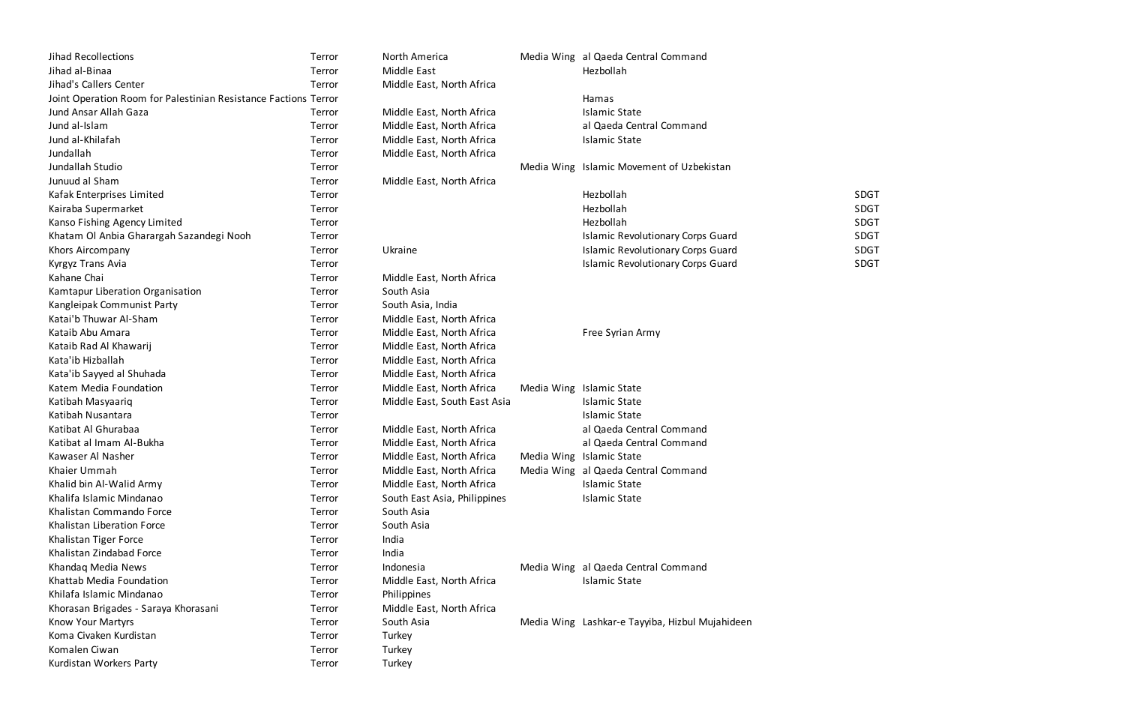| Jihad Recollections                                             | Terror | North America                | Media Wing al Qaeda Central Command             |             |
|-----------------------------------------------------------------|--------|------------------------------|-------------------------------------------------|-------------|
| Jihad al-Binaa                                                  | Terror | <b>Middle East</b>           | Hezbollah                                       |             |
| Jihad's Callers Center                                          | Terror | Middle East, North Africa    |                                                 |             |
| Joint Operation Room for Palestinian Resistance Factions Terror |        |                              | Hamas                                           |             |
| Jund Ansar Allah Gaza                                           | Terror | Middle East, North Africa    | <b>Islamic State</b>                            |             |
| Jund al-Islam                                                   | Terror | Middle East, North Africa    | al Qaeda Central Command                        |             |
| Jund al-Khilafah                                                | Terror | Middle East, North Africa    | <b>Islamic State</b>                            |             |
| Jundallah                                                       | Terror | Middle East, North Africa    |                                                 |             |
| Jundallah Studio                                                | Terror |                              | Media Wing Islamic Movement of Uzbekistan       |             |
| Junuud al Sham                                                  | Terror | Middle East, North Africa    |                                                 |             |
| Kafak Enterprises Limited                                       | Terror |                              | Hezbollah                                       | <b>SDGT</b> |
| Kairaba Supermarket                                             | Terror |                              | Hezbollah                                       | <b>SDGT</b> |
| Kanso Fishing Agency Limited                                    | Terror |                              | Hezbollah                                       | <b>SDGT</b> |
| Khatam Ol Anbia Gharargah Sazandegi Nooh                        | Terror |                              | <b>Islamic Revolutionary Corps Guard</b>        | <b>SDGT</b> |
| Khors Aircompany                                                | Terror | Ukraine                      | <b>Islamic Revolutionary Corps Guard</b>        | <b>SDGT</b> |
| Kyrgyz Trans Avia                                               | Terror |                              | <b>Islamic Revolutionary Corps Guard</b>        | <b>SDGT</b> |
| Kahane Chai                                                     | Terror | Middle East, North Africa    |                                                 |             |
| Kamtapur Liberation Organisation                                | Terror | South Asia                   |                                                 |             |
| Kangleipak Communist Party                                      | Terror | South Asia, India            |                                                 |             |
| Katai'b Thuwar Al-Sham                                          | Terror | Middle East, North Africa    |                                                 |             |
| Kataib Abu Amara                                                | Terror | Middle East, North Africa    | Free Syrian Army                                |             |
| Kataib Rad Al Khawarij                                          | Terror | Middle East, North Africa    |                                                 |             |
| Kata'ib Hizballah                                               | Terror | Middle East, North Africa    |                                                 |             |
| Kata'ib Sayyed al Shuhada                                       | Terror | Middle East, North Africa    |                                                 |             |
| Katem Media Foundation                                          | Terror | Middle East, North Africa    | Media Wing Islamic State                        |             |
| Katibah Masyaariq                                               | Terror | Middle East, South East Asia | <b>Islamic State</b>                            |             |
| Katibah Nusantara                                               | Terror |                              | <b>Islamic State</b>                            |             |
| Katibat Al Ghurabaa                                             | Terror | Middle East, North Africa    | al Qaeda Central Command                        |             |
| Katibat al Imam Al-Bukha                                        | Terror | Middle East, North Africa    | al Qaeda Central Command                        |             |
| Kawaser Al Nasher                                               | Terror | Middle East, North Africa    | Media Wing Islamic State                        |             |
| Khaier Ummah                                                    | Terror | Middle East, North Africa    | Media Wing al Qaeda Central Command             |             |
| Khalid bin Al-Walid Army                                        | Terror | Middle East, North Africa    | <b>Islamic State</b>                            |             |
| Khalifa Islamic Mindanao                                        | Terror | South East Asia, Philippines | <b>Islamic State</b>                            |             |
| Khalistan Commando Force                                        | Terror | South Asia                   |                                                 |             |
| Khalistan Liberation Force                                      | Terror | South Asia                   |                                                 |             |
| Khalistan Tiger Force                                           | Terror | India                        |                                                 |             |
| Khalistan Zindabad Force                                        | Terror | India                        |                                                 |             |
| Khandaq Media News                                              | Terror | Indonesia                    | Media Wing al Qaeda Central Command             |             |
| Khattab Media Foundation                                        | Terror | Middle East, North Africa    | <b>Islamic State</b>                            |             |
| Khilafa Islamic Mindanao                                        | Terror | Philippines                  |                                                 |             |
| Khorasan Brigades - Saraya Khorasani                            | Terror | Middle East, North Africa    |                                                 |             |
| Know Your Martyrs                                               | Terror | South Asia                   | Media Wing Lashkar-e Tayyiba, Hizbul Mujahideen |             |
| Koma Civaken Kurdistan                                          | Terror | Turkey                       |                                                 |             |
| Komalen Ciwan                                                   | Terror | Turkey                       |                                                 |             |
| Kurdistan Workers Party                                         | Terror | Turkey                       |                                                 |             |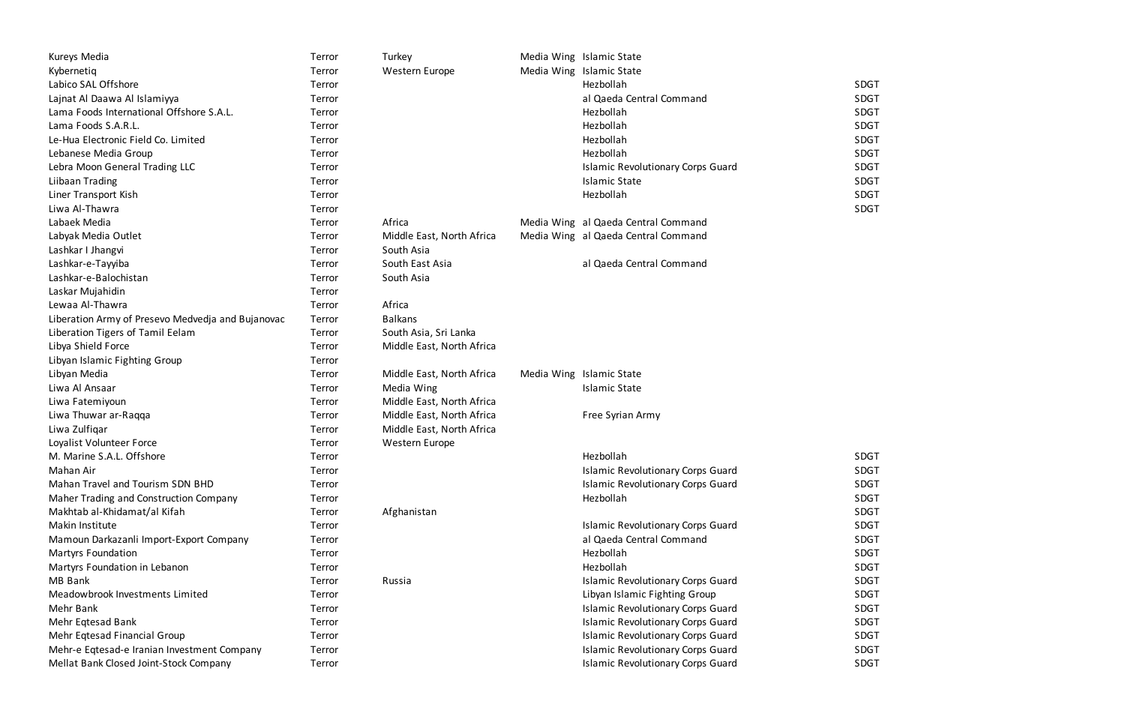| Kureys Media                                      | Terror | Turkey                    | Media Wing Islamic State                 |             |
|---------------------------------------------------|--------|---------------------------|------------------------------------------|-------------|
| Kybernetiq                                        | Terror | Western Europe            | Media Wing Islamic State                 |             |
| Labico SAL Offshore                               | Terror |                           | Hezbollah                                | <b>SDGT</b> |
| Lajnat Al Daawa Al Islamiyya                      | Terror |                           | al Qaeda Central Command                 | <b>SDGT</b> |
| Lama Foods International Offshore S.A.L.          | Terror |                           | Hezbollah                                | <b>SDGT</b> |
| Lama Foods S.A.R.L.                               | Terror |                           | Hezbollah                                | <b>SDGT</b> |
| Le-Hua Electronic Field Co. Limited               | Terror |                           | Hezbollah                                | <b>SDGT</b> |
| Lebanese Media Group                              | Terror |                           | Hezbollah                                | <b>SDGT</b> |
| Lebra Moon General Trading LLC                    | Terror |                           | <b>Islamic Revolutionary Corps Guard</b> | <b>SDGT</b> |
| Liibaan Trading                                   | Terror |                           | <b>Islamic State</b>                     | <b>SDGT</b> |
| Liner Transport Kish                              | Terror |                           | Hezbollah                                | <b>SDGT</b> |
| Liwa Al-Thawra                                    | Terror |                           |                                          | <b>SDGT</b> |
| Labaek Media                                      | Terror | Africa                    | Media Wing al Qaeda Central Command      |             |
| Labyak Media Outlet                               | Terror | Middle East, North Africa | Media Wing al Qaeda Central Command      |             |
| Lashkar I Jhangvi                                 | Terror | South Asia                |                                          |             |
| Lashkar-e-Tayyiba                                 | Terror | South East Asia           | al Qaeda Central Command                 |             |
| Lashkar-e-Balochistan                             | Terror | South Asia                |                                          |             |
| Laskar Mujahidin                                  | Terror |                           |                                          |             |
| Lewaa Al-Thawra                                   | Terror | Africa                    |                                          |             |
| Liberation Army of Presevo Medvedja and Bujanovac | Terror | <b>Balkans</b>            |                                          |             |
| Liberation Tigers of Tamil Eelam                  | Terror | South Asia, Sri Lanka     |                                          |             |
| Libya Shield Force                                | Terror | Middle East, North Africa |                                          |             |
| Libyan Islamic Fighting Group                     | Terror |                           |                                          |             |
| Libyan Media                                      | Terror | Middle East, North Africa | Media Wing Islamic State                 |             |
| Liwa Al Ansaar                                    | Terror | Media Wing                | <b>Islamic State</b>                     |             |
| Liwa Fatemiyoun                                   | Terror | Middle East, North Africa |                                          |             |
| Liwa Thuwar ar-Raqqa                              | Terror | Middle East, North Africa | Free Syrian Army                         |             |
| Liwa Zulfiqar                                     | Terror | Middle East, North Africa |                                          |             |
| Loyalist Volunteer Force                          | Terror | Western Europe            |                                          |             |
| M. Marine S.A.L. Offshore                         | Terror |                           | Hezbollah                                | <b>SDGT</b> |
| Mahan Air                                         | Terror |                           | <b>Islamic Revolutionary Corps Guard</b> | <b>SDGT</b> |
| Mahan Travel and Tourism SDN BHD                  | Terror |                           | <b>Islamic Revolutionary Corps Guard</b> | <b>SDGT</b> |
| Maher Trading and Construction Company            | Terror |                           | Hezbollah                                | <b>SDGT</b> |
| Makhtab al-Khidamat/al Kifah                      | Terror | Afghanistan               |                                          | <b>SDGT</b> |
| Makin Institute                                   | Terror |                           | <b>Islamic Revolutionary Corps Guard</b> | <b>SDGT</b> |
| Mamoun Darkazanli Import-Export Company           | Terror |                           | al Qaeda Central Command                 | <b>SDGT</b> |
| <b>Martyrs Foundation</b>                         | Terror |                           | Hezbollah                                | <b>SDGT</b> |
| Martyrs Foundation in Lebanon                     | Terror |                           | Hezbollah                                | <b>SDGT</b> |
| MB Bank                                           | Terror | Russia                    | <b>Islamic Revolutionary Corps Guard</b> | <b>SDGT</b> |
| Meadowbrook Investments Limited                   | Terror |                           | Libyan Islamic Fighting Group            | <b>SDGT</b> |
| Mehr Bank                                         | Terror |                           | <b>Islamic Revolutionary Corps Guard</b> | <b>SDGT</b> |
| Mehr Eqtesad Bank                                 | Terror |                           | <b>Islamic Revolutionary Corps Guard</b> | <b>SDGT</b> |
| Mehr Eqtesad Financial Group                      | Terror |                           | <b>Islamic Revolutionary Corps Guard</b> | <b>SDGT</b> |
| Mehr-e Eqtesad-e Iranian Investment Company       | Terror |                           | <b>Islamic Revolutionary Corps Guard</b> | <b>SDGT</b> |
| Mellat Bank Closed Joint-Stock Company            | Terror |                           | <b>Islamic Revolutionary Corps Guard</b> | <b>SDGT</b> |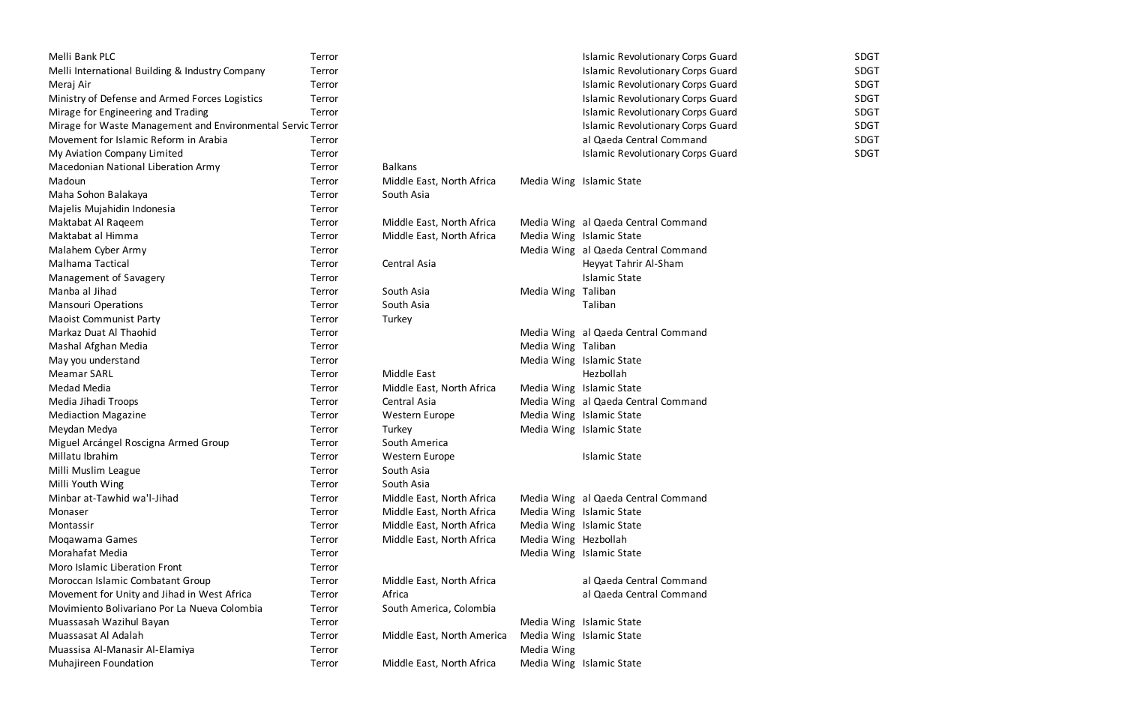| Melli Bank PLC                                              | Terror |                            |                      | Islamic Revol            |
|-------------------------------------------------------------|--------|----------------------------|----------------------|--------------------------|
| Melli International Building & Industry Company             | Terror |                            |                      | <b>Islamic Revol</b>     |
| Meraj Air                                                   | Terror |                            |                      | Islamic Revol            |
| Ministry of Defense and Armed Forces Logistics              | Terror |                            |                      | <b>Islamic Revol</b>     |
| Mirage for Engineering and Trading                          | Terror |                            |                      | Islamic Revol            |
| Mirage for Waste Management and Environmental Servic Terror |        |                            |                      | <b>Islamic Revol</b>     |
| Movement for Islamic Reform in Arabia                       | Terror |                            |                      | al Qaeda Cer             |
| My Aviation Company Limited                                 | Terror |                            |                      | Islamic Revol            |
| Macedonian National Liberation Army                         | Terror | <b>Balkans</b>             |                      |                          |
| Madoun                                                      | Terror | Middle East, North Africa  |                      | Media Wing Islamic State |
| Maha Sohon Balakaya                                         | Terror | South Asia                 |                      |                          |
| Majelis Mujahidin Indonesia                                 | Terror |                            |                      |                          |
| Maktabat Al Raqeem                                          | Terror | Middle East, North Africa  |                      | Media Wing al Qaeda Cer  |
| Maktabat al Himma                                           | Terror | Middle East, North Africa  |                      | Media Wing Islamic State |
| Malahem Cyber Army                                          | Terror |                            |                      | Media Wing al Qaeda Cer  |
| Malhama Tactical                                            | Terror | Central Asia               |                      | Heyyat Tahrir            |
| Management of Savagery                                      | Terror |                            |                      | <b>Islamic State</b>     |
| Manba al Jihad                                              | Terror | South Asia                 | Media Wing           | Taliban                  |
| <b>Mansouri Operations</b>                                  | Terror | South Asia                 |                      | Taliban                  |
| <b>Maoist Communist Party</b>                               | Terror | Turkey                     |                      |                          |
| Markaz Duat Al Thaohid                                      | Terror |                            |                      | Media Wing al Qaeda Cer  |
| Mashal Afghan Media                                         | Terror |                            | Media Wing Taliban   |                          |
| May you understand                                          | Terror |                            |                      | Media Wing Islamic State |
| <b>Meamar SARL</b>                                          | Terror | Middle East                |                      | Hezbollah                |
| Medad Media                                                 | Terror | Middle East, North Africa  | Media Wing           | <b>Islamic State</b>     |
| Media Jihadi Troops                                         | Terror | Central Asia               |                      | Media Wing al Qaeda Cer  |
| <b>Mediaction Magazine</b>                                  | Terror | Western Europe             |                      | Media Wing Islamic State |
| Meydan Medya                                                | Terror | Turkey                     |                      | Media Wing Islamic State |
| Miguel Arcángel Roscigna Armed Group                        | Terror | South America              |                      |                          |
| Millatu Ibrahim                                             | Terror | Western Europe             |                      | <b>Islamic State</b>     |
| Milli Muslim League                                         | Terror | South Asia                 |                      |                          |
| Milli Youth Wing                                            | Terror | South Asia                 |                      |                          |
| Minbar at-Tawhid wa'l-Jihad                                 | Terror | Middle East, North Africa  |                      | Media Wing al Qaeda Cer  |
| Monaser                                                     | Terror | Middle East, North Africa  |                      | Media Wing Islamic State |
| Montassir                                                   | Terror | Middle East, North Africa  |                      | Media Wing Islamic State |
| Moqawama Games                                              | Terror | Middle East, North Africa  | Media Wing Hezbollah |                          |
| Morahafat Media                                             | Terror |                            |                      | Media Wing Islamic State |
| Moro Islamic Liberation Front                               | Terror |                            |                      |                          |
| Moroccan Islamic Combatant Group                            | Terror | Middle East, North Africa  |                      | al Qaeda Cer             |
| Movement for Unity and Jihad in West Africa                 | Terror | Africa                     |                      | al Qaeda Cer             |
| Movimiento Bolivariano Por La Nueva Colombia                | Terror | South America, Colombia    |                      |                          |
| Muassasah Wazihul Bayan                                     | Terror |                            | Media Wing           | <b>Islamic State</b>     |
| Muassasat Al Adalah                                         | Terror | Middle East, North America |                      | Media Wing Islamic State |
| Muassisa Al-Manasir Al-Elamiya                              | Terror |                            | Media Wing           |                          |
| Muhajireen Foundation                                       | Terror | Middle East, North Africa  |                      | Media Wing Islamic State |

Islamic Revolutionary Corps Guard SDGT Islamic Revolutionary Corps Guard **SDGT** Islamic Revolutionary Corps Guard SDGT Islamic Revolutionary Corps Guard **Forces 2008** SDGT Islamic Revolutionary Corps Guard SDGT Islamic Revolutionary Corps Guard SDGT al Qaeda Central Command SDGT Islamic Revolutionary Corps Guard SDGT Middle East, North Africa Media Wing al Qaeda Central Command Media Wing al Qaeda Central Command Central Asia **Tackical Tackical Tackical Tackical Tackical Tackical Tackical Tackical Tackical Asia Heyyat Tahrir Al-Sham** Media Wing al Qaeda Central Command Media Wing Taliban Media Wing Islamic State Central Asia **Troops Troops Troops Troops Troops Troops Troops Troops Troops Troops Troops Troops Troops Troops** Middle East, North Africa Media Wing al Qaeda Central Command Media Wing Islamic State Middle East, North Africa al Qaeda Central Command Africa **Africa** in West Africa **and Jihamah in West Africa** al Qaeda Central Command Media Wing Islamic State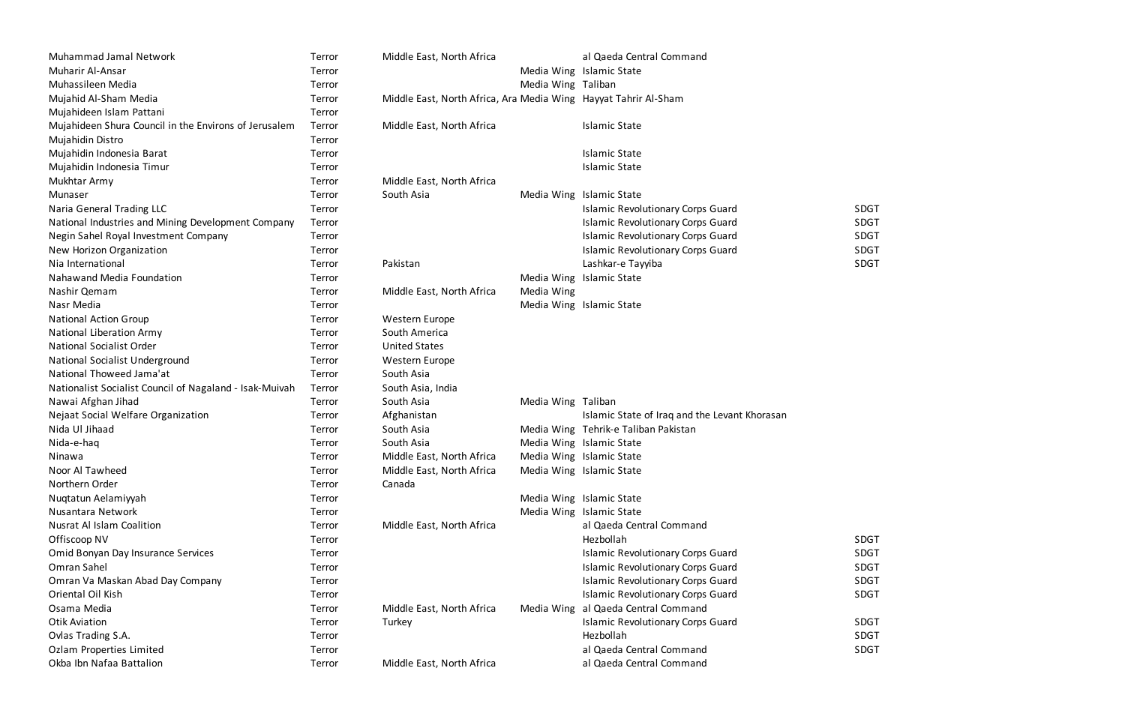| Muhammad Jamal Network                                  | Terror | Middle East, North Africa                                       |                    | al Qaeda Central Command                      |             |
|---------------------------------------------------------|--------|-----------------------------------------------------------------|--------------------|-----------------------------------------------|-------------|
| Muharir Al-Ansar                                        | Terror |                                                                 |                    | Media Wing Islamic State                      |             |
| Muhassileen Media                                       | Terror |                                                                 | Media Wing Taliban |                                               |             |
| Mujahid Al-Sham Media                                   | Terror | Middle East, North Africa, Ara Media Wing Hayyat Tahrir Al-Sham |                    |                                               |             |
| Mujahideen Islam Pattani                                | Terror |                                                                 |                    |                                               |             |
| Mujahideen Shura Council in the Environs of Jerusalem   | Terror | Middle East, North Africa                                       |                    | <b>Islamic State</b>                          |             |
| Mujahidin Distro                                        | Terror |                                                                 |                    |                                               |             |
| Mujahidin Indonesia Barat                               | Terror |                                                                 |                    | <b>Islamic State</b>                          |             |
| Mujahidin Indonesia Timur                               | Terror |                                                                 |                    | <b>Islamic State</b>                          |             |
| Mukhtar Army                                            | Terror | Middle East, North Africa                                       |                    |                                               |             |
| Munaser                                                 | Terror | South Asia                                                      |                    | Media Wing Islamic State                      |             |
| Naria General Trading LLC                               | Terror |                                                                 |                    | <b>Islamic Revolutionary Corps Guard</b>      | <b>SDGT</b> |
| National Industries and Mining Development Company      | Terror |                                                                 |                    | <b>Islamic Revolutionary Corps Guard</b>      | <b>SDGT</b> |
| Negin Sahel Royal Investment Company                    | Terror |                                                                 |                    | <b>Islamic Revolutionary Corps Guard</b>      | <b>SDGT</b> |
| New Horizon Organization                                | Terror |                                                                 |                    | <b>Islamic Revolutionary Corps Guard</b>      | <b>SDGT</b> |
| Nia International                                       | Terror | Pakistan                                                        |                    | Lashkar-e Tayyiba                             | <b>SDGT</b> |
| Nahawand Media Foundation                               | Terror |                                                                 |                    | Media Wing Islamic State                      |             |
| Nashir Qemam                                            | Terror | Middle East, North Africa                                       | Media Wing         |                                               |             |
| Nasr Media                                              | Terror |                                                                 |                    | Media Wing Islamic State                      |             |
| <b>National Action Group</b>                            | Terror | Western Europe                                                  |                    |                                               |             |
| National Liberation Army                                | Terror | South America                                                   |                    |                                               |             |
| <b>National Socialist Order</b>                         | Terror | <b>United States</b>                                            |                    |                                               |             |
| National Socialist Underground                          | Terror | Western Europe                                                  |                    |                                               |             |
| National Thoweed Jama'at                                | Terror | South Asia                                                      |                    |                                               |             |
| Nationalist Socialist Council of Nagaland - Isak-Muivah | Terror | South Asia, India                                               |                    |                                               |             |
| Nawai Afghan Jihad                                      | Terror | South Asia                                                      | Media Wing Taliban |                                               |             |
| Nejaat Social Welfare Organization                      | Terror | Afghanistan                                                     |                    | Islamic State of Iraq and the Levant Khorasan |             |
| Nida Ul Jihaad                                          | Terror | South Asia                                                      |                    | Media Wing Tehrik-e Taliban Pakistan          |             |
| Nida-e-haq                                              | Terror | South Asia                                                      |                    | Media Wing Islamic State                      |             |
| Ninawa                                                  | Terror | Middle East, North Africa                                       |                    | Media Wing Islamic State                      |             |
| Noor Al Tawheed                                         | Terror | Middle East, North Africa                                       |                    | Media Wing Islamic State                      |             |
| Northern Order                                          | Terror | Canada                                                          |                    |                                               |             |
| Nuqtatun Aelamiyyah                                     | Terror |                                                                 |                    | Media Wing Islamic State                      |             |
| Nusantara Network                                       | Terror |                                                                 |                    | Media Wing Islamic State                      |             |
| <b>Nusrat Al Islam Coalition</b>                        | Terror | Middle East, North Africa                                       |                    | al Qaeda Central Command                      |             |
| Offiscoop NV                                            | Terror |                                                                 |                    | Hezbollah                                     | <b>SDGT</b> |
| Omid Bonyan Day Insurance Services                      | Terror |                                                                 |                    | <b>Islamic Revolutionary Corps Guard</b>      | <b>SDGT</b> |
| Omran Sahel                                             | Terror |                                                                 |                    | <b>Islamic Revolutionary Corps Guard</b>      | <b>SDGT</b> |
| Omran Va Maskan Abad Day Company                        | Terror |                                                                 |                    | <b>Islamic Revolutionary Corps Guard</b>      | <b>SDGT</b> |
| Oriental Oil Kish                                       | Terror |                                                                 |                    | <b>Islamic Revolutionary Corps Guard</b>      | <b>SDGT</b> |
| Osama Media                                             | Terror | Middle East, North Africa                                       |                    | Media Wing al Qaeda Central Command           |             |
| <b>Otik Aviation</b>                                    | Terror | Turkey                                                          |                    | <b>Islamic Revolutionary Corps Guard</b>      | <b>SDGT</b> |
| Ovlas Trading S.A.                                      | Terror |                                                                 |                    | Hezbollah                                     | <b>SDGT</b> |
| Ozlam Properties Limited                                | Terror |                                                                 |                    | al Qaeda Central Command                      | <b>SDGT</b> |
| Okba Ibn Nafaa Battalion                                | Terror | Middle East, North Africa                                       |                    | al Qaeda Central Command                      |             |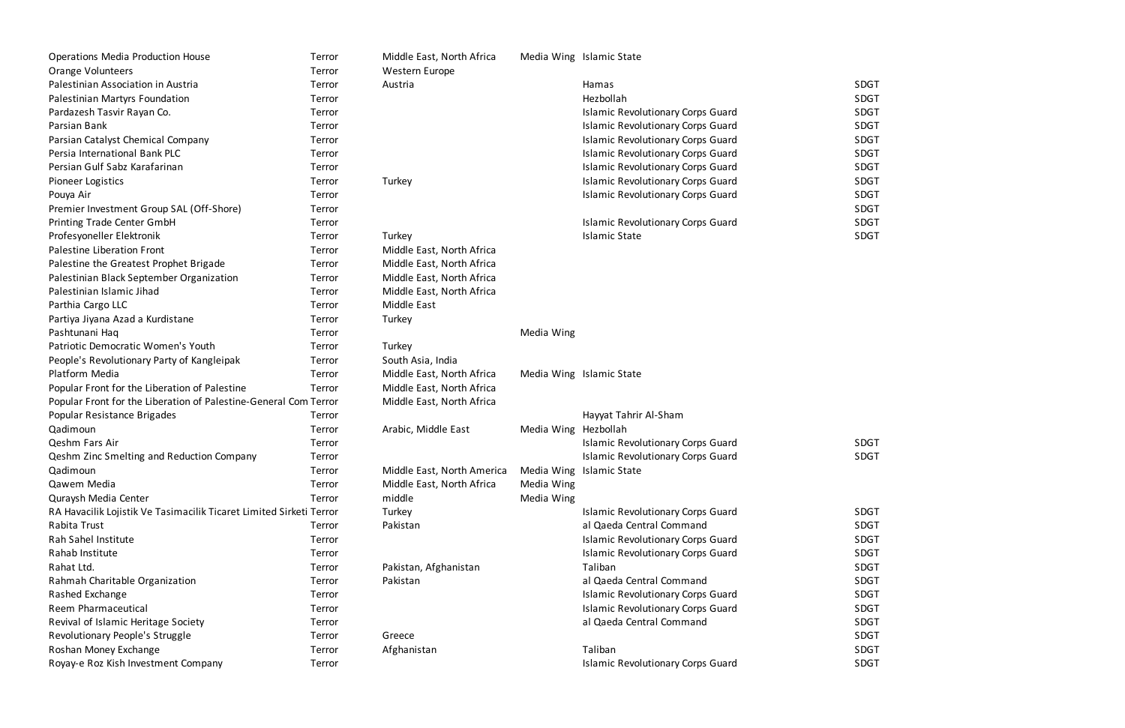| <b>Operations Media Production House</b>                            | Terror | Middle East, North Africa  |                      | Media Wing Islamic State                 |             |
|---------------------------------------------------------------------|--------|----------------------------|----------------------|------------------------------------------|-------------|
| Orange Volunteers                                                   | Terror | Western Europe             |                      |                                          |             |
| Palestinian Association in Austria                                  | Terror | Austria                    |                      | Hamas                                    | <b>SDGT</b> |
| Palestinian Martyrs Foundation                                      | Terror |                            |                      | Hezbollah                                | <b>SDGT</b> |
| Pardazesh Tasvir Rayan Co.                                          | Terror |                            |                      | <b>Islamic Revolutionary Corps Guard</b> | <b>SDGT</b> |
| Parsian Bank                                                        | Terror |                            |                      | <b>Islamic Revolutionary Corps Guard</b> | <b>SDGT</b> |
| Parsian Catalyst Chemical Company                                   | Terror |                            |                      | <b>Islamic Revolutionary Corps Guard</b> | <b>SDGT</b> |
| Persia International Bank PLC                                       | Terror |                            |                      | <b>Islamic Revolutionary Corps Guard</b> | <b>SDGT</b> |
| Persian Gulf Sabz Karafarinan                                       | Terror |                            |                      | <b>Islamic Revolutionary Corps Guard</b> | <b>SDGT</b> |
| <b>Pioneer Logistics</b>                                            | Terror | Turkey                     |                      | <b>Islamic Revolutionary Corps Guard</b> | <b>SDGT</b> |
| Pouya Air                                                           | Terror |                            |                      | <b>Islamic Revolutionary Corps Guard</b> | <b>SDGT</b> |
| Premier Investment Group SAL (Off-Shore)                            | Terror |                            |                      |                                          | <b>SDGT</b> |
| Printing Trade Center GmbH                                          | Terror |                            |                      | <b>Islamic Revolutionary Corps Guard</b> | <b>SDGT</b> |
| Profesyoneller Elektronik                                           | Terror | Turkey                     |                      | <b>Islamic State</b>                     | <b>SDGT</b> |
| Palestine Liberation Front                                          | Terror | Middle East, North Africa  |                      |                                          |             |
| Palestine the Greatest Prophet Brigade                              | Terror | Middle East, North Africa  |                      |                                          |             |
| Palestinian Black September Organization                            | Terror | Middle East, North Africa  |                      |                                          |             |
| Palestinian Islamic Jihad                                           | Terror | Middle East, North Africa  |                      |                                          |             |
| Parthia Cargo LLC                                                   | Terror | Middle East                |                      |                                          |             |
| Partiya Jiyana Azad a Kurdistane                                    | Terror | Turkey                     |                      |                                          |             |
| Pashtunani Haq                                                      | Terror |                            | Media Wing           |                                          |             |
| Patriotic Democratic Women's Youth                                  | Terror | Turkey                     |                      |                                          |             |
| People's Revolutionary Party of Kangleipak                          | Terror | South Asia, India          |                      |                                          |             |
| Platform Media                                                      | Terror | Middle East, North Africa  |                      | Media Wing Islamic State                 |             |
| Popular Front for the Liberation of Palestine                       | Terror | Middle East, North Africa  |                      |                                          |             |
| Popular Front for the Liberation of Palestine-General Com Terror    |        | Middle East, North Africa  |                      |                                          |             |
| Popular Resistance Brigades                                         | Terror |                            |                      | Hayyat Tahrir Al-Sham                    |             |
| Qadimoun                                                            | Terror | Arabic, Middle East        | Media Wing Hezbollah |                                          |             |
| Qeshm Fars Air                                                      | Terror |                            |                      | <b>Islamic Revolutionary Corps Guard</b> | <b>SDGT</b> |
| Qeshm Zinc Smelting and Reduction Company                           | Terror |                            |                      | <b>Islamic Revolutionary Corps Guard</b> | <b>SDGT</b> |
| Qadimoun                                                            | Terror | Middle East, North America |                      | Media Wing Islamic State                 |             |
| Qawem Media                                                         | Terror | Middle East, North Africa  | Media Wing           |                                          |             |
| Quraysh Media Center                                                | Terror | middle                     | Media Wing           |                                          |             |
| RA Havacilik Lojistik Ve Tasimacilik Ticaret Limited Sirketi Terror |        | Turkey                     |                      | <b>Islamic Revolutionary Corps Guard</b> | <b>SDGT</b> |
| Rabita Trust                                                        | Terror | Pakistan                   |                      | al Qaeda Central Command                 | <b>SDGT</b> |
| Rah Sahel Institute                                                 | Terror |                            |                      | <b>Islamic Revolutionary Corps Guard</b> | <b>SDGT</b> |
| Rahab Institute                                                     | Terror |                            |                      | <b>Islamic Revolutionary Corps Guard</b> | <b>SDGT</b> |
| Rahat Ltd.                                                          | Terror | Pakistan, Afghanistan      |                      | Taliban                                  | <b>SDGT</b> |
| Rahmah Charitable Organization                                      | Terror | Pakistan                   |                      | al Qaeda Central Command                 | <b>SDGT</b> |
| Rashed Exchange                                                     | Terror |                            |                      | <b>Islamic Revolutionary Corps Guard</b> | <b>SDGT</b> |
| Reem Pharmaceutical                                                 | Terror |                            |                      | <b>Islamic Revolutionary Corps Guard</b> | <b>SDGT</b> |
| Revival of Islamic Heritage Society                                 | Terror |                            |                      | al Qaeda Central Command                 | <b>SDGT</b> |
| Revolutionary People's Struggle                                     | Terror | Greece                     |                      |                                          | <b>SDGT</b> |
| Roshan Money Exchange                                               | Terror | Afghanistan                |                      | Taliban                                  | <b>SDGT</b> |
| Royay-e Roz Kish Investment Company                                 | Terror |                            |                      | <b>Islamic Revolutionary Corps Guard</b> | <b>SDGT</b> |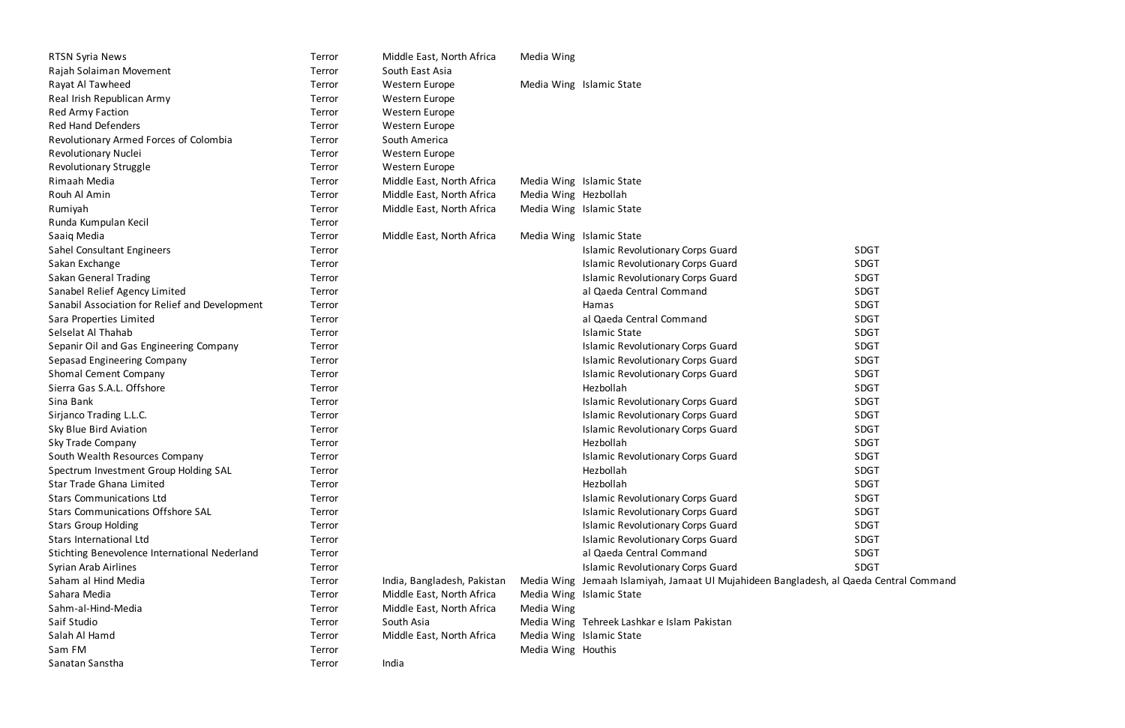| <b>RTSN Syria News</b>                         | Terror | Middle East, North Africa   | Media Wing           |                                                                          |             |
|------------------------------------------------|--------|-----------------------------|----------------------|--------------------------------------------------------------------------|-------------|
| Rajah Solaiman Movement                        | Terror | South East Asia             |                      |                                                                          |             |
| Rayat Al Tawheed                               | Terror | Western Europe              |                      | Media Wing Islamic State                                                 |             |
| Real Irish Republican Army                     | Terror | Western Europe              |                      |                                                                          |             |
| <b>Red Army Faction</b>                        | Terror | Western Europe              |                      |                                                                          |             |
| <b>Red Hand Defenders</b>                      | Terror | Western Europe              |                      |                                                                          |             |
| Revolutionary Armed Forces of Colombia         | Terror | South America               |                      |                                                                          |             |
| Revolutionary Nuclei                           | Terror | Western Europe              |                      |                                                                          |             |
| Revolutionary Struggle                         | Terror | Western Europe              |                      |                                                                          |             |
| Rimaah Media                                   | Terror | Middle East, North Africa   |                      | Media Wing Islamic State                                                 |             |
| Rouh Al Amin                                   | Terror | Middle East, North Africa   | Media Wing Hezbollah |                                                                          |             |
| Rumiyah                                        | Terror | Middle East, North Africa   |                      | Media Wing Islamic State                                                 |             |
| Runda Kumpulan Kecil                           | Terror |                             |                      |                                                                          |             |
| Saaiq Media                                    | Terror | Middle East, North Africa   |                      | Media Wing Islamic State                                                 |             |
| Sahel Consultant Engineers                     | Terror |                             |                      | <b>Islamic Revolutionary Corps Guard</b>                                 | <b>SDGT</b> |
| Sakan Exchange                                 | Terror |                             |                      | <b>Islamic Revolutionary Corps Guard</b>                                 | <b>SDGT</b> |
| Sakan General Trading                          | Terror |                             |                      | <b>Islamic Revolutionary Corps Guard</b>                                 | <b>SDGT</b> |
| Sanabel Relief Agency Limited                  | Terror |                             |                      | al Qaeda Central Command                                                 | <b>SDGT</b> |
| Sanabil Association for Relief and Development | Terror |                             |                      | Hamas                                                                    | <b>SDGT</b> |
| Sara Properties Limited                        | Terror |                             |                      | al Qaeda Central Command                                                 | <b>SDGT</b> |
| Selselat Al Thahab                             | Terror |                             |                      | <b>Islamic State</b>                                                     | <b>SDGT</b> |
| Sepanir Oil and Gas Engineering Company        | Terror |                             |                      | <b>Islamic Revolutionary Corps Guard</b>                                 | <b>SDGT</b> |
| Sepasad Engineering Company                    | Terror |                             |                      | <b>Islamic Revolutionary Corps Guard</b>                                 | <b>SDGT</b> |
| Shomal Cement Company                          | Terror |                             |                      | <b>Islamic Revolutionary Corps Guard</b>                                 | <b>SDGT</b> |
| Sierra Gas S.A.L. Offshore                     | Terror |                             |                      | Hezbollah                                                                | <b>SDGT</b> |
| Sina Bank                                      | Terror |                             |                      | <b>Islamic Revolutionary Corps Guard</b>                                 | <b>SDGT</b> |
| Sirjanco Trading L.L.C.                        | Terror |                             |                      | <b>Islamic Revolutionary Corps Guard</b>                                 | <b>SDGT</b> |
| Sky Blue Bird Aviation                         | Terror |                             |                      | <b>Islamic Revolutionary Corps Guard</b>                                 | <b>SDGT</b> |
| Sky Trade Company                              | Terror |                             |                      | Hezbollah                                                                | <b>SDGT</b> |
| South Wealth Resources Company                 | Terror |                             |                      | <b>Islamic Revolutionary Corps Guard</b>                                 | <b>SDGT</b> |
| Spectrum Investment Group Holding SAL          | Terror |                             |                      | Hezbollah                                                                | <b>SDGT</b> |
| Star Trade Ghana Limited                       | Terror |                             |                      | Hezbollah                                                                | <b>SDGT</b> |
| <b>Stars Communications Ltd</b>                | Terror |                             |                      | <b>Islamic Revolutionary Corps Guard</b>                                 | <b>SDGT</b> |
| <b>Stars Communications Offshore SAL</b>       | Terror |                             |                      | <b>Islamic Revolutionary Corps Guard</b>                                 | <b>SDGT</b> |
| <b>Stars Group Holding</b>                     | Terror |                             |                      | <b>Islamic Revolutionary Corps Guard</b>                                 | <b>SDGT</b> |
| Stars International Ltd                        | Terror |                             |                      | <b>Islamic Revolutionary Corps Guard</b>                                 | <b>SDGT</b> |
| Stichting Benevolence International Nederland  | Terror |                             |                      | al Qaeda Central Command                                                 | <b>SDGT</b> |
| Syrian Arab Airlines                           | Terror |                             |                      | <b>Islamic Revolutionary Corps Guard</b>                                 | <b>SDGT</b> |
| Saham al Hind Media                            | Terror | India, Bangladesh, Pakistan |                      | Media Wing Jemaah Islamiyah, Jamaat Ul Mujahideen Bangladesh, al Qaeda C |             |
| Sahara Media                                   | Terror | Middle East, North Africa   |                      | Media Wing Islamic State                                                 |             |
| Sahm-al-Hind-Media                             | Terror | Middle East, North Africa   | Media Wing           |                                                                          |             |
| Saif Studio                                    | Terror | South Asia                  |                      | Media Wing Tehreek Lashkar e Islam Pakistan                              |             |
| Salah Al Hamd                                  | Terror | Middle East, North Africa   |                      | Media Wing Islamic State                                                 |             |
| Sam FM                                         | Terror |                             | Media Wing Houthis   |                                                                          |             |
| Sanatan Sanstha                                | Terror | India                       |                      |                                                                          |             |

| SDGT        |
|-------------|
| SDGT        |
| <b>SDGT</b> |
| <b>SDGT</b> |
| <b>SDGT</b> |
| <b>SDGT</b> |
| SDGT        |
| <b>SDGT</b> |
| <b>SDGT</b> |
| <b>SDGT</b> |
| <b>SDGT</b> |
| <b>SDGT</b> |
| SDGT        |
| <b>SDGT</b> |
| <b>SDGT</b> |
| <b>SDGT</b> |
| <b>SDGT</b> |
| <b>SDGT</b> |
| <b>SDGT</b> |
| <b>SDGT</b> |
| SDGT        |
| <b>SDGT</b> |
| SDGT        |
| CDC.        |

desh, al Qaeda Central Command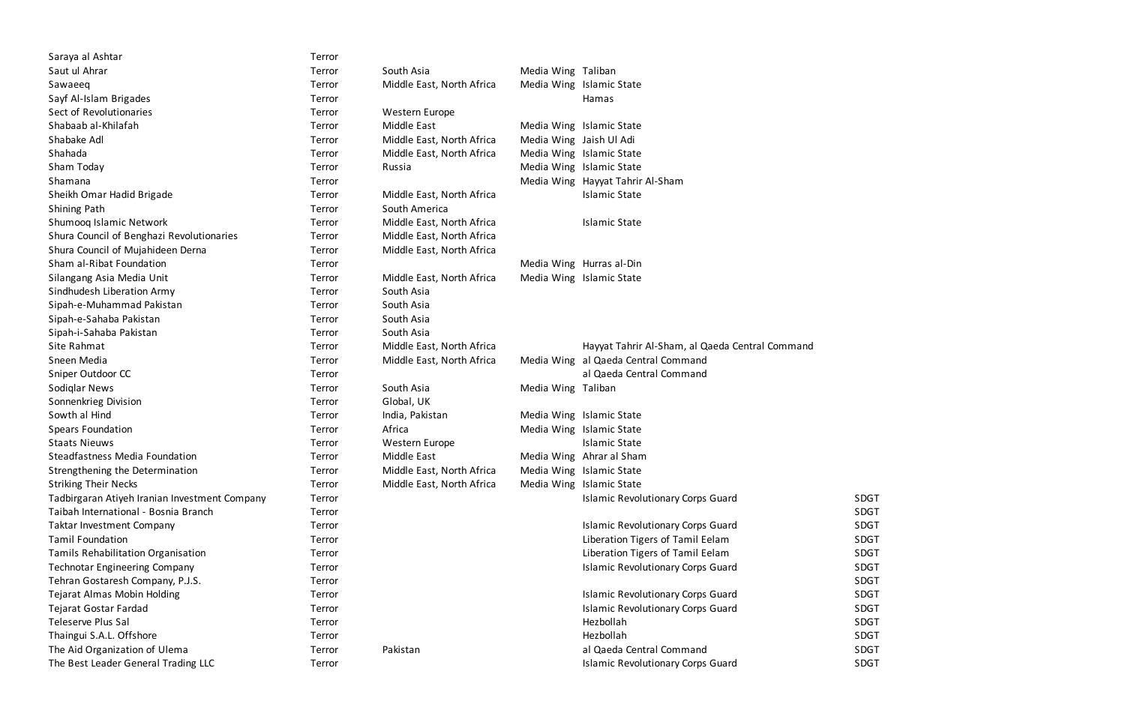| Saraya al Ashtar                              | Terror |                           |                         |                                                 |             |
|-----------------------------------------------|--------|---------------------------|-------------------------|-------------------------------------------------|-------------|
| Saut ul Ahrar                                 | Terror | South Asia                | Media Wing Taliban      |                                                 |             |
| Sawaeeq                                       | Terror | Middle East, North Africa |                         | Media Wing Islamic State                        |             |
| Sayf Al-Islam Brigades                        | Terror |                           |                         | Hamas                                           |             |
| Sect of Revolutionaries                       | Terror | Western Europe            |                         |                                                 |             |
| Shabaab al-Khilafah                           | Terror | Middle East               |                         | Media Wing Islamic State                        |             |
| Shabake Adl                                   | Terror | Middle East, North Africa | Media Wing Jaish Ul Adi |                                                 |             |
| Shahada                                       | Terror | Middle East, North Africa |                         | Media Wing Islamic State                        |             |
| Sham Today                                    | Terror | Russia                    |                         | Media Wing Islamic State                        |             |
| Shamana                                       | Terror |                           |                         | Media Wing Hayyat Tahrir Al-Sham                |             |
| Sheikh Omar Hadid Brigade                     | Terror | Middle East, North Africa |                         | <b>Islamic State</b>                            |             |
| <b>Shining Path</b>                           | Terror | South America             |                         |                                                 |             |
| Shumooq Islamic Network                       | Terror | Middle East, North Africa |                         | <b>Islamic State</b>                            |             |
| Shura Council of Benghazi Revolutionaries     | Terror | Middle East, North Africa |                         |                                                 |             |
| Shura Council of Mujahideen Derna             | Terror | Middle East, North Africa |                         |                                                 |             |
| Sham al-Ribat Foundation                      | Terror |                           |                         | Media Wing Hurras al-Din                        |             |
| Silangang Asia Media Unit                     | Terror | Middle East, North Africa |                         | Media Wing Islamic State                        |             |
| Sindhudesh Liberation Army                    | Terror | South Asia                |                         |                                                 |             |
| Sipah-e-Muhammad Pakistan                     | Terror | South Asia                |                         |                                                 |             |
| Sipah-e-Sahaba Pakistan                       | Terror | South Asia                |                         |                                                 |             |
| Sipah-i-Sahaba Pakistan                       | Terror | South Asia                |                         |                                                 |             |
| Site Rahmat                                   | Terror | Middle East, North Africa |                         | Hayyat Tahrir Al-Sham, al Qaeda Central Command |             |
| Sneen Media                                   | Terror | Middle East, North Africa |                         | Media Wing al Qaeda Central Command             |             |
| Sniper Outdoor CC                             | Terror |                           |                         | al Qaeda Central Command                        |             |
| Sodiglar News                                 | Terror | South Asia                | Media Wing Taliban      |                                                 |             |
| Sonnenkrieg Division                          | Terror | Global, UK                |                         |                                                 |             |
| Sowth al Hind                                 | Terror | India, Pakistan           |                         | Media Wing Islamic State                        |             |
| <b>Spears Foundation</b>                      | Terror | Africa                    |                         | Media Wing Islamic State                        |             |
| <b>Staats Nieuws</b>                          | Terror | Western Europe            |                         | <b>Islamic State</b>                            |             |
| Steadfastness Media Foundation                | Terror | Middle East               |                         | Media Wing Ahrar al Sham                        |             |
| Strengthening the Determination               | Terror | Middle East, North Africa |                         | Media Wing Islamic State                        |             |
| <b>Striking Their Necks</b>                   | Terror | Middle East, North Africa |                         | Media Wing Islamic State                        |             |
| Tadbirgaran Atiyeh Iranian Investment Company | Terror |                           |                         | <b>Islamic Revolutionary Corps Guard</b>        | <b>SDGT</b> |
| Taibah International - Bosnia Branch          | Terror |                           |                         |                                                 | <b>SDGT</b> |
| <b>Taktar Investment Company</b>              | Terror |                           |                         | <b>Islamic Revolutionary Corps Guard</b>        | <b>SDGT</b> |
| <b>Tamil Foundation</b>                       | Terror |                           |                         | Liberation Tigers of Tamil Eelam                | <b>SDGT</b> |
| Tamils Rehabilitation Organisation            | Terror |                           |                         | Liberation Tigers of Tamil Eelam                | <b>SDGT</b> |
| <b>Technotar Engineering Company</b>          | Terror |                           |                         | <b>Islamic Revolutionary Corps Guard</b>        | <b>SDGT</b> |
| Tehran Gostaresh Company, P.J.S.              | Terror |                           |                         |                                                 | <b>SDGT</b> |
| Tejarat Almas Mobin Holding                   | Terror |                           |                         | <b>Islamic Revolutionary Corps Guard</b>        | <b>SDGT</b> |
| Tejarat Gostar Fardad                         | Terror |                           |                         | <b>Islamic Revolutionary Corps Guard</b>        | <b>SDGT</b> |
| Teleserve Plus Sal                            | Terror |                           |                         | Hezbollah                                       | <b>SDGT</b> |
| Thaingui S.A.L. Offshore                      | Terror |                           |                         | Hezbollah                                       | <b>SDGT</b> |
| The Aid Organization of Ulema                 | Terror | Pakistan                  |                         | al Qaeda Central Command                        | <b>SDGT</b> |
| The Best Leader General Trading LLC           | Terror |                           |                         | <b>Islamic Revolutionary Corps Guard</b>        | <b>SDGT</b> |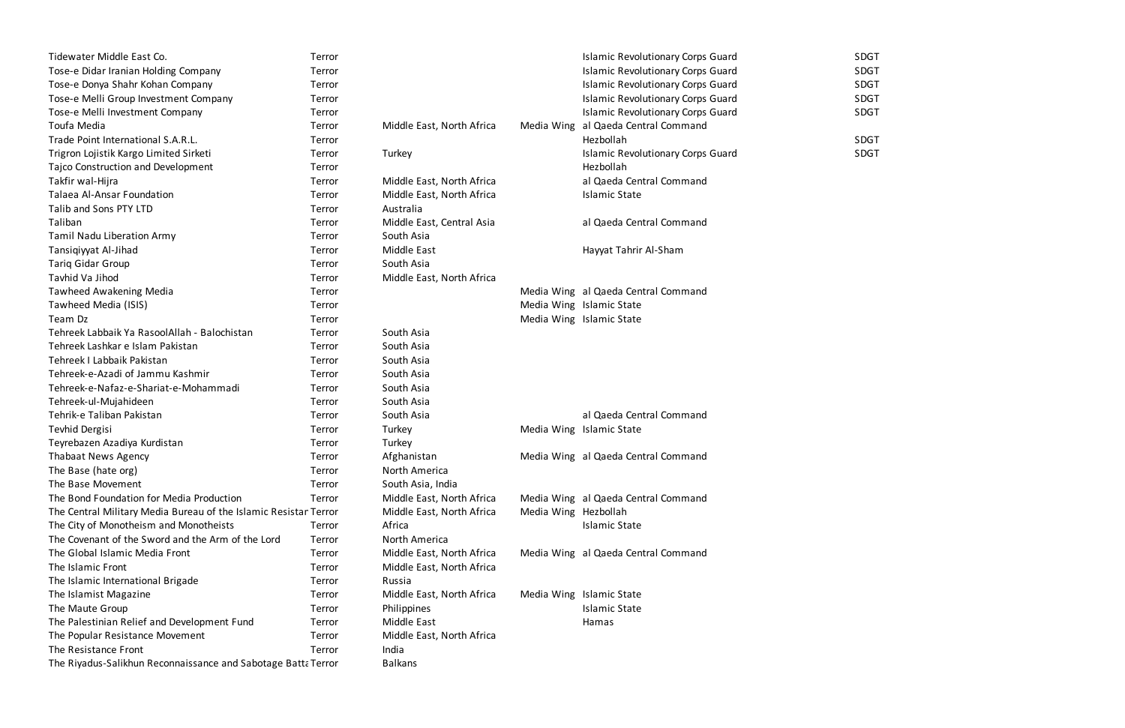| Tidewater Middle East Co.                                        | Terror |                           |                      | <b>Islamic Revolutionary Corps Guard</b> | <b>SDGT</b> |
|------------------------------------------------------------------|--------|---------------------------|----------------------|------------------------------------------|-------------|
| Tose-e Didar Iranian Holding Company                             | Terror |                           |                      | <b>Islamic Revolutionary Corps Guard</b> | <b>SDGT</b> |
| Tose-e Donya Shahr Kohan Company                                 | Terror |                           |                      | <b>Islamic Revolutionary Corps Guard</b> | <b>SDGT</b> |
| Tose-e Melli Group Investment Company                            | Terror |                           |                      | <b>Islamic Revolutionary Corps Guard</b> | <b>SDGT</b> |
| Tose-e Melli Investment Company                                  | Terror |                           |                      | <b>Islamic Revolutionary Corps Guard</b> | <b>SDGT</b> |
| Toufa Media                                                      | Terror | Middle East, North Africa | Media Wing           | al Qaeda Central Command                 |             |
| Trade Point International S.A.R.L.                               | Terror |                           |                      | Hezbollah                                | <b>SDGT</b> |
| Trigron Lojistik Kargo Limited Sirketi                           | Terror | Turkey                    |                      | <b>Islamic Revolutionary Corps Guard</b> | <b>SDGT</b> |
| Tajco Construction and Development                               | Terror |                           |                      | Hezbollah                                |             |
| Takfir wal-Hijra                                                 | Terror | Middle East, North Africa |                      | al Qaeda Central Command                 |             |
| Talaea Al-Ansar Foundation                                       | Terror | Middle East, North Africa |                      | <b>Islamic State</b>                     |             |
| Talib and Sons PTY LTD                                           | Terror | Australia                 |                      |                                          |             |
| Taliban                                                          | Terror | Middle East, Central Asia |                      | al Qaeda Central Command                 |             |
| Tamil Nadu Liberation Army                                       | Terror | South Asia                |                      |                                          |             |
| Tansiqiyyat Al-Jihad                                             | Terror | Middle East               |                      | Hayyat Tahrir Al-Sham                    |             |
| <b>Tariq Gidar Group</b>                                         | Terror | South Asia                |                      |                                          |             |
| Tavhid Va Jihod                                                  | Terror | Middle East, North Africa |                      |                                          |             |
| <b>Tawheed Awakening Media</b>                                   | Terror |                           |                      | Media Wing al Qaeda Central Command      |             |
| Tawheed Media (ISIS)                                             | Terror |                           |                      | Media Wing Islamic State                 |             |
| Team Dz                                                          | Terror |                           |                      | Media Wing Islamic State                 |             |
| Tehreek Labbaik Ya RasoolAllah - Balochistan                     | Terror | South Asia                |                      |                                          |             |
| Tehreek Lashkar e Islam Pakistan                                 | Terror | South Asia                |                      |                                          |             |
| Tehreek I Labbaik Pakistan                                       | Terror | South Asia                |                      |                                          |             |
| Tehreek-e-Azadi of Jammu Kashmir                                 | Terror | South Asia                |                      |                                          |             |
| Tehreek-e-Nafaz-e-Shariat-e-Mohammadi                            | Terror | South Asia                |                      |                                          |             |
| Tehreek-ul-Mujahideen                                            | Terror | South Asia                |                      |                                          |             |
| Tehrik-e Taliban Pakistan                                        | Terror | South Asia                |                      | al Qaeda Central Command                 |             |
| Tevhid Dergisi                                                   | Terror | Turkey                    |                      | Media Wing Islamic State                 |             |
| Teyrebazen Azadiya Kurdistan                                     | Terror | Turkey                    |                      |                                          |             |
| <b>Thabaat News Agency</b>                                       | Terror | Afghanistan               |                      | Media Wing al Qaeda Central Command      |             |
| The Base (hate org)                                              | Terror | North America             |                      |                                          |             |
| The Base Movement                                                | Terror | South Asia, India         |                      |                                          |             |
| The Bond Foundation for Media Production                         | Terror | Middle East, North Africa |                      | Media Wing al Qaeda Central Command      |             |
| The Central Military Media Bureau of the Islamic Resistar Terror |        | Middle East, North Africa | Media Wing Hezbollah |                                          |             |
| The City of Monotheism and Monotheists                           | Terror | Africa                    |                      | <b>Islamic State</b>                     |             |
| The Covenant of the Sword and the Arm of the Lord                | Terror | North America             |                      |                                          |             |
| The Global Islamic Media Front                                   | Terror | Middle East, North Africa |                      | Media Wing al Qaeda Central Command      |             |
| The Islamic Front                                                | Terror | Middle East, North Africa |                      |                                          |             |
| The Islamic International Brigade                                | Terror | Russia                    |                      |                                          |             |
| The Islamist Magazine                                            | Terror | Middle East, North Africa |                      | Media Wing Islamic State                 |             |
| The Maute Group                                                  | Terror | Philippines               |                      | <b>Islamic State</b>                     |             |
| The Palestinian Relief and Development Fund                      | Terror | <b>Middle East</b>        |                      | Hamas                                    |             |
| The Popular Resistance Movement                                  | Terror | Middle East, North Africa |                      |                                          |             |
| The Resistance Front                                             | Terror | India                     |                      |                                          |             |
| The Riyadus-Salikhun Reconnaissance and Sabotage Batta Terror    |        | <b>Balkans</b>            |                      |                                          |             |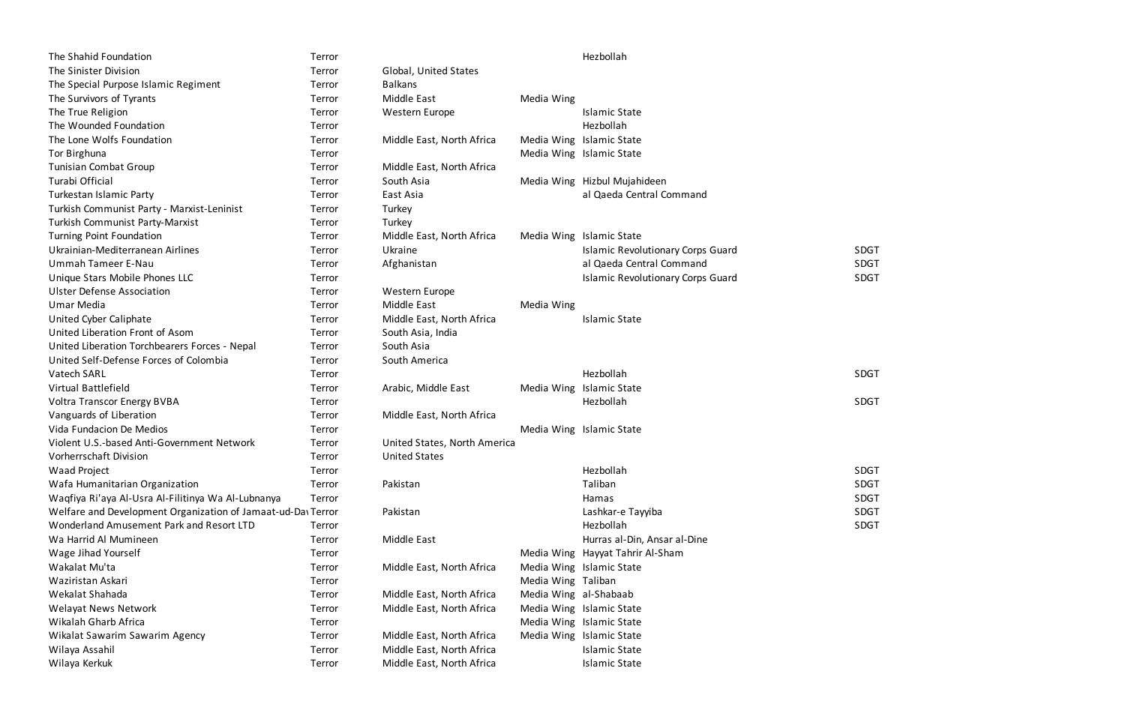| The Shahid Foundation                                        | Terror |                              |                       | Hezbollah                                |             |
|--------------------------------------------------------------|--------|------------------------------|-----------------------|------------------------------------------|-------------|
| The Sinister Division                                        | Terror | Global, United States        |                       |                                          |             |
| The Special Purpose Islamic Regiment                         | Terror | <b>Balkans</b>               |                       |                                          |             |
| The Survivors of Tyrants                                     | Terror | <b>Middle East</b>           | Media Wing            |                                          |             |
| The True Religion                                            | Terror | Western Europe               |                       | <b>Islamic State</b>                     |             |
| The Wounded Foundation                                       | Terror |                              |                       | Hezbollah                                |             |
| The Lone Wolfs Foundation                                    | Terror | Middle East, North Africa    |                       | Media Wing Islamic State                 |             |
| Tor Birghuna                                                 | Terror |                              |                       | Media Wing Islamic State                 |             |
| Tunisian Combat Group                                        | Terror | Middle East, North Africa    |                       |                                          |             |
| Turabi Official                                              | Terror | South Asia                   |                       | Media Wing Hizbul Mujahideen             |             |
| Turkestan Islamic Party                                      | Terror | East Asia                    |                       | al Qaeda Central Command                 |             |
| Turkish Communist Party - Marxist-Leninist                   | Terror | Turkey                       |                       |                                          |             |
| <b>Turkish Communist Party-Marxist</b>                       | Terror | Turkey                       |                       |                                          |             |
| Turning Point Foundation                                     | Terror | Middle East, North Africa    |                       | Media Wing Islamic State                 |             |
| Ukrainian-Mediterranean Airlines                             | Terror | Ukraine                      |                       | <b>Islamic Revolutionary Corps Guard</b> | <b>SDGT</b> |
| Ummah Tameer E-Nau                                           | Terror | Afghanistan                  |                       | al Qaeda Central Command                 | <b>SDGT</b> |
| Unique Stars Mobile Phones LLC                               | Terror |                              |                       | <b>Islamic Revolutionary Corps Guard</b> | <b>SDGT</b> |
| <b>Ulster Defense Association</b>                            | Terror | Western Europe               |                       |                                          |             |
| <b>Umar Media</b>                                            | Terror | Middle East                  | Media Wing            |                                          |             |
| United Cyber Caliphate                                       | Terror | Middle East, North Africa    |                       | <b>Islamic State</b>                     |             |
| United Liberation Front of Asom                              | Terror | South Asia, India            |                       |                                          |             |
| United Liberation Torchbearers Forces - Nepal                | Terror | South Asia                   |                       |                                          |             |
| United Self-Defense Forces of Colombia                       | Terror | South America                |                       |                                          |             |
| Vatech SARL                                                  | Terror |                              |                       | Hezbollah                                | <b>SDGT</b> |
| Virtual Battlefield                                          | Terror | Arabic, Middle East          |                       | Media Wing Islamic State                 |             |
| <b>Voltra Transcor Energy BVBA</b>                           | Terror |                              |                       | Hezbollah                                | <b>SDGT</b> |
| Vanguards of Liberation                                      | Terror | Middle East, North Africa    |                       |                                          |             |
| Vida Fundacion De Medios                                     | Terror |                              |                       | Media Wing Islamic State                 |             |
| Violent U.S.-based Anti-Government Network                   | Terror | United States, North America |                       |                                          |             |
| Vorherrschaft Division                                       | Terror | <b>United States</b>         |                       |                                          |             |
| <b>Waad Project</b>                                          | Terror |                              |                       | Hezbollah                                | <b>SDGT</b> |
| Wafa Humanitarian Organization                               | Terror | Pakistan                     |                       | Taliban                                  | <b>SDGT</b> |
| Waqfiya Ri'aya Al-Usra Al-Filitinya Wa Al-Lubnanya           | Terror |                              |                       | Hamas                                    | <b>SDGT</b> |
| Welfare and Development Organization of Jamaat-ud-Da\ Terror |        | Pakistan                     |                       | Lashkar-e Tayyiba                        | <b>SDGT</b> |
| Wonderland Amusement Park and Resort LTD                     | Terror |                              |                       | Hezbollah                                | <b>SDGT</b> |
| Wa Harrid Al Mumineen                                        | Terror | Middle East                  |                       | Hurras al-Din, Ansar al-Dine             |             |
| Wage Jihad Yourself                                          | Terror |                              |                       | Media Wing Hayyat Tahrir Al-Sham         |             |
| Wakalat Mu'ta                                                | Terror | Middle East, North Africa    |                       | Media Wing Islamic State                 |             |
| Waziristan Askari                                            | Terror |                              | Media Wing Taliban    |                                          |             |
| Wekalat Shahada                                              | Terror | Middle East, North Africa    | Media Wing al-Shabaab |                                          |             |
| <b>Welayat News Network</b>                                  | Terror | Middle East, North Africa    |                       | Media Wing Islamic State                 |             |
| Wikalah Gharb Africa                                         | Terror |                              |                       | Media Wing Islamic State                 |             |
| Wikalat Sawarim Sawarim Agency                               | Terror | Middle East, North Africa    |                       | Media Wing Islamic State                 |             |
| Wilaya Assahil                                               | Terror | Middle East, North Africa    |                       | <b>Islamic State</b>                     |             |
| Wilaya Kerkuk                                                | Terror | Middle East, North Africa    |                       | <b>Islamic State</b>                     |             |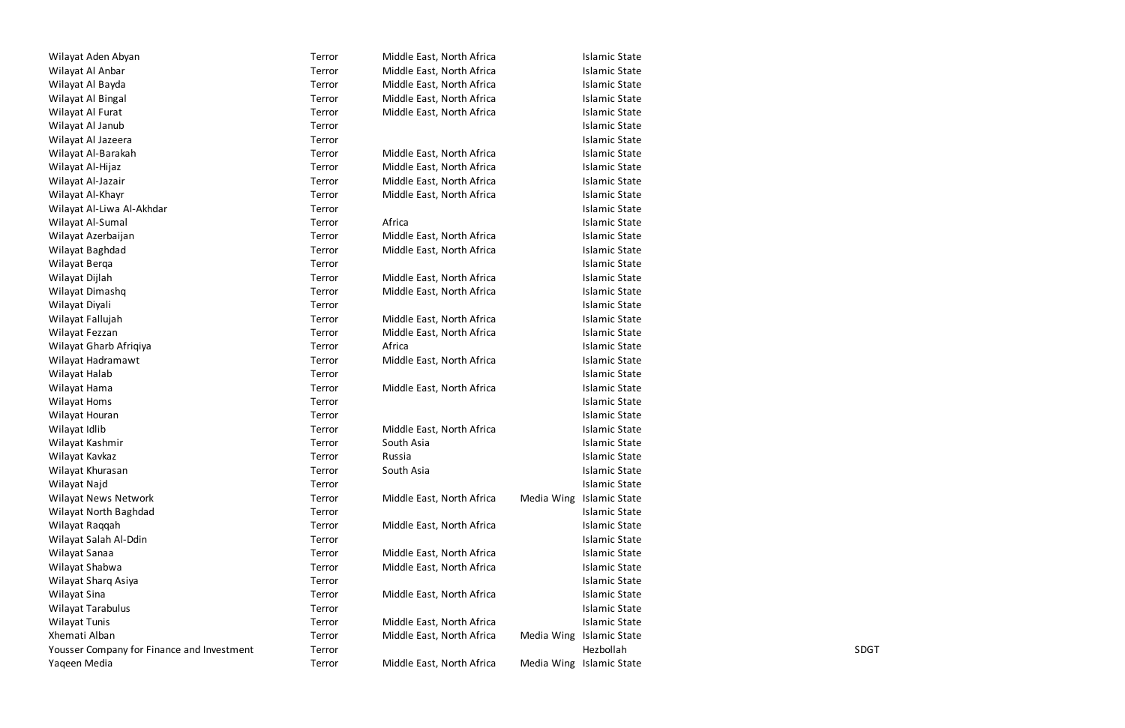| Wilayat Aden Abyan                         | Terror | Middle East, North Africa | <b>Islamic State</b>     |             |
|--------------------------------------------|--------|---------------------------|--------------------------|-------------|
| Wilayat Al Anbar                           | Terror | Middle East, North Africa | <b>Islamic State</b>     |             |
| Wilayat Al Bayda                           | Terror | Middle East, North Africa | <b>Islamic State</b>     |             |
| Wilayat Al Bingal                          | Terror | Middle East, North Africa | <b>Islamic State</b>     |             |
| Wilayat Al Furat                           | Terror | Middle East, North Africa | <b>Islamic State</b>     |             |
| Wilayat Al Janub                           | Terror |                           | <b>Islamic State</b>     |             |
| Wilayat Al Jazeera                         | Terror |                           | <b>Islamic State</b>     |             |
| Wilayat Al-Barakah                         | Terror | Middle East, North Africa | <b>Islamic State</b>     |             |
| Wilayat Al-Hijaz                           | Terror | Middle East, North Africa | <b>Islamic State</b>     |             |
| Wilayat Al-Jazair                          | Terror | Middle East, North Africa | <b>Islamic State</b>     |             |
| Wilayat Al-Khayr                           | Terror | Middle East, North Africa | <b>Islamic State</b>     |             |
| Wilayat Al-Liwa Al-Akhdar                  | Terror |                           | <b>Islamic State</b>     |             |
| Wilayat Al-Sumal                           | Terror | Africa                    | <b>Islamic State</b>     |             |
| Wilayat Azerbaijan                         | Terror | Middle East, North Africa | <b>Islamic State</b>     |             |
| Wilayat Baghdad                            | Terror | Middle East, North Africa | <b>Islamic State</b>     |             |
| Wilayat Berqa                              | Terror |                           | <b>Islamic State</b>     |             |
| Wilayat Dijlah                             | Terror | Middle East, North Africa | <b>Islamic State</b>     |             |
| Wilayat Dimashq                            | Terror | Middle East, North Africa | <b>Islamic State</b>     |             |
| Wilayat Diyali                             | Terror |                           | <b>Islamic State</b>     |             |
| Wilayat Fallujah                           | Terror | Middle East, North Africa | <b>Islamic State</b>     |             |
| Wilayat Fezzan                             | Terror | Middle East, North Africa | <b>Islamic State</b>     |             |
| Wilayat Gharb Afriqiya                     | Terror | Africa                    | <b>Islamic State</b>     |             |
| Wilayat Hadramawt                          | Terror | Middle East, North Africa | <b>Islamic State</b>     |             |
| Wilayat Halab                              | Terror |                           | <b>Islamic State</b>     |             |
| Wilayat Hama                               | Terror | Middle East, North Africa | <b>Islamic State</b>     |             |
| Wilayat Homs                               | Terror |                           | <b>Islamic State</b>     |             |
| Wilayat Houran                             | Terror |                           | <b>Islamic State</b>     |             |
| Wilayat Idlib                              | Terror | Middle East, North Africa | <b>Islamic State</b>     |             |
| Wilayat Kashmir                            | Terror | South Asia                | <b>Islamic State</b>     |             |
| Wilayat Kavkaz                             | Terror | Russia                    | <b>Islamic State</b>     |             |
| Wilayat Khurasan                           | Terror | South Asia                | <b>Islamic State</b>     |             |
| Wilayat Najd                               | Terror |                           | <b>Islamic State</b>     |             |
| Wilayat News Network                       | Terror | Middle East, North Africa | Media Wing Islamic State |             |
| Wilayat North Baghdad                      | Terror |                           | <b>Islamic State</b>     |             |
| Wilayat Raqqah                             | Terror | Middle East, North Africa | <b>Islamic State</b>     |             |
| Wilayat Salah Al-Ddin                      | Terror |                           | <b>Islamic State</b>     |             |
| Wilayat Sanaa                              | Terror | Middle East, North Africa | <b>Islamic State</b>     |             |
| Wilayat Shabwa                             | Terror | Middle East, North Africa | <b>Islamic State</b>     |             |
| Wilayat Sharq Asiya                        | Terror |                           | <b>Islamic State</b>     |             |
| Wilayat Sina                               | Terror | Middle East, North Africa | <b>Islamic State</b>     |             |
| Wilayat Tarabulus                          | Terror |                           | <b>Islamic State</b>     |             |
| Wilayat Tunis                              | Terror | Middle East, North Africa | <b>Islamic State</b>     |             |
| Xhemati Alban                              | Terror | Middle East, North Africa | Media Wing Islamic State |             |
| Yousser Company for Finance and Investment | Terror |                           | Hezbollah                | <b>SDGT</b> |
| Yaqeen Media                               | Terror | Middle East, North Africa | Media Wing Islamic State |             |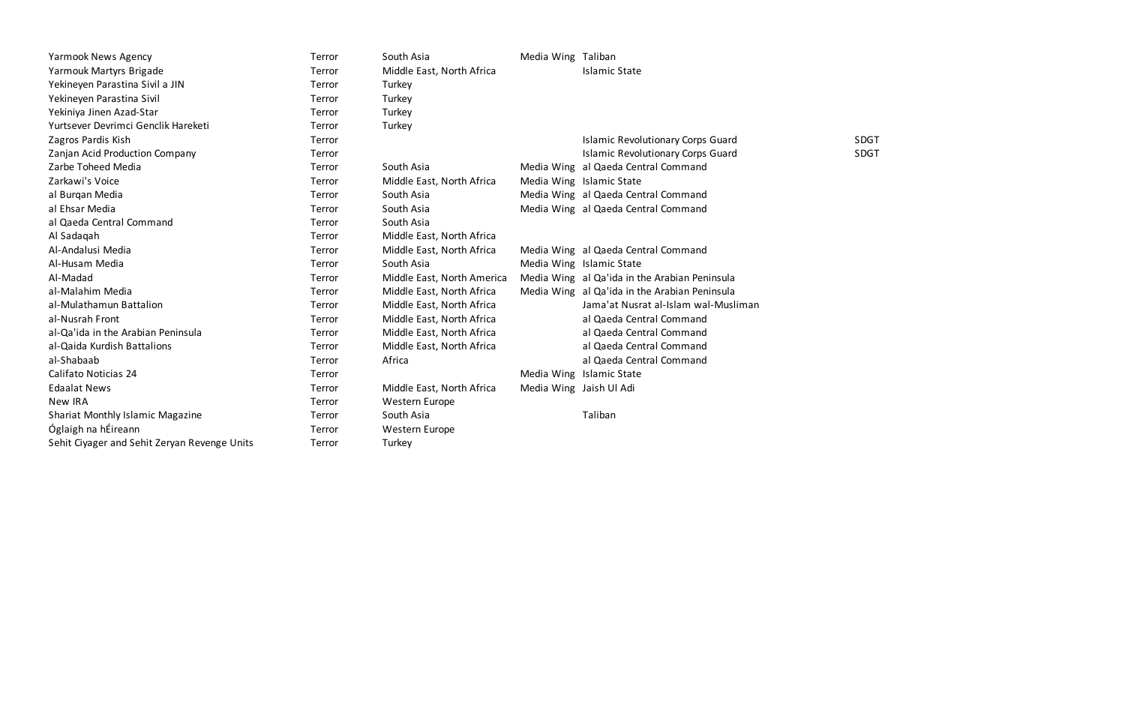| <b>Yarmook News Agency</b>                   | Terror | South Asia                 | Media Wing Taliban      |                                               |             |
|----------------------------------------------|--------|----------------------------|-------------------------|-----------------------------------------------|-------------|
| Yarmouk Martyrs Brigade                      | Terror | Middle East, North Africa  |                         | <b>Islamic State</b>                          |             |
| Yekineyen Parastina Sivil a JIN              | Terror | Turkey                     |                         |                                               |             |
| Yekineyen Parastina Sivil                    | Terror | Turkey                     |                         |                                               |             |
| Yekiniya Jinen Azad-Star                     | Terror | Turkey                     |                         |                                               |             |
| Yurtsever Devrimci Genclik Hareketi          | Terror | Turkey                     |                         |                                               |             |
| Zagros Pardis Kish                           | Terror |                            |                         | <b>Islamic Revolutionary Corps Guard</b>      | <b>SDGT</b> |
| Zanjan Acid Production Company               | Terror |                            |                         | <b>Islamic Revolutionary Corps Guard</b>      | <b>SDGT</b> |
| Zarbe Toheed Media                           | Terror | South Asia                 |                         | Media Wing al Qaeda Central Command           |             |
| Zarkawi's Voice                              | Terror | Middle East, North Africa  |                         | Media Wing Islamic State                      |             |
| al Burgan Media                              | Terror | South Asia                 |                         | Media Wing al Qaeda Central Command           |             |
| al Ehsar Media                               | Terror | South Asia                 |                         | Media Wing al Qaeda Central Command           |             |
| al Qaeda Central Command                     | Terror | South Asia                 |                         |                                               |             |
| Al Sadaqah                                   | Terror | Middle East, North Africa  |                         |                                               |             |
| Al-Andalusi Media                            | Terror | Middle East, North Africa  |                         | Media Wing al Qaeda Central Command           |             |
| Al-Husam Media                               | Terror | South Asia                 |                         | Media Wing Islamic State                      |             |
| Al-Madad                                     | Terror | Middle East, North America |                         | Media Wing al Qa'ida in the Arabian Peninsula |             |
| al-Malahim Media                             | Terror | Middle East, North Africa  |                         | Media Wing al Qa'ida in the Arabian Peninsula |             |
| al-Mulathamun Battalion                      | Terror | Middle East, North Africa  |                         | Jama'at Nusrat al-Islam wal-Musliman          |             |
| al-Nusrah Front                              | Terror | Middle East, North Africa  |                         | al Qaeda Central Command                      |             |
| al-Qa'ida in the Arabian Peninsula           | Terror | Middle East, North Africa  |                         | al Qaeda Central Command                      |             |
| al-Qaida Kurdish Battalions                  | Terror | Middle East, North Africa  |                         | al Qaeda Central Command                      |             |
| al-Shabaab                                   | Terror | Africa                     |                         | al Qaeda Central Command                      |             |
| Califato Noticias 24                         | Terror |                            |                         | Media Wing Islamic State                      |             |
| <b>Edaalat News</b>                          | Terror | Middle East, North Africa  | Media Wing Jaish Ul Adi |                                               |             |
| New IRA                                      | Terror | Western Europe             |                         |                                               |             |
| Shariat Monthly Islamic Magazine             | Terror | South Asia                 |                         | Taliban                                       |             |
| Óglaigh na hÉireann                          | Terror | Western Europe             |                         |                                               |             |
| Sehit Ciyager and Sehit Zeryan Revenge Units | Terror | Turkey                     |                         |                                               |             |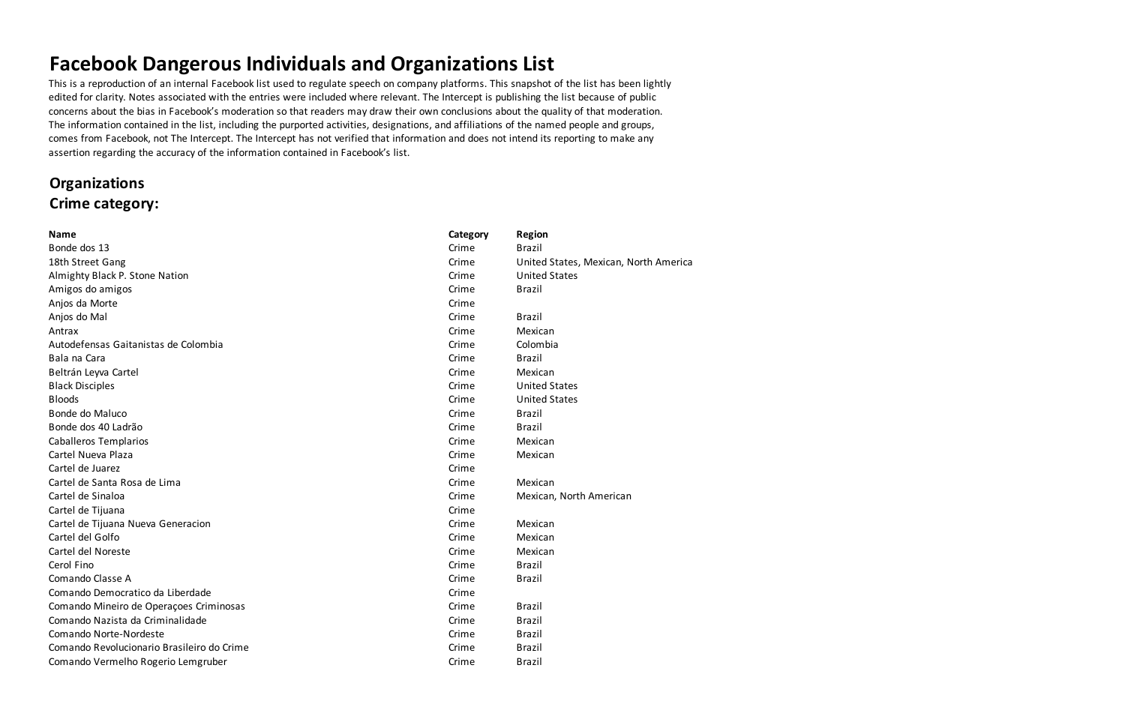## **Facebook Dangerous Individuals and Organizations List**

This is a reproduction of an internal Facebook list used to regulate speech on company platforms. This snapshot of the list has been lightly edited for clarity. Notes associated with the entries were included where relevant. The Intercept is publishing the list because of public concerns about the bias in Facebook's moderation so that readers may draw their own conclusions about the quality of that moderation. The information contained in the list, including the purported activities, designations, and affiliations of the named people and groups, comes from Facebook, not The Intercept. The Intercept has not verified that information and does not intend its reporting to make any assertion regarding the accuracy of the information contained in Facebook's list.

### **Organizations Crime category:**

| <b>Name</b>                                | Category | <b>Region</b>                         |
|--------------------------------------------|----------|---------------------------------------|
| Bonde dos 13                               | Crime    | <b>Brazil</b>                         |
| 18th Street Gang                           | Crime    | United States, Mexican, North America |
| Almighty Black P. Stone Nation             | Crime    | <b>United States</b>                  |
| Amigos do amigos                           | Crime    | <b>Brazil</b>                         |
| Anjos da Morte                             | Crime    |                                       |
| Anjos do Mal                               | Crime    | <b>Brazil</b>                         |
| Antrax                                     | Crime    | Mexican                               |
| Autodefensas Gaitanistas de Colombia       | Crime    | Colombia                              |
| Bala na Cara                               | Crime    | <b>Brazil</b>                         |
| Beltrán Leyva Cartel                       | Crime    | Mexican                               |
| <b>Black Disciples</b>                     | Crime    | <b>United States</b>                  |
| <b>Bloods</b>                              | Crime    | <b>United States</b>                  |
| Bonde do Maluco                            | Crime    | <b>Brazil</b>                         |
| Bonde dos 40 Ladrão                        | Crime    | <b>Brazil</b>                         |
| <b>Caballeros Templarios</b>               | Crime    | Mexican                               |
| Cartel Nueva Plaza                         | Crime    | Mexican                               |
| Cartel de Juarez                           | Crime    |                                       |
| Cartel de Santa Rosa de Lima               | Crime    | Mexican                               |
| Cartel de Sinaloa                          | Crime    | Mexican, North American               |
| Cartel de Tijuana                          | Crime    |                                       |
| Cartel de Tijuana Nueva Generacion         | Crime    | Mexican                               |
| Cartel del Golfo                           | Crime    | Mexican                               |
| Cartel del Noreste                         | Crime    | Mexican                               |
| Cerol Fino                                 | Crime    | <b>Brazil</b>                         |
| Comando Classe A                           | Crime    | <b>Brazil</b>                         |
| Comando Democratico da Liberdade           | Crime    |                                       |
| Comando Mineiro de Operações Criminosas    | Crime    | <b>Brazil</b>                         |
| Comando Nazista da Criminalidade           | Crime    | <b>Brazil</b>                         |
| Comando Norte-Nordeste                     | Crime    | <b>Brazil</b>                         |
| Comando Revolucionario Brasileiro do Crime | Crime    | <b>Brazil</b>                         |
| Comando Vermelho Rogerio Lemgruber         | Crime    | <b>Brazil</b>                         |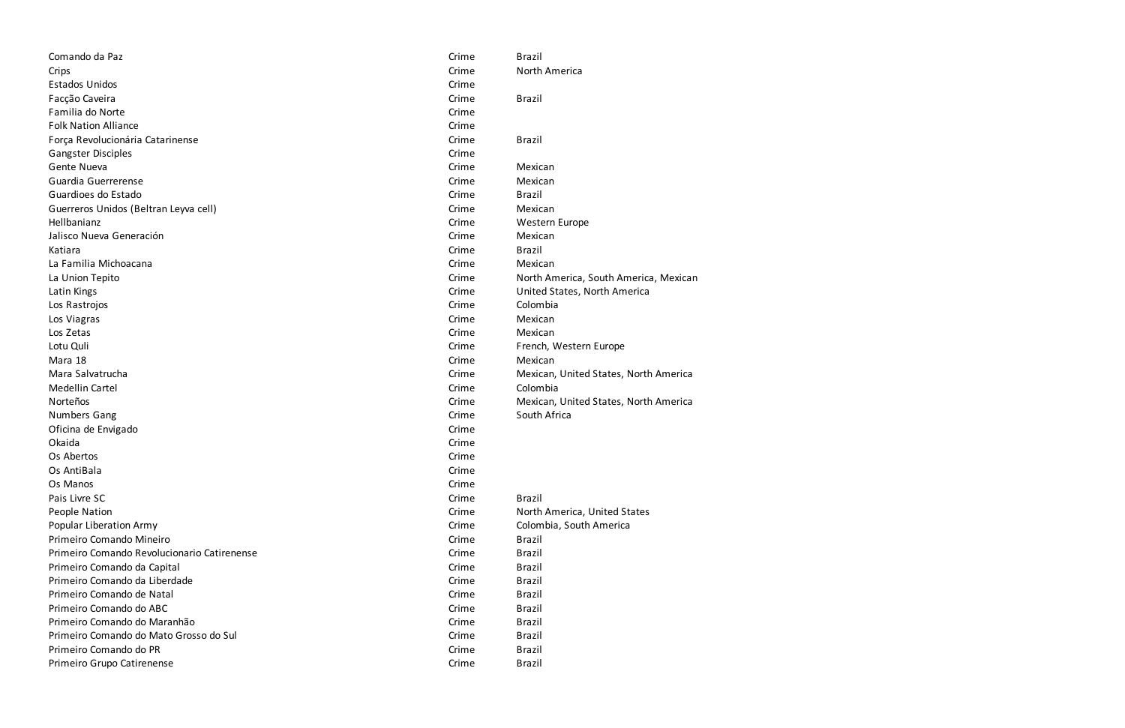| Comando da Paz                              | Crime | <b>Brazil</b>                         |
|---------------------------------------------|-------|---------------------------------------|
| Crips                                       | Crime | North America                         |
| <b>Estados Unidos</b>                       | Crime |                                       |
| Facção Caveira                              | Crime | <b>Brazil</b>                         |
| Familia do Norte                            | Crime |                                       |
| <b>Folk Nation Alliance</b>                 | Crime |                                       |
| Força Revolucionária Catarinense            | Crime | <b>Brazil</b>                         |
| <b>Gangster Disciples</b>                   | Crime |                                       |
| Gente Nueva                                 | Crime | Mexican                               |
| Guardia Guerrerense                         | Crime | Mexican                               |
| Guardioes do Estado                         | Crime | <b>Brazil</b>                         |
| Guerreros Unidos (Beltran Leyva cell)       | Crime | Mexican                               |
| Hellbanianz                                 | Crime | Western Europe                        |
| Jalisco Nueva Generación                    | Crime | Mexican                               |
| Katiara                                     | Crime | <b>Brazil</b>                         |
| La Familia Michoacana                       | Crime | Mexican                               |
| La Union Tepito                             | Crime | North America, South America, Mexican |
| Latin Kings                                 | Crime | United States, North America          |
| Los Rastrojos                               | Crime | Colombia                              |
| Los Viagras                                 | Crime | Mexican                               |
| Los Zetas                                   | Crime | Mexican                               |
| Lotu Quli                                   | Crime | French, Western Europe                |
| Mara 18                                     | Crime | Mexican                               |
| Mara Salvatrucha                            | Crime | Mexican, United States, North America |
| Medellin Cartel                             | Crime | Colombia                              |
| Norteños                                    | Crime | Mexican, United States, North America |
| Numbers Gang                                | Crime | South Africa                          |
| Oficina de Envigado                         | Crime |                                       |
| Okaida                                      | Crime |                                       |
| Os Abertos                                  | Crime |                                       |
| Os AntiBala                                 | Crime |                                       |
| Os Manos                                    | Crime |                                       |
| Pais Livre SC                               | Crime | <b>Brazil</b>                         |
| People Nation                               | Crime | North America, United States          |
| <b>Popular Liberation Army</b>              | Crime | Colombia, South America               |
| Primeiro Comando Mineiro                    | Crime | <b>Brazil</b>                         |
| Primeiro Comando Revolucionario Catirenense | Crime | <b>Brazil</b>                         |
| Primeiro Comando da Capital                 | Crime | <b>Brazil</b>                         |
| Primeiro Comando da Liberdade               | Crime | <b>Brazil</b>                         |
| Primeiro Comando de Natal                   | Crime | <b>Brazil</b>                         |
| Primeiro Comando do ABC                     | Crime | <b>Brazil</b>                         |
| Primeiro Comando do Maranhão                | Crime | <b>Brazil</b>                         |
| Primeiro Comando do Mato Grosso do Sul      | Crime | <b>Brazil</b>                         |
| Primeiro Comando do PR                      | Crime | <b>Brazil</b>                         |
| Primeiro Grupo Catirenense                  | Crime | <b>Brazil</b>                         |
|                                             |       |                                       |

| Crime | <b>Brazil</b>                         |
|-------|---------------------------------------|
| Crime | North America                         |
| Crime |                                       |
| Crime | <b>Brazil</b>                         |
| Crime |                                       |
| Crime |                                       |
| Crime | <b>Brazil</b>                         |
| Crime |                                       |
| Crime | Mexican                               |
| Crime | Mexican                               |
| Crime | <b>Brazil</b>                         |
| Crime | Mexican                               |
| Crime | <b>Western Europe</b>                 |
| Crime | Mexican                               |
| Crime | <b>Brazil</b>                         |
| Crime | Mexican                               |
| Crime | North America, South America, Mexican |
| Crime | United States, North America          |
| Crime | Colombia                              |
| Crime | Mexican                               |
| Crime | Mexican                               |
| Crime | French, Western Europe                |
| Crime | Mexican                               |
| Crime | Mexican, United States, North America |
| Crime | Colombia                              |
| Crime | Mexican, United States, North America |
| Crime | South Africa                          |
| Crime |                                       |
| Crime |                                       |
| Crime |                                       |
| Crime |                                       |
| Crime |                                       |
| Crime | <b>Brazil</b>                         |
| Crime | North America, United States          |
| Crime | Colombia, South America               |
| Crime | <b>Brazil</b>                         |
| Crime | <b>Brazil</b>                         |
| Crime | <b>Brazil</b>                         |
| Crime | <b>Brazil</b>                         |
| Crime | <b>Brazil</b>                         |
| Crime | <b>Brazil</b>                         |
| Crime | <b>Brazil</b>                         |
| Crime | <b>Brazil</b>                         |
| Crime | <b>Brazil</b>                         |
| ^rim≏ | <b>Rrazil</b>                         |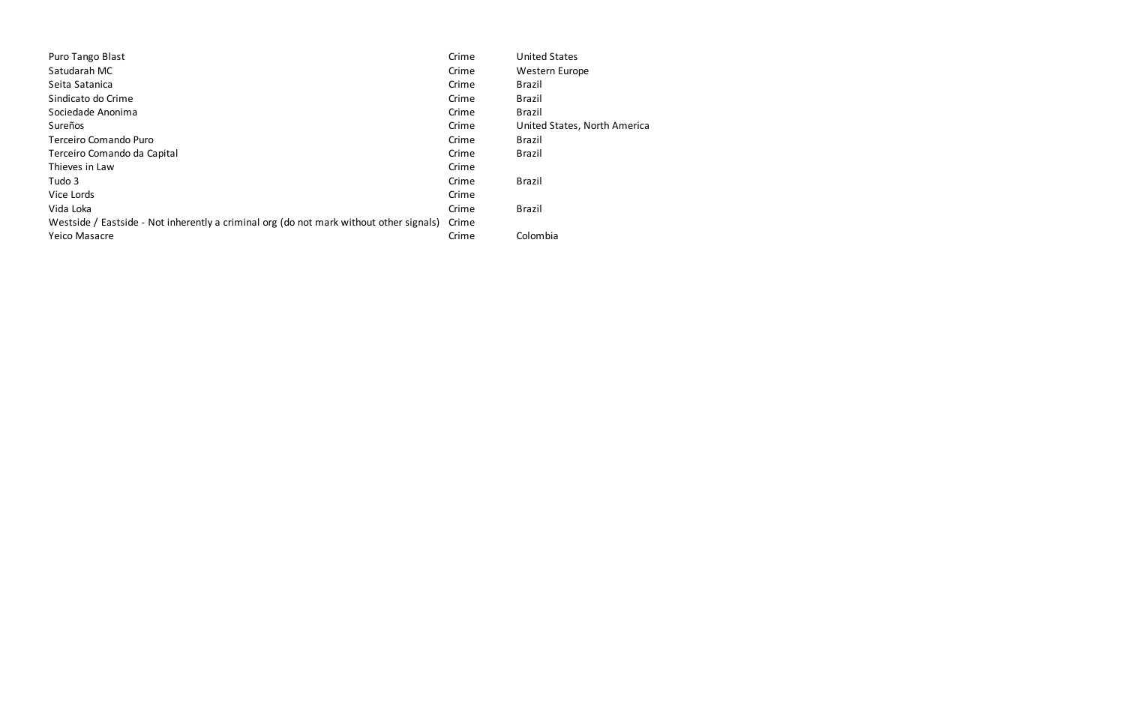| Puro Tango Blast                                                                        | Crime | <b>United States</b>         |
|-----------------------------------------------------------------------------------------|-------|------------------------------|
| Satudarah MC                                                                            | Crime | Western Europe               |
| Seita Satanica                                                                          | Crime | <b>Brazil</b>                |
| Sindicato do Crime                                                                      | Crime | <b>Brazil</b>                |
| Sociedade Anonima                                                                       | Crime | <b>Brazil</b>                |
| Sureños                                                                                 | Crime | United States, North America |
| Terceiro Comando Puro                                                                   | Crime | <b>Brazil</b>                |
| Terceiro Comando da Capital                                                             | Crime | <b>Brazil</b>                |
| Thieves in Law                                                                          | Crime |                              |
| Tudo 3                                                                                  | Crime | <b>Brazil</b>                |
| Vice Lords                                                                              | Crime |                              |
| Vida Loka                                                                               | Crime | <b>Brazil</b>                |
| Westside / Eastside - Not inherently a criminal org (do not mark without other signals) | Crime |                              |
| <b>Yeico Masacre</b>                                                                    | Crime | Colombia                     |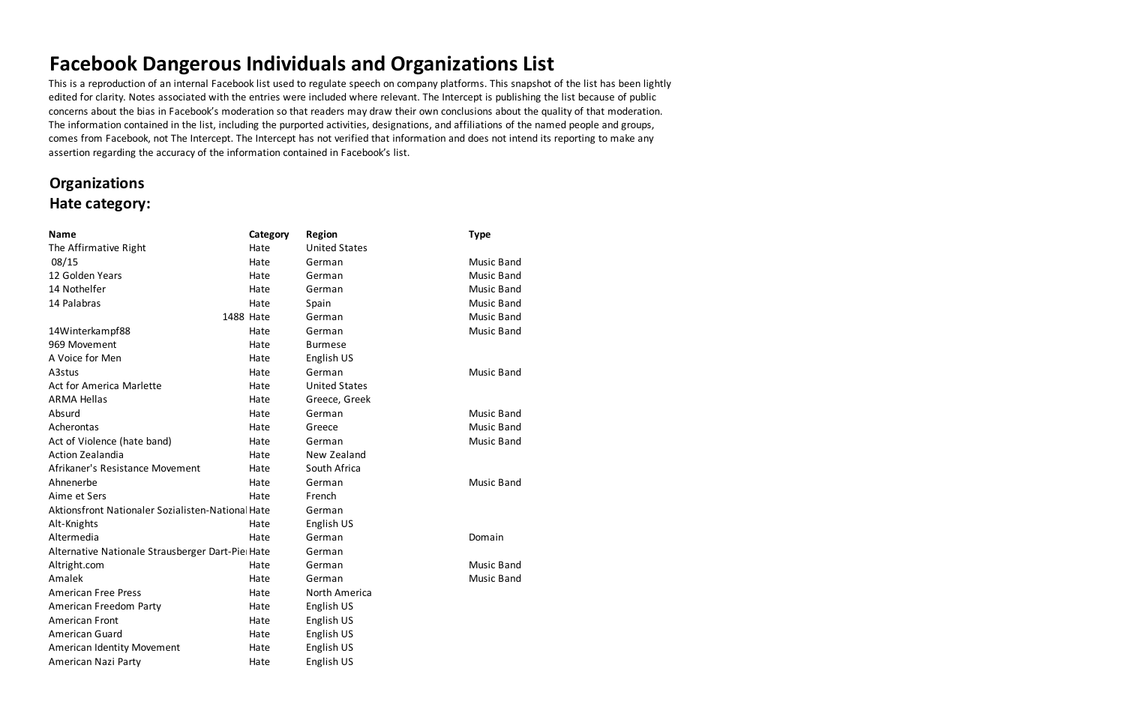# **Facebook Dangerous Individuals and Organizations List**

This is a reproduction of an internal Facebook list used to regulate speech on company platforms. This snapshot of the list has been lightly edited for clarity. Notes associated with the entries were included where relevant. The Intercept is publishing the list because of public concerns about the bias in Facebook's moderation so that readers may draw their own conclusions about the quality of that moderation. The information contained in the list, including the purported activities, designations, and affiliations of the named people and groups, comes from Facebook, not The Intercept. The Intercept has not verified that information and does not intend its reporting to make any assertion regarding the accuracy of the information contained in Facebook's list.

### **Organizations Hate category:**

| <b>Name</b>                                       | Category  | <b>Region</b>        | <b>Type</b>       |
|---------------------------------------------------|-----------|----------------------|-------------------|
| The Affirmative Right                             | Hate      | <b>United States</b> |                   |
| 08/15                                             | Hate      | German               | <b>Music Band</b> |
| 12 Golden Years                                   | Hate      | German               | Music Band        |
| 14 Nothelfer                                      | Hate      | German               | Music Band        |
| 14 Palabras                                       | Hate      | Spain                | <b>Music Band</b> |
|                                                   | 1488 Hate | German               | <b>Music Band</b> |
| 14Winterkampf88                                   | Hate      | German               | <b>Music Band</b> |
| 969 Movement                                      | Hate      | <b>Burmese</b>       |                   |
| A Voice for Men                                   | Hate      | English US           |                   |
| A3stus                                            | Hate      | German               | <b>Music Band</b> |
| Act for America Marlette                          | Hate      | <b>United States</b> |                   |
| <b>ARMA Hellas</b>                                | Hate      | Greece, Greek        |                   |
| Absurd                                            | Hate      | German               | <b>Music Band</b> |
| Acherontas                                        | Hate      | Greece               | <b>Music Band</b> |
| Act of Violence (hate band)                       | Hate      | German               | <b>Music Band</b> |
| <b>Action Zealandia</b>                           | Hate      | New Zealand          |                   |
| Afrikaner's Resistance Movement                   | Hate      | South Africa         |                   |
| Ahnenerbe                                         | Hate      | German               | <b>Music Band</b> |
| Aime et Sers                                      | Hate      | French               |                   |
| Aktionsfront Nationaler Sozialisten-National Hate |           | German               |                   |
| Alt-Knights                                       | Hate      | English US           |                   |
| Altermedia                                        | Hate      | German               | Domain            |
| Alternative Nationale Strausberger Dart-Pie Hate  |           | German               |                   |
| Altright.com                                      | Hate      | German               | <b>Music Band</b> |
| Amalek                                            | Hate      | German               | <b>Music Band</b> |
| <b>American Free Press</b>                        | Hate      | North America        |                   |
| American Freedom Party                            | Hate      | English US           |                   |
| <b>American Front</b>                             | Hate      | English US           |                   |
| American Guard                                    | Hate      | English US           |                   |
| American Identity Movement                        | Hate      | English US           |                   |
| American Nazi Party                               | Hate      | English US           |                   |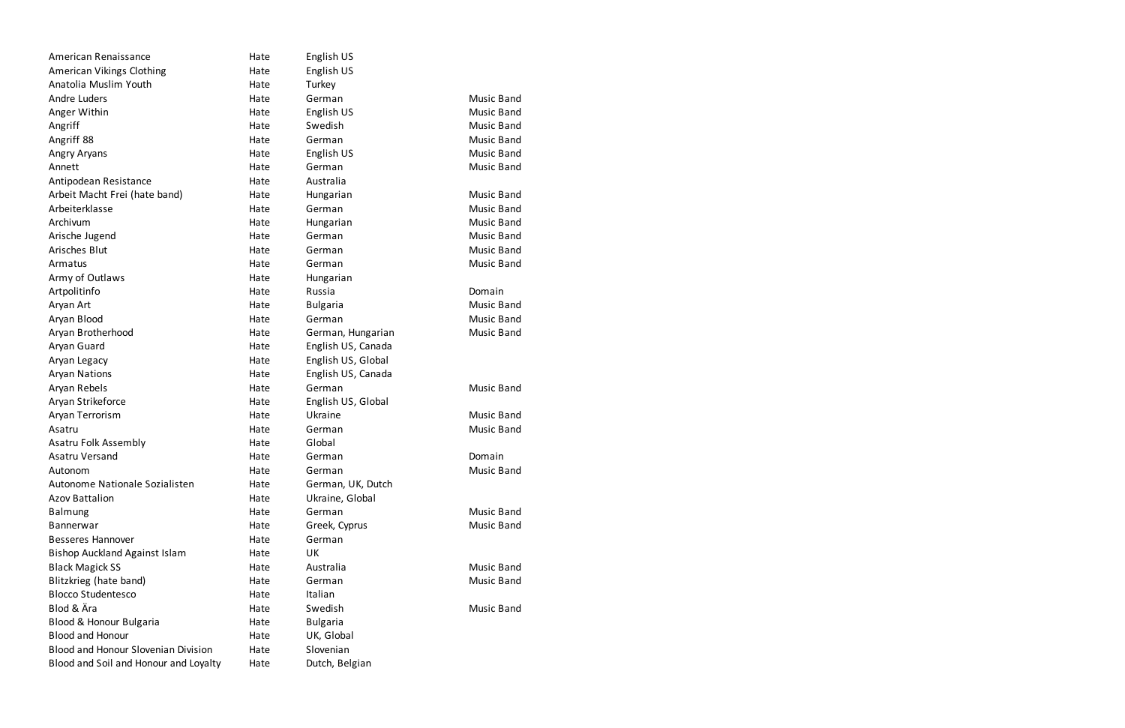| American Renaissance                       | Hate | English US         |                   |
|--------------------------------------------|------|--------------------|-------------------|
| American Vikings Clothing                  | Hate | English US         |                   |
| Anatolia Muslim Youth                      | Hate | Turkey             |                   |
| <b>Andre Luders</b>                        | Hate | German             | <b>Music Band</b> |
| Anger Within                               | Hate | English US         | <b>Music Band</b> |
| Angriff                                    | Hate | Swedish            | <b>Music Band</b> |
| Angriff 88                                 | Hate | German             | <b>Music Band</b> |
| Angry Aryans                               | Hate | English US         | <b>Music Band</b> |
| Annett                                     | Hate | German             | <b>Music Band</b> |
| Antipodean Resistance                      | Hate | Australia          |                   |
| Arbeit Macht Frei (hate band)              | Hate | Hungarian          | <b>Music Band</b> |
| Arbeiterklasse                             | Hate | German             | <b>Music Band</b> |
| Archivum                                   | Hate | Hungarian          | <b>Music Band</b> |
| Arische Jugend                             | Hate | German             | <b>Music Band</b> |
| Arisches Blut                              | Hate | German             | <b>Music Band</b> |
| Armatus                                    | Hate | German             | <b>Music Band</b> |
| Army of Outlaws                            | Hate | Hungarian          |                   |
| Artpolitinfo                               | Hate | Russia             | Domain            |
| Aryan Art                                  | Hate | <b>Bulgaria</b>    | <b>Music Band</b> |
| Aryan Blood                                | Hate | German             | <b>Music Band</b> |
| Aryan Brotherhood                          | Hate | German, Hungarian  | <b>Music Band</b> |
| Aryan Guard                                | Hate | English US, Canada |                   |
| Aryan Legacy                               | Hate | English US, Global |                   |
| <b>Aryan Nations</b>                       | Hate | English US, Canada |                   |
| Aryan Rebels                               | Hate | German             | <b>Music Band</b> |
| Aryan Strikeforce                          | Hate | English US, Global |                   |
| Aryan Terrorism                            | Hate | Ukraine            | <b>Music Band</b> |
| Asatru                                     | Hate | German             | <b>Music Band</b> |
| Asatru Folk Assembly                       | Hate | Global             |                   |
| Asatru Versand                             | Hate | German             | Domain            |
| Autonom                                    | Hate | German             | <b>Music Band</b> |
| Autonome Nationale Sozialisten             | Hate | German, UK, Dutch  |                   |
| <b>Azov Battalion</b>                      | Hate | Ukraine, Global    |                   |
| <b>Balmung</b>                             | Hate | German             | <b>Music Band</b> |
| Bannerwar                                  | Hate | Greek, Cyprus      | <b>Music Band</b> |
| <b>Besseres Hannover</b>                   | Hate | German             |                   |
| <b>Bishop Auckland Against Islam</b>       | Hate | UK                 |                   |
| <b>Black Magick SS</b>                     | Hate | Australia          | <b>Music Band</b> |
| Blitzkrieg (hate band)                     | Hate | German             | <b>Music Band</b> |
| <b>Blocco Studentesco</b>                  | Hate | Italian            |                   |
| Blod & Ära                                 | Hate | Swedish            | <b>Music Band</b> |
| Blood & Honour Bulgaria                    | Hate | <b>Bulgaria</b>    |                   |
| <b>Blood and Honour</b>                    | Hate | UK, Global         |                   |
| <b>Blood and Honour Slovenian Division</b> | Hate | Slovenian          |                   |
| Blood and Soil and Honour and Loyalty      | Hate | Dutch, Belgian     |                   |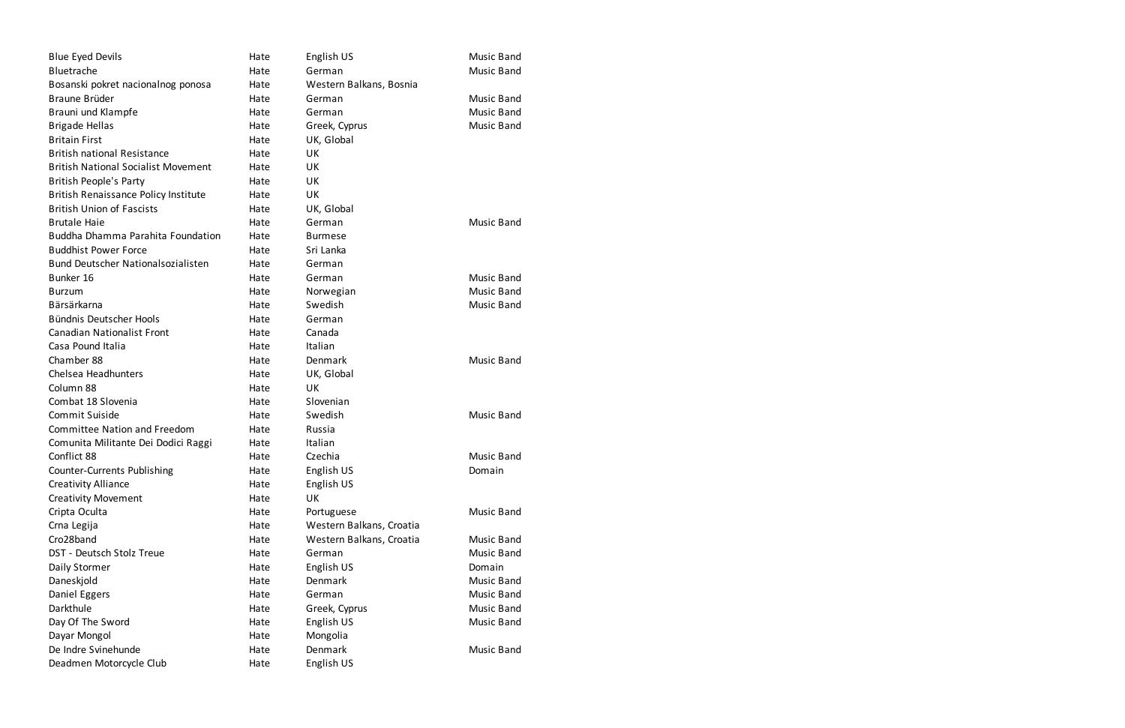| <b>Blue Eyed Devils</b>                     | Hate | English US               | <b>Music Band</b> |
|---------------------------------------------|------|--------------------------|-------------------|
| Bluetrache                                  | Hate | German                   | <b>Music Band</b> |
| Bosanski pokret nacionalnog ponosa          | Hate | Western Balkans, Bosnia  |                   |
| Braune Brüder                               | Hate | German                   | <b>Music Band</b> |
| Brauni und Klampfe                          | Hate | German                   | <b>Music Band</b> |
| <b>Brigade Hellas</b>                       | Hate | Greek, Cyprus            | <b>Music Band</b> |
| <b>Britain First</b>                        | Hate | UK, Global               |                   |
| <b>British national Resistance</b>          | Hate | UK                       |                   |
| <b>British National Socialist Movement</b>  | Hate | UK                       |                   |
| <b>British People's Party</b>               | Hate | UK                       |                   |
| <b>British Renaissance Policy Institute</b> | Hate | UK                       |                   |
| <b>British Union of Fascists</b>            | Hate | UK, Global               |                   |
| <b>Brutale Haie</b>                         | Hate | German                   | <b>Music Band</b> |
| Buddha Dhamma Parahita Foundation           | Hate | <b>Burmese</b>           |                   |
| <b>Buddhist Power Force</b>                 | Hate | Sri Lanka                |                   |
| <b>Bund Deutscher Nationalsozialisten</b>   | Hate | German                   |                   |
| Bunker 16                                   | Hate | German                   | <b>Music Band</b> |
| <b>Burzum</b>                               | Hate | Norwegian                | <b>Music Band</b> |
| Bärsärkarna                                 | Hate | Swedish                  | <b>Music Band</b> |
| Bündnis Deutscher Hools                     | Hate | German                   |                   |
| Canadian Nationalist Front                  | Hate | Canada                   |                   |
| Casa Pound Italia                           | Hate | Italian                  |                   |
| Chamber 88                                  | Hate | Denmark                  | <b>Music Band</b> |
| Chelsea Headhunters                         | Hate | UK, Global               |                   |
| Column 88                                   | Hate | UK                       |                   |
| Combat 18 Slovenia                          | Hate | Slovenian                |                   |
| Commit Suiside                              | Hate | Swedish                  | <b>Music Band</b> |
| <b>Committee Nation and Freedom</b>         | Hate | Russia                   |                   |
| Comunita Militante Dei Dodici Raggi         | Hate | Italian                  |                   |
| Conflict 88                                 | Hate | Czechia                  | <b>Music Band</b> |
| <b>Counter-Currents Publishing</b>          | Hate | English US               | Domain            |
| <b>Creativity Alliance</b>                  | Hate | English US               |                   |
| <b>Creativity Movement</b>                  | Hate | UK                       |                   |
| Cripta Oculta                               | Hate | Portuguese               | <b>Music Band</b> |
| Crna Legija                                 | Hate | Western Balkans, Croatia |                   |
| Cro28band                                   | Hate | Western Balkans, Croatia | <b>Music Band</b> |
| DST - Deutsch Stolz Treue                   | Hate | German                   | <b>Music Band</b> |
| Daily Stormer                               | Hate | English US               | Domain            |
| Daneskjold                                  | Hate | Denmark                  | <b>Music Band</b> |
| Daniel Eggers                               | Hate | German                   | <b>Music Band</b> |
| Darkthule                                   | Hate | Greek, Cyprus            | <b>Music Band</b> |
| Day Of The Sword                            | Hate | English US               | <b>Music Band</b> |
| Dayar Mongol                                | Hate | Mongolia                 |                   |
| De Indre Svinehunde                         | Hate | Denmark                  | <b>Music Band</b> |
| Deadmen Motorcycle Club                     | Hate | English US               |                   |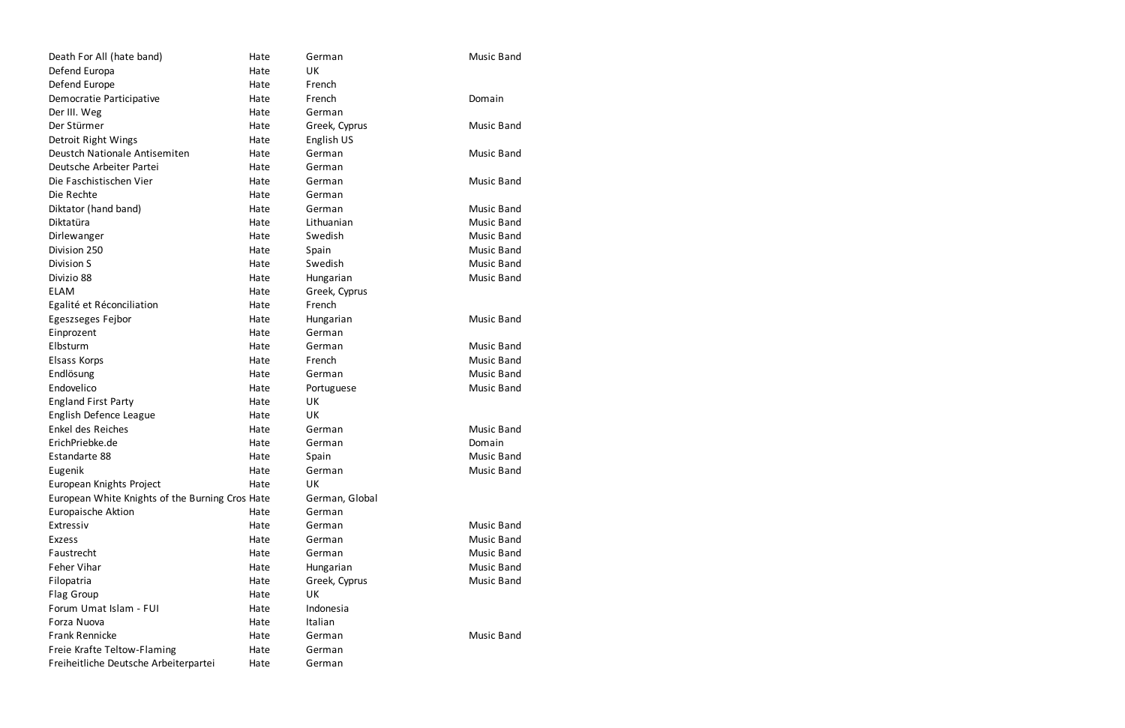| Death For All (hate band)                       | Hate | German         | <b>Music Band</b> |
|-------------------------------------------------|------|----------------|-------------------|
| Defend Europa                                   | Hate | <b>UK</b>      |                   |
| Defend Europe                                   | Hate | French         |                   |
| Democratie Participative                        | Hate | French         | Domain            |
| Der III. Weg                                    | Hate | German         |                   |
| Der Stürmer                                     | Hate | Greek, Cyprus  | <b>Music Band</b> |
| Detroit Right Wings                             | Hate | English US     |                   |
| Deustch Nationale Antisemiten                   | Hate | German         | <b>Music Band</b> |
| Deutsche Arbeiter Partei                        | Hate | German         |                   |
| Die Faschistischen Vier                         | Hate | German         | <b>Music Band</b> |
| Die Rechte                                      | Hate | German         |                   |
| Diktator (hand band)                            | Hate | German         | <b>Music Band</b> |
| Diktatüra                                       | Hate | Lithuanian     | <b>Music Band</b> |
| Dirlewanger                                     | Hate | Swedish        | <b>Music Band</b> |
| Division 250                                    | Hate | Spain          | <b>Music Band</b> |
| Division S                                      | Hate | Swedish        | <b>Music Band</b> |
| Divizio 88                                      | Hate | Hungarian      | <b>Music Band</b> |
| <b>ELAM</b>                                     | Hate | Greek, Cyprus  |                   |
| Egalité et Réconciliation                       | Hate | French         |                   |
| Egeszseges Fejbor                               | Hate | Hungarian      | <b>Music Band</b> |
| Einprozent                                      | Hate | German         |                   |
| Elbsturm                                        | Hate | German         | <b>Music Band</b> |
| Elsass Korps                                    | Hate | French         | <b>Music Band</b> |
| Endlösung                                       | Hate | German         | <b>Music Band</b> |
| Endovelico                                      | Hate | Portuguese     | <b>Music Band</b> |
| <b>England First Party</b>                      | Hate | UK             |                   |
| English Defence League                          | Hate | UK             |                   |
| Enkel des Reiches                               | Hate | German         | <b>Music Band</b> |
| ErichPriebke.de                                 | Hate | German         | Domain            |
| Estandarte 88                                   | Hate | Spain          | <b>Music Band</b> |
| Eugenik                                         | Hate | German         | <b>Music Band</b> |
| European Knights Project                        | Hate | UK             |                   |
| European White Knights of the Burning Cros Hate |      | German, Global |                   |
| <b>Europaische Aktion</b>                       | Hate | German         |                   |
| Extressiv                                       | Hate | German         | Music Band        |
| <b>Exzess</b>                                   | Hate | German         | <b>Music Band</b> |
| Faustrecht                                      | Hate | German         | <b>Music Band</b> |
| Feher Vihar                                     | Hate | Hungarian      | <b>Music Band</b> |
| Filopatria                                      | Hate | Greek, Cyprus  | <b>Music Band</b> |
| Flag Group                                      | Hate | UK             |                   |
| Forum Umat Islam - FUI                          | Hate | Indonesia      |                   |
| Forza Nuova                                     | Hate | Italian        |                   |
| <b>Frank Rennicke</b>                           | Hate | German         | <b>Music Band</b> |
| Freie Krafte Teltow-Flaming                     | Hate | German         |                   |
| Freiheitliche Deutsche Arbeiterpartei           | Hate | German         |                   |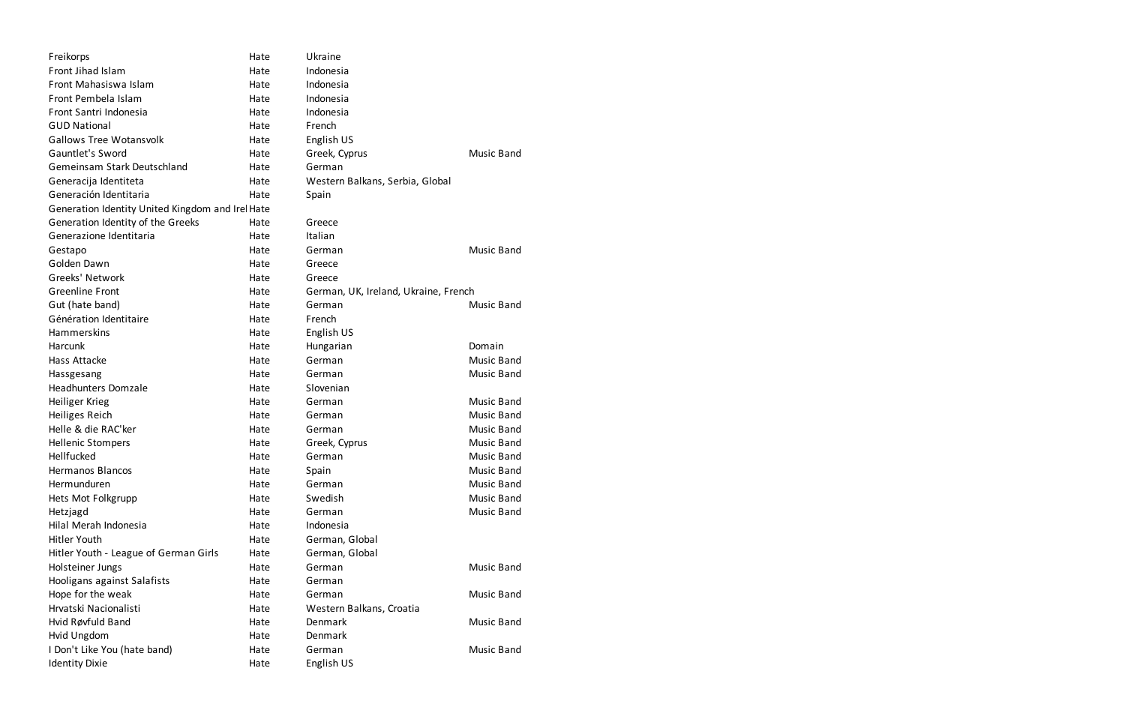| Front Jihad Islam<br>Indonesia<br>Hate<br>Front Mahasiswa Islam<br>Indonesia<br>Hate<br>Front Pembela Islam<br>Indonesia<br>Hate<br>Front Santri Indonesia<br>Indonesia<br>Hate<br><b>GUD National</b><br>French<br>Hate<br><b>Gallows Tree Wotansvolk</b><br>English US<br>Hate |  |
|----------------------------------------------------------------------------------------------------------------------------------------------------------------------------------------------------------------------------------------------------------------------------------|--|
|                                                                                                                                                                                                                                                                                  |  |
|                                                                                                                                                                                                                                                                                  |  |
|                                                                                                                                                                                                                                                                                  |  |
|                                                                                                                                                                                                                                                                                  |  |
|                                                                                                                                                                                                                                                                                  |  |
|                                                                                                                                                                                                                                                                                  |  |
| Gauntlet's Sword<br>Greek, Cyprus<br><b>Music Band</b><br>Hate                                                                                                                                                                                                                   |  |
| <b>Gemeinsam Stark Deutschland</b><br>German<br>Hate                                                                                                                                                                                                                             |  |
| Generacija Identiteta<br>Hate<br>Western Balkans, Serbia, Global                                                                                                                                                                                                                 |  |
| Generación Identitaria<br>Hate<br>Spain                                                                                                                                                                                                                                          |  |
| Generation Identity United Kingdom and Irel Hate                                                                                                                                                                                                                                 |  |
| Generation Identity of the Greeks<br>Greece<br>Hate                                                                                                                                                                                                                              |  |
| Generazione Identitaria<br>Italian<br>Hate                                                                                                                                                                                                                                       |  |
| <b>Music Band</b><br>Hate<br>German<br>Gestapo                                                                                                                                                                                                                                   |  |
| Golden Dawn<br>Hate<br>Greece                                                                                                                                                                                                                                                    |  |
| Greeks' Network<br>Hate<br>Greece                                                                                                                                                                                                                                                |  |
| <b>Greenline Front</b><br>Hate<br>German, UK, Ireland, Ukraine, French                                                                                                                                                                                                           |  |
| German<br>Gut (hate band)<br>Hate<br><b>Music Band</b>                                                                                                                                                                                                                           |  |
| Génération Identitaire<br>French<br>Hate                                                                                                                                                                                                                                         |  |
| Hammerskins<br>English US<br>Hate                                                                                                                                                                                                                                                |  |
| Harcunk<br>Hungarian<br>Domain<br>Hate                                                                                                                                                                                                                                           |  |
| Hass Attacke<br>German<br><b>Music Band</b><br>Hate                                                                                                                                                                                                                              |  |
| <b>Music Band</b><br>German<br>Hate<br>Hassgesang                                                                                                                                                                                                                                |  |
| <b>Headhunters Domzale</b><br>Slovenian<br>Hate                                                                                                                                                                                                                                  |  |
| <b>Heiliger Krieg</b><br>German<br><b>Music Band</b><br>Hate                                                                                                                                                                                                                     |  |
| <b>Music Band</b><br>Heiliges Reich<br>Hate<br>German                                                                                                                                                                                                                            |  |
| Helle & die RAC'ker<br><b>Music Band</b><br>Hate<br>German                                                                                                                                                                                                                       |  |
| <b>Music Band</b><br><b>Hellenic Stompers</b><br>Greek, Cyprus<br>Hate                                                                                                                                                                                                           |  |
| Hellfucked<br>German<br><b>Music Band</b><br>Hate                                                                                                                                                                                                                                |  |
| <b>Hermanos Blancos</b><br><b>Music Band</b><br>Hate<br>Spain                                                                                                                                                                                                                    |  |
| Hermunduren<br><b>Music Band</b><br>Hate<br>German                                                                                                                                                                                                                               |  |
| Swedish<br><b>Music Band</b><br>Hets Mot Folkgrupp<br>Hate                                                                                                                                                                                                                       |  |
| <b>Music Band</b><br>German<br>Hetzjagd<br>Hate                                                                                                                                                                                                                                  |  |
| Hilal Merah Indonesia<br>Indonesia<br>Hate                                                                                                                                                                                                                                       |  |
| German, Global<br><b>Hitler Youth</b><br>Hate                                                                                                                                                                                                                                    |  |
| Hitler Youth - League of German Girls<br>Hate<br>German, Global                                                                                                                                                                                                                  |  |
| Holsteiner Jungs<br>German<br><b>Music Band</b><br>Hate                                                                                                                                                                                                                          |  |
| Hooligans against Salafists<br>Hate<br>German                                                                                                                                                                                                                                    |  |
| Hope for the weak<br>German<br><b>Music Band</b><br>Hate                                                                                                                                                                                                                         |  |
| Hrvatski Nacionalisti<br>Hate<br>Western Balkans, Croatia                                                                                                                                                                                                                        |  |
| Hvid Røvfuld Band<br>Denmark<br><b>Music Band</b><br>Hate                                                                                                                                                                                                                        |  |
| Denmark<br>Hvid Ungdom<br>Hate                                                                                                                                                                                                                                                   |  |
| I Don't Like You (hate band)<br>German<br><b>Music Band</b><br>Hate                                                                                                                                                                                                              |  |
| <b>Identity Dixie</b><br>English US<br>Hate                                                                                                                                                                                                                                      |  |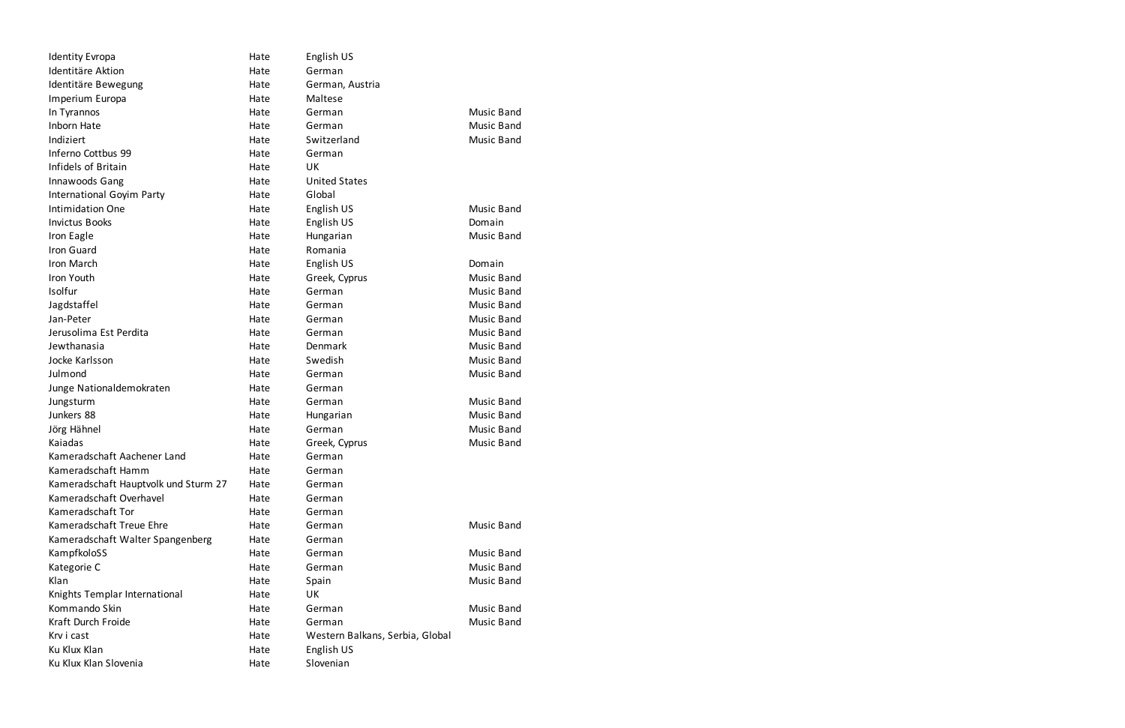| <b>Identity Evropa</b>               | Hate | English US                      |                   |
|--------------------------------------|------|---------------------------------|-------------------|
| Identitäre Aktion                    | Hate | German                          |                   |
| Identitäre Bewegung                  | Hate | German, Austria                 |                   |
| Imperium Europa                      | Hate | Maltese                         |                   |
| In Tyrannos                          | Hate | German                          | <b>Music Band</b> |
| Inborn Hate                          | Hate | German                          | <b>Music Band</b> |
| Indiziert                            | Hate | Switzerland                     | Music Band        |
| Inferno Cottbus 99                   | Hate | German                          |                   |
| Infidels of Britain                  | Hate | <b>UK</b>                       |                   |
| Innawoods Gang                       | Hate | <b>United States</b>            |                   |
| International Goyim Party            | Hate | Global                          |                   |
| Intimidation One                     | Hate | English US                      | <b>Music Band</b> |
| <b>Invictus Books</b>                | Hate | English US                      | Domain            |
| Iron Eagle                           | Hate | Hungarian                       | <b>Music Band</b> |
| Iron Guard                           | Hate | Romania                         |                   |
| Iron March                           | Hate | English US                      | Domain            |
| Iron Youth                           | Hate | Greek, Cyprus                   | <b>Music Band</b> |
| Isolfur                              | Hate | German                          | <b>Music Band</b> |
| Jagdstaffel                          | Hate | German                          | <b>Music Band</b> |
| Jan-Peter                            | Hate | German                          | <b>Music Band</b> |
| Jerusolima Est Perdita               | Hate | German                          | <b>Music Band</b> |
| Jewthanasia                          | Hate | Denmark                         | <b>Music Band</b> |
| Jocke Karlsson                       | Hate | Swedish                         | <b>Music Band</b> |
| Julmond                              | Hate | German                          | Music Band        |
| Junge Nationaldemokraten             | Hate | German                          |                   |
| Jungsturm                            | Hate | German                          | <b>Music Band</b> |
| Junkers 88                           | Hate | Hungarian                       | <b>Music Band</b> |
| Jörg Hähnel                          | Hate | German                          | <b>Music Band</b> |
| Kaiadas                              | Hate | Greek, Cyprus                   | Music Band        |
| Kameradschaft Aachener Land          | Hate | German                          |                   |
| Kameradschaft Hamm                   | Hate | German                          |                   |
| Kameradschaft Hauptvolk und Sturm 27 | Hate | German                          |                   |
| Kameradschaft Overhavel              | Hate | German                          |                   |
| Kameradschaft Tor                    | Hate | German                          |                   |
| Kameradschaft Treue Ehre             | Hate | German                          | <b>Music Band</b> |
| Kameradschaft Walter Spangenberg     | Hate | German                          |                   |
| KampfkoloSS                          | Hate | German                          | Music Band        |
| Kategorie C                          | Hate | German                          | <b>Music Band</b> |
| Klan                                 | Hate | Spain                           | Music Band        |
| Knights Templar International        | Hate | <b>UK</b>                       |                   |
| Kommando Skin                        | Hate | German                          | <b>Music Band</b> |
| Kraft Durch Froide                   | Hate | German                          | Music Band        |
| Krv i cast                           | Hate | Western Balkans, Serbia, Global |                   |
| Ku Klux Klan                         | Hate | English US                      |                   |
| Ku Klux Klan Slovenia                | Hate | Slovenian                       |                   |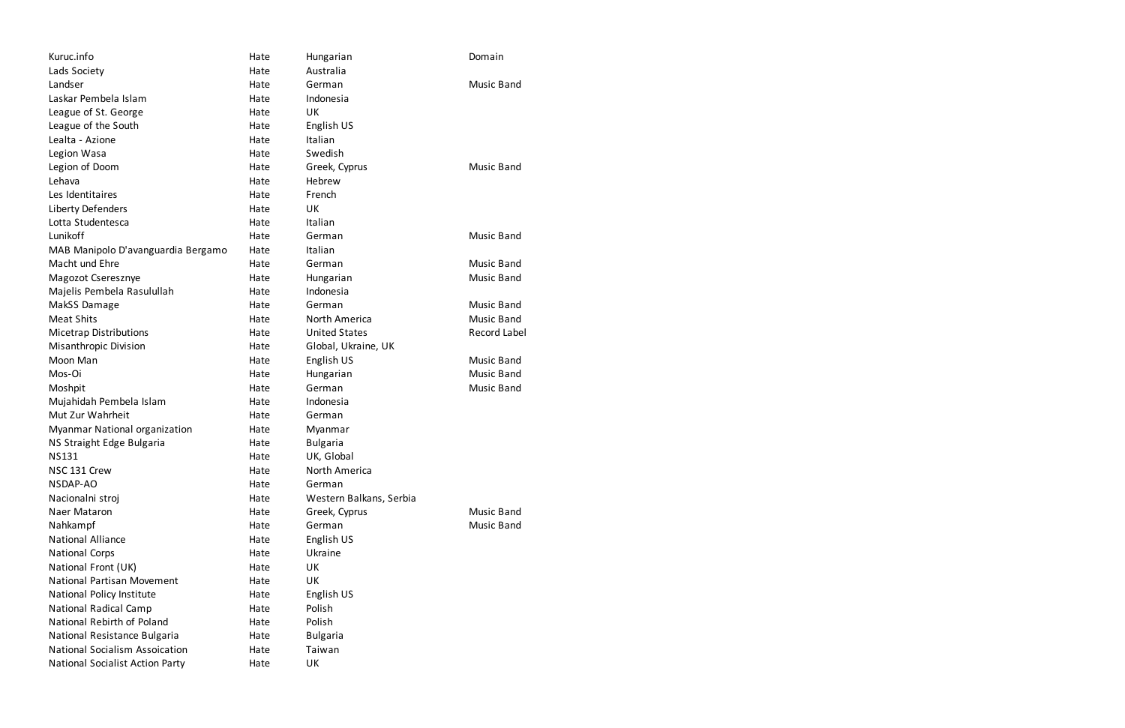| Kuruc.info                             | Hate | Hungarian               | Domain            |
|----------------------------------------|------|-------------------------|-------------------|
| Lads Society                           | Hate | Australia               |                   |
| Landser                                | Hate | German                  | Music Band        |
| Laskar Pembela Islam                   | Hate | Indonesia               |                   |
| League of St. George                   | Hate | UK                      |                   |
| League of the South                    | Hate | English US              |                   |
| Lealta - Azione                        | Hate | Italian                 |                   |
| Legion Wasa                            | Hate | Swedish                 |                   |
| Legion of Doom                         | Hate | Greek, Cyprus           | Music Band        |
| Lehava                                 | Hate | Hebrew                  |                   |
| Les Identitaires                       | Hate | French                  |                   |
| Liberty Defenders                      | Hate | UK                      |                   |
| Lotta Studentesca                      | Hate | Italian                 |                   |
| Lunikoff                               | Hate | German                  | <b>Music Band</b> |
| MAB Manipolo D'avanguardia Bergamo     | Hate | Italian                 |                   |
| Macht und Ehre                         | Hate | German                  | Music Band        |
| Magozot Cseresznye                     | Hate | Hungarian               | Music Band        |
| Majelis Pembela Rasulullah             | Hate | Indonesia               |                   |
| MakSS Damage                           | Hate | German                  | Music Band        |
| <b>Meat Shits</b>                      | Hate | North America           | <b>Music Band</b> |
| <b>Micetrap Distributions</b>          | Hate | <b>United States</b>    | Record Label      |
| Misanthropic Division                  | Hate | Global, Ukraine, UK     |                   |
| Moon Man                               | Hate | English US              | <b>Music Band</b> |
| Mos-Oi                                 | Hate | Hungarian               | <b>Music Band</b> |
| Moshpit                                | Hate | German                  | <b>Music Band</b> |
| Mujahidah Pembela Islam                | Hate | Indonesia               |                   |
| Mut Zur Wahrheit                       | Hate | German                  |                   |
| Myanmar National organization          | Hate | Myanmar                 |                   |
| NS Straight Edge Bulgaria              | Hate | <b>Bulgaria</b>         |                   |
| <b>NS131</b>                           | Hate | UK, Global              |                   |
| NSC 131 Crew                           | Hate | North America           |                   |
| NSDAP-AO                               | Hate | German                  |                   |
| Nacionalni stroj                       | Hate | Western Balkans, Serbia |                   |
| Naer Mataron                           | Hate | Greek, Cyprus           | Music Band        |
| Nahkampf                               | Hate | German                  | <b>Music Band</b> |
| <b>National Alliance</b>               | Hate | English US              |                   |
| <b>National Corps</b>                  | Hate | Ukraine                 |                   |
| National Front (UK)                    | Hate | UK                      |                   |
| <b>National Partisan Movement</b>      | Hate | UK                      |                   |
| National Policy Institute              | Hate | English US              |                   |
| <b>National Radical Camp</b>           | Hate | Polish                  |                   |
| National Rebirth of Poland             | Hate | Polish                  |                   |
| National Resistance Bulgaria           | Hate | <b>Bulgaria</b>         |                   |
| <b>National Socialism Assoication</b>  | Hate | Taiwan                  |                   |
| <b>National Socialist Action Party</b> | Hate | UK                      |                   |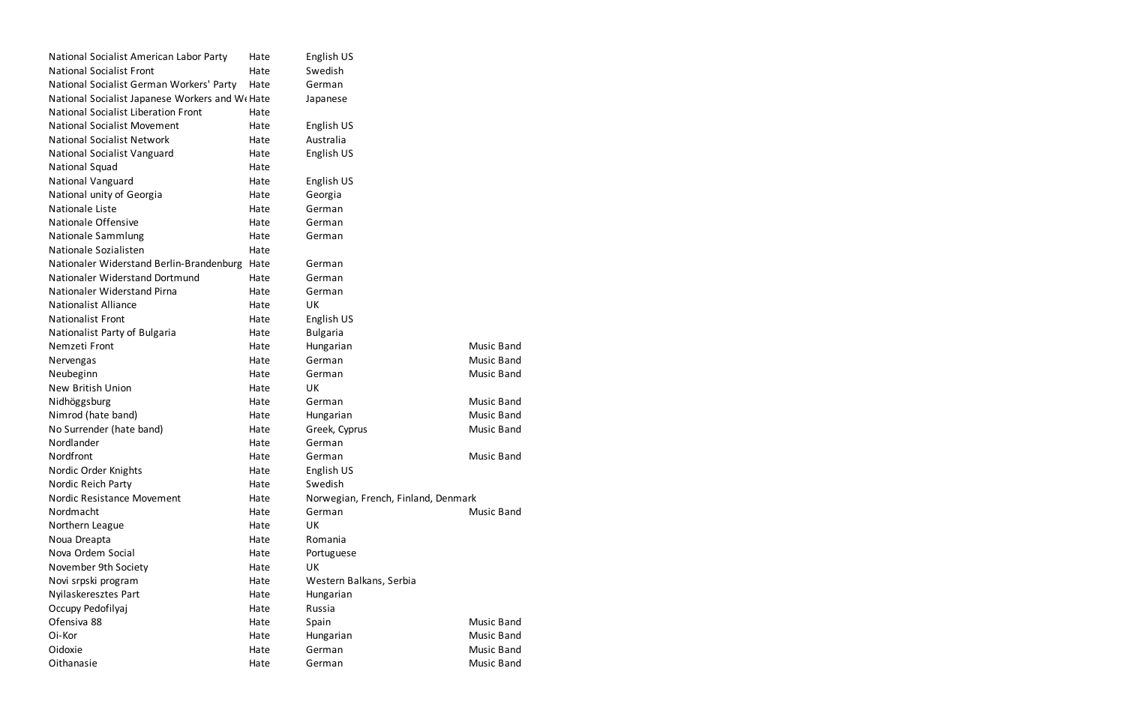| National Socialist American Labor Party        | Hate | English US                          |                   |
|------------------------------------------------|------|-------------------------------------|-------------------|
| <b>National Socialist Front</b>                | Hate | Swedish                             |                   |
| National Socialist German Workers' Party       | Hate | German                              |                   |
| National Socialist Japanese Workers and W(Hate |      | Japanese                            |                   |
| <b>National Socialist Liberation Front</b>     | Hate |                                     |                   |
| <b>National Socialist Movement</b>             | Hate | English US                          |                   |
| <b>National Socialist Network</b>              | Hate | Australia                           |                   |
| National Socialist Vanguard                    | Hate | English US                          |                   |
| National Squad                                 | Hate |                                     |                   |
| National Vanguard                              | Hate | English US                          |                   |
| National unity of Georgia                      | Hate | Georgia                             |                   |
| Nationale Liste                                | Hate | German                              |                   |
| Nationale Offensive                            | Hate | German                              |                   |
| Nationale Sammlung                             | Hate | German                              |                   |
| Nationale Sozialisten                          | Hate |                                     |                   |
| Nationaler Widerstand Berlin-Brandenburg       | Hate | German                              |                   |
| Nationaler Widerstand Dortmund                 | Hate | German                              |                   |
| Nationaler Widerstand Pirna                    | Hate | German                              |                   |
| <b>Nationalist Alliance</b>                    | Hate | UK                                  |                   |
| <b>Nationalist Front</b>                       | Hate | English US                          |                   |
| Nationalist Party of Bulgaria                  | Hate | <b>Bulgaria</b>                     |                   |
| Nemzeti Front                                  | Hate | Hungarian                           | <b>Music Band</b> |
| Nervengas                                      | Hate | German                              | Music Band        |
| Neubeginn                                      | Hate | German                              | Music Band        |
| <b>New British Union</b>                       | Hate | UK                                  |                   |
| Nidhöggsburg                                   | Hate | German                              | <b>Music Band</b> |
| Nimrod (hate band)                             | Hate | Hungarian                           | Music Band        |
| No Surrender (hate band)                       | Hate | Greek, Cyprus                       | Music Band        |
| Nordlander                                     | Hate | German                              |                   |
| Nordfront                                      | Hate | German                              | <b>Music Band</b> |
| Nordic Order Knights                           | Hate | English US                          |                   |
| Nordic Reich Party                             | Hate | Swedish                             |                   |
| Nordic Resistance Movement                     | Hate | Norwegian, French, Finland, Denmark |                   |
| Nordmacht                                      | Hate | German                              | Music Band        |
| Northern League                                | Hate | UK                                  |                   |
| Noua Dreapta                                   | Hate | Romania                             |                   |
| Nova Ordem Social                              | Hate | Portuguese                          |                   |
| November 9th Society                           | Hate | UK                                  |                   |
| Novi srpski program                            | Hate | Western Balkans, Serbia             |                   |
| Nyilaskeresztes Part                           | Hate | Hungarian                           |                   |
| Occupy Pedofilyaj                              | Hate | Russia                              |                   |
| Ofensiva 88                                    | Hate | Spain                               | Music Band        |
| Oi-Kor                                         | Hate | Hungarian                           | Music Band        |
| Oidoxie                                        | Hate | German                              | <b>Music Band</b> |
| Oithanasie                                     | Hate | German                              | Music Band        |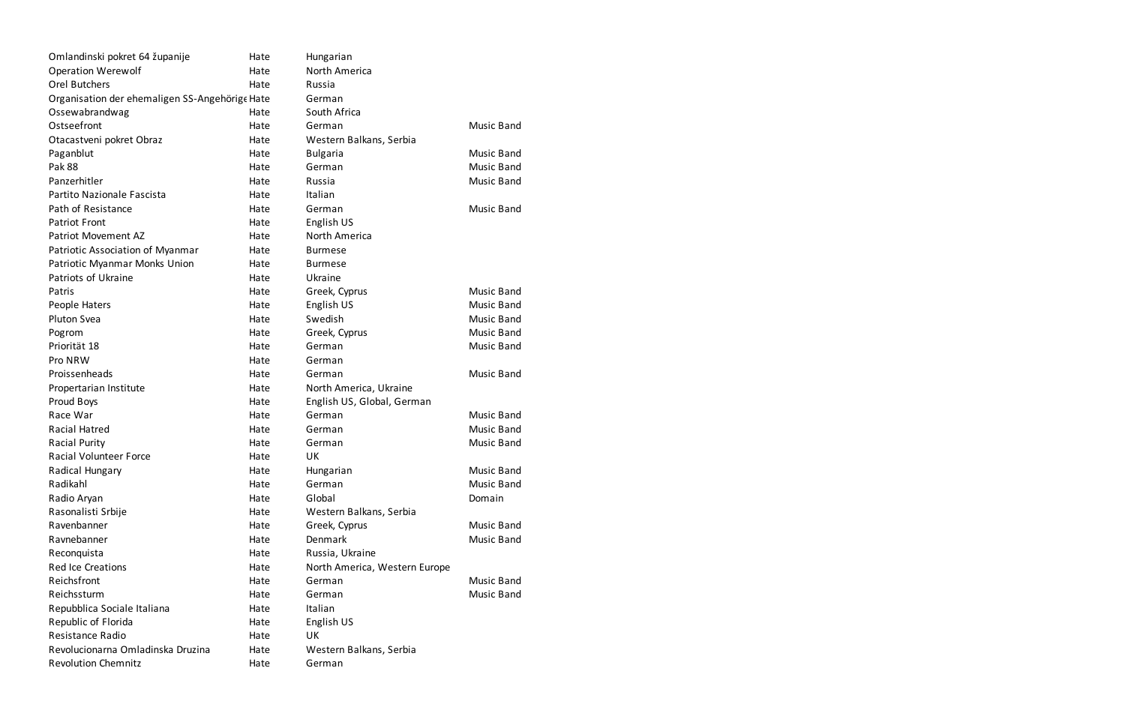| Omlandinski pokret 64 županije                 | Hate | Hungarian                     |                   |
|------------------------------------------------|------|-------------------------------|-------------------|
| <b>Operation Werewolf</b>                      | Hate | North America                 |                   |
| <b>Orel Butchers</b>                           | Hate | Russia                        |                   |
| Organisation der ehemaligen SS-Angehörige Hate |      | German                        |                   |
| Ossewabrandwag                                 | Hate | South Africa                  |                   |
| Ostseefront                                    | Hate | German                        | Music Band        |
| Otacastveni pokret Obraz                       | Hate | Western Balkans, Serbia       |                   |
| Paganblut                                      | Hate | <b>Bulgaria</b>               | <b>Music Band</b> |
| <b>Pak 88</b>                                  | Hate | German                        | <b>Music Band</b> |
| Panzerhitler                                   | Hate | Russia                        | Music Band        |
| Partito Nazionale Fascista                     | Hate | Italian                       |                   |
| Path of Resistance                             | Hate | German                        | Music Band        |
| <b>Patriot Front</b>                           | Hate | English US                    |                   |
| Patriot Movement AZ                            | Hate | North America                 |                   |
| Patriotic Association of Myanmar               | Hate | <b>Burmese</b>                |                   |
| Patriotic Myanmar Monks Union                  | Hate | <b>Burmese</b>                |                   |
| Patriots of Ukraine                            | Hate | Ukraine                       |                   |
| Patris                                         | Hate | Greek, Cyprus                 | <b>Music Band</b> |
| People Haters                                  | Hate | English US                    | <b>Music Band</b> |
| Pluton Svea                                    | Hate | Swedish                       | <b>Music Band</b> |
| Pogrom                                         | Hate | Greek, Cyprus                 | <b>Music Band</b> |
| Priorität 18                                   | Hate | German                        | Music Band        |
| Pro NRW                                        | Hate | German                        |                   |
| Proissenheads                                  | Hate | German                        | <b>Music Band</b> |
| Propertarian Institute                         | Hate | North America, Ukraine        |                   |
| Proud Boys                                     | Hate | English US, Global, German    |                   |
| Race War                                       | Hate | German                        | <b>Music Band</b> |
| Racial Hatred                                  | Hate | German                        | <b>Music Band</b> |
| <b>Racial Purity</b>                           | Hate | German                        | <b>Music Band</b> |
| <b>Racial Volunteer Force</b>                  | Hate | UK                            |                   |
| Radical Hungary                                | Hate | Hungarian                     | <b>Music Band</b> |
| Radikahl                                       | Hate | German                        | Music Band        |
| Radio Aryan                                    | Hate | Global                        | Domain            |
| Rasonalisti Srbije                             | Hate | Western Balkans, Serbia       |                   |
| Ravenbanner                                    | Hate | Greek, Cyprus                 | Music Band        |
| Ravnebanner                                    | Hate | Denmark                       | <b>Music Band</b> |
| Reconquista                                    | Hate | Russia, Ukraine               |                   |
| <b>Red Ice Creations</b>                       | Hate | North America, Western Europe |                   |
| Reichsfront                                    | Hate | German                        | Music Band        |
| Reichssturm                                    | Hate | German                        | Music Band        |
| Repubblica Sociale Italiana                    | Hate | Italian                       |                   |
| Republic of Florida                            | Hate | English US                    |                   |
| Resistance Radio                               | Hate | UK                            |                   |
| Revolucionarna Omladinska Druzina              | Hate | Western Balkans, Serbia       |                   |
| <b>Revolution Chemnitz</b>                     | Hate | German                        |                   |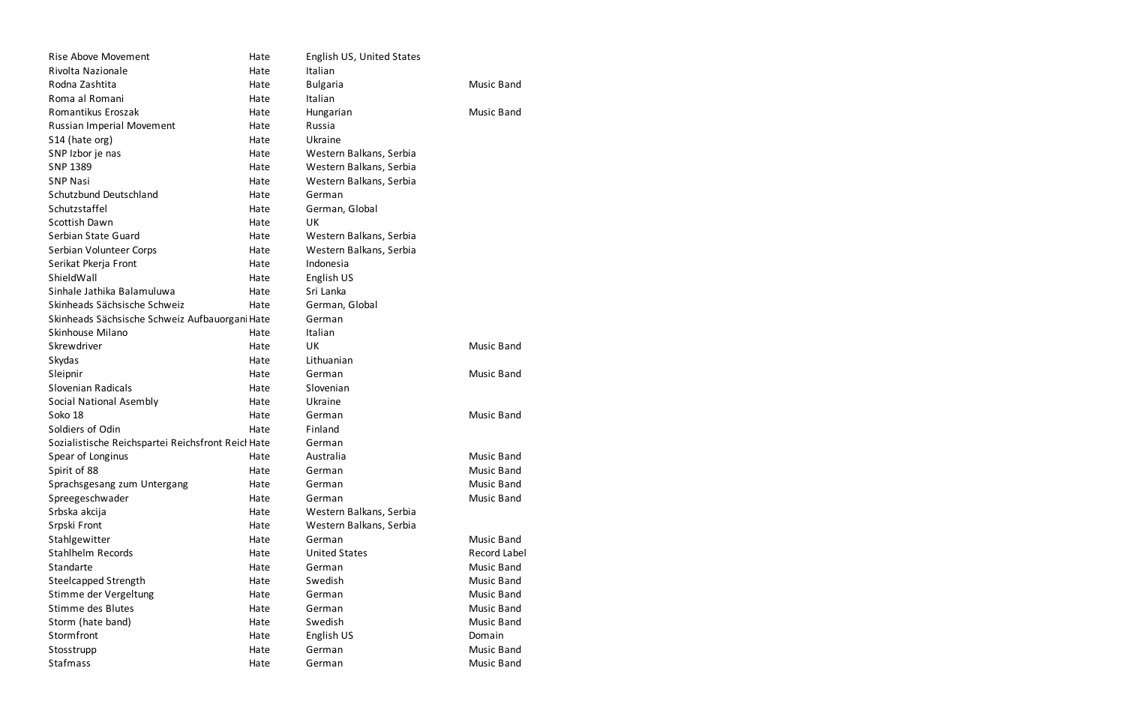| Rise Above Movement                                | Hate | English US, United States |                   |
|----------------------------------------------------|------|---------------------------|-------------------|
| Rivolta Nazionale                                  | Hate | Italian                   |                   |
| Rodna Zashtita                                     | Hate | <b>Bulgaria</b>           | <b>Music Band</b> |
| Roma al Romani                                     | Hate | Italian                   |                   |
| Romantikus Eroszak                                 | Hate | Hungarian                 | <b>Music Band</b> |
| Russian Imperial Movement                          | Hate | Russia                    |                   |
| S <sub>14</sub> (hate org)                         | Hate | Ukraine                   |                   |
| SNP Izbor je nas                                   | Hate | Western Balkans, Serbia   |                   |
| <b>SNP 1389</b>                                    | Hate | Western Balkans, Serbia   |                   |
| <b>SNP Nasi</b>                                    | Hate | Western Balkans, Serbia   |                   |
| Schutzbund Deutschland                             | Hate | German                    |                   |
| Schutzstaffel                                      | Hate | German, Global            |                   |
| Scottish Dawn                                      | Hate | UK                        |                   |
| Serbian State Guard                                | Hate | Western Balkans, Serbia   |                   |
| Serbian Volunteer Corps                            | Hate | Western Balkans, Serbia   |                   |
| Serikat Pkerja Front                               | Hate | Indonesia                 |                   |
| ShieldWall                                         | Hate | English US                |                   |
| Sinhale Jathika Balamuluwa                         | Hate | Sri Lanka                 |                   |
| Skinheads Sächsische Schweiz                       | Hate | German, Global            |                   |
| Skinheads Sächsische Schweiz Aufbauorgani Hate     |      | German                    |                   |
| Skinhouse Milano                                   | Hate | Italian                   |                   |
| Skrewdriver                                        | Hate | UK                        | <b>Music Band</b> |
| Skydas                                             | Hate | Lithuanian                |                   |
| Sleipnir                                           | Hate | German                    | <b>Music Band</b> |
| Slovenian Radicals                                 | Hate | Slovenian                 |                   |
| Social National Asembly                            | Hate | Ukraine                   |                   |
| Soko 18                                            | Hate | German                    | <b>Music Band</b> |
| Soldiers of Odin                                   | Hate | Finland                   |                   |
| Sozialistische Reichspartei Reichsfront Reicl Hate |      | German                    |                   |
| Spear of Longinus                                  | Hate | Australia                 | <b>Music Band</b> |
| Spirit of 88                                       | Hate | German                    | <b>Music Band</b> |
| Sprachsgesang zum Untergang                        | Hate | German                    | <b>Music Band</b> |
| Spreegeschwader                                    | Hate | German                    | <b>Music Band</b> |
| Srbska akcija                                      | Hate | Western Balkans, Serbia   |                   |
| Srpski Front                                       | Hate | Western Balkans, Serbia   |                   |
| Stahlgewitter                                      | Hate | German                    | Music Band        |
| <b>Stahlhelm Records</b>                           | Hate | <b>United States</b>      | Record Label      |
| Standarte                                          | Hate | German                    | <b>Music Band</b> |
| <b>Steelcapped Strength</b>                        | Hate | Swedish                   | <b>Music Band</b> |
| Stimme der Vergeltung                              | Hate | German                    | <b>Music Band</b> |
| Stimme des Blutes                                  | Hate | German                    | <b>Music Band</b> |
| Storm (hate band)                                  | Hate | Swedish                   | <b>Music Band</b> |
| Stormfront                                         | Hate | English US                | Domain            |
| Stosstrupp                                         | Hate | German                    | <b>Music Band</b> |
| <b>Stafmass</b>                                    | Hate | German                    | <b>Music Band</b> |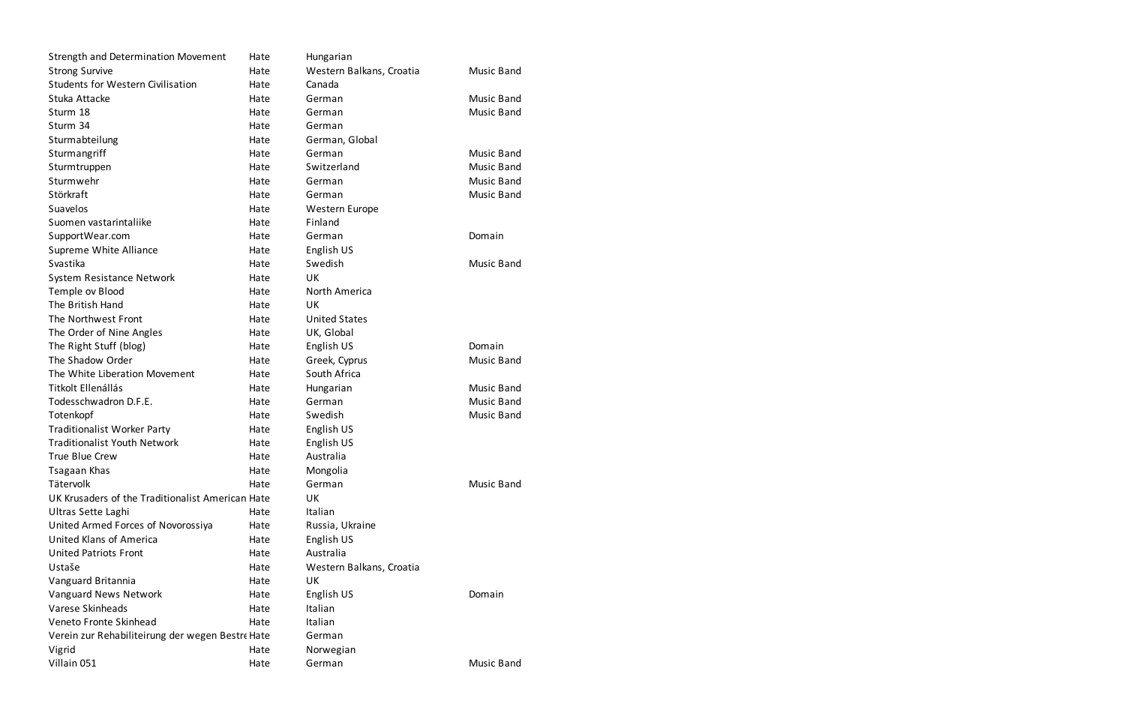| <b>Strength and Determination Movement</b>       | Hate | Hungarian                |                   |
|--------------------------------------------------|------|--------------------------|-------------------|
| <b>Strong Survive</b>                            | Hate | Western Balkans, Croatia | <b>Music Band</b> |
| <b>Students for Western Civilisation</b>         | Hate | Canada                   |                   |
| Stuka Attacke                                    | Hate | German                   | <b>Music Band</b> |
| Sturm 18                                         | Hate | German                   | <b>Music Band</b> |
| Sturm 34                                         | Hate | German                   |                   |
| Sturmabteilung                                   | Hate | German, Global           |                   |
| Sturmangriff                                     | Hate | German                   | <b>Music Band</b> |
| Sturmtruppen                                     | Hate | Switzerland              | <b>Music Band</b> |
| Sturmwehr                                        | Hate | German                   | <b>Music Band</b> |
| Störkraft                                        | Hate | German                   | <b>Music Band</b> |
| Suavelos                                         | Hate | Western Europe           |                   |
| Suomen vastarintaliike                           | Hate | Finland                  |                   |
| SupportWear.com                                  | Hate | German                   | Domain            |
| Supreme White Alliance                           | Hate | English US               |                   |
| Svastika                                         | Hate | Swedish                  | <b>Music Band</b> |
| System Resistance Network                        | Hate | UK                       |                   |
| Temple ov Blood                                  | Hate | North America            |                   |
| The British Hand                                 | Hate | UK                       |                   |
| The Northwest Front                              | Hate | <b>United States</b>     |                   |
| The Order of Nine Angles                         | Hate | UK, Global               |                   |
| The Right Stuff (blog)                           | Hate | English US               | Domain            |
| The Shadow Order                                 | Hate | Greek, Cyprus            | <b>Music Band</b> |
| The White Liberation Movement                    | Hate | South Africa             |                   |
| Titkolt Ellenállás                               | Hate | Hungarian                | <b>Music Band</b> |
| Todesschwadron D.F.E.                            | Hate | German                   | <b>Music Band</b> |
| Totenkopf                                        | Hate | Swedish                  | <b>Music Band</b> |
| <b>Traditionalist Worker Party</b>               | Hate | English US               |                   |
| <b>Traditionalist Youth Network</b>              | Hate | English US               |                   |
| True Blue Crew                                   | Hate | Australia                |                   |
| Tsagaan Khas                                     | Hate | Mongolia                 |                   |
| Tätervolk                                        | Hate | German                   | <b>Music Band</b> |
| UK Krusaders of the Traditionalist American Hate |      | UK                       |                   |
| Ultras Sette Laghi                               | Hate | Italian                  |                   |
| United Armed Forces of Novorossiya               | Hate | Russia, Ukraine          |                   |
| United Klans of America                          | Hate | English US               |                   |
| <b>United Patriots Front</b>                     | Hate | Australia                |                   |
| Ustaše                                           | Hate | Western Balkans, Croatia |                   |
| Vanguard Britannia                               | Hate | UK                       |                   |
| Vanguard News Network                            | Hate | English US               | Domain            |
| Varese Skinheads                                 | Hate | Italian                  |                   |
| Veneto Fronte Skinhead                           | Hate | Italian                  |                   |
| Verein zur Rehabiliteirung der wegen Bestre Hate |      | German                   |                   |
| Vigrid                                           | Hate | Norwegian                |                   |
| Villain 051                                      | Hate | German                   | <b>Music Band</b> |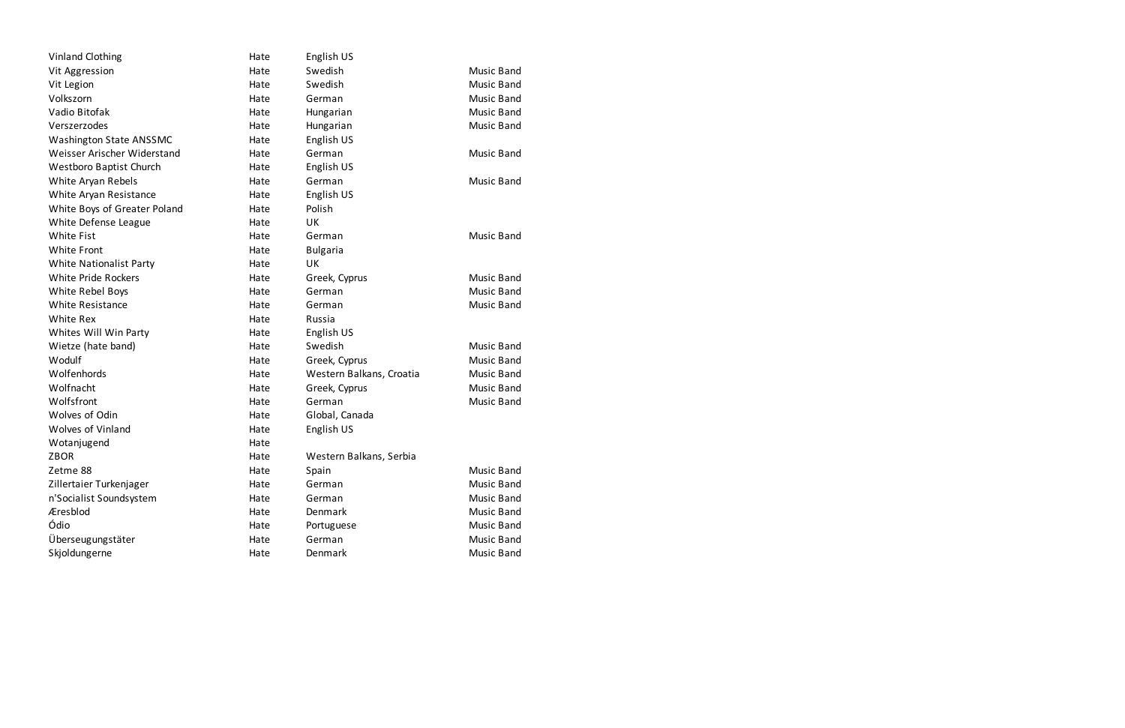| <b>Vinland Clothing</b>        | Hate | English US               |                   |
|--------------------------------|------|--------------------------|-------------------|
| Vit Aggression                 | Hate | Swedish                  | <b>Music Band</b> |
| Vit Legion                     | Hate | Swedish                  | <b>Music Band</b> |
| Volkszorn                      | Hate | German                   | <b>Music Band</b> |
| Vadio Bitofak                  | Hate | Hungarian                | <b>Music Band</b> |
| Verszerzodes                   | Hate | Hungarian                | <b>Music Band</b> |
| Washington State ANSSMC        | Hate | English US               |                   |
| Weisser Arischer Widerstand    | Hate | German                   | <b>Music Band</b> |
| <b>Westboro Baptist Church</b> | Hate | English US               |                   |
| White Aryan Rebels             | Hate | German                   | <b>Music Band</b> |
| White Aryan Resistance         | Hate | English US               |                   |
| White Boys of Greater Poland   | Hate | Polish                   |                   |
| White Defense League           | Hate | UK                       |                   |
| <b>White Fist</b>              | Hate | German                   | <b>Music Band</b> |
| <b>White Front</b>             | Hate | <b>Bulgaria</b>          |                   |
| <b>White Nationalist Party</b> | Hate | UK                       |                   |
| <b>White Pride Rockers</b>     | Hate | Greek, Cyprus            | <b>Music Band</b> |
| White Rebel Boys               | Hate | German                   | <b>Music Band</b> |
| <b>White Resistance</b>        | Hate | German                   | <b>Music Band</b> |
| White Rex                      | Hate | Russia                   |                   |
| Whites Will Win Party          | Hate | English US               |                   |
| Wietze (hate band)             | Hate | Swedish                  | <b>Music Band</b> |
| Wodulf                         | Hate | Greek, Cyprus            | Music Band        |
| Wolfenhords                    | Hate | Western Balkans, Croatia | Music Band        |
| Wolfnacht                      | Hate | Greek, Cyprus            | <b>Music Band</b> |
| Wolfsfront                     | Hate | German                   | <b>Music Band</b> |
| Wolves of Odin                 | Hate | Global, Canada           |                   |
| <b>Wolves of Vinland</b>       | Hate | English US               |                   |
| Wotanjugend                    | Hate |                          |                   |
| <b>ZBOR</b>                    | Hate | Western Balkans, Serbia  |                   |
| Zetme 88                       | Hate | Spain                    | <b>Music Band</b> |
| Zillertaier Turkenjager        | Hate | German                   | <b>Music Band</b> |
| n'Socialist Soundsystem        | Hate | German                   | <b>Music Band</b> |
| Æresblod                       | Hate | Denmark                  | <b>Music Band</b> |
| Ódio                           | Hate | Portuguese               | <b>Music Band</b> |
| Überseugungstäter              | Hate | German                   | <b>Music Band</b> |
| Skjoldungerne                  | Hate | Denmark                  | <b>Music Band</b> |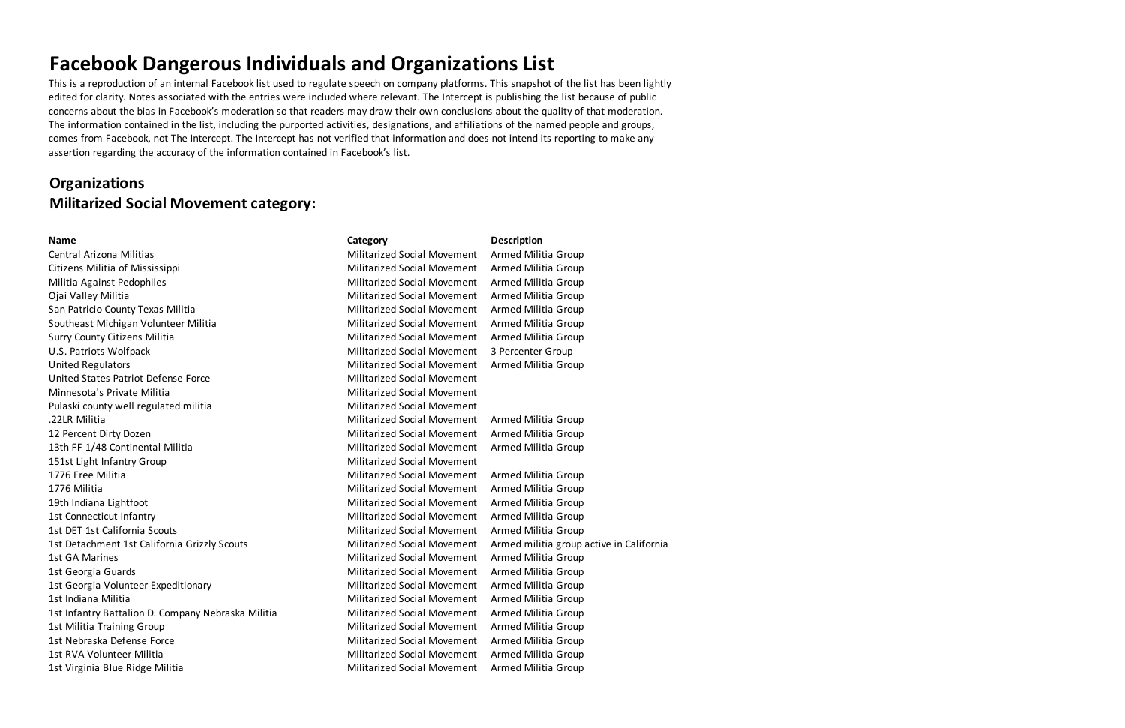This is a reproduction of an internal Facebook list used to regulate speech on company platforms. This snapshot of the list has been lightly edited for clarity. Notes associated with the entries were included where relevant. The Intercept is publishing the list because of public concerns about the bias in Facebook's moderation so that readers may draw their own conclusions about the quality of that moderation. The information contained in the list, including the purported activities, designations, and affiliations of the named people and groups, comes from Facebook, not The Intercept. The Intercept has not verified that information and does not intend its reporting to make any assertion regarding the accuracy of the information contained in Facebook's list.

## **Organizations Militarized Social Movement category:**

### **Name Category Category Category Category Description** Central Arizona Militias Militarized Social Movement Armed Militia Group Citizens Militia of Mississippi Militarized Social Movement Armed Militia Group Militia Against Pedophiles **Militarized Social Movement** Armed Militia Group Ojai Valley Militia Militarized Social Movement Armed Militia Group San Patricio County Texas Militia Militarized Social Movement Armed Militia Group Southeast Michigan Volunteer Militia Michigan Militarized Social Movement Armed Militia Group Surry County Citizens Militia **Militarized Social Movement** Armed Militia Group U.S. Patriots Wolfpack Militarized Social Movement 3 Percenter Group United Regulators Militarized Social Movement Armed Militia Group United States Patriot Defense Force **Militarized Social Movement** Minnesota's Private Militia Militarized Social Movement Pulaski county well regulated militia Militarized Social Movement .22LR Militia Militarized Social Movement Armed Militia Group 12 Percent Dirty Dozen **Militarized Social Movement** Armed Militia Group 13th FF 1/48 Continental Militia Militia Militarized Social Movement Armed Militia Group 151st Light Infantry Group **Militarized Social Movement** 1776 Free Militia **Militarized Social Movement** Armed Militia Group 1776 Militia Militarized Social Movement Armed Militia Group 19th Indiana Lightfoot **Militarized Social Movement** Armed Militia Group 1st Connecticut Infantry Militarized Social Movement Armed Militia Group 1st DET 1st California Scouts Militarized Social Movement Armed Militia Group 1st Detachment 1st California Grizzly Scouts Militarized Social Movement Armed militia group active in California 1st GA Marines Militarized Social Movement Armed Militia Group 1st Georgia Guards Militarized Social Movement Armed Militia Group 1st Georgia Volunteer Expeditionary **Militarized Social Movement** Armed Militia Group 1st Indiana Militia Militarized Social Movement Armed Militia Group 1st Infantry Battalion D. Company Nebraska Militia Militarized Social Movement Armed Militia Group 1st Militia Training Group 11 and 1990 Militarized Social Movement Armed Militia Group 1st Nebraska Defense Force Militarized Social Movement Armed Militia Group 1st RVA Volunteer Militia Militarized Social Movement Armed Militia Group 1st Virginia Blue Ridge Militia Militarized Social Movement Armed Militia Group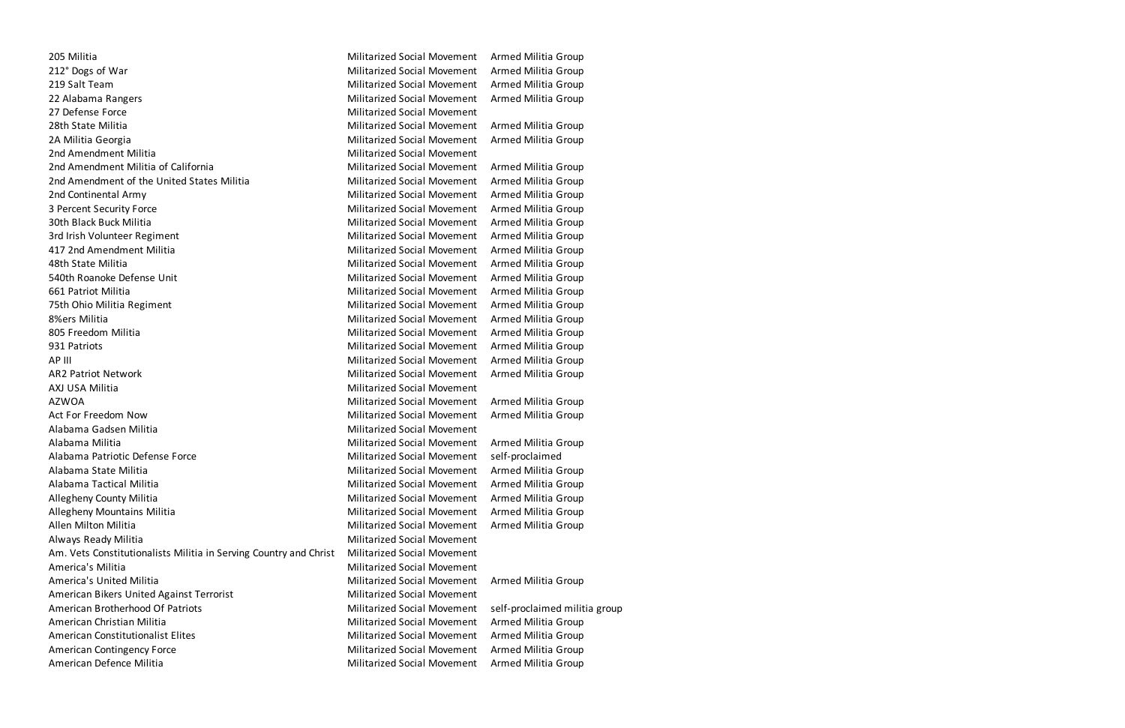205 Militia Militarized Social Movement Armed Militia Group 212° Dogs of War Militarized Social Movement Armed Militia Group 219 Salt Team Militarized Social Movement Armed Militia Group 22 Alabama Rangers Militarized Social Movement Armed Militia Group 27 Defense Force Militarized Social Movement 28th State Militia Militarized Social Movement Armed Militia Group 2A Militia Georgia Militarized Social Movement Armed Militia Group 2nd Amendment Militia Militarized Social Movement 2nd Amendment Militia of California Militarized Social Movement Armed Militia Group 2nd Amendment of the United States Militia Militarized Social Movement Armed Militia Group 2nd Continental Army Militarized Social Movement Armed Militia Group 3 Percent Security Force Militarized Social Movement Armed Militia Group 30th Black Buck Militia **Militarized Social Movement** Armed Militia Group 3rd Irish Volunteer Regiment Militarized Social Movement Armed Militia Group 417 2nd Amendment Militia Militarized Social Movement Armed Militia Group 48th State Militia Militarized Social Movement Armed Militia Group 540th Roanoke Defense Unit **Militarized Social Movement** Armed Militia Group 661 Patriot Militia Militarized Social Movement Armed Militia Group 75th Ohio Militia Regiment Militarized Social Movement Armed Militia Group 8%ers Militia **Militarized Social Movement** Armed Militia Group 805 Freedom Militia **Militarized Social Movement** Armed Militia Group 931 Patriots **Militarized Social Movement** Armed Militia Group AP III Militarized Social Movement Armed Militia Group AR2 Patriot Network **Militarized Social Movement** Armed Militia Group AXJ USA Militia Militarized Social Movement AZWOA Militarized Social Movement Armed Militia Group Act For Freedom Now **Militarized Social Movement** Armed Militia Group Alabama Gadsen Militia Militarized Social Movement Alabama Militia Militarized Social Movement Armed Militia Group Alabama Patriotic Defense Force Militarized Social Movement self-proclaimed Alabama State Militia Militarized Social Movement Armed Militia Group Alabama Tactical Militia Militarized Social Movement Armed Militia Group Allegheny County Militia **Militia Croup County Militianized Social Movement** Armed Militia Group Allegheny Mountains Militia Militarized Social Movement Armed Militia Group Allen Milton Militia **Militia Militarized Social Movement** Armed Militia Group Always Ready Militia **Militarized Social Movement** Am. Vets Constitutionalists Militia in Serving Country and Christ Militarized Social Movement America's Militia **Militarized Social Movement** America's United Militia **Militarized Social Movement** Armed Militia Group American Bikers United Against Terrorist Militarized Social Movement American Brotherhood Of Patriots Militarized Social Movement self-proclaimed militia group American Christian Militia Militarized Social Movement Armed Militia Group American Constitutionalist Elites Militarized Social Movement Armed Militia Group American Contingency Force **Militarized Social Movement** Armed Militia Group American Defence Militia **Militia Militarized Social Movement** Armed Militia Group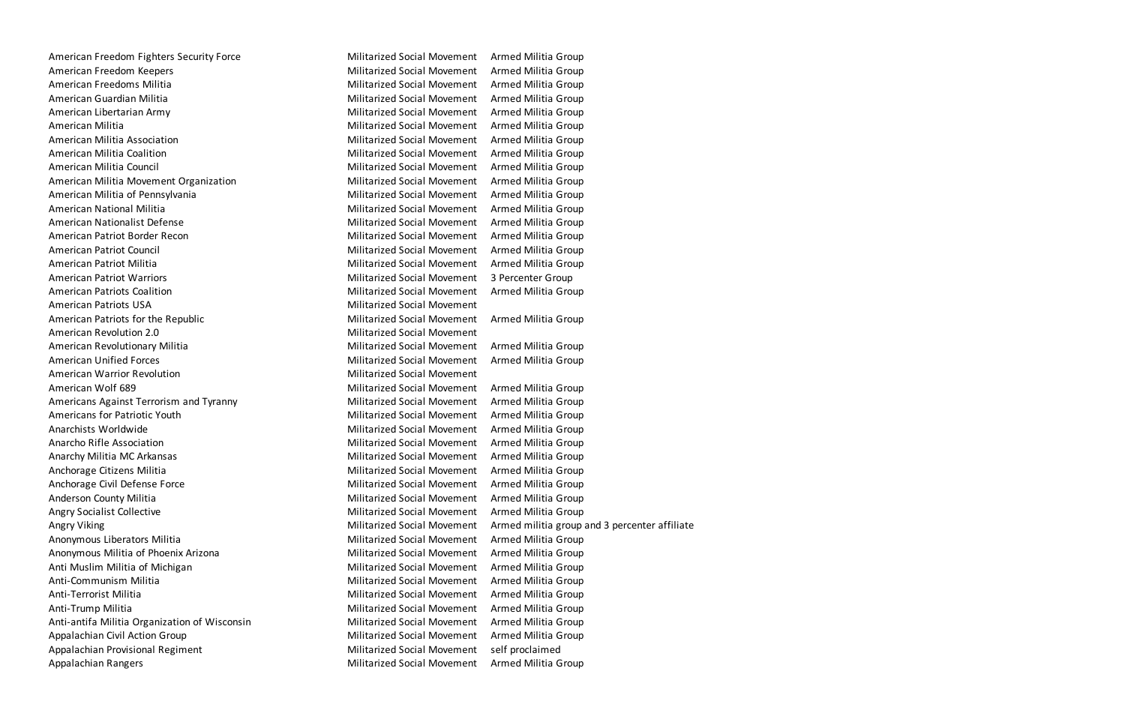American Freedom Fighters Security Force Militarized Social Movement Armed Militia Group American Freedom Keepers **Militarized Social Movement** Armed Militia Group American Freedoms Militia **Militia Militarized Social Movement** Armed Militia Group American Guardian Militia **Militia Militiarized Social Movement** Armed Militia Group American Libertarian Army Militarized Social Movement Armed Militia Group American Militia **Militia** Militarized Social Movement Armed Militia Group American Militia Association **Militiarized Social Movement** Armed Militia Group American Militia Coalition Nilitarized Social Movement Armed Militia Group American Militia Council **Militarized Social Movement** Armed Militia Group American Militia Movement Organization Militarized Social Movement Armed Militia Group American Militia of Pennsylvania Militarized Social Movement Armed Militia Group American National Militia **Militia Militarized Social Movement** Armed Militia Group American Nationalist Defense Militarized Social Movement Armed Militia Group American Patriot Border Recon **Militarized Social Movement** Armed Militia Group American Patriot Council **Militarized Social Movement** Armed Militia Group American Patriot Militia Militarized Social Movement Armed Militia Group American Patriot Warriors **Militarized Social Movement** 3 Percenter Group American Patriots Coalition **Militarized Social Movement** Armed Militia Group American Patriots USA Militarized Social Movement American Patriots for the Republic Militarized Social Movement Armed Militia Group American Revolution 2.0 and the state of the Militarized Social Movement American Revolutionary Militia Militia Militarized Social Movement Armed Militia Group American Unified Forces **Militarized Social Movement** Armed Militia Group American Warrior Revolution **Militarized Social Movement** Militarized Social Movement American Wolf 689 Militarized Social Movement Armed Militia Group Americans Against Terrorism and Tyranny **Multimers and Militarized Social Movement** Armed Militia Group Americans for Patriotic Youth Militarized Social Movement Armed Militia Group Anarchists Worldwide **Militarized Social Movement** Armed Militia Group Anarcho Rifle Association **Militarized Social Movement** Armed Militia Group Anarchy Militia MC Arkansas Militarized Social Movement Armed Militia Group Anchorage Citizens Militia Militarized Social Movement Armed Militia Group Anchorage Civil Defense Force **Militarized Social Movement** Armed Militia Group Anderson County Militia **Militia Croup County Militianized Social Movement** Armed Militia Group Angry Socialist Collective **Militarized Social Movement** Armed Militia Group Angry Viking Militarized Social Movement Armed militia group and 3 percenter affiliate Anonymous Liberators Militia **Militia Militarized Social Movement** Armed Militia Group Anonymous Militia of Phoenix Arizona Militarized Social Movement Armed Militia Group Anti Muslim Militia of Michigan Militarized Social Movement Armed Militia Group Anti-Communism Militia **Militarized Social Movement** Armed Militia Group Anti-Terrorist Militia **Militia Militarized Social Movement** Armed Militia Group Anti-Trump Militia **Militia Militarized Social Movement** Armed Militia Group Anti-antifa Militia Organization of Wisconsin Militarized Social Movement Armed Militia Group Appalachian Civil Action Group **Militarized Social Movement** Armed Militia Group Appalachian Provisional Regiment Militarized Social Movement self proclaimed Appalachian Rangers Militarized Social Movement Armed Militia Group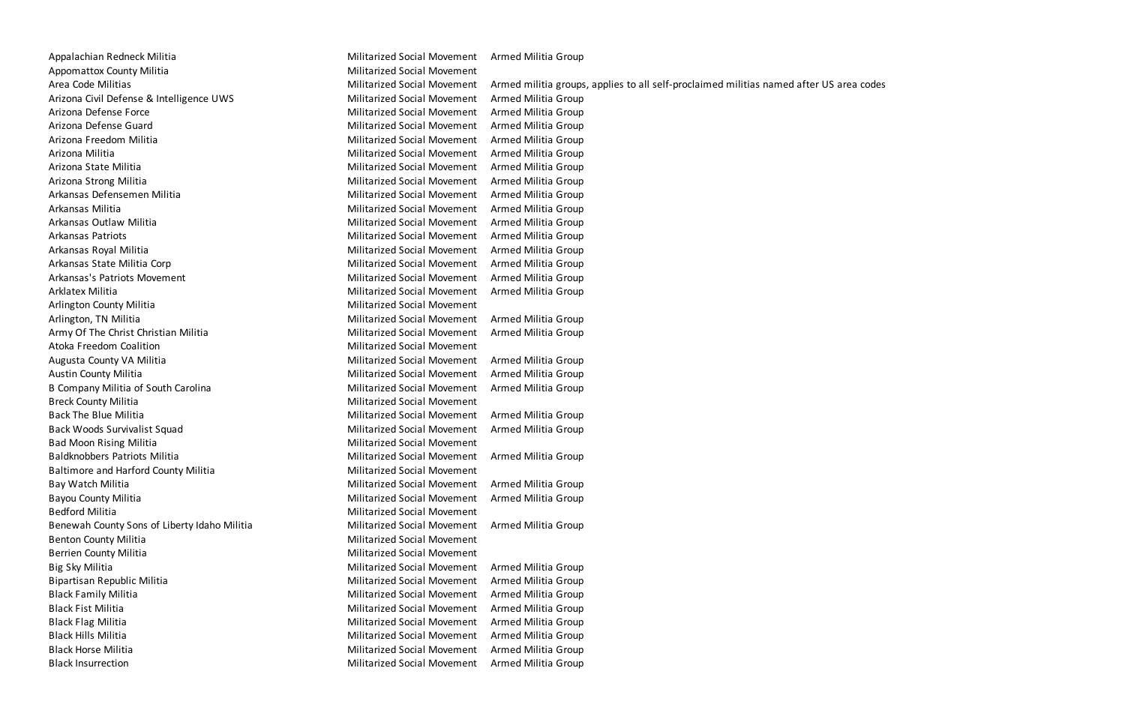Appalachian Redneck Militia Militarized Social Movement Armed Militia Group Appomattox County Militia **Militarized Social Movement** Arizona Civil Defense & Intelligence UWS Militarized Social Movement Armed Militia Group Arizona Defense Force Militarized Social Movement Armed Militia Group Arizona Defense Guard **Militarized Social Movement** Armed Militia Group Arizona Freedom Militia Militarized Social Movement Armed Militia Group Arizona Militia Militarized Social Movement Armed Militia Group Arizona State Militia Militarized Social Movement Armed Militia Group Arizona Strong Militia **Militarized Social Movement** Armed Militia Group Arkansas Defensemen Militia Militarized Social Movement Armed Militia Group Arkansas Militia Militarized Social Movement Armed Militia Group Arkansas Outlaw Militia Militarized Social Movement Armed Militia Group Arkansas Patriots **Militarized Social Movement** Armed Militia Group Arkansas Royal Militia Militarized Social Movement Armed Militia Group Arkansas State Militia Corp **Militarized Social Movement** Armed Militia Group Arkansas's Patriots Movement **Militarized Social Movement** Armed Militia Group Arklatex Militia **Militia Croup Community** Militarized Social Movement Armed Militia Group Arlington County Militia **Militarized Social Movement** Militarized Social Movement Arlington, TN Militia **Militia Militarized Social Movement** Armed Militia Group Army Of The Christ Christian Militia **Militarized Social Movement** Armed Militia Group Atoka Freedom Coalition **Militarized Social Movement** Augusta County VA Militia Militarized Social Movement Armed Militia Group Austin County Militia **Militarized Social Movement** Armed Militia Group B Company Militia of South Carolina Militarized Social Movement Armed Militia Group Breck County Militia **Militarized Social Movement** Back The Blue Militia **Militia Croup Communist Communist Communist Communist Communist Communist Communist Communist Communist Communist Communist Communist Communist Communist Communist Communist Communist Communist Commu** Back Woods Survivalist Squad Militarized Social Movement Armed Militia Group Bad Moon Rising Militia Militarized Social Movement Baldknobbers Patriots Militia Militarized Social Movement Armed Militia Group Baltimore and Harford County Militia Militarized Social Movement Bay Watch Militia **Militia Militarized Social Movement** Armed Militia Group Bayou County Militia **Militia Croup County Militianized Social Movement** Armed Militia Group Bedford Militia Militarized Social Movement Benewah County Sons of Liberty Idaho Militia Militarized Social Movement Armed Militia Group Benton County Militia **Militarized Social Movement** Berrien County Militia **Militarized Social Movement** Big Sky Militia Militarized Social Movement Armed Militia Group Bipartisan Republic Militia **Militarized Social Movement** Armed Militia Group Black Family Militia **Militia Croup Communist Communist Communist Communist Communist Communist Communist Communist Communist Communist Communist Communist Communist Communist Communist Communist Communist Communist Commun** Black Fist Militia Militarized Social Movement Armed Militia Group Black Flag Militia Militarized Social Movement Armed Militia Group Black Hills Militia **Militia Croup** Militarized Social Movement Armed Militia Group Black Horse Militia **Militia Croup Communist Communist Communist Communist Communist Communist Communist Communist Communist Communist Communist Communist Communist Communist Communist Communist Communist Communist Communi** Black Insurrection **Militarized Social Movement** Armed Militia Group

Area Code Militarized Social Movement Armed militia groups, applies to all self-proclaimed militias named after US area codes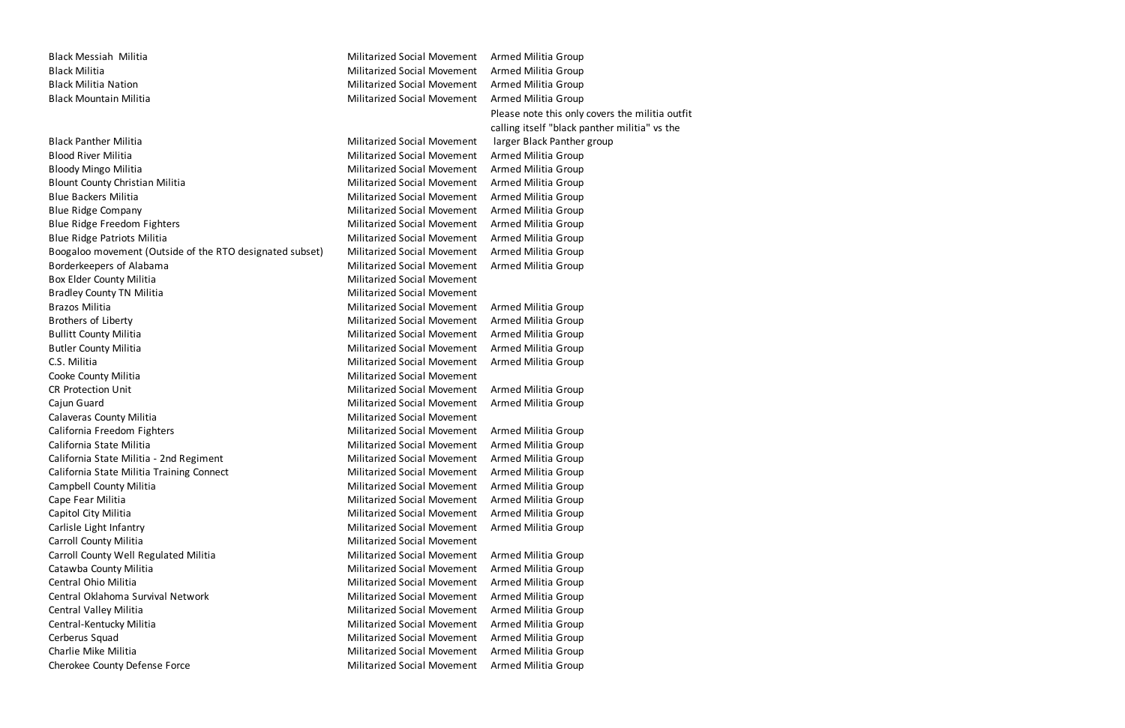Black Messiah Militia Militarized Social Movement Armed Militia Group Black Militia **Militarized Social Movement** Armed Militia Group Black Militia Nation Nation Militarized Social Movement Armed Militia Group Black Mountain Militia Militarized Social Movement Armed Militia Group

Please note this only covers the militia outfit calling itself "black panther militia" vs the larger Black Panther group

Black Panther Militia **Militarized Social Movement** Blood River Militia **Militia Croup Communist Communist Croup** Militarized Social Movement Armed Militia Group Bloody Mingo Militia **Militia Militarized Social Movement** Armed Militia Group Blount County Christian Militia Militarized Social Movement Armed Militia Group Blue Backers Militia Militarized Social Movement Armed Militia Group Blue Ridge Company **Militarized Social Movement** Armed Militia Group Blue Ridge Freedom Fighters Militarized Social Movement Armed Militia Group Blue Ridge Patriots Militia Militarized Social Movement Armed Militia Group Boogaloo movement (Outside of the RTO designated subset) Militarized Social Movement Armed Militia Group Borderkeepers of Alabama Theorem Communication of Alabama Militarized Social Movement Armed Militia Group Box Elder County Militia **Militarized Social Movement** Militarized Social Movement Bradley County TN Militia **Militia** Militarized Social Movement Brazos Militia Militarized Social Movement Armed Militia Group Brothers of Liberty **Militarized Social Movement** Armed Militia Group Bullitt County Militia **Militia County Militian** Group Militarized Social Movement Armed Militia Group Butler County Militia **Militarized Social Movement** Armed Militia Group C.S. Militia Militarized Social Movement Armed Militia Group Cooke County Militia **Militarized Social Movement** CR Protection Unit **CR Protection Unit CR Protection United Social Movement** Armed Militia Group Cajun Guard Militarized Social Movement Armed Militia Group Calaveras County Militia **Militarized Social Movement** Militarized Social Movement California Freedom Fighters **Militarized Social Movement** Armed Militia Group California State Militia Militarized Social Movement Armed Militia Group California State Militia - 2nd Regiment Militarized Social Movement Militia Group California State Militia Training Connect **Militarized Social Movement** Armed Militia Group Campbell County Militia **Militia Croup Campbell County Militia** Group Militarized Social Movement Armed Militia Group Cape Fear Militia **Militia Croup** Militarized Social Movement Armed Militia Group Capitol City Militia **Militia Croup Capitol City Militia Group** Militarized Social Movement Armed Militia Group Carlisle Light Infantry Militarized Social Movement Armed Militia Group Carroll County Militia **Militia County Militians** Carroll County Militarized Social Movement Carroll County Well Regulated Militia Militarized Social Movement Armed Militia Group Catawba County Militia **Militia County Militianized Social Movement** Armed Militia Group Central Ohio Militia Militarized Social Movement Armed Militia Group Central Oklahoma Survival Network Militarized Social Movement Armed Militia Group Central Valley Militia Militarized Social Movement Armed Militia Group Central-Kentucky Militia **Militarized Social Movement** Armed Militia Group Cerberus Squad Militarized Social Movement Armed Militia Group Charlie Mike Militia Militarized Social Movement Armed Militia Group

Cherokee County Defense Force Militarized Social Movement Armed Militia Group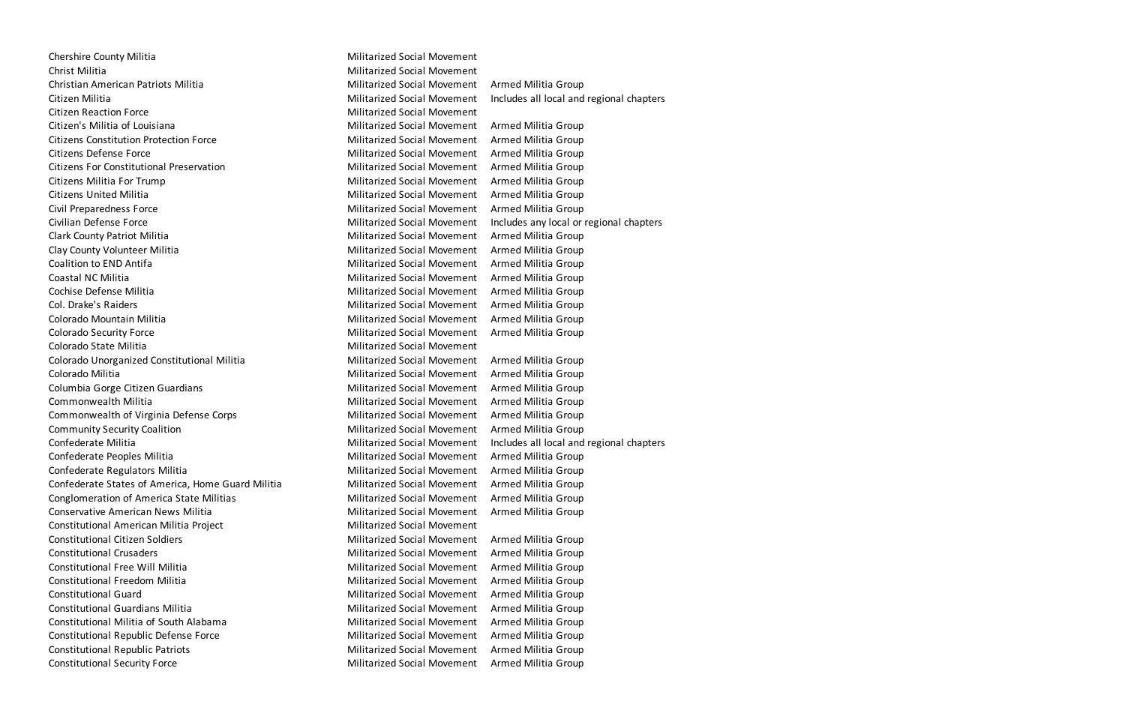Chershire County Militia **Militarized Social Movement** Chershire County Militarized Social Movement Christ Militia Militarized Social Movement Christian American Patriots Militia Militarized Social Movement Armed Militia Group Citizen Militia **Militarized Social Movement** Includes all local and regional chapters Citizen Reaction Force Militarized Social Movement Citizen's Militia of Louisiana Theorem Citizen's Militarized Social Movement Armed Militia Group Citizens Constitution Protection Force Militarized Social Movement Armed Militia Group Citizens Defense Force Militarized Social Movement Armed Militia Group Citizens For Constitutional Preservation Militarized Social Movement Armed Militia Group Citizens Militia For Trump Citizens Militarized Social Movement Armed Militia Group Citizens United Militia Militarized Social Movement Armed Militia Group Civil Preparedness Force Militarized Social Movement Armed Militia Group Civilian Defense Force **Militarized Social Movement** Includes any local or regional chapters Clark County Patriot Militia Militarized Social Movement Armed Militia Group Clay County Volunteer Militia Militarized Social Movement Armed Militia Group Coalition to END Antifa **Militarized Social Movement** Armed Militia Group Coastal NC Militia **Militia Coastal Nilitia** Group Militarized Social Movement Armed Militia Group Cochise Defense Militia Militarized Social Movement Armed Militia Group Col. Drake's Raiders **Militarized Social Movement** Armed Militia Group Colorado Mountain Militia Militarized Social Movement Armed Militia Group Colorado Security Force **Militarized Social Movement** Armed Militia Group Colorado State Militia Militarized Social Movement Colorado Unorganized Constitutional Militia Militarized Social Movement Armed Militia Group Colorado Militia **Militarized Social Movement** Armed Militia Group Columbia Gorge Citizen Guardians **Militarized Social Movement** Armed Militia Group Commonwealth Militia Militarized Social Movement Armed Militia Group Commonwealth of Virginia Defense Corps **Militarized Social Movement** Armed Militia Group Community Security Coalition **Militarized Social Movement** Armed Militia Group Confederate Militia **Militarized Social Movement** Includes all local and regional chapters Confederate Peoples Militia **Militarized Social Movement** Armed Militia Group Confederate Regulators Militia Militia Militarized Social Movement Armed Militia Group Confederate States of America, Home Guard Militia Militarized Social Movement Armed Militia Group Conglomeration of America State Militias **Militarized Social Movement** Armed Militia Group Conservative American News Militia Militarized Social Movement Armed Militia Group Constitutional American Militia Project **Militarized Social Movement** Constitutional Citizen Soldiers Militarized Social Movement Armed Militia Group Constitutional Crusaders Militarized Social Movement Armed Militia Group Constitutional Free Will Militia Militarized Social Movement Armed Militia Group Constitutional Freedom Militia Militarized Social Movement Armed Militia Group Constitutional Guard Militarized Social Movement Armed Militia Group Constitutional Guardians Militia Militarized Social Movement Armed Militia Group Constitutional Militia of South Alabama Militarized Social Movement Armed Militia Group Constitutional Republic Defense Force **Militarized Social Movement** Armed Militia Group Constitutional Republic Patriots Militarized Social Movement Armed Militia Group Constitutional Security Force Militarized Social Movement Armed Militia Group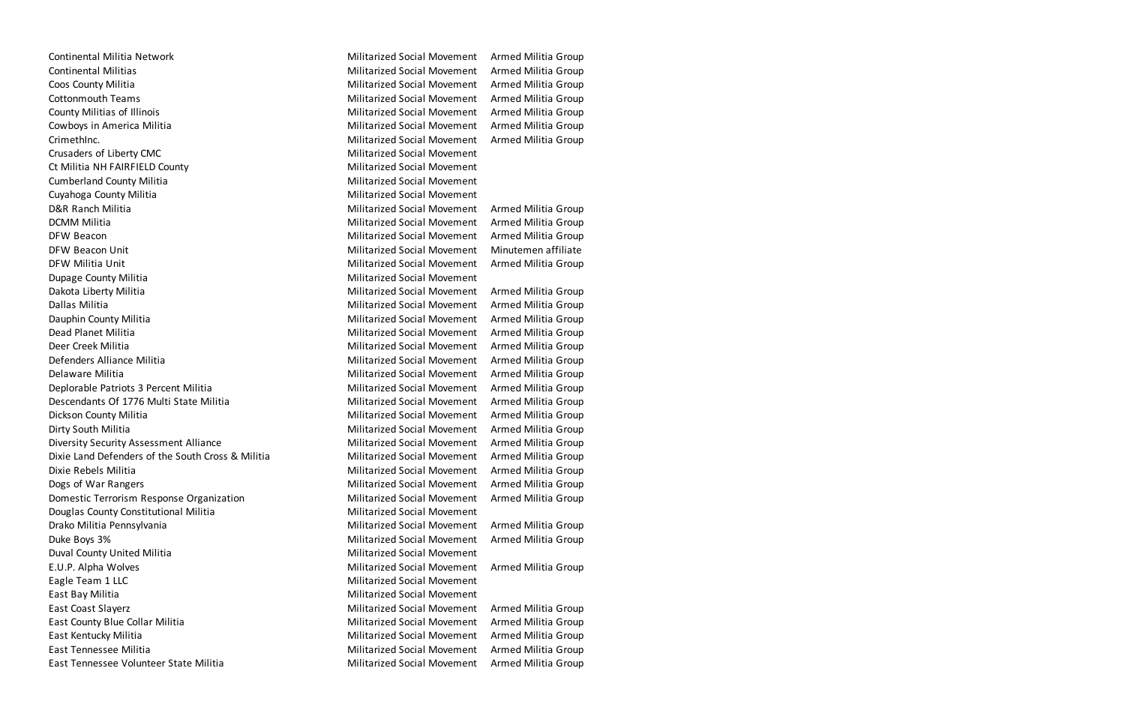Continental Militia Network **Militarized Social Movement** Armed Militia Group Continental Militias **Militarized Social Movement** Armed Militia Group Coos County Militia **Militia Coos County Militian Armed Militarized Social Movement** Armed Militia Group Cottonmouth Teams Militarized Social Movement Armed Militia Group County Militias of Illinois **Militarized Social Movement** Armed Militia Group Cowboys in America Militia **Militarized Social Movement** Armed Militia Group CrimethInc. Militarized Social Movement Armed Militia Group Crusaders of Liberty CMC **Militarized Social Movement** Ct Militia NH FAIRFIELD County **Militarized Social Movement** Cumberland County Militia **Militarized Social Movement** Cuyahoga County Militia Militarized Social Movement D&R Ranch Militia Militarized Social Movement Armed Militia Group DCMM Militia **Militarized Social Movement** Armed Militia Group DFW Beacon **Militarized Social Movement** Armed Militia Group DFW Beacon Unit **Militarized Social Movement** Minutemen affiliate DFW Militia Unit Militarized Social Movement Armed Militia Group Dupage County Militia **Militarized Social Movement** Dakota Liberty Militia **Militarized Social Movement** Armed Militia Group Dallas Militia Militarized Social Movement Armed Militia Group Dauphin County Militia **Militarized Social Movement** Armed Militia Group Dead Planet Militia **Militia Militarized Social Movement** Armed Militia Group Deer Creek Militia **Militarized Social Movement** Armed Militia Group Defenders Alliance Militia Militarized Social Movement Armed Militia Group Delaware Militia Militarized Social Movement Armed Militia Group Deplorable Patriots 3 Percent Militia Militia Militarized Social Movement Armed Militia Group Descendants Of 1776 Multi State Militia Militia Militarized Social Movement Armed Militia Group Dickson County Militia Militarized Social Movement Armed Militia Group Dirty South Militia **Militia Croup** Militarized Social Movement Armed Militia Group Diversity Security Assessment Alliance **Militarized Social Movement** Armed Militia Group Dixie Land Defenders of the South Cross & Militia Militarized Social Movement Armed Militia Group Dixie Rebels Militia Militarized Social Movement Armed Militia Group Dogs of War Rangers **Militarized Social Movement** Armed Militia Group Domestic Terrorism Response Organization Militarized Social Movement Armed Militia Group Douglas County Constitutional Militia Militarized Social Movement Drako Militia Pennsylvania **Militarized Social Movement** Armed Militia Group Duke Boys 3% **Militarized Social Movement** Armed Militia Group Duval County United Militia Militia Militarized Social Movement E.U.P. Alpha Wolves Militarized Social Movement Armed Militia Group Eagle Team 1 LLC **Eagle Team 1 LLC** and the Militarized Social Movement East Bay Militia Militarized Social Movement East Coast Slayerz Militarized Social Movement Armed Militia Group East County Blue Collar Militia Militarized Social Movement Armed Militia Group East Kentucky Militia **Militarized Social Movement** Armed Militia Group East Tennessee Militia Militarized Social Movement Armed Militia Group

East Tennessee Volunteer State Militia Militarized Social Movement Armed Militia Group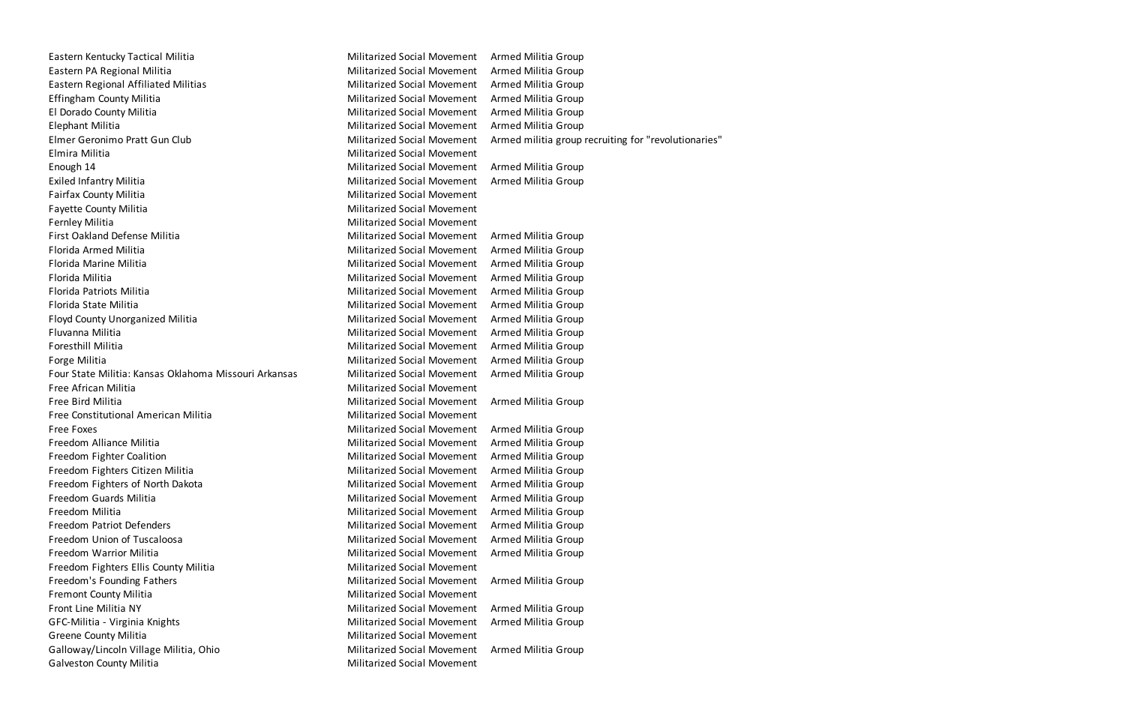Eastern Kentucky Tactical Militia Militarized Social Movement Armed Militia Group Eastern PA Regional Militia **Militarized Social Movement** Armed Militia Group Eastern Regional Affiliated Militias Militarized Social Movement Armed Militia Group Effingham County Militia Militarized Social Movement Armed Militia Group El Dorado County Militia **Militia Militarized Social Movement** Armed Militia Group Elephant Militia Militarized Social Movement Armed Militia Group Elmer Geronimo Pratt Gun Club Militarized Social Movement Armed militia group recruiting for "revolutionaries" Elmira Militia Militarized Social Movement Enough 14 Militarized Social Movement Armed Militia Group Exiled Infantry Militia **Militarized Social Movement** Armed Militia Group Fairfax County Militia **Militarized Social Movement** Fayette County Militia **Militarized Social Movement** Fernley Militia **Militia** Militarized Social Movement First Oakland Defense Militia Militarized Social Movement Armed Militia Group Florida Armed Militia Militarized Social Movement Armed Militia Group Florida Marine Militia Militarized Social Movement Armed Militia Group Florida Militia Militarized Social Movement Armed Militia Group Florida Patriots Militia Militarized Social Movement Armed Militia Group Florida State Militia Militarized Social Movement Armed Militia Group Floyd County Unorganized Militia Militarized Social Movement Armed Militia Group Fluvanna Militia **Militia Electropia and Armed Militarized Social Movement** Armed Militia Group Foresthill Militia **Militia Croup** Militarized Social Movement Armed Militia Group Forge Militia Militarized Social Movement Armed Militia Group Four State Militia: Kansas Oklahoma Missouri Arkansas Militarized Social Movement Armed Militia Group Free African Militia **Militarized Social Movement** Free Bird Militia Militarized Social Movement Armed Militia Group Free Constitutional American Militia Militarized Social Movement Free Foxes Militarized Social Movement Armed Militia Group Freedom Alliance Militia Militarized Social Movement Armed Militia Group Freedom Fighter Coalition **Militarized Social Movement** Armed Militia Group Freedom Fighters Citizen Militia Militarized Social Movement Armed Militia Group Freedom Fighters of North Dakota Militarized Social Movement Armed Militia Group Freedom Guards Militia Militarized Social Movement Armed Militia Group Freedom Militia Militarized Social Movement Armed Militia Group Freedom Patriot Defenders **Militarized Social Movement** Armed Militia Group Freedom Union of Tuscaloosa **Militarized Social Movement** Armed Militia Group Freedom Warrior Militia Militarized Social Movement Armed Militia Group Freedom Fighters Ellis County Militia Militarized Social Movement Freedom's Founding Fathers **Militarized Social Movement** Armed Militia Group Fremont County Militia **Militia County Militiarized Social Movement** Front Line Militia NY Militarized Social Movement Armed Militia Group GFC-Militia - Virginia Knights Militarized Social Movement Armed Militia Group Greene County Militia **Militarized Social Movement** Galloway/Lincoln Village Militia, Ohio **Militarized Social Movement** Armed Militia Group Galveston County Militia **Militarized Social Movement**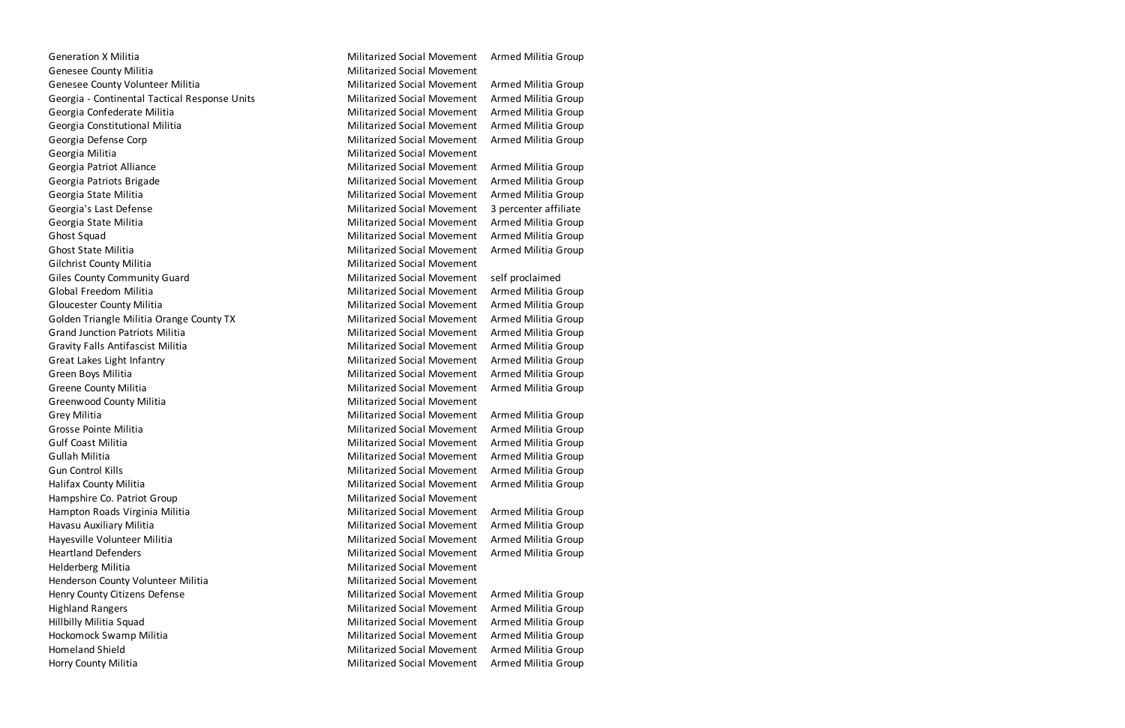Generation X Militia **Militia Croup Contracts Contracts Contracts** Militarized Social Movement Armed Militia Group Genesee County Militia **Militarized Social Movement** Genesee County Volunteer Militia Militia Militarized Social Movement Armed Militia Group Georgia - Continental Tactical Response Units Militarized Social Movement Armed Militia Group Georgia Confederate Militia Militarized Social Movement Armed Militia Group Georgia Constitutional Militia **Militarized Social Movement** Armed Militia Group Georgia Defense Corp **Militarized Social Movement** Armed Militia Group Georgia Militia Militarized Social Movement Georgia Patriot Alliance **Militarized Social Movement** Armed Militia Group Georgia Patriots Brigade **Militarized Social Movement** Armed Militia Group Georgia State Militia **Militia Militarized Social Movement** Armed Militia Group Georgia's Last Defense Militarized Social Movement 3 percenter affiliate Georgia State Militia **Militarized Social Movement** Armed Militia Group Ghost Squad Militarized Social Movement Armed Militia Group Ghost State Militia **Militia Croup Communist Communist Communist Communist Communist Communist Communist Communist Communist Communist Communist Communist Communist Communist Communist Communist Communist Communist Communi** Gilchrist County Militia **Militarized Social Movement** Militarized Social Movement Giles County Community Guard **Militarized Social Movement** self proclaimed Global Freedom Militia **Militia Croup Close Contracts Contracts** Militarized Social Movement Armed Militia Group Gloucester County Militia **Militia Croup County Militarized Social Movement** Armed Militia Group Golden Triangle Militia Orange County TX **Militarized Social Movement** Armed Militia Group Grand Junction Patriots Militia **Militarized Social Movement** Armed Militia Group Gravity Falls Antifascist Militia Militarized Social Movement Armed Militia Group Great Lakes Light Infantry **Militarized Social Movement** Armed Militia Group Green Boys Militia **Militarized Social Movement** Armed Militia Group Greene County Militia **Militia Croup County Militianized Social Movement** Armed Militia Group Greenwood County Militia **Militarized Social Movement** Militarized Social Movement Grey Militia **Militarized Social Movement** Armed Militia Group Grosse Pointe Militia **Militia Croup Communist Communist Croup** Militarized Social Movement Armed Militia Group Gulf Coast Militia Militarized Social Movement Armed Militia Group Gullah Militia **Militia Militarized Social Movement** Armed Militia Group Gun Control Kills **Militarized Social Movement** Armed Militia Group Halifax County Militia **Militia County Militianized Social Movement** Armed Militia Group Hampshire Co. Patriot Group Militarized Social Movement Hampton Roads Virginia Militia Militarized Social Movement Armed Militia Group Havasu Auxiliary Militia **Militia Militarized Social Movement** Armed Militia Group Hayesville Volunteer Militia Militarized Social Movement Armed Militia Group Heartland Defenders Militarized Social Movement Armed Militia Group Helderberg Militia Militarized Social Movement Henderson County Volunteer Militia Militarized Social Movement Henry County Citizens Defense Militarized Social Movement Armed Militia Group Highland Rangers Militarized Social Movement Armed Militia Group Hillbilly Militia Squad Militarized Social Movement Armed Militia Group Hockomock Swamp Militia **Militarized Social Movement** Armed Militia Group Homeland Shield Militarized Social Movement Armed Militia Group Horry County Militia Militarized Social Movement Armed Militia Group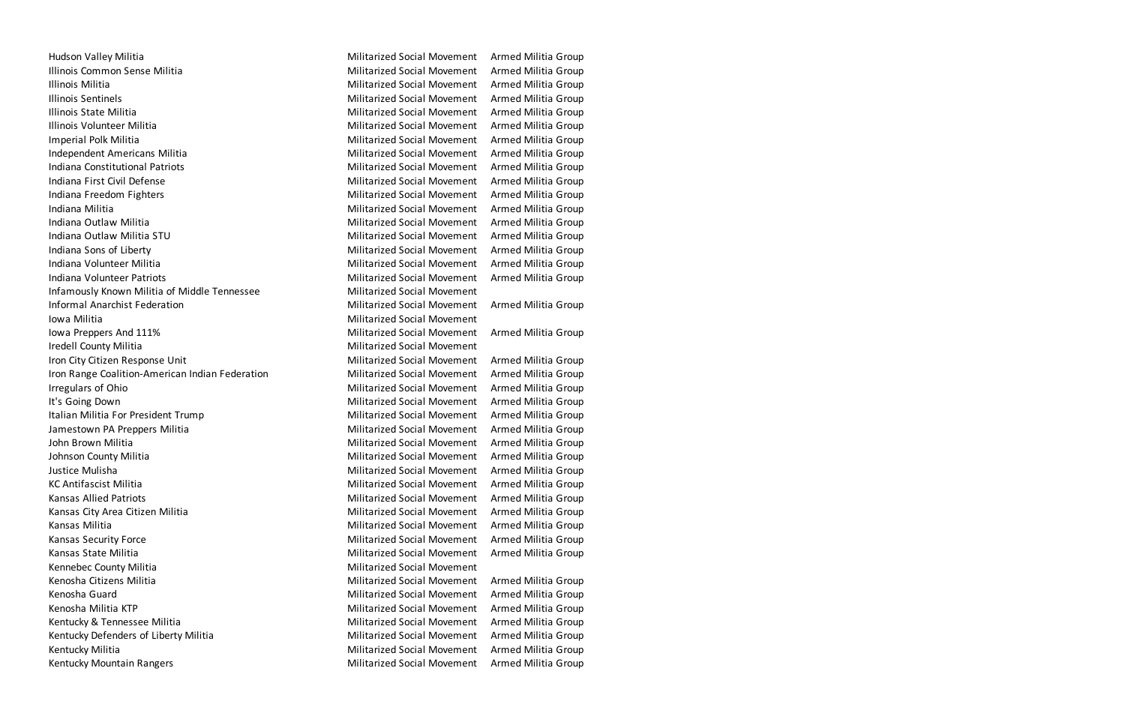Hudson Valley Militia **Militarized Social Movement** Armed Militia Group Illinois Common Sense Militia **Militarized Social Movement** Armed Militia Group Illinois Militia **Militia Croup Communisties and Militianized Social Movement** Armed Militia Group Illinois Sentinels **Militarized Social Movement** Armed Militia Group Illinois State Militia Militarized Social Movement Armed Militia Group Illinois Volunteer Militia **Militarized Social Movement** Armed Militia Group Imperial Polk Militia **Militarized Social Movement** Armed Militia Group Independent Americans Militia Militarized Social Movement Armed Militia Group Indiana Constitutional Patriots Militarized Social Movement Armed Militia Group Indiana First Civil Defense The Militarized Social Movement Armed Militia Group Indiana Freedom Fighters **Militarized Social Movement** Armed Militia Group Indiana Militia Militarized Social Movement Armed Militia Group Indiana Outlaw Militia Militarized Social Movement Armed Militia Group Indiana Outlaw Militia STU Nilitarized Social Movement Named Militia Group Indiana Sons of Liberty **Militarized Social Movement** Armed Militia Group Indiana Volunteer Militia Militarized Social Movement Armed Militia Group Indiana Volunteer Patriots **Militarized Social Movement** Armed Militia Group Infamously Known Militia of Middle Tennessee Militarized Social Movement Informal Anarchist Federation Theorem 2012 Militarized Social Movement Armed Militia Group Iowa Militia **Militarized Social Movement** Iowa Preppers And 111% **Militarized Social Movement** Armed Militia Group Iredell County Militia **Militarized Social Movement** Iron City Citizen Response Unit Nilitarized Social Movement Armed Militia Group Iron Range Coalition-American Indian Federation Militarized Social Movement Armed Militia Group Irregulars of Ohio **Militarized Social Movement** Armed Militia Group It's Going Down **Militarized Social Movement** Armed Militia Group Italian Militia For President Trump Nilitarized Social Movement Armed Militia Group Jamestown PA Preppers Militia **Militia Militarized Social Movement** Armed Militia Group John Brown Militia **Militia Militarized Social Movement** Armed Militia Group Johnson County Militia **Militarized Social Movement** Armed Militia Group Justice Mulisha Militarized Social Movement Armed Militia Group KC Antifascist Militia **Militarized Social Movement** Armed Militia Group Kansas Allied Patriots Militarized Social Movement Armed Militia Group Kansas City Area Citizen Militia Militia Militarized Social Movement Armed Militia Group Kansas Militia Militarized Social Movement Armed Militia Group Kansas Security Force **Militarized Social Movement** Armed Militia Group Kansas State Militia Militarized Social Movement Armed Militia Group Kennebec County Militia Militarized Social Movement Kenosha Citizens Militia **Militarized Social Movement** Armed Militia Group Kenosha Guard Militarized Social Movement Armed Militia Group Kenosha Militia KTP **Militarized Social Movement** Armed Militia Group Kentucky & Tennessee Militia Militia Militarized Social Movement Armed Militia Group Kentucky Defenders of Liberty Militia Militarized Social Movement Armed Militia Group Kentucky Militia **Militarized Social Movement** Armed Militia Group Kentucky Mountain Rangers **Militarized Social Movement** Armed Militia Group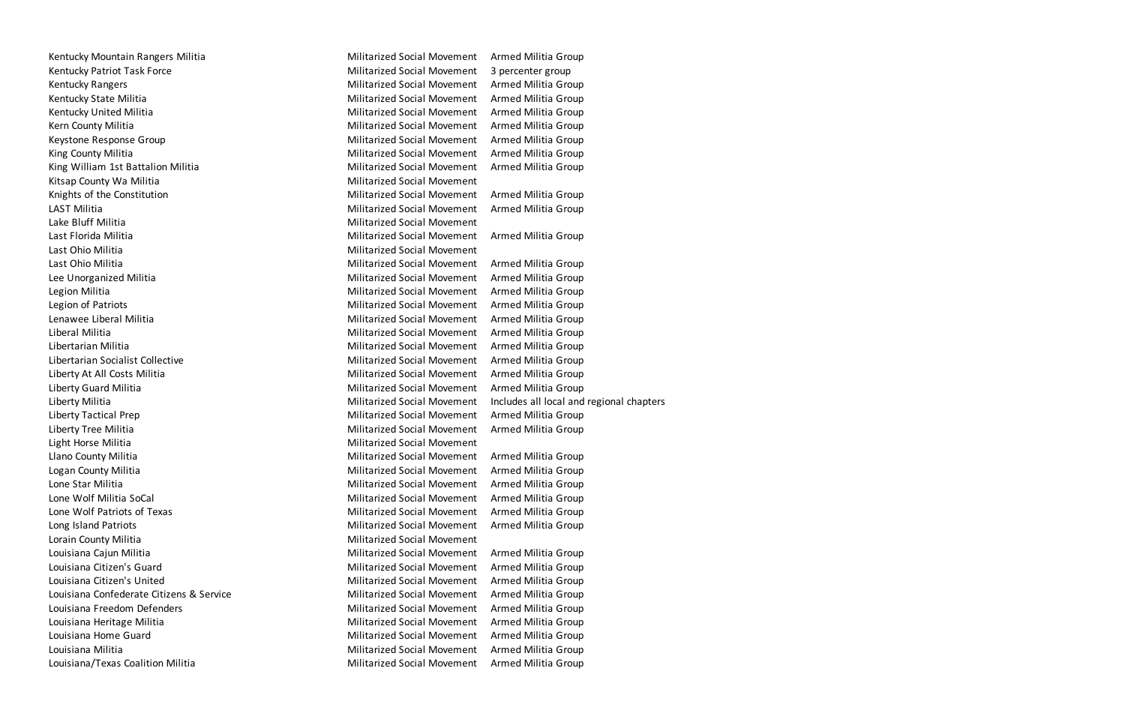Kentucky Mountain Rangers Militia Militarized Social Movement Armed Militia Group Kentucky Patriot Task Force The Militarized Social Movement 3 percenter group Kentucky Rangers **Militarized Social Movement** Armed Militia Group Kentucky State Militia **Militia Militarized Social Movement** Armed Militia Group Kentucky United Militia **Militia Militiarized Social Movement** Armed Militia Group Kern County Militia **Militia Militarized Social Movement** Armed Militia Group Keystone Response Group Nilitarized Social Movement Armed Militia Group King County Militia **Militia County Militian County Militarized Social Movement** Armed Militia Group King William 1st Battalion Militia **Militia Militarized Social Movement** Armed Militia Group Kitsap County Wa Militia **Militarized Social Movement** Knights of the Constitution **Militarized Social Movement** Armed Militia Group LAST Militia Militarized Social Movement Armed Militia Group Lake Bluff Militia **Militarized Social Movement** Last Florida Militia Militarized Social Movement Armed Militia Group Last Ohio Militia Militarized Social Movement Last Ohio Militia Militarized Social Movement Armed Militia Group Lee Unorganized Militia **Militia Croup** Militarized Social Movement Armed Militia Group Legion Militia **Militarized Social Movement** Armed Militia Group Legion of Patriots **Militarized Social Movement** Armed Militia Group Lenawee Liberal Militia Militarized Social Movement Armed Militia Group Liberal Militia **Militia Croup** Militarized Social Movement Armed Militia Group Libertarian Militia Militarized Social Movement Armed Militia Group Libertarian Socialist Collective Militarized Social Movement Armed Militia Group Liberty At All Costs Militia **Militarized Social Movement** Armed Militia Group Liberty Guard Militia Militarized Social Movement Armed Militia Group Liberty Tactical Prep **Militarized Social Movement** Armed Militia Group Liberty Tree Militia **Militarized Social Movement** Armed Militia Group Light Horse Militia Militarized Social Movement Llano County Militia Militarized Social Movement Armed Militia Group Logan County Militia **Militia Croup County Militianized Social Movement** Armed Militia Group Lone Star Militia **Militarized Social Movement** Armed Militia Group Lone Wolf Militia SoCal Militarized Social Movement Armed Militia Group Lone Wolf Patriots of Texas The Militarized Social Movement Armed Militia Group Long Island Patriots **Militarized Social Movement** Armed Militia Group Lorain County Militia **Militia County Militianized Social Movement** Louisiana Cajun Militia Militarized Social Movement Armed Militia Group Louisiana Citizen's Guard Militarized Social Movement Armed Militia Group Louisiana Citizen's United **Militarized Social Movement** Armed Militia Group Louisiana Confederate Citizens & Service Militarized Social Movement Armed Militia Group Louisiana Freedom Defenders **Militarized Social Movement** Armed Militia Group Louisiana Heritage Militia Militarized Social Movement Armed Militia Group Louisiana Home Guard **Militarized Social Movement** Armed Militia Group Louisiana Militia Militarized Social Movement Armed Militia Group

Liberty Militia Militarized Social Movement Includes all local and regional chapters

Louisiana/Texas Coalition Militia Militarized Social Movement Armed Militia Group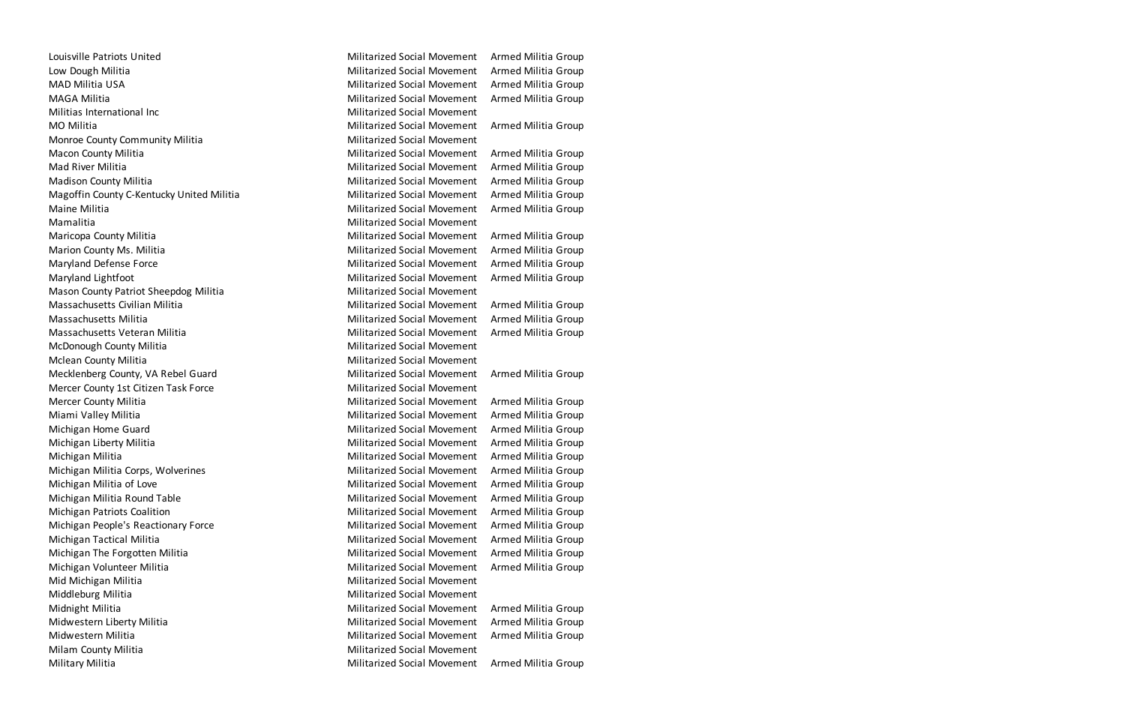Louisville Patriots United **Militarized Social Movement** Armed Militia Group Low Dough Militia **Militia Croup** Militarized Social Movement Armed Militia Group MAD Militia USA Militarized Social Movement Armed Militia Group MAGA Militia Militarized Social Movement Armed Militia Group Militias International Inc **Militarized Social Movement** Militarized Social Movement MO Militia Militarized Social Movement Armed Militia Group Monroe County Community Militia Militarized Social Movement Macon County Militia **Militia Militarized Social Movement** Armed Militia Group Mad River Militia Militarized Social Movement Armed Militia Group Madison County Militia Militarized Social Movement Armed Militia Group Magoffin County C-Kentucky United Militia Militarized Social Movement Armed Militia Group Maine Militia Militarized Social Movement Armed Militia Group Mamalitia Militarized Social Movement Maricopa County Militia Militarized Social Movement Armed Militia Group Marion County Ms. Militia Militia Militarized Social Movement Armed Militia Group Maryland Defense Force Militarized Social Movement Armed Militia Group Maryland Lightfoot Militarized Social Movement Armed Militia Group Mason County Patriot Sheepdog Militia Militarized Social Movement Massachusetts Civilian Militia Militarized Social Movement Armed Militia Group Massachusetts Militia Militarized Social Movement Armed Militia Group Massachusetts Veteran Militia **Militarized Social Movement** Armed Militia Group McDonough County Militia Militarized Social Movement Mclean County Militia **Militarized Social Movement** Militarized Social Movement Mecklenberg County, VA Rebel Guard Militarized Social Movement Armed Militia Group Mercer County 1st Citizen Task Force Militarized Social Movement Mercer County Militia **Militia Croup County Militianized Social Movement** Armed Militia Group Miami Valley Militia Militarized Social Movement Armed Militia Group Michigan Home Guard Militarized Social Movement Armed Militia Group Michigan Liberty Militia Militarized Social Movement Armed Militia Group Michigan Militia Militarized Social Movement Armed Militia Group Michigan Militia Corps, Wolverines Militarized Social Movement Armed Militia Group Michigan Militia of Love **Militarized Social Movement** Armed Militia Group Michigan Militia Round Table Militarized Social Movement Armed Militia Group Michigan Patriots Coalition **Militarized Social Movement** Armed Militia Group Michigan People's Reactionary Force **Militarized Social Movement** Armed Militia Group Michigan Tactical Militia Militarized Social Movement Armed Militia Group Michigan The Forgotten Militia Militarized Social Movement Armed Militia Group Michigan Volunteer Militia Militarized Social Movement Armed Militia Group Mid Michigan Militia **Michigan Militarized Social Movement** Middleburg Militia Militarized Social Movement Midnight Militia Militarized Social Movement Armed Militia Group Midwestern Liberty Militia **Militia Militarized Social Movement** Armed Militia Group Midwestern Militia **Militia Militarized Social Movement** Armed Militia Group Milam County Militia **Militarized Social Movement** Militarized Social Movement Military Militia Militarized Social Movement Armed Militia Group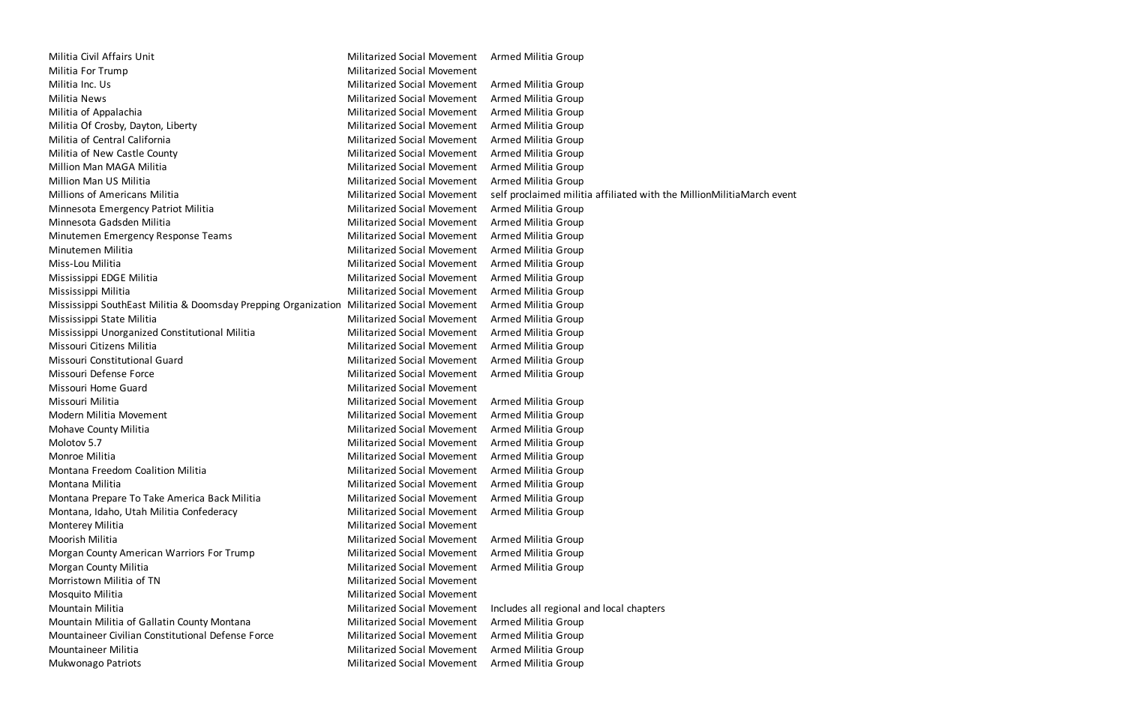Militia Civil Affairs Unit Militarized Social Movement Armed Militia Group Militia For Trump **Militarized Social Movement** Militia Inc. Us Militarized Social Movement Armed Militia Group Militia News Militarized Social Movement Armed Militia Group Militia of Appalachia Militarized Social Movement Armed Militia Group Militia Of Crosby, Dayton, Liberty **Militarized Social Movement** Armed Militia Group Militia of Central California **Militarized Social Movement** Armed Militia Group Militia of New Castle County Militarized Social Movement Armed Militia Group Million Man MAGA Militia Militarized Social Movement Armed Militia Group Million Man US Militia Militarized Social Movement Armed Militia Group Millions of Americans Militia Militarized Social Movement self proclaimed militia affiliated with the MillionMilitiaMarch event Minnesota Emergency Patriot Militia Militarized Social Movement Armed Militia Group Minnesota Gadsden Militia Militarized Social Movement Armed Militia Group Minutemen Emergency Response Teams Militarized Social Movement Armed Militia Group Minutemen Militia Militarized Social Movement Armed Militia Group Miss-Lou Militia Militarized Social Movement Armed Militia Group Mississippi EDGE Militia **Militarized Social Movement** Armed Militia Group Mississippi Militia Militarized Social Movement Armed Militia Group Mississippi SouthEast Militia & Doomsday Prepping Organization Militarized Social Movement Armed Militia Group Mississippi State Militia Militarized Social Movement Armed Militia Group Mississippi Unorganized Constitutional Militia Militia Militarized Social Movement Armed Militia Group Missouri Citizens Militia Militarized Social Movement Armed Militia Group Missouri Constitutional Guard Militarized Social Movement Armed Militia Group Missouri Defense Force **Militarized Social Movement** Armed Militia Group Missouri Home Guard Militarized Social Movement Missouri Militia Militarized Social Movement Armed Militia Group Modern Militia Movement Militarized Social Movement Armed Militia Group Mohave County Militia **Militia Croup County Militianized Social Movement** Armed Militia Group Molotov 5.7 Militarized Social Movement Armed Militia Group Monroe Militia Militarized Social Movement Armed Militia Group Montana Freedom Coalition Militia Militia Militarized Social Movement Armed Militia Group Montana Militia Militarized Social Movement Armed Militia Group Montana Prepare To Take America Back Militia Militarized Social Movement Armed Militia Group Montana, Idaho, Utah Militia Confederacy Militarized Social Movement Armed Militia Group Monterey Militia **Militia** Monterey Militia Moorish Militia Militarized Social Movement Armed Militia Group Morgan County American Warriors For Trump Militarized Social Movement Armed Militia Group Morgan County Militia Militarized Social Movement Armed Militia Group Morristown Militia of TN Militarized Social Movement Mosquito Militia Militarized Social Movement Mountain Militia Militarized Social Movement Includes all regional and local chapters Mountain Militia of Gallatin County Montana Militarized Social Movement Armed Militia Group Mountaineer Civilian Constitutional Defense Force Militarized Social Movement Armed Militia Group Mountaineer Militia Militarized Social Movement Armed Militia Group Mukwonago Patriots **Militarized Social Movement** Armed Militia Group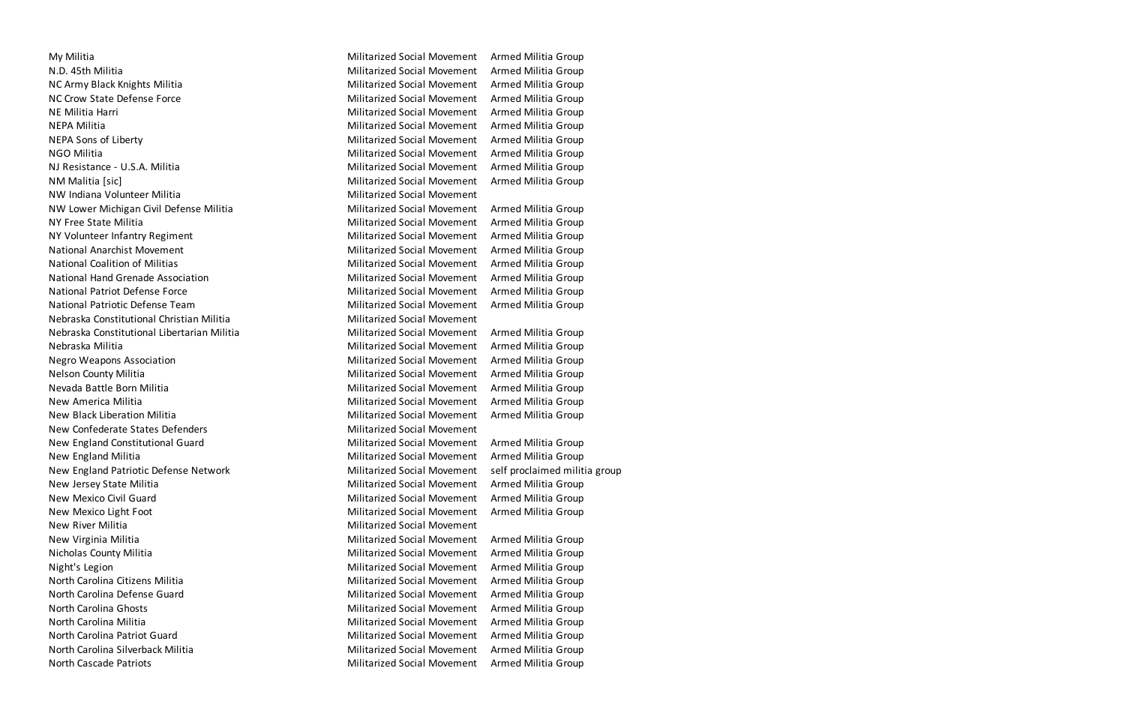My Militia Militarized Social Movement Armed Militia Group N.D. 45th Militia **Militia Militarized Social Movement** Armed Militia Group NC Army Black Knights Militia Militia Militarized Social Movement Armed Militia Group NC Crow State Defense Force Militarized Social Movement Armed Militia Group NE Militia Harri Militarized Social Movement Armed Militia Group NEPA Militia **Militia Militarized Social Movement** Armed Militia Group NEPA Sons of Liberty **Militarized Social Movement** Armed Militia Group NGO Militia Militarized Social Movement Armed Militia Group NJ Resistance - U.S.A. Militia Militarized Social Movement Armed Militia Group NM Malitia [sic] Militarized Social Movement Armed Militia Group NW Indiana Volunteer Militia Militia Militarized Social Movement NW Lower Michigan Civil Defense Militia Militarized Social Movement Armed Militia Group NY Free State Militia Militarized Social Movement Armed Militia Group NY Volunteer Infantry Regiment Militarized Social Movement Militarized Social Movement Armed Militia Group National Anarchist Movement Militarized Social Movement Armed Militia Group National Coalition of Militias **Militarized Social Movement** Armed Militia Group National Hand Grenade Association Militarized Social Movement Armed Militia Group National Patriot Defense Force **Militarized Social Movement** Armed Militia Group National Patriotic Defense Team Militarized Social Movement Armed Militia Group Nebraska Constitutional Christian Militia Militarized Social Movement Nebraska Constitutional Libertarian Militia Militarized Social Movement Armed Militia Group Nebraska Militia Militarized Social Movement Armed Militia Group Negro Weapons Association Nilitarized Social Movement Armed Militia Group Nelson County Militia **Militia Croup** Militarized Social Movement Armed Militia Group Nevada Battle Born Militia Militarized Social Movement Armed Militia Group New America Militia Militarized Social Movement Armed Militia Group New Black Liberation Militia Militarized Social Movement Armed Militia Group New Confederate States Defenders Militarized Social Movement New England Constitutional Guard Militarized Social Movement Armed Militia Group New England Militia **Militia Croup Communist Communist Croup** Militarized Social Movement Armed Militia Group New England Patriotic Defense Network Militarized Social Movement self proclaimed militia group New Jersey State Militia **Militarized Social Movement** Armed Militia Group New Mexico Civil Guard Militarized Social Movement Armed Militia Group New Mexico Light Foot Nillitarized Social Movement Armed Militia Group New River Militia **Militarized Social Movement** New Virginia Militia **Militia Militia Republic Armed Militarized Social Movement** Armed Militia Group Nicholas County Militia Militarized Social Movement Armed Militia Group Night's Legion **Militarized Social Movement** Armed Militia Group North Carolina Citizens Militia **Militarized Social Movement** Armed Militia Group North Carolina Defense Guard Militarized Social Movement Armed Militia Group North Carolina Ghosts Militarized Social Movement Armed Militia Group North Carolina Militia Militarized Social Movement Armed Militia Group North Carolina Patriot Guard Militarized Social Movement Armed Militia Group North Carolina Silverback Militia Militarized Social Movement Armed Militia Group North Cascade Patriots **Militarized Social Movement** Armed Militia Group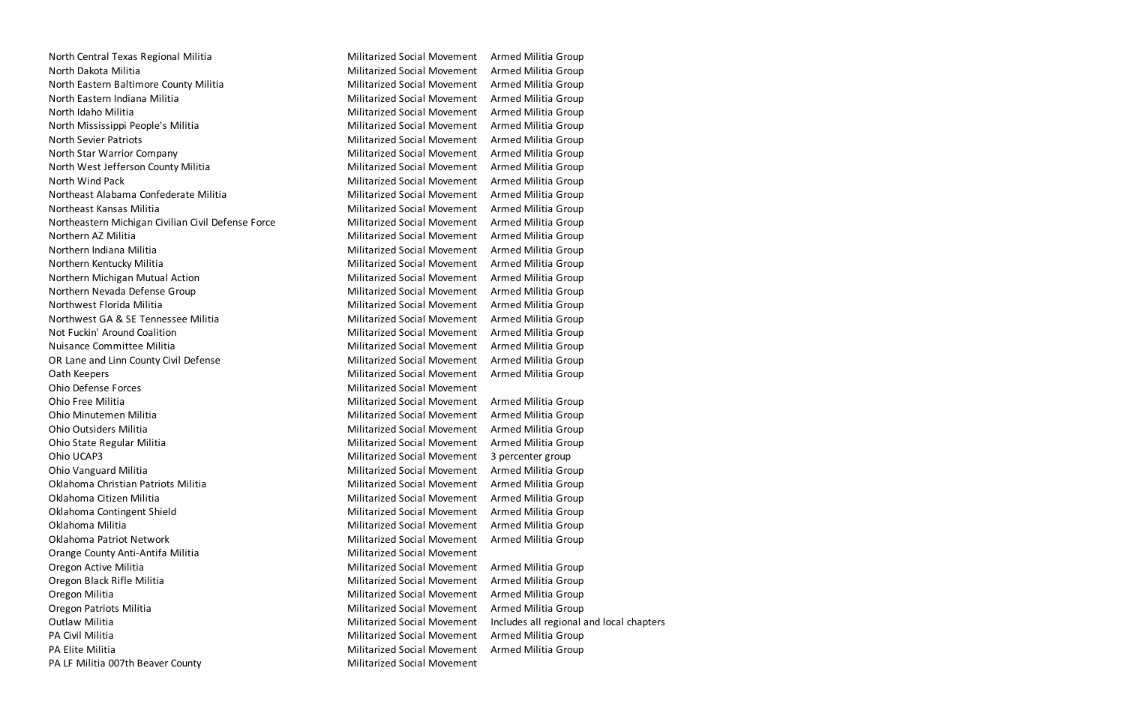North Central Texas Regional Militia Militarized Social Movement Armed Militia Group North Dakota Militia **Militarized Social Movement** Armed Militia Group North Eastern Baltimore County Militia Militia Militarized Social Movement Armed Militia Group North Eastern Indiana Militia Militarized Social Movement Armed Militia Group North Idaho Militia Militarized Social Movement Armed Militia Group North Mississippi People's Militia Militarized Social Movement Armed Militia Group North Sevier Patriots **Militarized Social Movement** Armed Militia Group North Star Warrior Company **Militarized Social Movement** Armed Militia Group North West Jefferson County Militia Militia Militarized Social Movement Armed Militia Group North Wind Pack Militarized Social Movement Armed Militia Group Northeast Alabama Confederate Militia Militia Militarized Social Movement Armed Militia Group Northeast Kansas Militia Militarized Social Movement Armed Militia Group Northeastern Michigan Civilian Civil Defense Force Militarized Social Movement Armed Militia Group Northern AZ Militia **Militia Militarized Social Movement** Armed Militia Group Northern Indiana Militia Militarized Social Movement Armed Militia Group Northern Kentucky Militia Militarized Social Movement Armed Militia Group Northern Michigan Mutual Action Militarized Social Movement Armed Militia Group Northern Nevada Defense Group Northern Militarized Social Movement Armed Militia Group Northwest Florida Militia Militarized Social Movement Armed Militia Group Northwest GA & SE Tennessee Militia Militarized Social Movement Armed Militia Group Not Fuckin' Around Coalition **Militarized Social Movement** Armed Militia Group Nuisance Committee Militia Militarized Social Movement Armed Militia Group OR Lane and Linn County Civil Defense Militarized Social Movement Armed Militia Group Oath Keepers **Militarized Social Movement** Armed Militia Group Ohio Defense Forces Militarized Social Movement Ohio Free Militia **Militia Croup Community** Chio Free Militarized Social Movement Armed Militia Group Ohio Minutemen Militia Militarized Social Movement Armed Militia Group Ohio Outsiders Militia Militarized Social Movement Armed Militia Group Ohio State Regular Militia Militarized Social Movement Armed Militia Group Ohio UCAP3 Militarized Social Movement 3 percenter group Ohio Vanguard Militia Militarized Social Movement Armed Militia Group Oklahoma Christian Patriots Militia Militarized Social Movement Armed Militia Group Oklahoma Citizen Militia Militarized Social Movement Armed Militia Group Oklahoma Contingent Shield Militarized Social Movement Armed Militia Group Oklahoma Militia **Militia Militarized Social Movement** Armed Militia Group Oklahoma Patriot Network **Militarized Social Movement** Armed Militia Group Orange County Anti-Antifa Militia Militarized Social Movement Oregon Active Militia **Militia Croup Contract Armed Militarized Social Movement** Armed Militia Group Oregon Black Rifle Militia **Militarized Social Movement** Armed Militia Group Oregon Militia Militarized Social Movement Armed Militia Group Oregon Patriots Militia Militarized Social Movement Armed Militia Group Outlaw Militia **Militarized Social Movement** Includes all regional and local chapters PA Civil Militia Militia Militia Group Civil Militarized Social Movement Armed Militia Group PA Elite Militia **Militia Croup Community** Construction Militarized Social Movement Armed Militia Group PA LF Militia 007th Beaver County **Militarized Social Movement**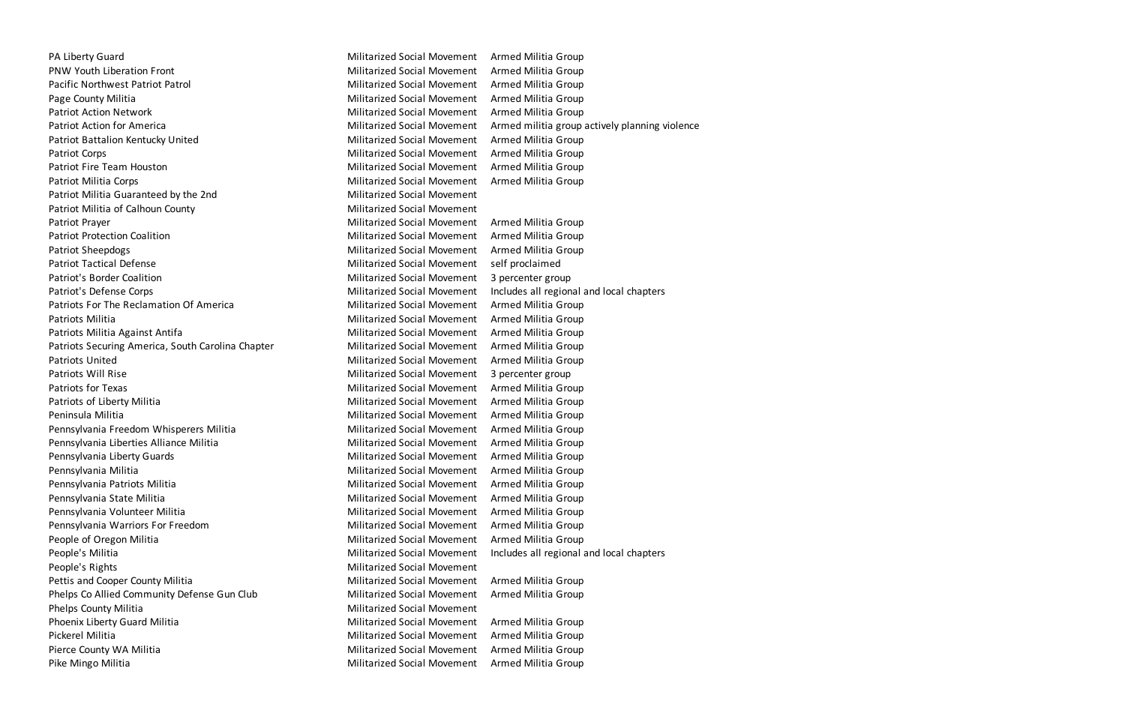PA Liberty Guard Militarized Social Movement Armed Militia Group PNW Youth Liberation Front The Militarized Social Movement Armed Militia Group Pacific Northwest Patriot Patrol Militarized Social Movement Armed Militia Group Page County Militia **Militia Croup County Militianized Social Movement** Armed Militia Group Patriot Action Network **Militarized Social Movement** Armed Militia Group Patriot Action for America **Militarized Social Movement** Armed militia group actively planning violence Patriot Battalion Kentucky United Militarized Social Movement Armed Militia Group Patriot Corps **Militarized Social Movement** Armed Militia Group Patriot Fire Team Houston **Militarized Social Movement** Armed Militia Group Patriot Militia Corps **Militarized Social Movement** Armed Militia Group Patriot Militia Guaranteed by the 2nd Militarized Social Movement Patriot Militia of Calhoun County **Militarized Social Movement** Militarized Social Movement Patriot Prayer Militarized Social Movement Armed Militia Group Patriot Protection Coalition **Militarized Social Movement** Armed Militia Group Patriot Sheepdogs **Militarized Social Movement** Armed Militia Group Patriot Tactical Defense Mateur Militarized Social Movement self proclaimed Patriot's Border Coalition and Militarized Social Movement 3 percenter group Patriot's Defense Corps **Militarized Social Movement** Includes all regional and local chapters Patriots For The Reclamation Of America Militarized Social Movement Armed Militia Group Patriots Militia **Militia Croup Communist Communist Croup** Militarized Social Movement Armed Militia Group Patriots Militia Against Antifa **Militarized Social Movement** Armed Militia Group Patriots Securing America, South Carolina Chapter Militarized Social Movement Armed Militia Group Patriots United Militarized Social Movement Armed Militia Group Patriots Will Rise **Militarized Social Movement** 3 percenter group Patriots for Texas **Militarized Social Movement** Armed Militia Group Patriots of Liberty Militia **Militarized Social Movement** Armed Militia Group Peninsula Militia Militarized Social Movement Armed Militia Group Pennsylvania Freedom Whisperers Militia Militarized Social Movement Armed Militia Group Pennsylvania Liberties Alliance Militia Militia Militarized Social Movement Armed Militia Group Pennsylvania Liberty Guards Militarized Social Movement Armed Militia Group Pennsylvania Militia Militarized Social Movement Armed Militia Group Pennsylvania Patriots Militia Militarized Social Movement Armed Militia Group Pennsylvania State Militia Militarized Social Movement Armed Militia Group Pennsylvania Volunteer Militia Militia Militarized Social Movement Armed Militia Group Pennsylvania Warriors For Freedom Militarized Social Movement Armed Militia Group People of Oregon Militia **Militia Croup Communist Communist Croup** Militarized Social Movement Armed Militia Group People's Militia **Militarized Social Movement** Includes all regional and local chapters People's Rights Militarized Social Movement Pettis and Cooper County Militia Militarized Social Movement Armed Militia Group Phelps Co Allied Community Defense Gun Club Militarized Social Movement Armed Militia Group Phelps County Militia **Militia County Militians** Militarized Social Movement Phoenix Liberty Guard Militia Militia Militarized Social Movement Armed Militia Group Pickerel Militia Militarized Social Movement Armed Militia Group Pierce County WA Militia **Militim County WA Militian Militarized Social Movement** Armed Militia Group Pike Mingo Militia **Militarized Social Movement** Armed Militia Group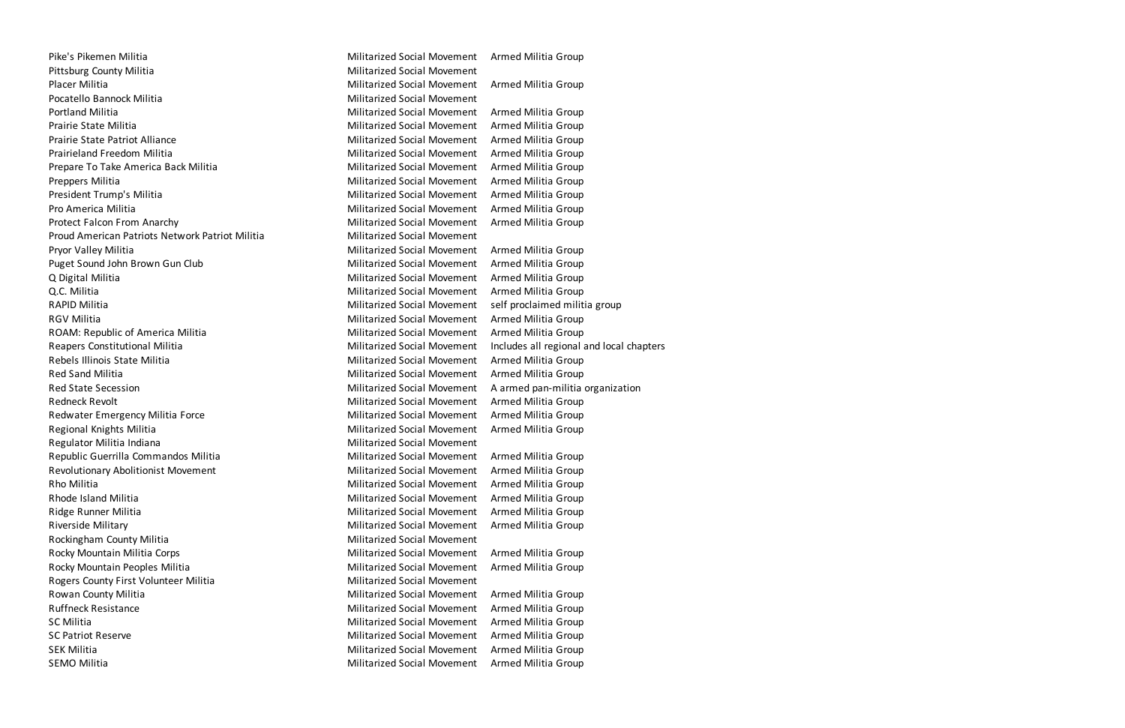Pike's Pikemen Militia Militarized Social Movement Armed Militia Group Pittsburg County Militia **Militarized Social Movement** Militarized Social Movement Placer Militia Militarized Social Movement Armed Militia Group Pocatello Bannock Militia Militia Militarized Social Movement Portland Militia **Militia Croup** Militarized Social Movement Armed Militia Group Prairie State Militia Militarized Social Movement Armed Militia Group Prairie State Patriot Alliance **Militarized Social Movement** Armed Militia Group Prairieland Freedom Militia **Militia Militiarized Social Movement** Armed Militia Group Prepare To Take America Back Militia Militiarized Social Movement Armed Militia Group Preppers Militia **Militarized Social Movement** Armed Militia Group President Trump's Militia **Militia Croup Communist Communist Communist Communist Communist Communist Communist Communist Communist Communist Communist Communist Communist Communist Communist Communist Communist Communist C** Pro America Militia **Militia Armed Militia Group** Militarized Social Movement Armed Militia Group Protect Falcon From Anarchy **Militarized Social Movement** Armed Militia Group Proud American Patriots Network Patriot Militia **Militarized Social Movement** Pryor Valley Militia **Militia Militarized Social Movement** Armed Militia Group Puget Sound John Brown Gun Club Militarized Social Movement Armed Militia Group Q Digital Militia **Militia** Croup Controller Militarized Social Movement Armed Militia Group Q.C. Militia Militarized Social Movement Armed Militia Group RAPID Militia **Militarized Social Movement** self proclaimed militia group RGV Militia **Militarized Social Movement** Armed Militia Group ROAM: Republic of America Militia Militarized Social Movement Armed Militia Group Reapers Constitutional Militia **Militarized Social Movement** Includes all regional and local chapters Rebels Illinois State Militia **Militia Croup State Social Movement** Armed Militia Group Red Sand Militia **Militarized Social Movement** Armed Militia Group Red State Secession **Militarized Social Movement** A armed pan-militia organization Redneck Revolt **Militarized Social Movement** Armed Militia Group Redwater Emergency Militia Force **Militarized Social Movement** Armed Militia Group Regional Knights Militia **Militia Militarized Social Movement** Armed Militia Group Regulator Militia Indiana Militarized Social Movement Republic Guerrilla Commandos Militia Militia Militarized Social Movement Armed Militia Group Revolutionary Abolitionist Movement Militarized Social Movement Militia Group Rho Militia **Militarized Social Movement** Armed Militia Group Rhode Island Militia Militarized Social Movement Armed Militia Group Ridge Runner Militia **Militarized Social Movement** Armed Militia Group Riverside Military **Militarized Social Movement** Armed Militia Group Rockingham County Militia **Militarized Social Movement** Militarized Social Movement Rocky Mountain Militia Corps **Militarized Social Movement** Armed Militia Group Rocky Mountain Peoples Militia Militia Militarized Social Movement Armed Militia Group Rogers County First Volunteer Militia Militarized Social Movement Rowan County Militia **Militia Militarized Social Movement** Armed Militia Group Ruffneck Resistance **Militarized Social Movement** Armed Militia Group SC Militia **Militarized Social Movement** Armed Militia Group SC Patriot Reserve **Militarized Social Movement** Armed Militia Group SEK Militia **Militarized Social Movement** Armed Militia Group SEMO Militia **Militia Militarized Social Movement** Armed Militia Group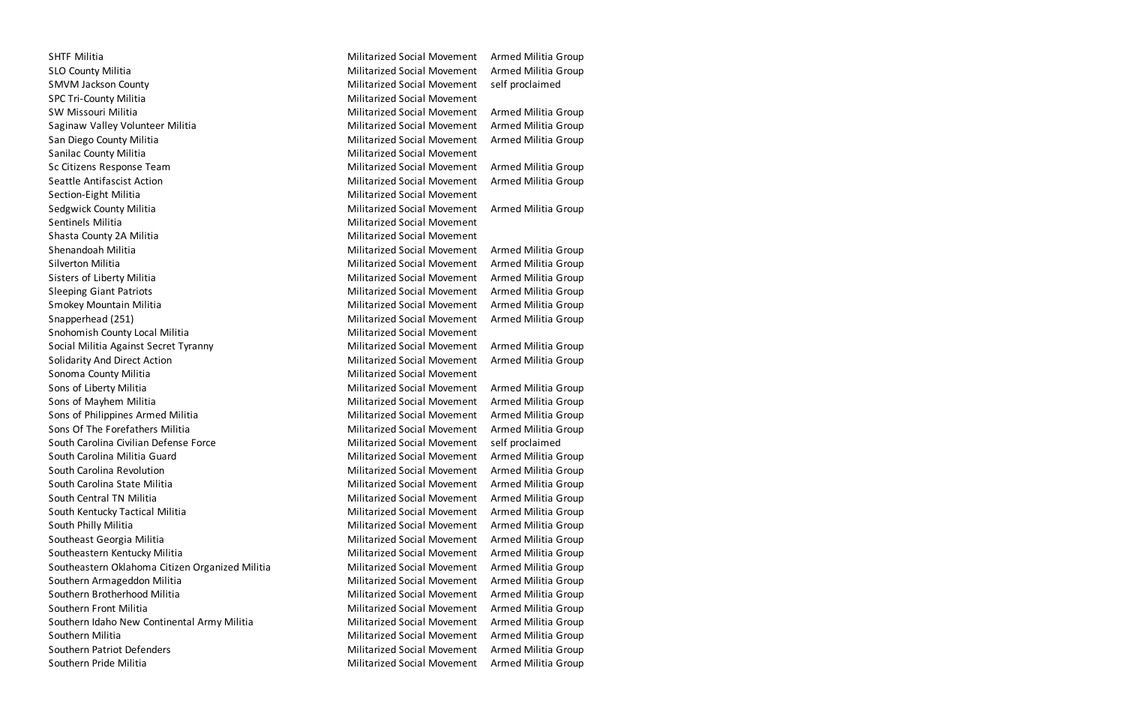SHTF Militia **Militia Militarized Social Movement** Armed Militia Group SLO County Militia **Militarized Social Movement** Armed Militia Group SMVM Jackson County **Militarized Social Movement** self proclaimed SPC Tri-County Militia **Militarized Social Movement** SW Missouri Militia **Militarized Social Movement** Armed Militia Group Saginaw Valley Volunteer Militia Militarized Social Movement Armed Militia Group San Diego County Militia **Militia Croup County Militarized Social Movement** Armed Militia Group Sanilac County Militia **Militarized Social Movement** Militarized Social Movement Sc Citizens Response Team Nilitarized Social Movement Armed Militia Group Seattle Antifascist Action **Militarized Social Movement** Armed Militia Group Section-Eight Militia **Militarized Social Movement** Sedgwick County Militia **Militia Croup County Militianized Social Movement** Armed Militia Group Sentinels Militia Militarized Social Movement Shasta County 2A Militia **Militarized Social Movement** Militarized Social Movement Shenandoah Militia Militarized Social Movement Armed Militia Group Silverton Militia Militarized Social Movement Armed Militia Group Sisters of Liberty Militia **Militarized Social Movement** Armed Militia Group Sleeping Giant Patriots **Militarized Social Movement** Armed Militia Group Smokey Mountain Militia Militarized Social Movement Armed Militia Group Snapperhead (251) The Social Movement Armed Militia Group Snohomish County Local Militia **Militarized Social Movement** Social Militia Against Secret Tyranny **Militarized Social Movement** Armed Militia Group Solidarity And Direct Action **Militarized Social Movement** Armed Militia Group Sonoma County Militia **Militarized Social Movement** Sons of Liberty Militia **Militarized Social Movement** Armed Militia Group Sons of Mayhem Militia **Militarized Social Movement** Armed Militia Group Sons of Philippines Armed Militia **Militia Croup Constructs** Militarized Social Movement Armed Militia Group Sons Of The Forefathers Militia Militia Militarized Social Movement Armed Militia Group South Carolina Civilian Defense Force **Militarized Social Movement** self proclaimed South Carolina Militia Guard **Militarized Social Movement** Armed Militia Group South Carolina Revolution **Militarized Social Movement** Armed Militia Group South Carolina State Militia Militia Militarized Social Movement Armed Militia Group South Central TN Militia **Militia Croup Communist Communist Communist Communist Communist Communist Communist Communist Communist Communist Communist Communist Communist Communist Communist Communist Communist Communist Co** South Kentucky Tactical Militia Militarized Social Movement Armed Militia Group South Philly Militia **Militarized Social Movement** Armed Militia Group Southeast Georgia Militia **Militia Croup Contract Armed Militarized Social Movement** Armed Militia Group Southeastern Kentucky Militia Militarized Social Movement Armed Militia Group Southeastern Oklahoma Citizen Organized Militia Militarized Social Movement Armed Militia Group Southern Armageddon Militia **Militarized Social Movement** Armed Militia Group Southern Brotherhood Militia Militia Militarized Social Movement Armed Militia Group Southern Front Militia **Militia Croup Contract Armed Militia** Group Militarized Social Movement Armed Militia Group Southern Idaho New Continental Army Militia Militarized Social Movement Armed Militia Group Southern Militia **Militarized Social Movement** Armed Militia Group Southern Patriot Defenders **Militarized Social Movement** Armed Militia Group Southern Pride Militia **Militarized Social Movement** Armed Militia Group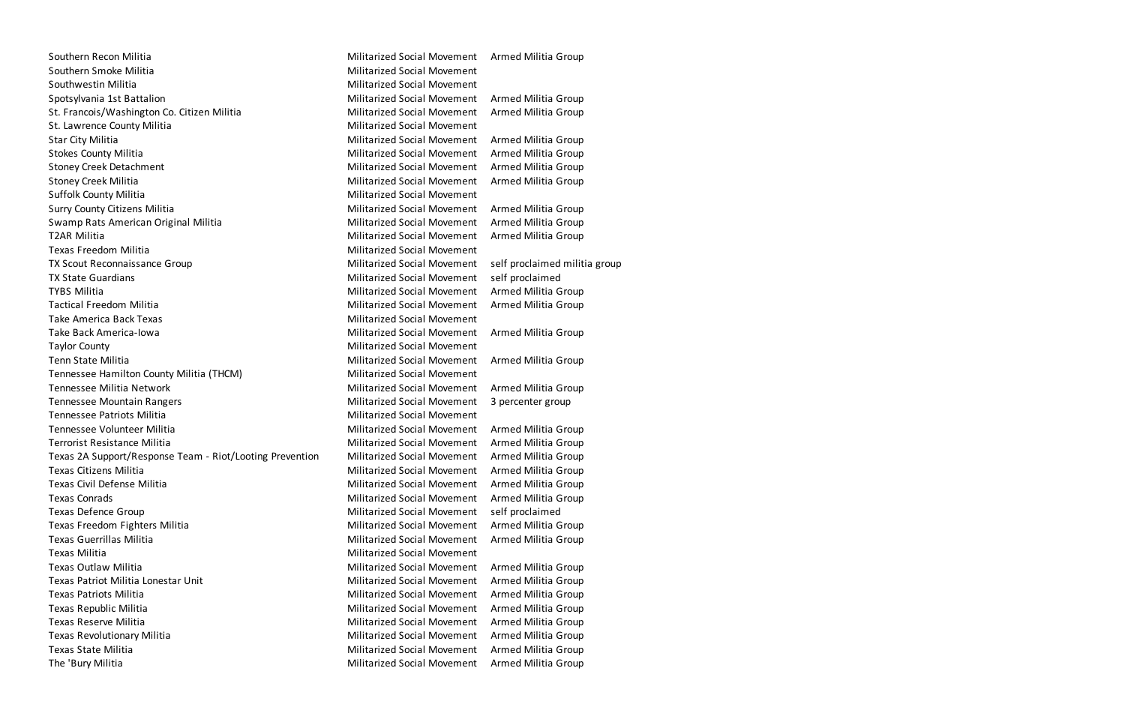Southern Recon Militia **Militarized Social Movement** Armed Militia Group Southern Smoke Militia **Militarized Social Movement** Militarized Social Movement Southwestin Militia **Militarized Social Movement** Spotsylvania 1st Battalion and Militarized Social Movement Armed Militia Group St. Francois/Washington Co. Citizen Militia Militarized Social Movement Armed Militia Group St. Lawrence County Militia **Militarized Social Movement** Star City Militia **Militia Croup Community** Militarized Social Movement Armed Militia Group Stokes County Militia **Militia County Afficial Militarized Social Movement** Armed Militia Group Stoney Creek Detachment The Militarized Social Movement Armed Militia Group Stoney Creek Militia **Militarized Social Movement** Armed Militia Group Suffolk County Militia **Militarized Social Movement** Militarized Social Movement Surry County Citizens Militia **Militarized Social Movement** Armed Militia Group Swamp Rats American Original Militia Militarized Social Movement Armed Militia Group T2AR Militia **Militia Militiarized Social Movement** Armed Militia Group Texas Freedom Militia Militarized Social Movement TX Scout Reconnaissance Group TX Scout Reconnaissance Group Militarized Social Movement self proclaimed militia group TX State Guardians **Militarized Social Movement** self proclaimed TYBS Militia **Militia Militiarized Social Movement** Armed Militia Group Tactical Freedom Militia Militarized Social Movement Armed Militia Group Take America Back Texas Militarized Social Movement Take Back America-Iowa **Militarized Social Movement** Armed Militia Group Taylor County Militarized Social Movement Tenn State Militia Militarized Social Movement Armed Militia Group Tennessee Hamilton County Militia (THCM) Militarized Social Movement Tennessee Militia Network **Militarized Social Movement** Armed Militia Group Tennessee Mountain Rangers Militarized Social Movement 3 percenter group Tennessee Patriots Militia Militarized Social Movement Tennessee Volunteer Militia Militarized Social Movement Armed Militia Group Terrorist Resistance Militia Militarized Social Movement Armed Militia Group Texas 2A Support/Response Team - Riot/Looting Prevention Militarized Social Movement Armed Militia Group Texas Citizens Militia Militarized Social Movement Armed Militia Group Texas Civil Defense Militia Militarized Social Movement Armed Militia Group Texas Conrads **Militarized Social Movement** Armed Militia Group Texas Defence Group Militarized Social Movement self proclaimed Texas Freedom Fighters Militia **Militarized Social Movement** Armed Militia Group Texas Guerrillas Militia Militarized Social Movement Armed Militia Group Texas Militia Militarized Social Movement Texas Outlaw Militia Militarized Social Movement Armed Militia Group Texas Patriot Militia Lonestar Unit Militarized Social Movement Armed Militia Group Texas Patriots Militia Militarized Social Movement Armed Militia Group Texas Republic Militia Militarized Social Movement Armed Militia Group Texas Reserve Militia Militarized Social Movement Armed Militia Group Texas Revolutionary Militia **Militarized Social Movement** Armed Militia Group Texas State Militia Militarized Social Movement Armed Militia Group The 'Bury Militia The 'Bury Militia Group Militarized Social Movement Armed Militia Group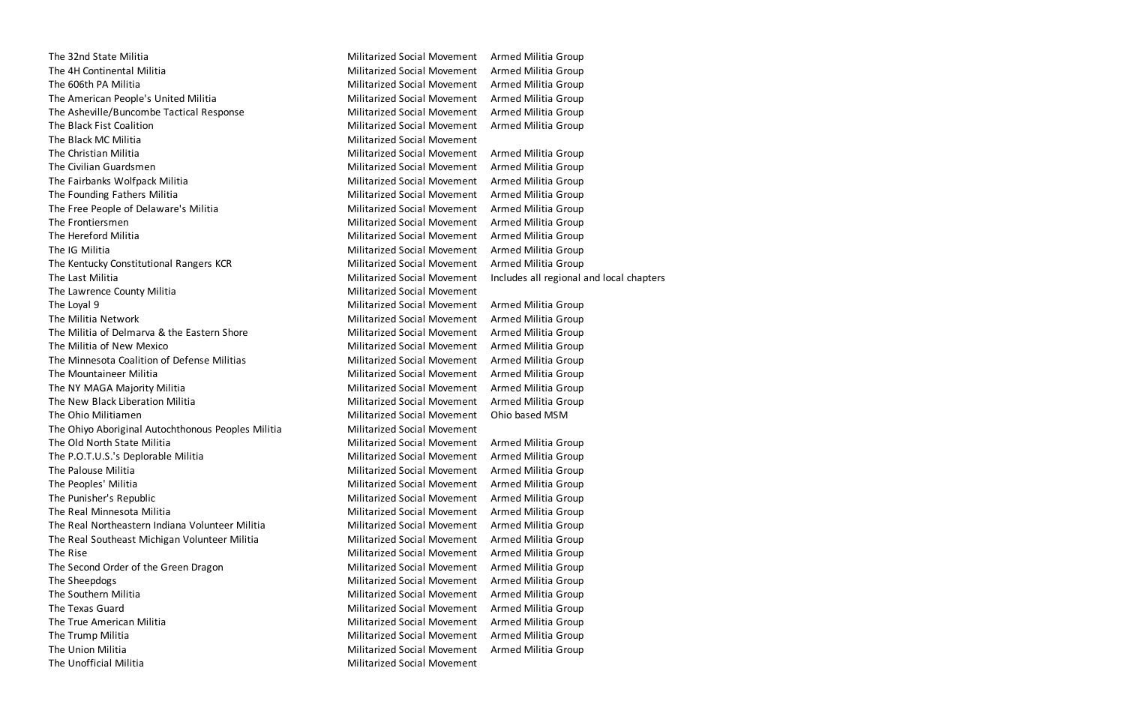The 32nd State Militia Militia Militarized Social Movement Armed Militia Group The 4H Continental Militia **Militarized Social Movement** Armed Militia Group The 606th PA Militia **Militia Croup Communist Communist Communist Communist Communist Communist Communist Communist Communist Communist Communist Communist Communist Communist Communist Communist Communist Communist Commun** The American People's United Militia Militia Militarized Social Movement Armed Militia Group The Asheville/Buncombe Tactical Response Militarized Social Movement Armed Militia Group The Black Fist Coalition **Militarized Social Movement** Armed Militia Group The Black MC Militia **Militarized Social Movement** The Christian Militia **Militia Croup Communist Christian Militarized Social Movement** Armed Militia Group The Civilian Guardsmen Militarized Social Movement Armed Militia Group The Fairbanks Wolfpack Militia **Militarized Social Movement** Armed Militia Group The Founding Fathers Militia Militia Militarized Social Movement Armed Militia Group The Free People of Delaware's Militia Militia Militarized Social Movement Armed Militia Group The Frontiersmen Militarized Social Movement Armed Militia Group The Hereford Militia **Militarized Social Movement** Armed Militia Group The IG Militia Militarized Social Movement Armed Militia Group The Kentucky Constitutional Rangers KCR Militarized Social Movement Armed Militia Group The Last Militia **Militarized Social Movement** Includes all regional and local chapters The Lawrence County Militia Militarized Social Movement The Loyal 9 Militarized Social Movement Armed Militia Group The Militia Network **Militarized Social Movement** Armed Militia Group The Militia of Delmarva & the Eastern Shore Militarized Social Movement Armed Militia Group The Militia of New Mexico **Militarized Social Movement** Armed Militia Group The Minnesota Coalition of Defense Militias Militarized Social Movement Armed Militia Group The Mountaineer Militia **Militarized Social Movement** Armed Militia Group The NY MAGA Majority Militia Militia Militarized Social Movement Armed Militia Group The New Black Liberation Militia Militarized Social Movement Armed Militia Group The Ohio Militiamen Militarized Social Movement Ohio based MSM The Ohiyo Aboriginal Autochthonous Peoples Militia Militarized Social Movement The Old North State Militia Militia Militarized Social Movement Armed Militia Group The P.O.T.U.S.'s Deplorable Militia Militarized Social Movement Armed Militia Group The Palouse Militia **Militarized Social Movement** Armed Militia Group The Peoples' Militia Militarized Social Movement Armed Militia Group The Punisher's Republic The Punisher's Republic Armed Militarized Social Movement Armed Militia Group The Real Minnesota Militia Militarized Social Movement Armed Militia Group The Real Northeastern Indiana Volunteer Militia Militarized Social Movement Armed Militia Group The Real Southeast Michigan Volunteer Militia Militarized Social Movement Armed Militia Group The Rise **The Rise** Militarized Social Movement Armed Militia Group The Second Order of the Green Dragon The Second Order of the Green Dragon Militarized Social Movement Armed Militia Group The Sheepdogs **Militarized Social Movement** Armed Militia Group The Southern Militia **Militarized Social Movement** Armed Militia Group The Texas Guard Militarized Social Movement Armed Militia Group The True American Militia **Militia Croup Contract Armed Militarized Social Movement** Armed Militia Group The Trump Militia **Militarized Social Movement** Armed Militia Group The Union Militia **Militarized Social Movement** Armed Militia Group The Unofficial Militia Militarized Social Movement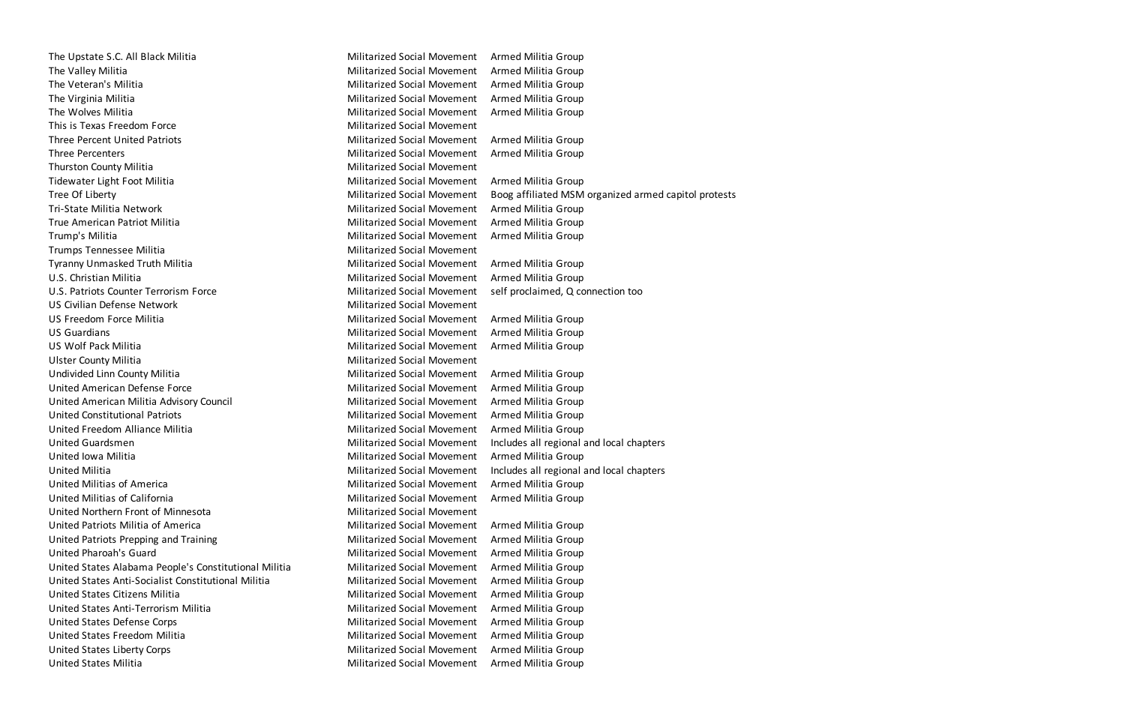The Upstate S.C. All Black Militia Militia Militarized Social Movement Armed Militia Group The Valley Militia **Militia Croup** Militarized Social Movement Armed Militia Group The Veteran's Militia Militia **Militia Militiarized Social Movement** Armed Militia Group The Virginia Militia Militarized Social Movement Armed Militia Group The Wolves Militia **Militarized Social Movement** Armed Militia Group This is Texas Freedom Force This is Texas Freedom Force All This is Texas Annual Movement Three Percent United Patriots Militarized Social Movement Armed Militia Group Three Percenters **Militarized Social Movement** Armed Militia Group Thurston County Militia **Militarized Social Movement** Tidewater Light Foot Militia Militarized Social Movement Armed Militia Group Tri-State Militia Network **Militarized Social Movement** Armed Militia Group True American Patriot Militia Militarized Social Movement Armed Militia Group Trump's Militia **Militia Croup Communist Communist Croup** Militarized Social Movement Armed Militia Group Trumps Tennessee Militia Militarized Social Movement Tyranny Unmasked Truth Militia Militia Militarized Social Movement Armed Militia Group U.S. Christian Militia Militarized Social Movement Armed Militia Group U.S. Patriots Counter Terrorism Force **Network Connection Communist Connection Connection too** US Civilian Defense Network Militarized Social Movement US Freedom Force Militia **Militarized Social Movement** Armed Militia Group US Guardians **Militarized Social Movement** Armed Militia Group US Wolf Pack Militia **Militarized Social Movement** Armed Militia Group Ulster County Militia **Militarized Social Movement** Undivided Linn County Militia **Militarized Social Movement** Armed Militia Group United American Defense Force Militarized Social Movement Armed Militia Group United American Militia Advisory Council Militarized Social Movement Armed Militia Group United Constitutional Patriots Militarized Social Movement Armed Militia Group United Freedom Alliance Militia Militarized Social Movement Armed Militia Group United Guardsmen Militarized Social Movement Includes all regional and local chapters United Iowa Militia **Militia Militarized Social Movement** Armed Militia Group United Militia **Militarized Social Movement** Includes all regional and local chapters United Militias of America **Militarized Social Movement** Armed Militia Group United Militias of California **Militarized Social Movement** Armed Militia Group United Northern Front of Minnesota Militarized Social Movement United Patriots Militia of America **Militarized Social Movement** Armed Militia Group United Patriots Prepping and Training The Militarized Social Movement Armed Militia Group United Pharoah's Guard Militarized Social Movement Armed Militia Group United States Alabama People's Constitutional Militia Militarized Social Movement Armed Militia Group United States Anti-Socialist Constitutional Militia Militarized Social Movement Armed Militia Group United States Citizens Militia Militarized Social Movement Armed Militia Group United States Anti-Terrorism Militia Militia Militarized Social Movement Armed Militia Group United States Defense Corps **Militarized Social Movement** Armed Militia Group United States Freedom Militia **Militarized Social Movement** Armed Militia Group United States Liberty Corps **Militarized Social Movement** Armed Militia Group United States Militia **Militarized Social Movement** Armed Militia Group

Tree Of Liberty **Militarized Social Movement** Boog affiliated MSM organized armed capitol protests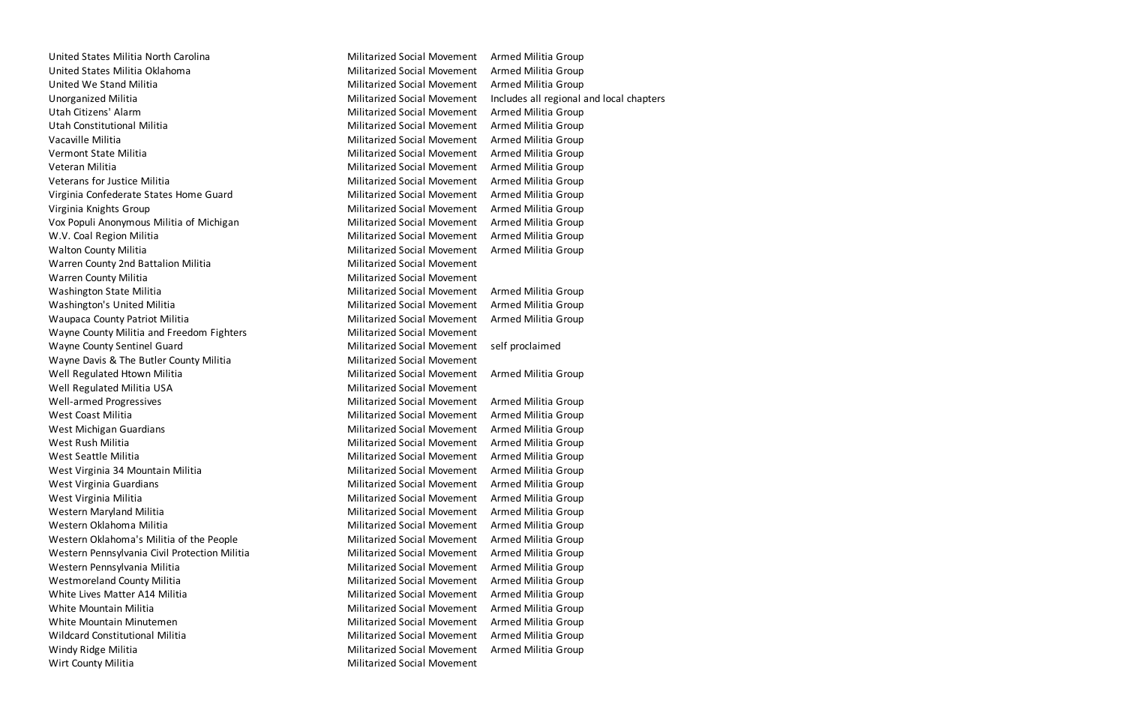United States Militia North Carolina Militarized Social Movement Armed Militia Group United States Militia Oklahoma **Militarized Social Movement** Armed Militia Group United We Stand Militia Militarized Social Movement Armed Militia Group Unorganized Militia **Militarized Social Movement** Includes all regional and local chapters Utah Citizens' Alarm **Militarized Social Movement** Armed Militia Group Utah Constitutional Militia Militarized Social Movement Armed Militia Group Vacaville Militia **Militia Militia Croup Contract Armed Militia** Group Militarized Social Movement Armed Militia Group Vermont State Militia Militarized Social Movement Armed Militia Group Veteran Militia Militia Militia Group Militarized Social Movement Armed Militia Group Veterans for Justice Militia **Militia Croup Communist Communist Armed Militia Group** Militarized Social Movement Armed Militia Group Virginia Confederate States Home Guard Militarized Social Movement Armed Militia Group Virginia Knights Group **Militarized Social Movement** Armed Militia Group Vox Populi Anonymous Militia of Michigan Militarized Social Movement Armed Militia Group W.V. Coal Region Militia **Militia Croup Coal Coal Armed Militarized Social Movement** Armed Militia Group Walton County Militia **Militia Militarized Social Movement** Armed Militia Group Warren County 2nd Battalion Militia Militarized Social Movement Warren County Militia **Militarized Social Movement** Washington State Militia Militarized Social Movement Armed Militia Group Washington's United Militia **Militia Militarized Social Movement** Armed Militia Group Waupaca County Patriot Militia Militarized Social Movement Armed Militia Group Wayne County Militia and Freedom Fighters Militarized Social Movement Wayne County Sentinel Guard Militarized Social Movement self proclaimed Wayne Davis & The Butler County Militia Militarized Social Movement Well Regulated Htown Militia Militia Militarized Social Movement Armed Militia Group Well Regulated Militia USA Militarized Social Movement Well-armed Progressives **Militarized Social Movement** Armed Militia Group West Coast Militia **Militia Croup Coast Militianized Social Movement** Armed Militia Group West Michigan Guardians Militarized Social Movement Armed Militia Group West Rush Militia Militarized Social Movement Armed Militia Group West Seattle Militia **Militia Croup Communist Communist Communist Communist Communist Communist Communist Communist Communist Communist Communist Communist Communist Communist Communist Communist Communist Communist Commun** West Virginia 34 Mountain Militia Militia Militarized Social Movement Armed Militia Group West Virginia Guardians **Militarized Social Movement** Armed Militia Group West Virginia Militia **Militia** Militarized Social Movement Armed Militia Group Western Maryland Militia Militia Militiarized Social Movement Armed Militia Group Western Oklahoma Militia **Militia Militarized Social Movement** Armed Militia Group Western Oklahoma's Militia of the People Militarized Social Movement Armed Militia Group Western Pennsylvania Civil Protection Militia Militarized Social Movement Armed Militia Group Western Pennsylvania Militia Militarized Social Movement Armed Militia Group Westmoreland County Militia **Militarized Social Movement** Armed Militia Group White Lives Matter A14 Militia Militia Militarized Social Movement Armed Militia Group White Mountain Militia **Militia Croup Contract Armed Militia** Group Militarized Social Movement Armed Militia Group White Mountain Minutemen Militarized Social Movement Armed Militia Group Wildcard Constitutional Militia Militia Militarized Social Movement Armed Militia Group Windy Ridge Militia **Militia Croup Communist Communist Croup** Militarized Social Movement Armed Militia Group Wirt County Militia **Militia County Militianus Activity** Militarized Social Movement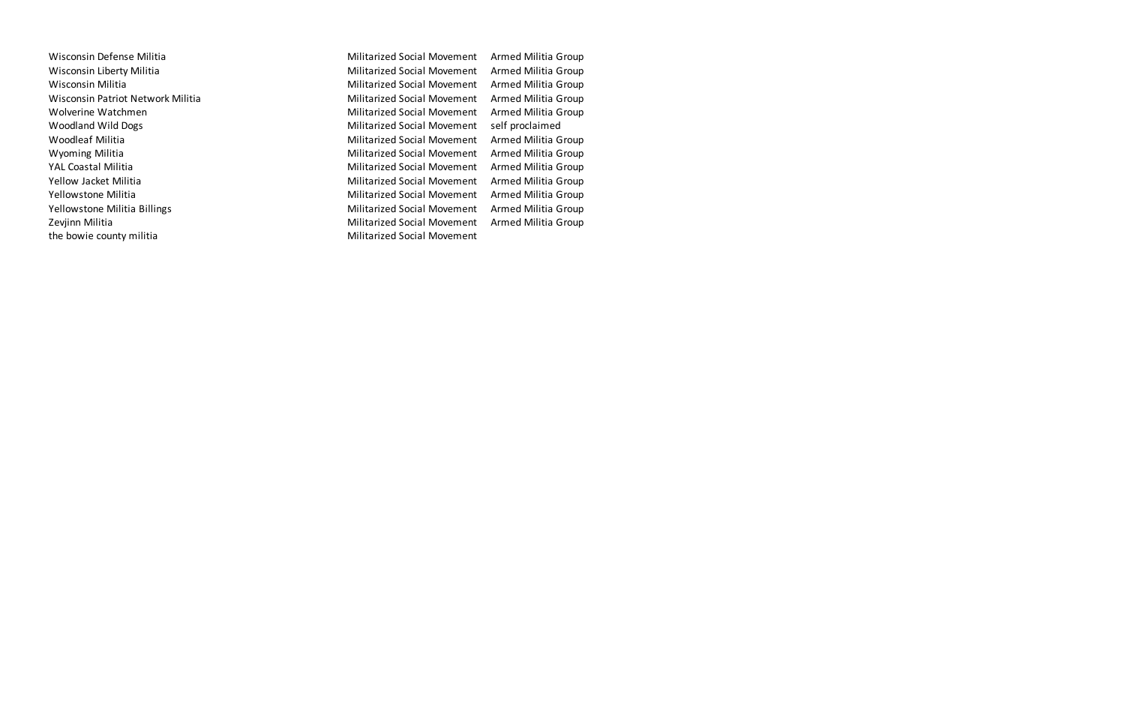Wisconsin Defense Militia **Militarized Social Movement** Armed Militia Group Wisconsin Liberty Militia **Militarized Social Movement** Armed Militia Group Wisconsin Militia **Militia Militarized Social Movement** Armed Militia Group Wisconsin Patriot Network Militia Militarized Social Movement Armed Militia Group Wolverine Watchmen Militarized Social Movement Armed Militia Group Woodland Wild Dogs **Militarized Social Movement** self proclaimed Woodleaf Militia Militia Militarized Social Movement Armed Militia Group Wyoming Militia Militia Militarized Social Movement Armed Militia Group YAL Coastal Militia **Militia Coastal Militia** Group Yellow Jacket Militia Militia Militarized Social Movement Armed Militia Group Yellowstone Militia Militia Militarized Social Movement Armed Militia Group Yellowstone Militia Billings **Militarized Social Movement** Armed Militia Group Zevjinn Militia **Militia Militarized Social Movement** Armed Militia Group the bowie county militia and the bowie county militia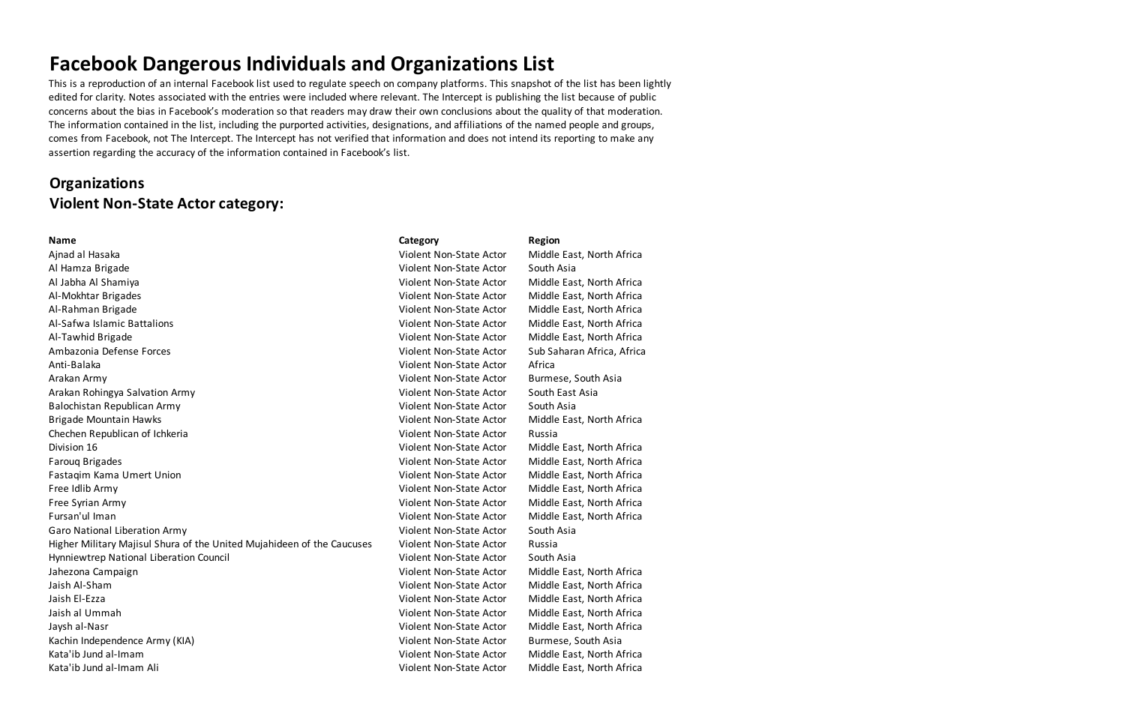This is a reproduction of an internal Facebook list used to regulate speech on company platforms. This snapshot of the list has been lightly edited for clarity. Notes associated with the entries were included where relevant. The Intercept is publishing the list because of public concerns about the bias in Facebook's moderation so that readers may draw their own conclusions about the quality of that moderation. The information contained in the list, including the purported activities, designations, and affiliations of the named people and groups, comes from Facebook, not The Intercept. The Intercept has not verified that information and does not intend its reporting to make any assertion regarding the accuracy of the information contained in Facebook's list.

## **Organizations Violent Non-State Actor category:**

Ajnad al Hasaka Violent Non-State Actor Middle East, North Africa Al Hamza Brigade Violent Non-State Actor South Asia Al Jabha Al Shamiya Violent Non-State Actor Middle East, North Africa Al-Mokhtar Brigades Violent Non-State Actor Middle East, North Africa Al-Rahman Brigade Violent Non-State Actor Middle East, North Africa Al-Safwa Islamic Battalions Violent Non-State Actor Middle East, North Africa Al-Tawhid Brigade Violent Non-State Actor Middle East, North Africa Ambazonia Defense Forces Violent Non-State Actor Sub Saharan Africa, Africa Anti-Balaka Violent Non-State Actor Africa Arakan Army **Arakan Army Constructs and Arakan Army Constructs** Arakan Army Violent Non-State Actor Burmese, South Asia Arakan Rohingya Salvation Army North Christian Army Violent Non-State Actor Nouth East Asia Balochistan Republican Army Violent Non-State Actor South Asia Brigade Mountain Hawks Violent Non-State Actor Middle East, North Africa Chechen Republican of Ichkeria Violent Non-State Actor Russia Division 16 Violent Non-State Actor Middle East, North Africa Farouq Brigades Violent Non-State Actor Middle East, North Africa Fastaqim Kama Umert Union Violent Non-State Actor Middle East, North Africa Free Idlib Army Violent Non-State Actor Middle East, North Africa Free Syrian Army Violent Non-State Actor Middle East, North Africa Fursan'ul Iman Violent Non-State Actor Middle East, North Africa Garo National Liberation Army Nicolas Caro National Liberation Army Violent Non-State Actor South Asia Higher Military Majisul Shura of the United Mujahideen of the Caucuses Violent Non-State Actor Russia Hynniewtrep National Liberation Council Violent Non-State Actor South Asia Jahezona Campaign Violent Non-State Actor Middle East, North Africa Jaish Al-Sham Violent Non-State Actor Middle East, North Africa Jaish El-Ezza Violent Non-State Actor Middle East, North Africa Jaish al Ummah Violent Non-State Actor Middle East, North Africa Jaysh al-Nasr Violent Non-State Actor Middle East, North Africa Kachin Independence Army (KIA) and Extraordia violent Non-State Actor Burmese, South Asia Kata'ib Jund al-Imam Violent Non-State Actor Middle East, North Africa Kata'ib Jund al-Imam Ali Violent Non-State Actor Middle East, North Africa

### **Name Category Region**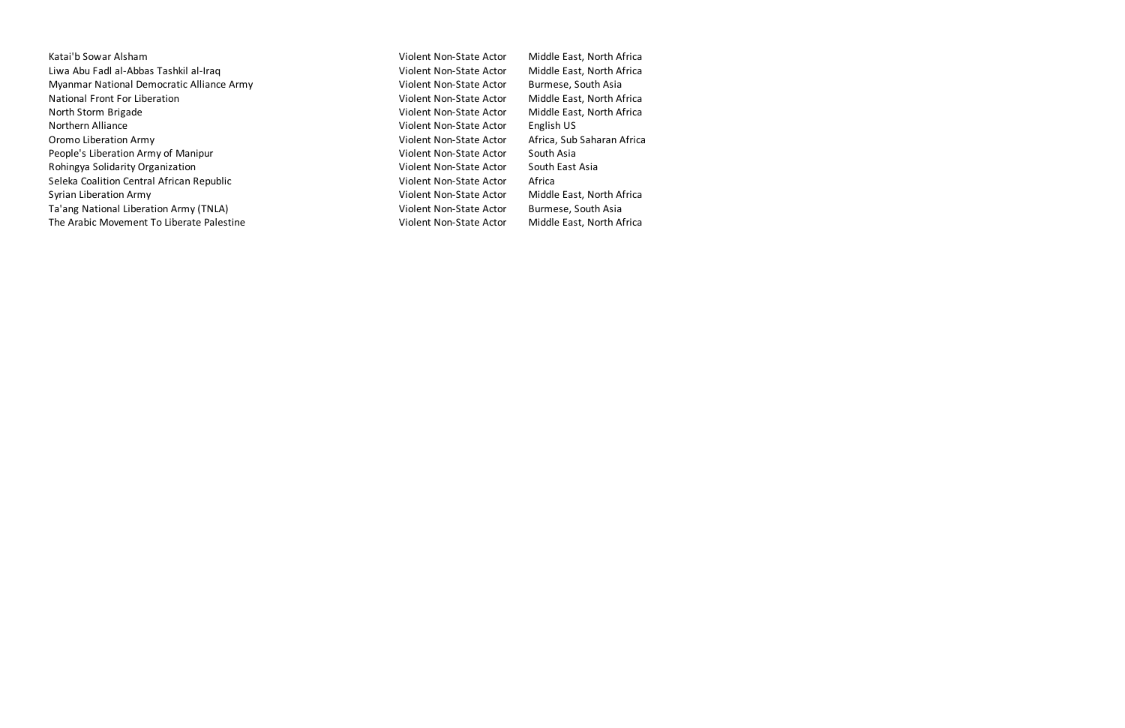- Katai'b Sowar Alsham Non-State Actor Middle East, North Africa Liwa Abu Fadl al-Abbas Tashkil al-Iraq Violent Non-State Actor Middle East, North Africa Myanmar National Democratic Alliance Army National Burmese, South Asia National Front For Liberation Non-State Actor Middle East, North Africa North Storm Brigade **Violent Non-State Actor** Middle East, North Africa Northern Alliance **Violent Non-State Actor** English US Oromo Liberation Army **Violent Non-State Actor** Africa, Sub Saharan Africa People's Liberation Army of Manipur Violent Non-State Actor South Asia Rohingya Solidarity Organization and Violent Non-State Actor South East Asia Seleka Coalition Central African Republic **Violent Non-State Actor** Africa Syrian Liberation Army **Violent Non-State Actor** Middle East, North Africa Ta'ang National Liberation Army (TNLA) Violent Non-State Actor Burmese, South Asia The Arabic Movement To Liberate Palestine Victor Middle East, North Africa
	-
-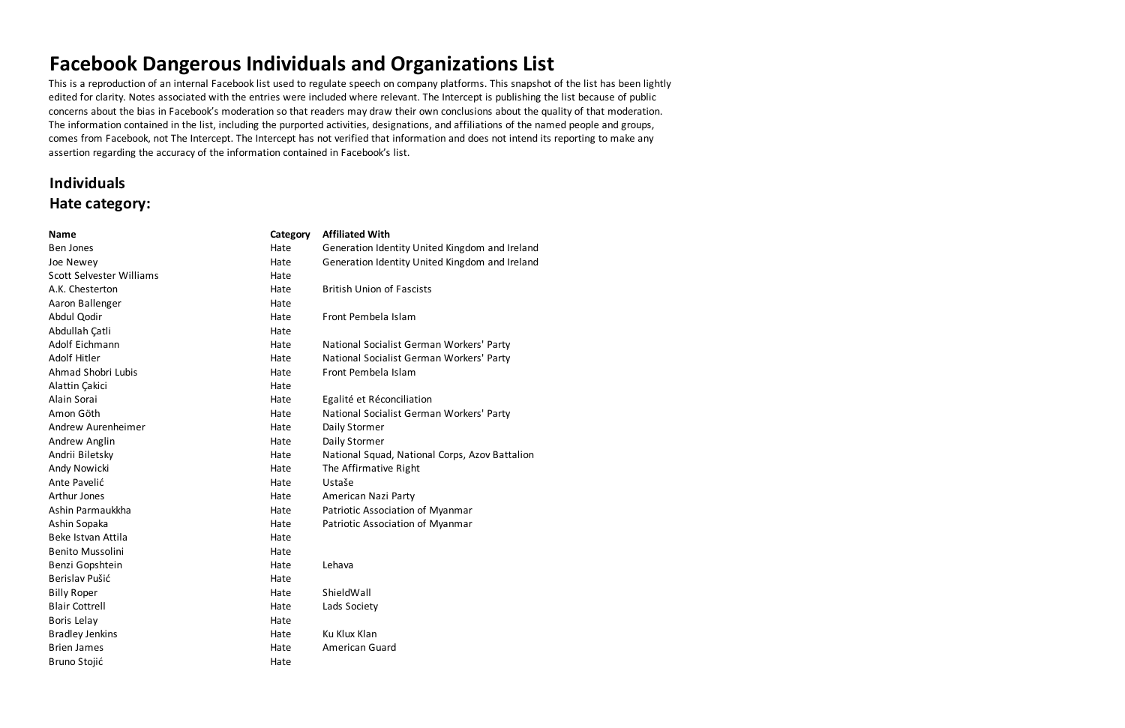This is a reproduction of an internal Facebook list used to regulate speech on company platforms. This snapshot of the list has been lightly edited for clarity. Notes associated with the entries were included where relevant. The Intercept is publishing the list because of public concerns about the bias in Facebook's moderation so that readers may draw their own conclusions about the quality of that moderation. The information contained in the list, including the purported activities, designations, and affiliations of the named people and groups, comes from Facebook, not The Intercept. The Intercept has not verified that information and does not intend its reporting to make any assertion regarding the accuracy of the information contained in Facebook's list.

### **Individuals Hate category:**

| <b>Name</b>              | Category | <b>Affiliated With</b>                         |
|--------------------------|----------|------------------------------------------------|
| <b>Ben Jones</b>         | Hate     | Generation Identity United Kingdom and Ireland |
| Joe Newey                | Hate     | Generation Identity United Kingdom and Ireland |
| Scott Selvester Williams | Hate     |                                                |
| A.K. Chesterton          | Hate     | <b>British Union of Fascists</b>               |
| Aaron Ballenger          | Hate     |                                                |
| Abdul Qodir              | Hate     | Front Pembela Islam                            |
| Abdullah Çatli           | Hate     |                                                |
| Adolf Eichmann           | Hate     | National Socialist German Workers' Party       |
| <b>Adolf Hitler</b>      | Hate     | National Socialist German Workers' Party       |
| Ahmad Shobri Lubis       | Hate     | Front Pembela Islam                            |
| Alattin Çakici           | Hate     |                                                |
| Alain Sorai              | Hate     | Egalité et Réconciliation                      |
| Amon Göth                | Hate     | National Socialist German Workers' Party       |
| Andrew Aurenheimer       | Hate     | Daily Stormer                                  |
| Andrew Anglin            | Hate     | Daily Stormer                                  |
| Andrii Biletsky          | Hate     | National Squad, National Corps, Azov Battalion |
| Andy Nowicki             | Hate     | The Affirmative Right                          |
| Ante Pavelić             | Hate     | Ustaše                                         |
| Arthur Jones             | Hate     | American Nazi Party                            |
| Ashin Parmaukkha         | Hate     | Patriotic Association of Myanmar               |
| Ashin Sopaka             | Hate     | Patriotic Association of Myanmar               |
| Beke Istvan Attila       | Hate     |                                                |
| <b>Benito Mussolini</b>  | Hate     |                                                |
| Benzi Gopshtein          | Hate     | Lehava                                         |
| Berislav Pušić           | Hate     |                                                |
| <b>Billy Roper</b>       | Hate     | ShieldWall                                     |
| <b>Blair Cottrell</b>    | Hate     | Lads Society                                   |
| Boris Lelay              | Hate     |                                                |
| <b>Bradley Jenkins</b>   | Hate     | Ku Klux Klan                                   |
| <b>Brien James</b>       | Hate     | American Guard                                 |
| Bruno Stojić             | Hate     |                                                |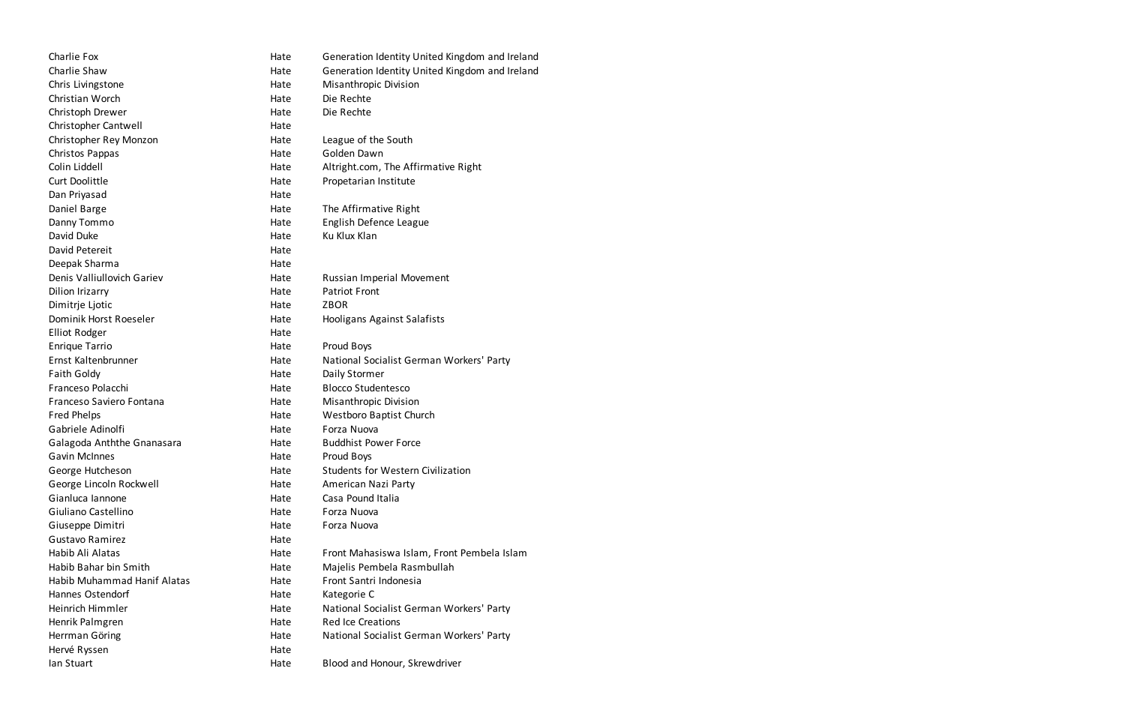| Charlie Fox                 | Hate | Generation Identity United Kingdom and Ireland |
|-----------------------------|------|------------------------------------------------|
| Charlie Shaw                | Hate | Generation Identity United Kingdom and Ireland |
| Chris Livingstone           | Hate | <b>Misanthropic Division</b>                   |
| Christian Worch             | Hate | Die Rechte                                     |
| Christoph Drewer            | Hate | Die Rechte                                     |
| Christopher Cantwell        | Hate |                                                |
| Christopher Rey Monzon      | Hate | League of the South                            |
| Christos Pappas             | Hate | Golden Dawn                                    |
| Colin Liddell               | Hate | Altright.com, The Affirmative Right            |
| <b>Curt Doolittle</b>       | Hate | Propetarian Institute                          |
| Dan Priyasad                | Hate |                                                |
| Daniel Barge                | Hate | The Affirmative Right                          |
| Danny Tommo                 | Hate | English Defence League                         |
| David Duke                  | Hate | Ku Klux Klan                                   |
| David Petereit              | Hate |                                                |
| Deepak Sharma               | Hate |                                                |
| Denis Valliullovich Gariev  | Hate | <b>Russian Imperial Movement</b>               |
| Dilion Irizarry             | Hate | <b>Patriot Front</b>                           |
| Dimitrje Ljotic             | Hate | <b>ZBOR</b>                                    |
| Dominik Horst Roeseler      | Hate | Hooligans Against Salafists                    |
| <b>Elliot Rodger</b>        | Hate |                                                |
| <b>Enrique Tarrio</b>       | Hate | Proud Boys                                     |
| Ernst Kaltenbrunner         | Hate | National Socialist German Workers' Party       |
| <b>Faith Goldy</b>          | Hate | Daily Stormer                                  |
| Franceso Polacchi           | Hate | <b>Blocco Studentesco</b>                      |
| Franceso Saviero Fontana    | Hate | <b>Misanthropic Division</b>                   |
| Fred Phelps                 | Hate | Westboro Baptist Church                        |
| Gabriele Adinolfi           | Hate | Forza Nuova                                    |
| Galagoda Anththe Gnanasara  | Hate | <b>Buddhist Power Force</b>                    |
| <b>Gavin McInnes</b>        | Hate | Proud Boys                                     |
| George Hutcheson            | Hate | <b>Students for Western Civilization</b>       |
| George Lincoln Rockwell     | Hate | American Nazi Party                            |
| Gianluca Iannone            | Hate | Casa Pound Italia                              |
| Giuliano Castellino         | Hate | Forza Nuova                                    |
| Giuseppe Dimitri            | Hate | Forza Nuova                                    |
| <b>Gustavo Ramirez</b>      | Hate |                                                |
| Habib Ali Alatas            | Hate | Front Mahasiswa Islam, Front Pembela Islam     |
| Habib Bahar bin Smith       | Hate | Majelis Pembela Rasmbullah                     |
| Habib Muhammad Hanif Alatas | Hate | Front Santri Indonesia                         |
| Hannes Ostendorf            | Hate | Kategorie C                                    |
| Heinrich Himmler            | Hate | National Socialist German Workers' Party       |
| Henrik Palmgren             | Hate | <b>Red Ice Creations</b>                       |
| Herrman Göring              | Hate | National Socialist German Workers' Party       |
| Hervé Ryssen                | Hate |                                                |
| lan Stuart                  | Hate | Blood and Honour, Skrewdriver                  |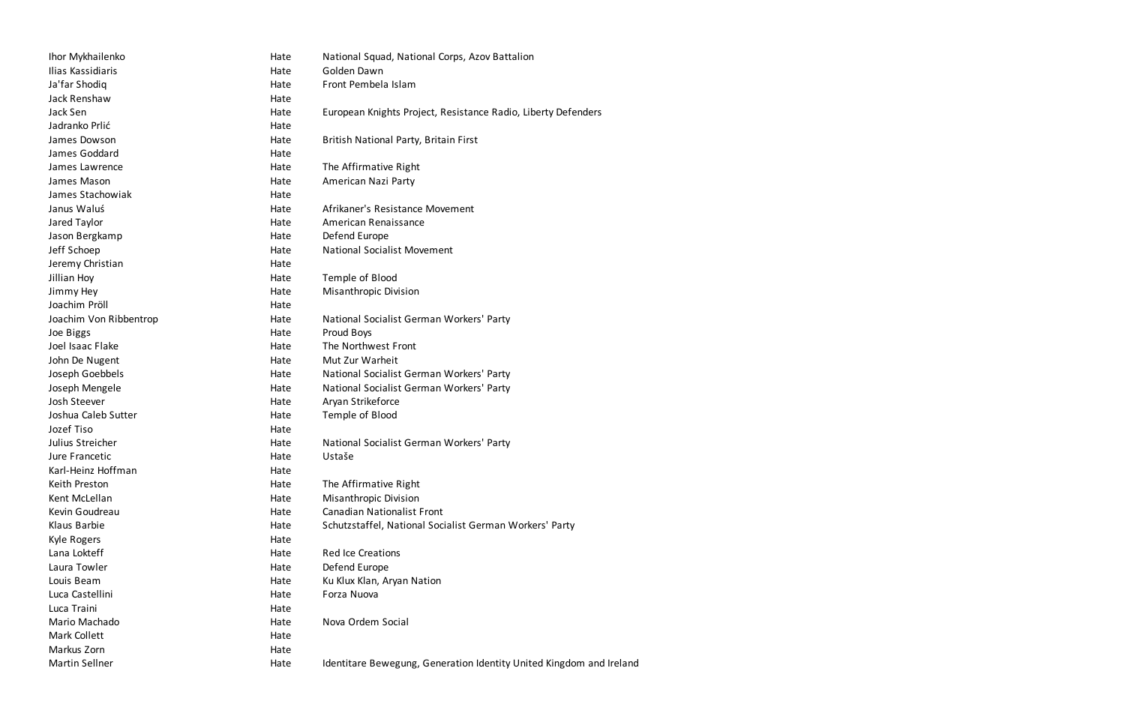| Ihor Mykhailenko       | Hate | National Squad, National Corps, Azov Battalion                      |
|------------------------|------|---------------------------------------------------------------------|
| Ilias Kassidiaris      | Hate | Golden Dawn                                                         |
| Ja'far Shodiq          | Hate | Front Pembela Islam                                                 |
| Jack Renshaw           | Hate |                                                                     |
| Jack Sen               | Hate | European Knights Project, Resistance Radio, Liberty Defenders       |
| Jadranko Prlić         | Hate |                                                                     |
| James Dowson           | Hate | British National Party, Britain First                               |
| James Goddard          | Hate |                                                                     |
| James Lawrence         | Hate | The Affirmative Right                                               |
| James Mason            | Hate | American Nazi Party                                                 |
| James Stachowiak       | Hate |                                                                     |
| Janus Waluś            | Hate | Afrikaner's Resistance Movement                                     |
| Jared Taylor           | Hate | American Renaissance                                                |
| Jason Bergkamp         | Hate | Defend Europe                                                       |
| Jeff Schoep            | Hate | <b>National Socialist Movement</b>                                  |
| Jeremy Christian       | Hate |                                                                     |
| Jillian Hoy            | Hate | Temple of Blood                                                     |
| Jimmy Hey              | Hate | <b>Misanthropic Division</b>                                        |
| Joachim Pröll          | Hate |                                                                     |
| Joachim Von Ribbentrop | Hate | National Socialist German Workers' Party                            |
| Joe Biggs              | Hate | Proud Boys                                                          |
| Joel Isaac Flake       | Hate | The Northwest Front                                                 |
| John De Nugent         | Hate | Mut Zur Warheit                                                     |
| Joseph Goebbels        | Hate | National Socialist German Workers' Party                            |
| Joseph Mengele         | Hate | National Socialist German Workers' Party                            |
| Josh Steever           | Hate | Aryan Strikeforce                                                   |
| Joshua Caleb Sutter    | Hate | Temple of Blood                                                     |
| Jozef Tiso             | Hate |                                                                     |
| Julius Streicher       | Hate | National Socialist German Workers' Party                            |
| Jure Francetic         | Hate | Ustaše                                                              |
| Karl-Heinz Hoffman     | Hate |                                                                     |
| Keith Preston          | Hate | The Affirmative Right                                               |
| Kent McLellan          | Hate | Misanthropic Division                                               |
| Kevin Goudreau         | Hate | <b>Canadian Nationalist Front</b>                                   |
| Klaus Barbie           | Hate | Schutzstaffel, National Socialist German Workers' Party             |
| Kyle Rogers            | Hate |                                                                     |
| Lana Lokteff           | Hate | <b>Red Ice Creations</b>                                            |
| Laura Towler           | Hate | Defend Europe                                                       |
| Louis Beam             | Hate | Ku Klux Klan, Aryan Nation                                          |
| Luca Castellini        | Hate | Forza Nuova                                                         |
| Luca Traini            | Hate |                                                                     |
| Mario Machado          | Hate | Nova Ordem Social                                                   |
| <b>Mark Collett</b>    | Hate |                                                                     |
| Markus Zorn            | Hate |                                                                     |
| Martin Sellner         | Hate | Identitare Bewegung, Generation Identity United Kingdom and Ireland |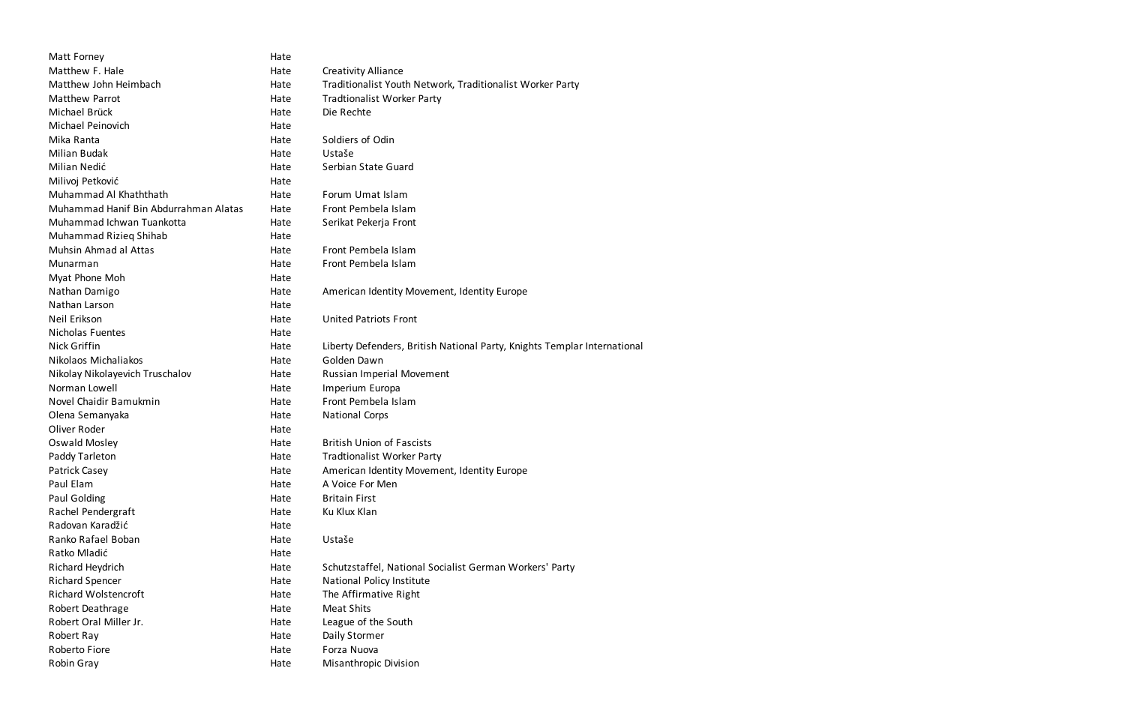| Matt Forney                           | Hate |                                                                          |
|---------------------------------------|------|--------------------------------------------------------------------------|
| Matthew F. Hale                       | Hate | <b>Creativity Alliance</b>                                               |
| Matthew John Heimbach                 | Hate | Traditionalist Youth Network, Traditionalist Worker Party                |
| Matthew Parrot                        | Hate | <b>Tradtionalist Worker Party</b>                                        |
| Michael Brück                         | Hate | Die Rechte                                                               |
| Michael Peinovich                     | Hate |                                                                          |
| Mika Ranta                            | Hate | Soldiers of Odin                                                         |
| Milian Budak                          | Hate | Ustaše                                                                   |
| Milian Nedić                          | Hate | Serbian State Guard                                                      |
| Milivoj Petković                      | Hate |                                                                          |
| Muhammad Al Khaththath                | Hate | Forum Umat Islam                                                         |
| Muhammad Hanif Bin Abdurrahman Alatas | Hate | Front Pembela Islam                                                      |
| Muhammad Ichwan Tuankotta             | Hate | Serikat Pekerja Front                                                    |
| Muhammad Rizieg Shihab                | Hate |                                                                          |
| <b>Muhsin Ahmad al Attas</b>          | Hate | Front Pembela Islam                                                      |
| Munarman                              | Hate | Front Pembela Islam                                                      |
| Myat Phone Moh                        | Hate |                                                                          |
| Nathan Damigo                         | Hate | American Identity Movement, Identity Europe                              |
| Nathan Larson                         | Hate |                                                                          |
| Neil Erikson                          | Hate | <b>United Patriots Front</b>                                             |
| <b>Nicholas Fuentes</b>               | Hate |                                                                          |
| Nick Griffin                          | Hate | Liberty Defenders, British National Party, Knights Templar International |
| Nikolaos Michaliakos                  | Hate | Golden Dawn                                                              |
| Nikolay Nikolayevich Truschalov       | Hate | Russian Imperial Movement                                                |
| Norman Lowell                         | Hate | Imperium Europa                                                          |
| Novel Chaidir Bamukmin                | Hate | Front Pembela Islam                                                      |
| Olena Semanyaka                       | Hate | <b>National Corps</b>                                                    |
| Oliver Roder                          | Hate |                                                                          |
| <b>Oswald Mosley</b>                  | Hate | <b>British Union of Fascists</b>                                         |
| Paddy Tarleton                        | Hate | <b>Tradtionalist Worker Party</b>                                        |
| <b>Patrick Casey</b>                  | Hate | American Identity Movement, Identity Europe                              |
| Paul Elam                             | Hate | A Voice For Men                                                          |
| Paul Golding                          | Hate | <b>Britain First</b>                                                     |
| Rachel Pendergraft                    | Hate | Ku Klux Klan                                                             |
| Radovan Karadžić                      | Hate |                                                                          |
| Ranko Rafael Boban                    | Hate | Ustaše                                                                   |
| Ratko Mladić                          | Hate |                                                                          |
| Richard Heydrich                      | Hate | Schutzstaffel, National Socialist German Workers' Party                  |
| <b>Richard Spencer</b>                | Hate | National Policy Institute                                                |
| <b>Richard Wolstencroft</b>           | Hate | The Affirmative Right                                                    |
| Robert Deathrage                      | Hate | <b>Meat Shits</b>                                                        |
| Robert Oral Miller Jr.                | Hate | League of the South                                                      |
| Robert Ray                            | Hate | Daily Stormer                                                            |
| Roberto Fiore                         | Hate | Forza Nuova                                                              |
| Robin Gray                            | Hate | <b>Misanthropic Division</b>                                             |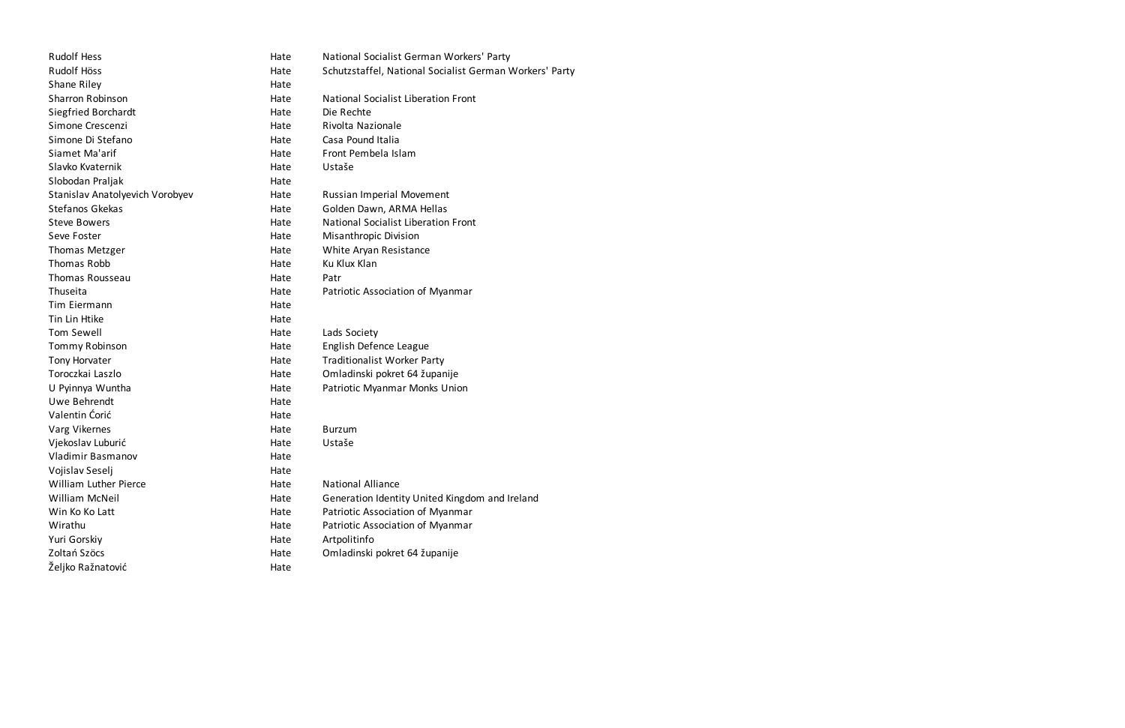| <b>Rudolf Hess</b>              | Hate | National Socialist German Workers' Party                |
|---------------------------------|------|---------------------------------------------------------|
| Rudolf Höss                     | Hate | Schutzstaffel, National Socialist German Workers' Party |
| Shane Riley                     | Hate |                                                         |
| <b>Sharron Robinson</b>         | Hate | <b>National Socialist Liberation Front</b>              |
| Siegfried Borchardt             | Hate | Die Rechte                                              |
| Simone Crescenzi                | Hate | Rivolta Nazionale                                       |
| Simone Di Stefano               | Hate | Casa Pound Italia                                       |
| Siamet Ma'arif                  | Hate | Front Pembela Islam                                     |
| Slavko Kvaternik                | Hate | Ustaše                                                  |
| Slobodan Praljak                | Hate |                                                         |
| Stanislav Anatolyevich Vorobyev | Hate | Russian Imperial Movement                               |
| Stefanos Gkekas                 | Hate | Golden Dawn, ARMA Hellas                                |
| <b>Steve Bowers</b>             | Hate | <b>National Socialist Liberation Front</b>              |
| Seve Foster                     | Hate | <b>Misanthropic Division</b>                            |
| <b>Thomas Metzger</b>           | Hate | White Aryan Resistance                                  |
| Thomas Robb                     | Hate | Ku Klux Klan                                            |
| Thomas Rousseau                 | Hate | Patr                                                    |
| Thuseita                        | Hate | Patriotic Association of Myanmar                        |
| Tim Eiermann                    | Hate |                                                         |
| Tin Lin Htike                   | Hate |                                                         |
| Tom Sewell                      | Hate | Lads Society                                            |
| Tommy Robinson                  | Hate | English Defence League                                  |
| Tony Horvater                   | Hate | <b>Traditionalist Worker Party</b>                      |
| Toroczkai Laszlo                | Hate | Omladinski pokret 64 županije                           |
| U Pyinnya Wuntha                | Hate | Patriotic Myanmar Monks Union                           |
| Uwe Behrendt                    | Hate |                                                         |
| Valentin Corić                  | Hate |                                                         |
| Varg Vikernes                   | Hate | <b>Burzum</b>                                           |
| Vjekoslav Luburić               | Hate | Ustaše                                                  |
| Vladimir Basmanov               | Hate |                                                         |
| Vojislav Seselj                 | Hate |                                                         |
| <b>William Luther Pierce</b>    | Hate | <b>National Alliance</b>                                |
| <b>William McNeil</b>           | Hate | Generation Identity United Kingdom and Ireland          |
| Win Ko Ko Latt                  | Hate | Patriotic Association of Myanmar                        |
| Wirathu                         | Hate | Patriotic Association of Myanmar                        |
| Yuri Gorskiy                    | Hate | Artpolitinfo                                            |
| Zoltań Szöcs                    | Hate | Omladinski pokret 64 županije                           |
| Željko Ražnatović               | Hate |                                                         |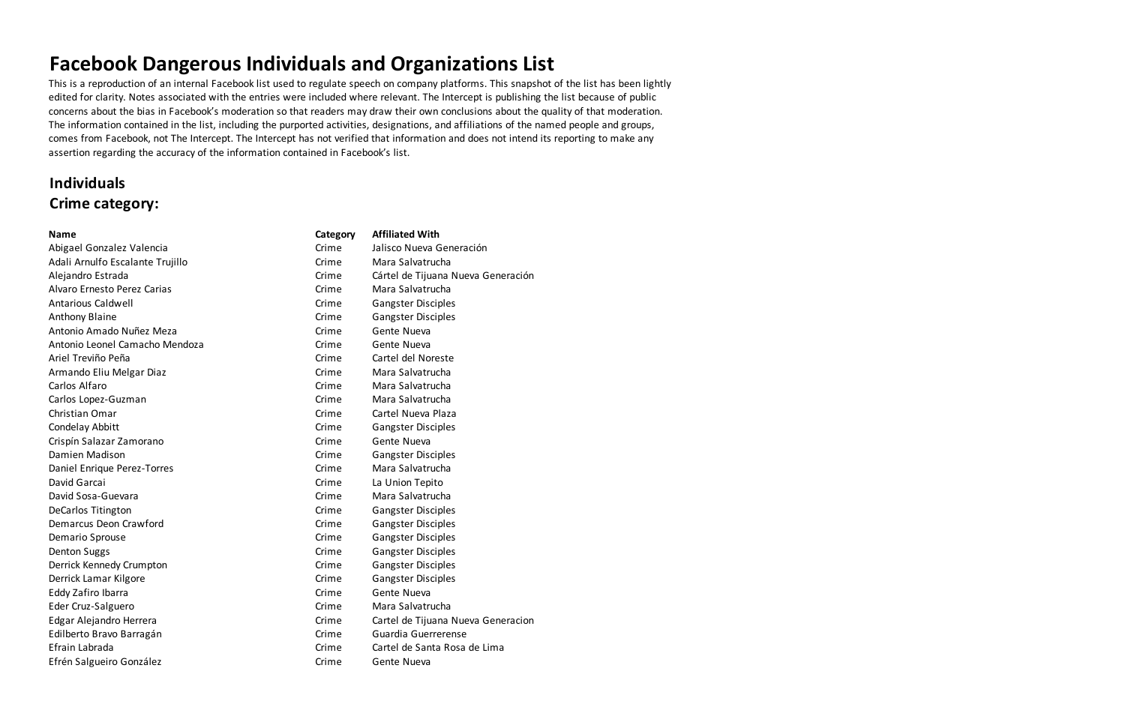This is a reproduction of an internal Facebook list used to regulate speech on company platforms. This snapshot of the list has been lightly edited for clarity. Notes associated with the entries were included where relevant. The Intercept is publishing the list because of public concerns about the bias in Facebook's moderation so that readers may draw their own conclusions about the quality of that moderation. The information contained in the list, including the purported activities, designations, and affiliations of the named people and groups, comes from Facebook, not The Intercept. The Intercept has not verified that information and does not intend its reporting to make any assertion regarding the accuracy of the information contained in Facebook's list.

## **Individuals Crime category:**

| <b>Name</b>                      | Category | <b>Affiliated With</b>             |
|----------------------------------|----------|------------------------------------|
| Abigael Gonzalez Valencia        | Crime    | Jalisco Nueva Generación           |
| Adali Arnulfo Escalante Trujillo | Crime    | Mara Salvatrucha                   |
| Alejandro Estrada                | Crime    | Cártel de Tijuana Nueva Generación |
| Alvaro Ernesto Perez Carias      | Crime    | Mara Salvatrucha                   |
| <b>Antarious Caldwell</b>        | Crime    | <b>Gangster Disciples</b>          |
| <b>Anthony Blaine</b>            | Crime    | <b>Gangster Disciples</b>          |
| Antonio Amado Nuñez Meza         | Crime    | Gente Nueva                        |
| Antonio Leonel Camacho Mendoza   | Crime    | Gente Nueva                        |
| Ariel Treviño Peña               | Crime    | Cartel del Noreste                 |
| Armando Eliu Melgar Diaz         | Crime    | Mara Salvatrucha                   |
| Carlos Alfaro                    | Crime    | Mara Salvatrucha                   |
| Carlos Lopez-Guzman              | Crime    | Mara Salvatrucha                   |
| Christian Omar                   | Crime    | Cartel Nueva Plaza                 |
| Condelay Abbitt                  | Crime    | <b>Gangster Disciples</b>          |
| Crispín Salazar Zamorano         | Crime    | Gente Nueva                        |
| Damien Madison                   | Crime    | <b>Gangster Disciples</b>          |
| Daniel Enrique Perez-Torres      | Crime    | Mara Salvatrucha                   |
| David Garcai                     | Crime    | La Union Tepito                    |
| David Sosa-Guevara               | Crime    | Mara Salvatrucha                   |
| <b>DeCarlos Titington</b>        | Crime    | <b>Gangster Disciples</b>          |
| Demarcus Deon Crawford           | Crime    | <b>Gangster Disciples</b>          |
| Demario Sprouse                  | Crime    | <b>Gangster Disciples</b>          |
| <b>Denton Suggs</b>              | Crime    | <b>Gangster Disciples</b>          |
| Derrick Kennedy Crumpton         | Crime    | <b>Gangster Disciples</b>          |
| Derrick Lamar Kilgore            | Crime    | <b>Gangster Disciples</b>          |
| Eddy Zafiro Ibarra               | Crime    | Gente Nueva                        |
| Eder Cruz-Salguero               | Crime    | Mara Salvatrucha                   |
| Edgar Alejandro Herrera          | Crime    | Cartel de Tijuana Nueva Generacion |
| Edilberto Bravo Barragán         | Crime    | Guardia Guerrerense                |
| Efrain Labrada                   | Crime    | Cartel de Santa Rosa de Lima       |
| Efrén Salgueiro González         | Crime    | Gente Nueva                        |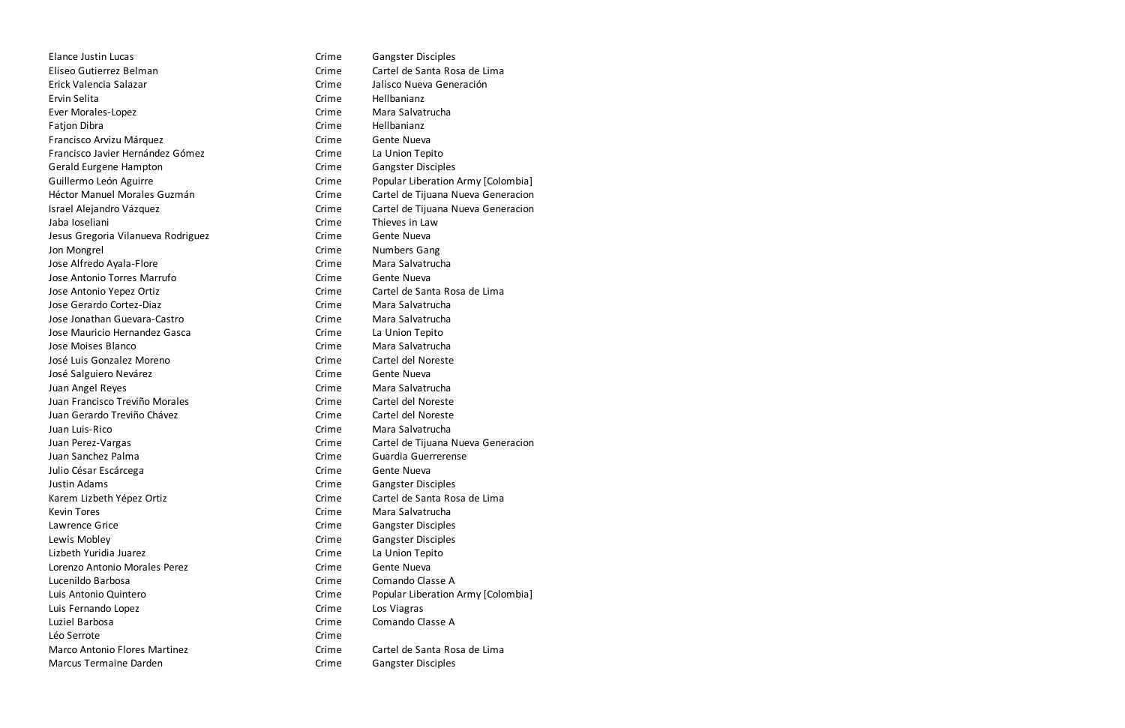| Elance Justin Lucas                  | Crime | <b>Gangster Disciples</b>          |
|--------------------------------------|-------|------------------------------------|
| Eliseo Gutierrez Belman              | Crime | Cartel de Santa Rosa de Lima       |
| Erick Valencia Salazar               | Crime | Jalisco Nueva Generación           |
| Ervin Selita                         | Crime | Hellbanianz                        |
| Ever Morales-Lopez                   | Crime | Mara Salvatrucha                   |
| Fatjon Dibra                         | Crime | Hellbanianz                        |
| Francisco Arvizu Márquez             | Crime | Gente Nueva                        |
| Francisco Javier Hernández Gómez     | Crime | La Union Tepito                    |
| Gerald Eurgene Hampton               | Crime | <b>Gangster Disciples</b>          |
| Guillermo León Aguirre               | Crime | Popular Liberation Army [Colombia] |
| Héctor Manuel Morales Guzmán         | Crime | Cartel de Tijuana Nueva Generacion |
| Israel Alejandro Vázquez             | Crime | Cartel de Tijuana Nueva Generacion |
| Jaba Ioseliani                       | Crime | Thieves in Law                     |
| Jesus Gregoria Vilanueva Rodriguez   | Crime | Gente Nueva                        |
| Jon Mongrel                          | Crime | Numbers Gang                       |
| Jose Alfredo Ayala-Flore             | Crime | Mara Salvatrucha                   |
| Jose Antonio Torres Marrufo          | Crime | Gente Nueva                        |
| Jose Antonio Yepez Ortiz             | Crime | Cartel de Santa Rosa de Lima       |
| Jose Gerardo Cortez-Diaz             | Crime | Mara Salvatrucha                   |
| Jose Jonathan Guevara-Castro         | Crime | Mara Salvatrucha                   |
| Jose Mauricio Hernandez Gasca        | Crime | La Union Tepito                    |
| Jose Moises Blanco                   | Crime | Mara Salvatrucha                   |
| José Luis Gonzalez Moreno            | Crime | Cartel del Noreste                 |
| José Salguiero Nevárez               | Crime | Gente Nueva                        |
| Juan Angel Reyes                     | Crime | Mara Salvatrucha                   |
| Juan Francisco Treviño Morales       | Crime | Cartel del Noreste                 |
| Juan Gerardo Treviño Chávez          | Crime | Cartel del Noreste                 |
| Juan Luis-Rico                       | Crime | Mara Salvatrucha                   |
| Juan Perez-Vargas                    | Crime | Cartel de Tijuana Nueva Generacion |
| Juan Sanchez Palma                   | Crime | Guardia Guerrerense                |
| Julio César Escárcega                | Crime | Gente Nueva                        |
| Justin Adams                         | Crime | <b>Gangster Disciples</b>          |
| Karem Lizbeth Yépez Ortiz            | Crime | Cartel de Santa Rosa de Lima       |
| <b>Kevin Tores</b>                   | Crime | Mara Salvatrucha                   |
| Lawrence Grice                       | Crime | <b>Gangster Disciples</b>          |
| Lewis Mobley                         | Crime | <b>Gangster Disciples</b>          |
| Lizbeth Yuridia Juarez               | Crime | La Union Tepito                    |
| Lorenzo Antonio Morales Perez        | Crime | Gente Nueva                        |
| Lucenildo Barbosa                    | Crime | Comando Classe A                   |
| Luis Antonio Quintero                | Crime | Popular Liberation Army [Colombia] |
| Luis Fernando Lopez                  | Crime | Los Viagras                        |
| Luziel Barbosa                       | Crime | Comando Classe A                   |
| Léo Serrote                          | Crime |                                    |
| <b>Marco Antonio Flores Martinez</b> | Crime | Cartel de Santa Rosa de Lima       |
| Marcus Termaine Darden               | Crime | <b>Gangster Disciples</b>          |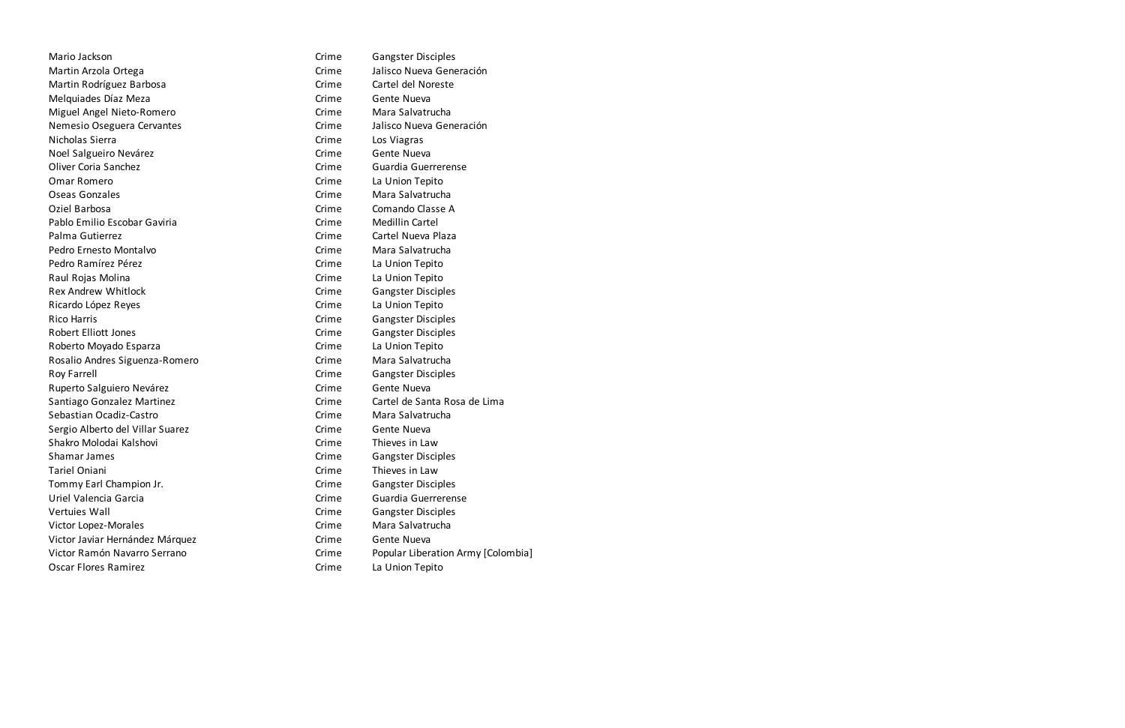| Mario Jackson                    | Crime | <b>Gangster Disciples</b>          |
|----------------------------------|-------|------------------------------------|
| Martin Arzola Ortega             | Crime | Jalisco Nueva Generación           |
| Martin Rodríguez Barbosa         | Crime | Cartel del Noreste                 |
| Melquiades Díaz Meza             | Crime | Gente Nueva                        |
| Miguel Angel Nieto-Romero        | Crime | Mara Salvatrucha                   |
| Nemesio Oseguera Cervantes       | Crime | Jalisco Nueva Generación           |
| Nicholas Sierra                  | Crime | Los Viagras                        |
| Noel Salgueiro Nevárez           | Crime | Gente Nueva                        |
| <b>Oliver Coria Sanchez</b>      | Crime | Guardia Guerrerense                |
| <b>Omar Romero</b>               | Crime | La Union Tepito                    |
| Oseas Gonzales                   | Crime | Mara Salvatrucha                   |
| Oziel Barbosa                    | Crime | Comando Classe A                   |
| Pablo Emilio Escobar Gaviria     | Crime | <b>Medillin Cartel</b>             |
| Palma Gutierrez                  | Crime | Cartel Nueva Plaza                 |
| Pedro Ernesto Montalvo           | Crime | Mara Salvatrucha                   |
| Pedro Ramírez Pérez              | Crime | La Union Tepito                    |
| Raul Rojas Molina                | Crime | La Union Tepito                    |
| <b>Rex Andrew Whitlock</b>       | Crime | <b>Gangster Disciples</b>          |
| Ricardo López Reyes              | Crime | La Union Tepito                    |
| <b>Rico Harris</b>               | Crime | <b>Gangster Disciples</b>          |
| <b>Robert Elliott Jones</b>      | Crime | <b>Gangster Disciples</b>          |
| Roberto Moyado Esparza           | Crime | La Union Tepito                    |
| Rosalio Andres Siguenza-Romero   | Crime | Mara Salvatrucha                   |
| <b>Roy Farrell</b>               | Crime | <b>Gangster Disciples</b>          |
| Ruperto Salguiero Nevárez        | Crime | Gente Nueva                        |
| Santiago Gonzalez Martinez       | Crime | Cartel de Santa Rosa de Lima       |
| Sebastian Ocadiz-Castro          | Crime | Mara Salvatrucha                   |
| Sergio Alberto del Villar Suarez | Crime | Gente Nueva                        |
| Shakro Molodai Kalshovi          | Crime | Thieves in Law                     |
| Shamar James                     | Crime | <b>Gangster Disciples</b>          |
| Tariel Oniani                    | Crime | Thieves in Law                     |
| Tommy Earl Champion Jr.          | Crime | <b>Gangster Disciples</b>          |
| Uriel Valencia Garcia            | Crime | Guardia Guerrerense                |
| Vertuies Wall                    | Crime | <b>Gangster Disciples</b>          |
| Victor Lopez-Morales             | Crime | Mara Salvatrucha                   |
| Victor Javiar Hernández Márquez  | Crime | Gente Nueva                        |
| Victor Ramón Navarro Serrano     | Crime | Popular Liberation Army [Colombia] |
| Oscar Flores Ramirez             | Crime | La Union Tepito                    |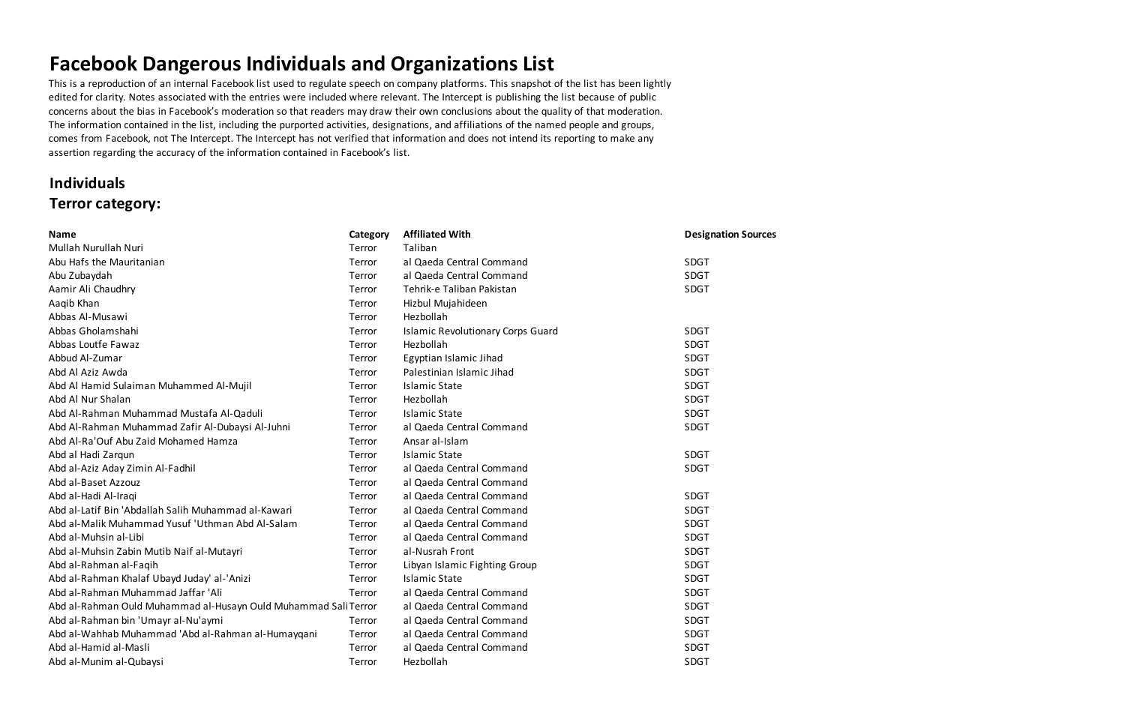## **Facebook Dangerous Individuals and Organizations List**

This is a reproduction of an internal Facebook list used to regulate speech on company platforms. This snapshot of the list has been lightly edited for clarity. Notes associated with the entries were included where relevant. The Intercept is publishing the list because of public concerns about the bias in Facebook's moderation so that readers may draw their own conclusions about the quality of that moderation. The information contained in the list, including the purported activities, designations, and affiliations of the named people and groups, comes from Facebook, not The Intercept. The Intercept has not verified that information and does not intend its reporting to make any assertion regarding the accuracy of the information contained in Facebook's list.

## **Individuals Terror category:**

| <b>Name</b>                                                     | Category | <b>Affiliated With</b>                   | <b>Designation Sources</b> |
|-----------------------------------------------------------------|----------|------------------------------------------|----------------------------|
| Mullah Nurullah Nuri                                            | Terror   | Taliban                                  |                            |
| Abu Hafs the Mauritanian                                        | Terror   | al Qaeda Central Command                 | SDGT                       |
| Abu Zubaydah                                                    | Terror   | al Qaeda Central Command                 | <b>SDGT</b>                |
| Aamir Ali Chaudhry                                              | Terror   | Tehrik-e Taliban Pakistan                | <b>SDGT</b>                |
| Aaqib Khan                                                      | Terror   | Hizbul Mujahideen                        |                            |
| Abbas Al-Musawi                                                 | Terror   | Hezbollah                                |                            |
| Abbas Gholamshahi                                               | Terror   | <b>Islamic Revolutionary Corps Guard</b> | <b>SDGT</b>                |
| Abbas Loutfe Fawaz                                              | Terror   | Hezbollah                                | <b>SDGT</b>                |
| Abbud Al-Zumar                                                  | Terror   | Egyptian Islamic Jihad                   | <b>SDGT</b>                |
| Abd Al Aziz Awda                                                | Terror   | Palestinian Islamic Jihad                | <b>SDGT</b>                |
| Abd Al Hamid Sulaiman Muhammed Al-Mujil                         | Terror   | <b>Islamic State</b>                     | SDGT                       |
| Abd Al Nur Shalan                                               | Terror   | Hezbollah                                | <b>SDGT</b>                |
| Abd Al-Rahman Muhammad Mustafa Al-Qaduli                        | Terror   | <b>Islamic State</b>                     | SDGT                       |
| Abd Al-Rahman Muhammad Zafir Al-Dubaysi Al-Juhni                | Terror   | al Qaeda Central Command                 | SDGT                       |
| Abd Al-Ra'Ouf Abu Zaid Mohamed Hamza                            | Terror   | Ansar al-Islam                           |                            |
| Abd al Hadi Zarqun                                              | Terror   | <b>Islamic State</b>                     | <b>SDGT</b>                |
| Abd al-Aziz Aday Zimin Al-Fadhil                                | Terror   | al Qaeda Central Command                 | <b>SDGT</b>                |
| Abd al-Baset Azzouz                                             | Terror   | al Qaeda Central Command                 |                            |
| Abd al-Hadi Al-Iraqi                                            | Terror   | al Qaeda Central Command                 | <b>SDGT</b>                |
| Abd al-Latif Bin 'Abdallah Salih Muhammad al-Kawari             | Terror   | al Qaeda Central Command                 | <b>SDGT</b>                |
| Abd al-Malik Muhammad Yusuf 'Uthman Abd Al-Salam                | Terror   | al Qaeda Central Command                 | <b>SDGT</b>                |
| Abd al-Muhsin al-Libi                                           | Terror   | al Qaeda Central Command                 | <b>SDGT</b>                |
| Abd al-Muhsin Zabin Mutib Naif al-Mutayri                       | Terror   | al-Nusrah Front                          | <b>SDGT</b>                |
| Abd al-Rahman al-Faqih                                          | Terror   | Libyan Islamic Fighting Group            | <b>SDGT</b>                |
| Abd al-Rahman Khalaf Ubayd Juday' al-'Anizi                     | Terror   | <b>Islamic State</b>                     | SDGT                       |
| Abd al-Rahman Muhammad Jaffar 'Ali                              | Terror   | al Qaeda Central Command                 | <b>SDGT</b>                |
| Abd al-Rahman Ould Muhammad al-Husayn Ould Muhammad Sali Terror |          | al Qaeda Central Command                 | <b>SDGT</b>                |
| Abd al-Rahman bin 'Umayr al-Nu'aymi                             | Terror   | al Qaeda Central Command                 | SDGT                       |
| Abd al-Wahhab Muhammad 'Abd al-Rahman al-Humayqani              | Terror   | al Qaeda Central Command                 | <b>SDGT</b>                |
| Abd al-Hamid al-Masli                                           | Terror   | al Qaeda Central Command                 | <b>SDGT</b>                |
| Abd al-Munim al-Qubaysi                                         | Terror   | Hezbollah                                | <b>SDGT</b>                |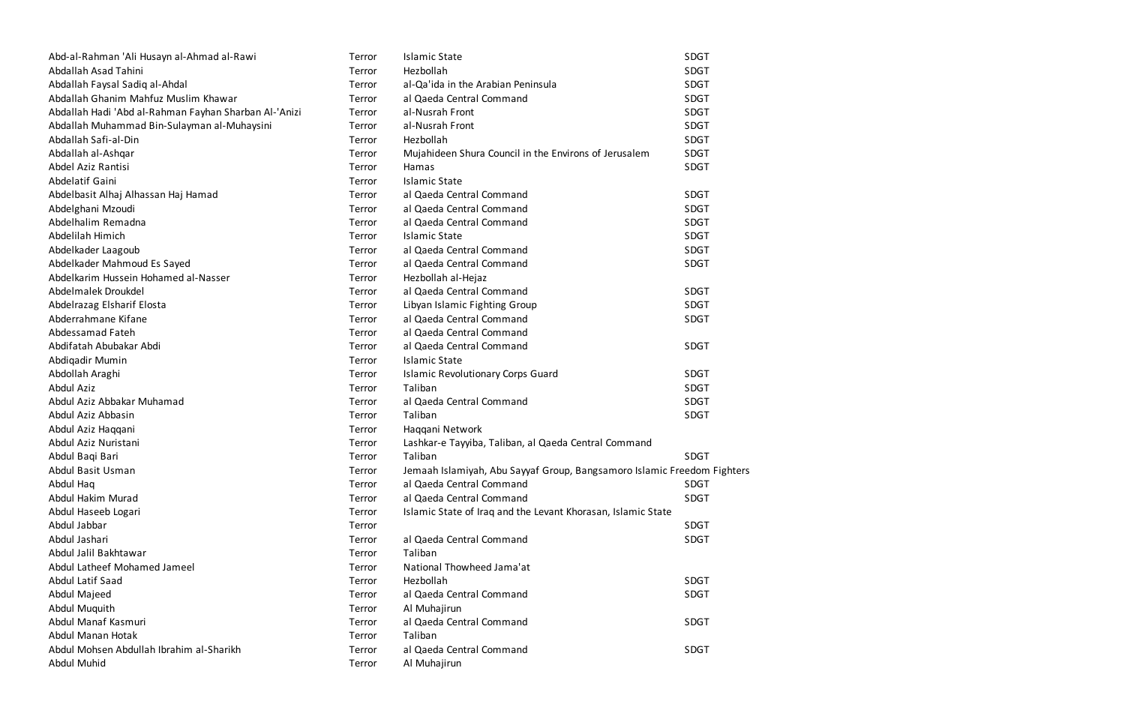| Abd-al-Rahman 'Ali Husayn al-Ahmad al-Rawi            | Terror | <b>Islamic State</b>                                                    | <b>SDGT</b> |
|-------------------------------------------------------|--------|-------------------------------------------------------------------------|-------------|
| Abdallah Asad Tahini                                  | Terror | Hezbollah                                                               | SDGT        |
| Abdallah Faysal Sadiq al-Ahdal                        | Terror | al-Qa'ida in the Arabian Peninsula                                      | SDGT        |
| Abdallah Ghanim Mahfuz Muslim Khawar                  | Terror | al Qaeda Central Command                                                | SDGT        |
| Abdallah Hadi 'Abd al-Rahman Fayhan Sharban Al-'Anizi | Terror | al-Nusrah Front                                                         | SDGT        |
| Abdallah Muhammad Bin-Sulayman al-Muhaysini           | Terror | al-Nusrah Front                                                         | <b>SDGT</b> |
| Abdallah Safi-al-Din                                  | Terror | Hezbollah                                                               | SDGT        |
| Abdallah al-Ashqar                                    | Terror | Mujahideen Shura Council in the Environs of Jerusalem                   | <b>SDGT</b> |
| Abdel Aziz Rantisi                                    | Terror | Hamas                                                                   | SDGT        |
| Abdelatif Gaini                                       | Terror | <b>Islamic State</b>                                                    |             |
| Abdelbasit Alhaj Alhassan Haj Hamad                   | Terror | al Qaeda Central Command                                                | <b>SDGT</b> |
| Abdelghani Mzoudi                                     | Terror | al Qaeda Central Command                                                | SDGT        |
| Abdelhalim Remadna                                    | Terror | al Qaeda Central Command                                                | SDGT        |
| Abdelilah Himich                                      | Terror | <b>Islamic State</b>                                                    | SDGT        |
| Abdelkader Laagoub                                    | Terror | al Qaeda Central Command                                                | SDGT        |
| Abdelkader Mahmoud Es Sayed                           | Terror | al Qaeda Central Command                                                | <b>SDGT</b> |
| Abdelkarim Hussein Hohamed al-Nasser                  | Terror | Hezbollah al-Hejaz                                                      |             |
| Abdelmalek Droukdel                                   | Terror | al Qaeda Central Command                                                | SDGT        |
| Abdelrazag Elsharif Elosta                            | Terror | Libyan Islamic Fighting Group                                           | SDGT        |
| Abderrahmane Kifane                                   | Terror | al Qaeda Central Command                                                | SDGT        |
| Abdessamad Fateh                                      | Terror | al Qaeda Central Command                                                |             |
| Abdifatah Abubakar Abdi                               | Terror | al Qaeda Central Command                                                | SDGT        |
| Abdiqadir Mumin                                       | Terror | <b>Islamic State</b>                                                    |             |
| Abdollah Araghi                                       | Terror | <b>Islamic Revolutionary Corps Guard</b>                                | SDGT        |
| Abdul Aziz                                            | Terror | Taliban                                                                 | SDGT        |
| Abdul Aziz Abbakar Muhamad                            | Terror | al Qaeda Central Command                                                | SDGT        |
| Abdul Aziz Abbasin                                    | Terror | Taliban                                                                 | SDGT        |
| Abdul Aziz Haqqani                                    | Terror | Haqqani Network                                                         |             |
| Abdul Aziz Nuristani                                  | Terror | Lashkar-e Tayyiba, Taliban, al Qaeda Central Command                    |             |
| Abdul Baqi Bari                                       | Terror | Taliban                                                                 | SDGT        |
| Abdul Basit Usman                                     | Terror | Jemaah Islamiyah, Abu Sayyaf Group, Bangsamoro Islamic Freedom Fighters |             |
| Abdul Haq                                             | Terror | al Qaeda Central Command                                                | <b>SDGT</b> |
| Abdul Hakim Murad                                     | Terror | al Qaeda Central Command                                                | <b>SDGT</b> |
| Abdul Haseeb Logari                                   | Terror | Islamic State of Iraq and the Levant Khorasan, Islamic State            |             |
| Abdul Jabbar                                          | Terror |                                                                         | <b>SDGT</b> |
| Abdul Jashari                                         | Terror | al Qaeda Central Command                                                | SDGT        |
| Abdul Jalil Bakhtawar                                 | Terror | Taliban                                                                 |             |
| Abdul Latheef Mohamed Jameel                          | Terror | National Thowheed Jama'at                                               |             |
| Abdul Latif Saad                                      | Terror | Hezbollah                                                               | SDGT        |
| Abdul Majeed                                          | Terror | al Qaeda Central Command                                                | SDGT        |
| Abdul Muquith                                         | Terror | Al Muhajirun                                                            |             |
| Abdul Manaf Kasmuri                                   | Terror | al Qaeda Central Command                                                | SDGT        |
| Abdul Manan Hotak                                     | Terror | Taliban                                                                 |             |
| Abdul Mohsen Abdullah Ibrahim al-Sharikh              | Terror | al Qaeda Central Command                                                | SDGT        |
| Abdul Muhid                                           | Terror | Al Muhajirun                                                            |             |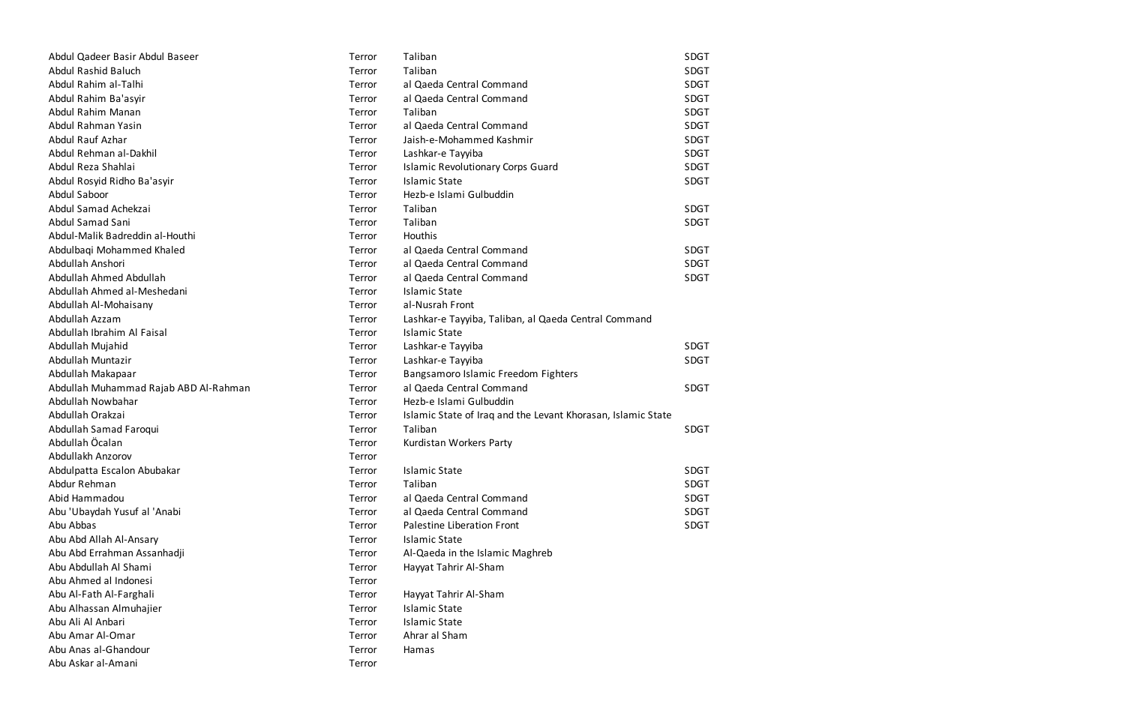| Abdul Qadeer Basir Abdul Baseer       | Terror | Taliban                                                      | SDGT        |
|---------------------------------------|--------|--------------------------------------------------------------|-------------|
| Abdul Rashid Baluch                   | Terror | Taliban                                                      | <b>SDGT</b> |
| Abdul Rahim al-Talhi                  | Terror | al Qaeda Central Command                                     | <b>SDGT</b> |
| Abdul Rahim Ba'asyir                  | Terror | al Qaeda Central Command                                     | <b>SDGT</b> |
| Abdul Rahim Manan                     | Terror | Taliban                                                      | <b>SDGT</b> |
| Abdul Rahman Yasin                    | Terror | al Qaeda Central Command                                     | <b>SDGT</b> |
| Abdul Rauf Azhar                      | Terror | Jaish-e-Mohammed Kashmir                                     | <b>SDGT</b> |
| Abdul Rehman al-Dakhil                | Terror | Lashkar-e Tayyiba                                            | <b>SDGT</b> |
| Abdul Reza Shahlai                    | Terror | <b>Islamic Revolutionary Corps Guard</b>                     | <b>SDGT</b> |
| Abdul Rosyid Ridho Ba'asyir           | Terror | <b>Islamic State</b>                                         | <b>SDGT</b> |
| Abdul Saboor                          | Terror | Hezb-e Islami Gulbuddin                                      |             |
| Abdul Samad Achekzai                  | Terror | Taliban                                                      | <b>SDGT</b> |
| Abdul Samad Sani                      | Terror | Taliban                                                      | <b>SDGT</b> |
| Abdul-Malik Badreddin al-Houthi       | Terror | Houthis                                                      |             |
| Abdulbaqi Mohammed Khaled             | Terror | al Qaeda Central Command                                     | <b>SDGT</b> |
| Abdullah Anshori                      | Terror | al Qaeda Central Command                                     | <b>SDGT</b> |
| Abdullah Ahmed Abdullah               | Terror | al Qaeda Central Command                                     | <b>SDGT</b> |
| Abdullah Ahmed al-Meshedani           | Terror | <b>Islamic State</b>                                         |             |
| Abdullah Al-Mohaisany                 | Terror | al-Nusrah Front                                              |             |
| Abdullah Azzam                        | Terror | Lashkar-e Tayyiba, Taliban, al Qaeda Central Command         |             |
| Abdullah Ibrahim Al Faisal            | Terror | <b>Islamic State</b>                                         |             |
| Abdullah Mujahid                      | Terror | Lashkar-e Tayyiba                                            | <b>SDGT</b> |
| Abdullah Muntazir                     | Terror | Lashkar-e Tayyiba                                            | <b>SDGT</b> |
| Abdullah Makapaar                     | Terror | Bangsamoro Islamic Freedom Fighters                          |             |
| Abdullah Muhammad Rajab ABD Al-Rahman | Terror | al Qaeda Central Command                                     | SDGT        |
| Abdullah Nowbahar                     | Terror | Hezb-e Islami Gulbuddin                                      |             |
| Abdullah Orakzai                      | Terror | Islamic State of Iraq and the Levant Khorasan, Islamic State |             |
| Abdullah Samad Faroqui                | Terror | Taliban                                                      | <b>SDGT</b> |
| Abdullah Öcalan                       | Terror | Kurdistan Workers Party                                      |             |
| Abdullakh Anzorov                     | Terror |                                                              |             |
| Abdulpatta Escalon Abubakar           | Terror | <b>Islamic State</b>                                         | <b>SDGT</b> |
| Abdur Rehman                          | Terror | Taliban                                                      | <b>SDGT</b> |
| Abid Hammadou                         | Terror | al Qaeda Central Command                                     | <b>SDGT</b> |
| Abu 'Ubaydah Yusuf al 'Anabi          | Terror | al Qaeda Central Command                                     | <b>SDGT</b> |
| Abu Abbas                             | Terror | Palestine Liberation Front                                   | <b>SDGT</b> |
| Abu Abd Allah Al-Ansary               | Terror | <b>Islamic State</b>                                         |             |
| Abu Abd Errahman Assanhadji           | Terror | Al-Qaeda in the Islamic Maghreb                              |             |
| Abu Abdullah Al Shami                 | Terror | Hayyat Tahrir Al-Sham                                        |             |
| Abu Ahmed al Indonesi                 | Terror |                                                              |             |
| Abu Al-Fath Al-Farghali               | Terror | Hayyat Tahrir Al-Sham                                        |             |
| Abu Alhassan Almuhajier               | Terror | <b>Islamic State</b>                                         |             |
| Abu Ali Al Anbari                     | Terror | <b>Islamic State</b>                                         |             |
| Abu Amar Al-Omar                      | Terror | Ahrar al Sham                                                |             |
| Abu Anas al-Ghandour                  | Terror | Hamas                                                        |             |
| Abu Askar al-Amani                    | Terror |                                                              |             |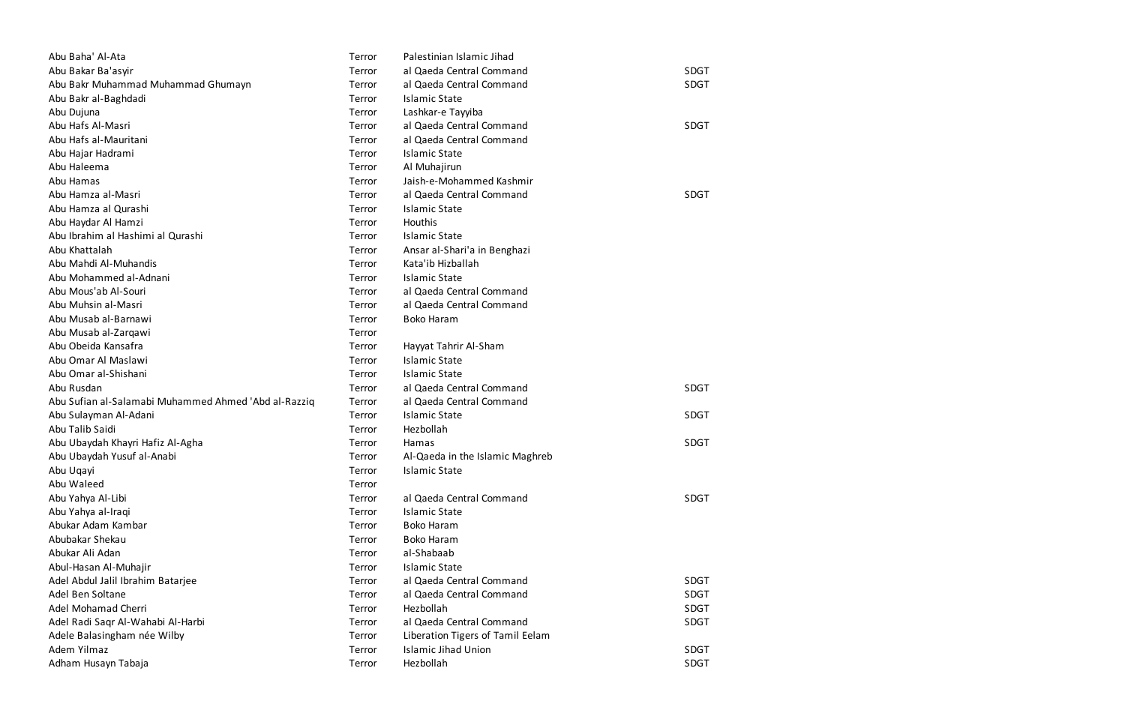| Abu Baha' Al-Ata                                     | Terror | Palestinian Islamic Jihad        |             |
|------------------------------------------------------|--------|----------------------------------|-------------|
| Abu Bakar Ba'asyir                                   | Terror | al Qaeda Central Command         | <b>SDGT</b> |
| Abu Bakr Muhammad Muhammad Ghumayn                   | Terror | al Qaeda Central Command         | <b>SDGT</b> |
| Abu Bakr al-Baghdadi                                 | Terror | <b>Islamic State</b>             |             |
| Abu Dujuna                                           | Terror | Lashkar-e Tayyiba                |             |
| Abu Hafs Al-Masri                                    | Terror | al Qaeda Central Command         | <b>SDGT</b> |
| Abu Hafs al-Mauritani                                | Terror | al Qaeda Central Command         |             |
| Abu Hajar Hadrami                                    | Terror | <b>Islamic State</b>             |             |
| Abu Haleema                                          | Terror | Al Muhajirun                     |             |
| Abu Hamas                                            | Terror | Jaish-e-Mohammed Kashmir         |             |
| Abu Hamza al-Masri                                   | Terror | al Qaeda Central Command         | <b>SDGT</b> |
| Abu Hamza al Qurashi                                 | Terror | <b>Islamic State</b>             |             |
| Abu Haydar Al Hamzi                                  | Terror | Houthis                          |             |
| Abu Ibrahim al Hashimi al Qurashi                    | Terror | <b>Islamic State</b>             |             |
| Abu Khattalah                                        | Terror | Ansar al-Shari'a in Benghazi     |             |
| Abu Mahdi Al-Muhandis                                | Terror | Kata'ib Hizballah                |             |
| Abu Mohammed al-Adnani                               | Terror | <b>Islamic State</b>             |             |
| Abu Mous'ab Al-Souri                                 | Terror | al Qaeda Central Command         |             |
| Abu Muhsin al-Masri                                  | Terror | al Qaeda Central Command         |             |
| Abu Musab al-Barnawi                                 | Terror | <b>Boko Haram</b>                |             |
| Abu Musab al-Zarqawi                                 | Terror |                                  |             |
| Abu Obeida Kansafra                                  | Terror | Hayyat Tahrir Al-Sham            |             |
| Abu Omar Al Maslawi                                  | Terror | <b>Islamic State</b>             |             |
| Abu Omar al-Shishani                                 | Terror | <b>Islamic State</b>             |             |
| Abu Rusdan                                           | Terror | al Qaeda Central Command         | <b>SDGT</b> |
| Abu Sufian al-Salamabi Muhammed Ahmed 'Abd al-Razziq | Terror | al Qaeda Central Command         |             |
| Abu Sulayman Al-Adani                                | Terror | <b>Islamic State</b>             | <b>SDGT</b> |
| Abu Talib Saidi                                      | Terror | Hezbollah                        |             |
| Abu Ubaydah Khayri Hafiz Al-Agha                     | Terror | Hamas                            | <b>SDGT</b> |
| Abu Ubaydah Yusuf al-Anabi                           | Terror | Al-Qaeda in the Islamic Maghreb  |             |
| Abu Uqayi                                            | Terror | <b>Islamic State</b>             |             |
| Abu Waleed                                           | Terror |                                  |             |
| Abu Yahya Al-Libi                                    | Terror | al Qaeda Central Command         | <b>SDGT</b> |
| Abu Yahya al-Iraqi                                   | Terror | <b>Islamic State</b>             |             |
| Abukar Adam Kambar                                   | Terror | <b>Boko Haram</b>                |             |
| Abubakar Shekau                                      | Terror | <b>Boko Haram</b>                |             |
| Abukar Ali Adan                                      | Terror | al-Shabaab                       |             |
| Abul-Hasan Al-Muhajir                                | Terror | <b>Islamic State</b>             |             |
| Adel Abdul Jalil Ibrahim Batarjee                    | Terror | al Qaeda Central Command         | <b>SDGT</b> |
| Adel Ben Soltane                                     | Terror | al Qaeda Central Command         | <b>SDGT</b> |
| Adel Mohamad Cherri                                  | Terror | Hezbollah                        | <b>SDGT</b> |
| Adel Radi Saqr Al-Wahabi Al-Harbi                    | Terror | al Qaeda Central Command         | <b>SDGT</b> |
| Adele Balasingham née Wilby                          | Terror | Liberation Tigers of Tamil Eelam |             |
| Adem Yilmaz                                          | Terror | <b>Islamic Jihad Union</b>       | <b>SDGT</b> |
| Adham Husayn Tabaja                                  | Terror | Hezbollah                        | <b>SDGT</b> |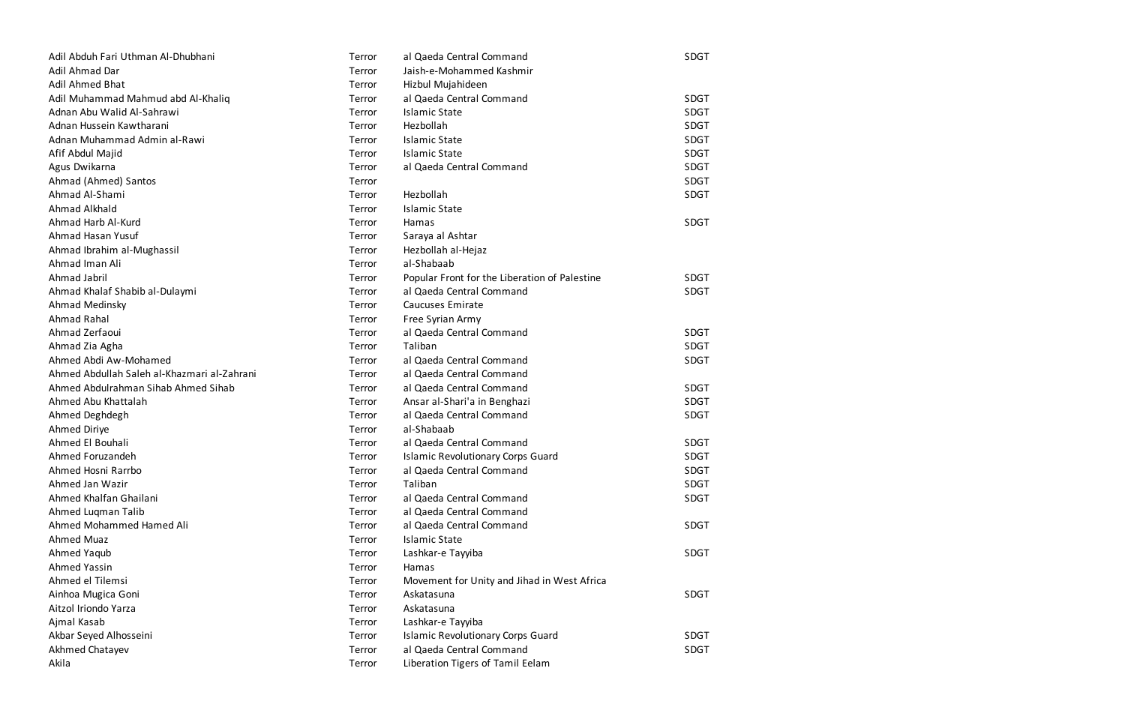| Adil Abduh Fari Uthman Al-Dhubhani          | Terror | al Qaeda Central Command                      | SDGT        |
|---------------------------------------------|--------|-----------------------------------------------|-------------|
| Adil Ahmad Dar                              | Terror | Jaish-e-Mohammed Kashmir                      |             |
| <b>Adil Ahmed Bhat</b>                      | Terror | Hizbul Mujahideen                             |             |
| Adil Muhammad Mahmud abd Al-Khaliq          | Terror | al Qaeda Central Command                      | <b>SDGT</b> |
| Adnan Abu Walid Al-Sahrawi                  | Terror | <b>Islamic State</b>                          | <b>SDGT</b> |
| Adnan Hussein Kawtharani                    | Terror | Hezbollah                                     | <b>SDGT</b> |
| Adnan Muhammad Admin al-Rawi                | Terror | <b>Islamic State</b>                          | <b>SDGT</b> |
| Afif Abdul Majid                            | Terror | <b>Islamic State</b>                          | <b>SDGT</b> |
| Agus Dwikarna                               | Terror | al Qaeda Central Command                      | <b>SDGT</b> |
| Ahmad (Ahmed) Santos                        | Terror |                                               | <b>SDGT</b> |
| Ahmad Al-Shami                              | Terror | Hezbollah                                     | <b>SDGT</b> |
| Ahmad Alkhald                               | Terror | <b>Islamic State</b>                          |             |
| Ahmad Harb Al-Kurd                          | Terror | Hamas                                         | <b>SDGT</b> |
| Ahmad Hasan Yusuf                           | Terror | Saraya al Ashtar                              |             |
| Ahmad Ibrahim al-Mughassil                  | Terror | Hezbollah al-Hejaz                            |             |
| Ahmad Iman Ali                              | Terror | al-Shabaab                                    |             |
| Ahmad Jabril                                | Terror | Popular Front for the Liberation of Palestine | <b>SDGT</b> |
| Ahmad Khalaf Shabib al-Dulaymi              | Terror | al Qaeda Central Command                      | <b>SDGT</b> |
| Ahmad Medinsky                              | Terror | <b>Caucuses Emirate</b>                       |             |
| Ahmad Rahal                                 | Terror | Free Syrian Army                              |             |
| Ahmad Zerfaoui                              | Terror | al Qaeda Central Command                      | <b>SDGT</b> |
| Ahmad Zia Agha                              | Terror | Taliban                                       | <b>SDGT</b> |
| Ahmed Abdi Aw-Mohamed                       | Terror | al Qaeda Central Command                      | <b>SDGT</b> |
| Ahmed Abdullah Saleh al-Khazmari al-Zahrani | Terror | al Qaeda Central Command                      |             |
| Ahmed Abdulrahman Sihab Ahmed Sihab         | Terror | al Qaeda Central Command                      | <b>SDGT</b> |
| Ahmed Abu Khattalah                         | Terror | Ansar al-Shari'a in Benghazi                  | <b>SDGT</b> |
| Ahmed Deghdegh                              | Terror | al Qaeda Central Command                      | <b>SDGT</b> |
| Ahmed Diriye                                | Terror | al-Shabaab                                    |             |
| Ahmed El Bouhali                            | Terror | al Qaeda Central Command                      | <b>SDGT</b> |
| Ahmed Foruzandeh                            | Terror | <b>Islamic Revolutionary Corps Guard</b>      | <b>SDGT</b> |
| Ahmed Hosni Rarrbo                          | Terror | al Qaeda Central Command                      | <b>SDGT</b> |
| Ahmed Jan Wazir                             | Terror | Taliban                                       | SDGT        |
| Ahmed Khalfan Ghailani                      | Terror | al Qaeda Central Command                      | <b>SDGT</b> |
| Ahmed Luqman Talib                          | Terror | al Qaeda Central Command                      |             |
| Ahmed Mohammed Hamed Ali                    | Terror | al Qaeda Central Command                      | <b>SDGT</b> |
| <b>Ahmed Muaz</b>                           | Terror | <b>Islamic State</b>                          |             |
| Ahmed Yaqub                                 | Terror | Lashkar-e Tayyiba                             | SDGT        |
| <b>Ahmed Yassin</b>                         | Terror | Hamas                                         |             |
| Ahmed el Tilemsi                            | Terror | Movement for Unity and Jihad in West Africa   |             |
| Ainhoa Mugica Goni                          | Terror | Askatasuna                                    | <b>SDGT</b> |
| Aitzol Iriondo Yarza                        | Terror | Askatasuna                                    |             |
| Ajmal Kasab                                 | Terror | Lashkar-e Tayyiba                             |             |
| Akbar Seyed Alhosseini                      | Terror | <b>Islamic Revolutionary Corps Guard</b>      | <b>SDGT</b> |
| Akhmed Chatayev                             | Terror | al Qaeda Central Command                      | SDGT        |
| Akila                                       | Terror | Liberation Tigers of Tamil Eelam              |             |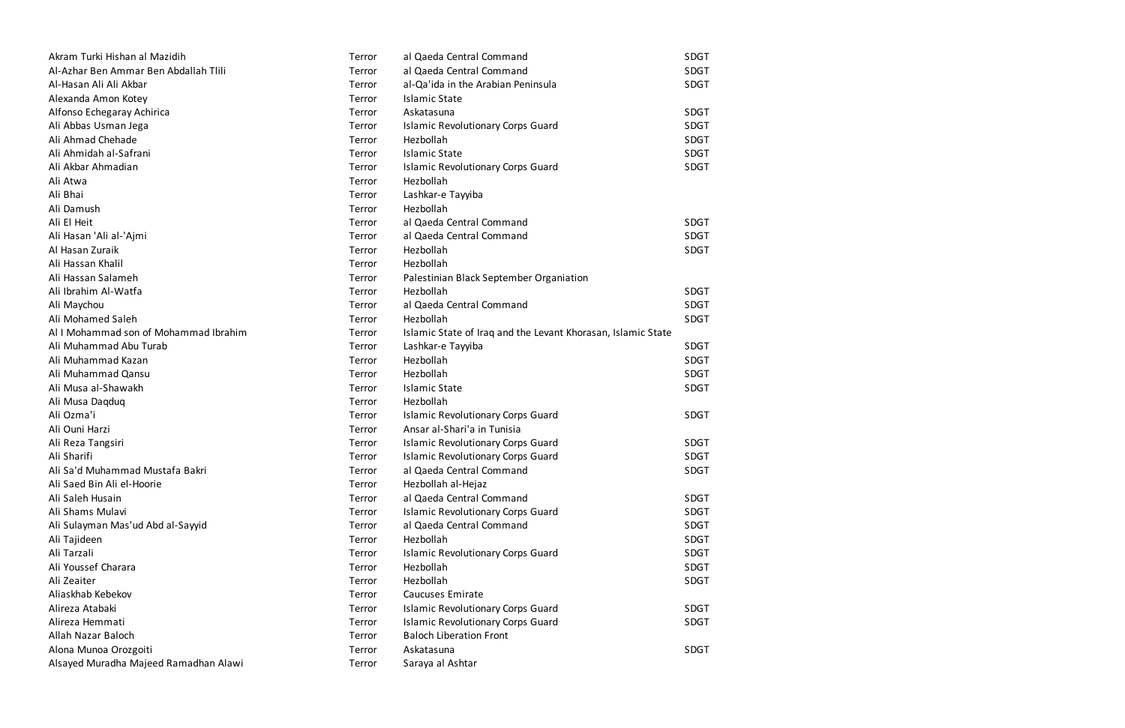| Akram Turki Hishan al Mazidih         | Terror | al Qaeda Central Command                                     | <b>SDGT</b> |
|---------------------------------------|--------|--------------------------------------------------------------|-------------|
| Al-Azhar Ben Ammar Ben Abdallah Tlili | Terror | al Qaeda Central Command                                     | SDGT        |
| Al-Hasan Ali Ali Akbar                | Terror | al-Qa'ida in the Arabian Peninsula                           | <b>SDGT</b> |
| Alexanda Amon Kotey                   | Terror | <b>Islamic State</b>                                         |             |
| Alfonso Echegaray Achirica            | Terror | Askatasuna                                                   | <b>SDGT</b> |
| Ali Abbas Usman Jega                  | Terror | <b>Islamic Revolutionary Corps Guard</b>                     | <b>SDGT</b> |
| Ali Ahmad Chehade                     | Terror | Hezbollah                                                    | <b>SDGT</b> |
| Ali Ahmidah al-Safrani                | Terror | <b>Islamic State</b>                                         | <b>SDGT</b> |
| Ali Akbar Ahmadian                    | Terror | <b>Islamic Revolutionary Corps Guard</b>                     | <b>SDGT</b> |
| Ali Atwa                              | Terror | Hezbollah                                                    |             |
| Ali Bhai                              | Terror | Lashkar-e Tayyiba                                            |             |
| Ali Damush                            | Terror | Hezbollah                                                    |             |
| Ali El Heit                           | Terror | al Qaeda Central Command                                     | <b>SDGT</b> |
| Ali Hasan 'Ali al-'Ajmi               | Terror | al Qaeda Central Command                                     | <b>SDGT</b> |
| Al Hasan Zuraik                       | Terror | Hezbollah                                                    | <b>SDGT</b> |
| Ali Hassan Khalil                     | Terror | Hezbollah                                                    |             |
| Ali Hassan Salameh                    | Terror | Palestinian Black September Organiation                      |             |
| Ali Ibrahim Al-Watfa                  | Terror | Hezbollah                                                    | <b>SDGT</b> |
| Ali Maychou                           | Terror | al Qaeda Central Command                                     | SDGT        |
| Ali Mohamed Saleh                     | Terror | Hezbollah                                                    | <b>SDGT</b> |
| Al I Mohammad son of Mohammad Ibrahim | Terror | Islamic State of Iraq and the Levant Khorasan, Islamic State |             |
| Ali Muhammad Abu Turab                | Terror | Lashkar-e Tayyiba                                            | <b>SDGT</b> |
| Ali Muhammad Kazan                    | Terror | Hezbollah                                                    | <b>SDGT</b> |
| Ali Muhammad Qansu                    | Terror | Hezbollah                                                    | <b>SDGT</b> |
| Ali Musa al-Shawakh                   | Terror | <b>Islamic State</b>                                         | <b>SDGT</b> |
| Ali Musa Daqduq                       | Terror | Hezbollah                                                    |             |
| Ali Ozma'i                            | Terror | <b>Islamic Revolutionary Corps Guard</b>                     | <b>SDGT</b> |
| Ali Ouni Harzi                        | Terror | Ansar al-Shari'a in Tunisia                                  |             |
| Ali Reza Tangsiri                     | Terror | <b>Islamic Revolutionary Corps Guard</b>                     | <b>SDGT</b> |
| Ali Sharifi                           | Terror | <b>Islamic Revolutionary Corps Guard</b>                     | <b>SDGT</b> |
| Ali Sa'd Muhammad Mustafa Bakri       | Terror | al Qaeda Central Command                                     | SDGT        |
| Ali Saed Bin Ali el-Hoorie            | Terror | Hezbollah al-Hejaz                                           |             |
| Ali Saleh Husain                      | Terror | al Qaeda Central Command                                     | <b>SDGT</b> |
| Ali Shams Mulavi                      | Terror | <b>Islamic Revolutionary Corps Guard</b>                     | <b>SDGT</b> |
| Ali Sulayman Mas'ud Abd al-Sayyid     | Terror | al Qaeda Central Command                                     | <b>SDGT</b> |
| Ali Tajideen                          | Terror | Hezbollah                                                    | <b>SDGT</b> |
| Ali Tarzali                           | Terror | <b>Islamic Revolutionary Corps Guard</b>                     | <b>SDGT</b> |
| Ali Youssef Charara                   | Terror | Hezbollah                                                    | <b>SDGT</b> |
| Ali Zeaiter                           | Terror | Hezbollah                                                    | <b>SDGT</b> |
| Aliaskhab Kebekov                     | Terror | <b>Caucuses Emirate</b>                                      |             |
| Alireza Atabaki                       | Terror | <b>Islamic Revolutionary Corps Guard</b>                     | <b>SDGT</b> |
| Alireza Hemmati                       | Terror | <b>Islamic Revolutionary Corps Guard</b>                     | <b>SDGT</b> |
| Allah Nazar Baloch                    | Terror | <b>Baloch Liberation Front</b>                               |             |
| Alona Munoa Orozgoiti                 | Terror | Askatasuna                                                   | <b>SDGT</b> |
| Alsayed Muradha Majeed Ramadhan Alawi | Terror | Saraya al Ashtar                                             |             |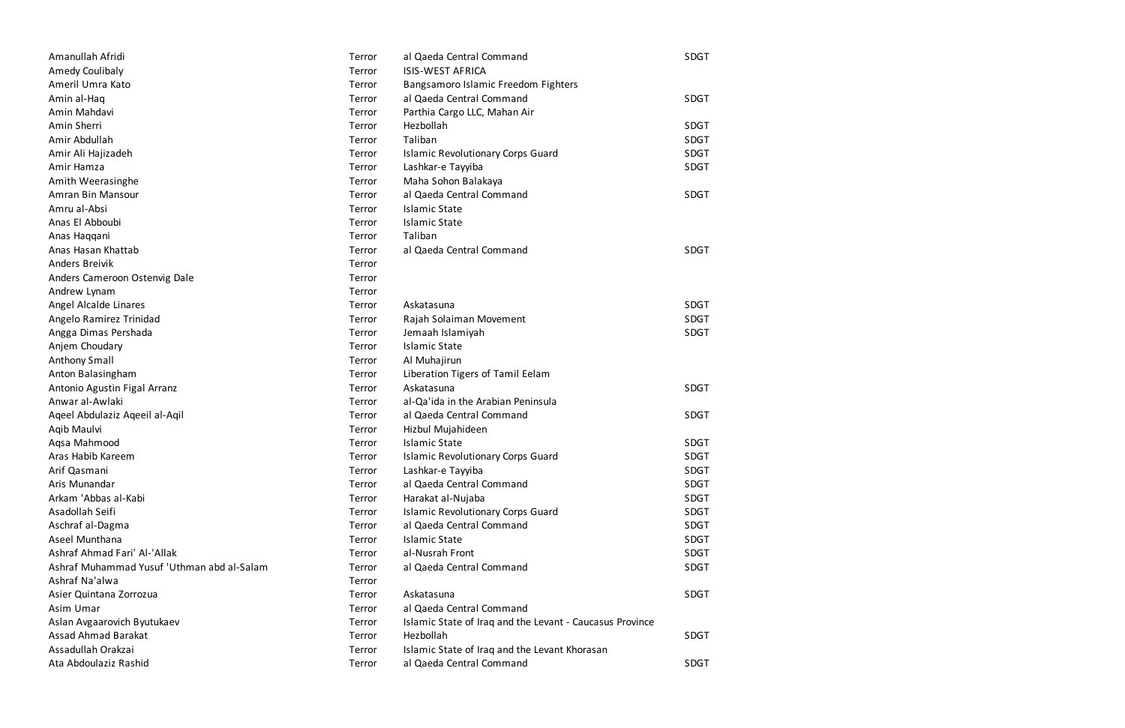| Amanullah Afridi                           | Terror | al Qaeda Central Command                                 | SDGT        |
|--------------------------------------------|--------|----------------------------------------------------------|-------------|
| Amedy Coulibaly                            | Terror | <b>ISIS-WEST AFRICA</b>                                  |             |
| Ameril Umra Kato                           | Terror | Bangsamoro Islamic Freedom Fighters                      |             |
| Amin al-Haq                                | Terror | al Qaeda Central Command                                 | <b>SDGT</b> |
| Amin Mahdavi                               | Terror | Parthia Cargo LLC, Mahan Air                             |             |
| Amin Sherri                                | Terror | Hezbollah                                                | <b>SDGT</b> |
| Amir Abdullah                              | Terror | Taliban                                                  | SDGT        |
| Amir Ali Hajizadeh                         | Terror | <b>Islamic Revolutionary Corps Guard</b>                 | <b>SDGT</b> |
| Amir Hamza                                 | Terror | Lashkar-e Tayyiba                                        | <b>SDGT</b> |
| Amith Weerasinghe                          | Terror | Maha Sohon Balakaya                                      |             |
| Amran Bin Mansour                          | Terror | al Qaeda Central Command                                 | SDGT        |
| Amru al-Absi                               | Terror | <b>Islamic State</b>                                     |             |
| Anas El Abboubi                            | Terror | <b>Islamic State</b>                                     |             |
| Anas Haqqani                               | Terror | Taliban                                                  |             |
| Anas Hasan Khattab                         | Terror | al Qaeda Central Command                                 | SDGT        |
| <b>Anders Breivik</b>                      | Terror |                                                          |             |
| Anders Cameroon Ostenvig Dale              | Terror |                                                          |             |
| Andrew Lynam                               | Terror |                                                          |             |
| Angel Alcalde Linares                      | Terror | Askatasuna                                               | SDGT        |
| Angelo Ramirez Trinidad                    | Terror | Rajah Solaiman Movement                                  | <b>SDGT</b> |
| Angga Dimas Pershada                       | Terror | Jemaah Islamiyah                                         | <b>SDGT</b> |
| Anjem Choudary                             | Terror | <b>Islamic State</b>                                     |             |
| <b>Anthony Small</b>                       | Terror | Al Muhajirun                                             |             |
| Anton Balasingham                          | Terror | Liberation Tigers of Tamil Eelam                         |             |
| Antonio Agustin Figal Arranz               | Terror | Askatasuna                                               | SDGT        |
| Anwar al-Awlaki                            | Terror | al-Qa'ida in the Arabian Peninsula                       |             |
| Ageel Abdulaziz Ageeil al-Aqil             | Terror | al Qaeda Central Command                                 | SDGT        |
| Aqib Maulvi                                | Terror | Hizbul Mujahideen                                        |             |
| Aqsa Mahmood                               | Terror | <b>Islamic State</b>                                     | <b>SDGT</b> |
| Aras Habib Kareem                          | Terror | <b>Islamic Revolutionary Corps Guard</b>                 | <b>SDGT</b> |
| Arif Qasmani                               | Terror | Lashkar-e Tayyiba                                        | <b>SDGT</b> |
| Aris Munandar                              | Terror | al Qaeda Central Command                                 | <b>SDGT</b> |
| Arkam 'Abbas al-Kabi                       | Terror | Harakat al-Nujaba                                        | <b>SDGT</b> |
| Asadollah Seifi                            | Terror | <b>Islamic Revolutionary Corps Guard</b>                 | <b>SDGT</b> |
| Aschraf al-Dagma                           | Terror | al Qaeda Central Command                                 | <b>SDGT</b> |
| Aseel Munthana                             | Terror | <b>Islamic State</b>                                     | SDGT        |
| Ashraf Ahmad Fari' Al-'Allak               | Terror | al-Nusrah Front                                          | <b>SDGT</b> |
| Ashraf Muhammad Yusuf 'Uthman abd al-Salam | Terror | al Qaeda Central Command                                 | <b>SDGT</b> |
| Ashraf Na'alwa                             | Terror |                                                          |             |
| Asier Quintana Zorrozua                    | Terror | Askatasuna                                               | <b>SDGT</b> |
| Asim Umar                                  | Terror | al Qaeda Central Command                                 |             |
| Aslan Avgaarovich Byutukaev                | Terror | Islamic State of Iraq and the Levant - Caucasus Province |             |
| <b>Assad Ahmad Barakat</b>                 | Terror | Hezbollah                                                | SDGT        |
| Assadullah Orakzai                         | Terror | Islamic State of Iraq and the Levant Khorasan            |             |
| Ata Abdoulaziz Rashid                      | Terror | al Qaeda Central Command                                 | <b>SDGT</b> |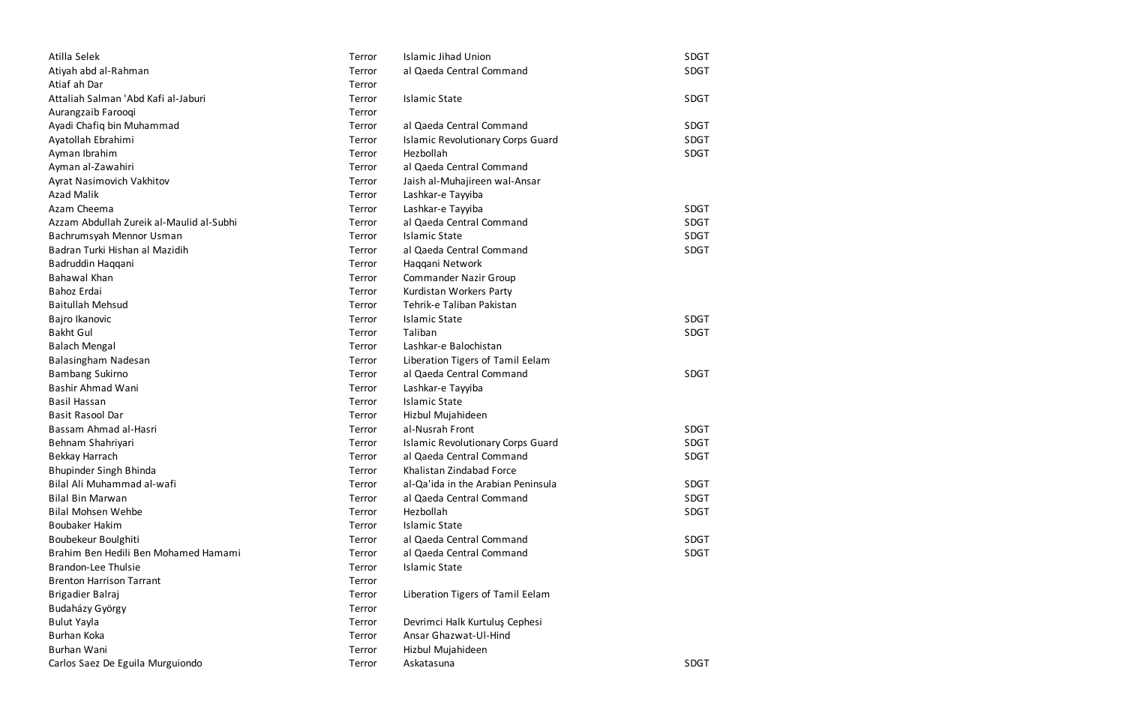| Atilla Selek                             | Terror | <b>Islamic Jihad Union</b>               | <b>SDGT</b> |
|------------------------------------------|--------|------------------------------------------|-------------|
| Atiyah abd al-Rahman                     | Terror | al Qaeda Central Command                 | <b>SDGT</b> |
| Atiaf ah Dar                             | Terror |                                          |             |
| Attaliah Salman 'Abd Kafi al-Jaburi      | Terror | <b>Islamic State</b>                     | <b>SDGT</b> |
| Aurangzaib Farooqi                       | Terror |                                          |             |
| Ayadi Chafiq bin Muhammad                | Terror | al Qaeda Central Command                 | <b>SDGT</b> |
| Ayatollah Ebrahimi                       | Terror | <b>Islamic Revolutionary Corps Guard</b> | <b>SDGT</b> |
| Ayman Ibrahim                            | Terror | Hezbollah                                | <b>SDGT</b> |
| Ayman al-Zawahiri                        | Terror | al Qaeda Central Command                 |             |
| Ayrat Nasimovich Vakhitov                | Terror | Jaish al-Muhajireen wal-Ansar            |             |
| <b>Azad Malik</b>                        | Terror | Lashkar-e Tayyiba                        |             |
| Azam Cheema                              | Terror | Lashkar-e Tayyiba                        | <b>SDGT</b> |
| Azzam Abdullah Zureik al-Maulid al-Subhi | Terror | al Qaeda Central Command                 | <b>SDGT</b> |
| Bachrumsyah Mennor Usman                 | Terror | <b>Islamic State</b>                     | <b>SDGT</b> |
| Badran Turki Hishan al Mazidih           | Terror | al Qaeda Central Command                 | <b>SDGT</b> |
| Badruddin Haqqani                        | Terror | Haqqani Network                          |             |
| Bahawal Khan                             | Terror | <b>Commander Nazir Group</b>             |             |
| Bahoz Erdai                              | Terror | Kurdistan Workers Party                  |             |
| <b>Baitullah Mehsud</b>                  | Terror | Tehrik-e Taliban Pakistan                |             |
| Bajro Ikanovic                           | Terror | <b>Islamic State</b>                     | <b>SDGT</b> |
| <b>Bakht Gul</b>                         | Terror | Taliban                                  | <b>SDGT</b> |
| <b>Balach Mengal</b>                     | Terror | Lashkar-e Balochistan                    |             |
| Balasingham Nadesan                      | Terror | Liberation Tigers of Tamil Eelam         |             |
| <b>Bambang Sukirno</b>                   | Terror | al Qaeda Central Command                 | <b>SDGT</b> |
| Bashir Ahmad Wani                        | Terror | Lashkar-e Tayyiba                        |             |
| Basil Hassan                             | Terror | <b>Islamic State</b>                     |             |
| <b>Basit Rasool Dar</b>                  | Terror | Hizbul Mujahideen                        |             |
| Bassam Ahmad al-Hasri                    | Terror | al-Nusrah Front                          | <b>SDGT</b> |
| Behnam Shahriyari                        | Terror | <b>Islamic Revolutionary Corps Guard</b> | <b>SDGT</b> |
| Bekkay Harrach                           | Terror | al Qaeda Central Command                 | <b>SDGT</b> |
| Bhupinder Singh Bhinda                   | Terror | Khalistan Zindabad Force                 |             |
| Bilal Ali Muhammad al-wafi               | Terror | al-Qa'ida in the Arabian Peninsula       | <b>SDGT</b> |
| <b>Bilal Bin Marwan</b>                  | Terror | al Qaeda Central Command                 | <b>SDGT</b> |
| <b>Bilal Mohsen Wehbe</b>                | Terror | Hezbollah                                | <b>SDGT</b> |
| <b>Boubaker Hakim</b>                    | Terror | <b>Islamic State</b>                     |             |
| Boubekeur Boulghiti                      | Terror | al Qaeda Central Command                 | <b>SDGT</b> |
| Brahim Ben Hedili Ben Mohamed Hamami     | Terror | al Qaeda Central Command                 | <b>SDGT</b> |
| <b>Brandon-Lee Thulsie</b>               | Terror | <b>Islamic State</b>                     |             |
| <b>Brenton Harrison Tarrant</b>          | Terror |                                          |             |
| Brigadier Balraj                         | Terror | Liberation Tigers of Tamil Eelam         |             |
| Budaházy György                          | Terror |                                          |             |
| <b>Bulut Yayla</b>                       | Terror | Devrimci Halk Kurtuluş Cephesi           |             |
| Burhan Koka                              | Terror | Ansar Ghazwat-Ul-Hind                    |             |
| Burhan Wani                              | Terror | Hizbul Mujahideen                        |             |
| Carlos Saez De Eguila Murguiondo         | Terror | Askatasuna                               | <b>SDGT</b> |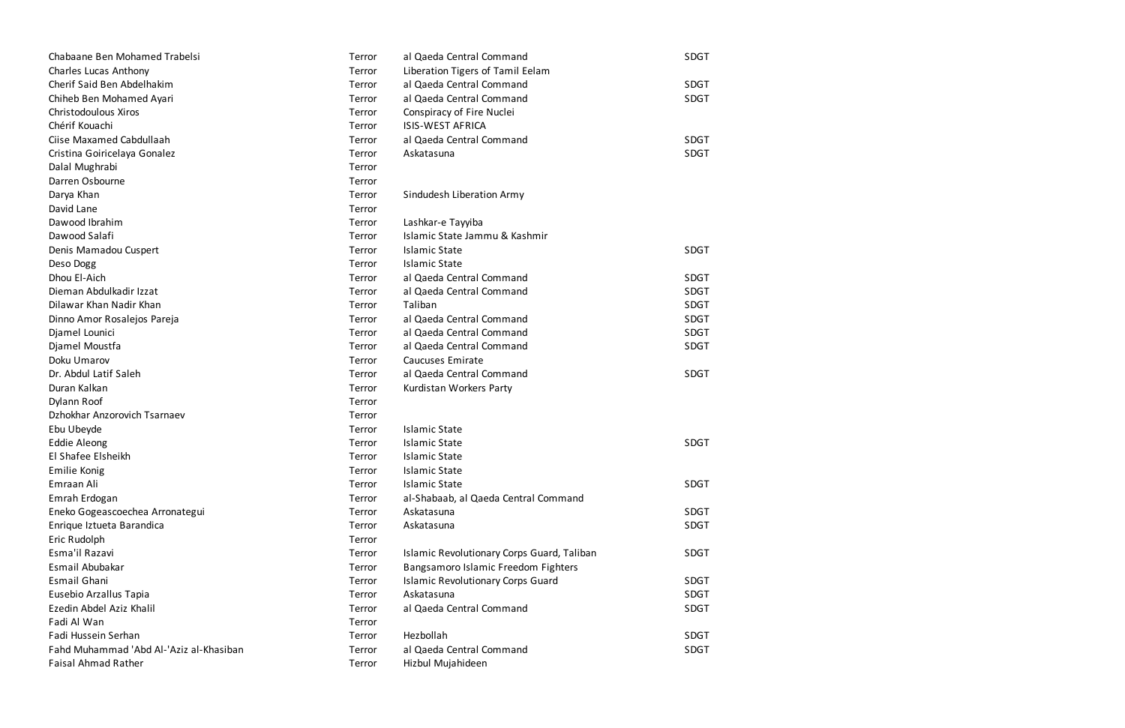| Chabaane Ben Mohamed Trabelsi           | Terror | al Qaeda Central Command                   | SDGT        |
|-----------------------------------------|--------|--------------------------------------------|-------------|
| Charles Lucas Anthony                   | Terror | Liberation Tigers of Tamil Eelam           |             |
| Cherif Said Ben Abdelhakim              | Terror | al Qaeda Central Command                   | <b>SDGT</b> |
| Chiheb Ben Mohamed Ayari                | Terror | al Qaeda Central Command                   | SDGT        |
| Christodoulous Xiros                    | Terror | Conspiracy of Fire Nuclei                  |             |
| Chérif Kouachi                          | Terror | <b>ISIS-WEST AFRICA</b>                    |             |
| Ciise Maxamed Cabdullaah                | Terror | al Qaeda Central Command                   | <b>SDGT</b> |
| Cristina Goiricelaya Gonalez            | Terror | Askatasuna                                 | <b>SDGT</b> |
| Dalal Mughrabi                          | Terror |                                            |             |
| Darren Osbourne                         | Terror |                                            |             |
| Darya Khan                              | Terror | Sindudesh Liberation Army                  |             |
| David Lane                              | Terror |                                            |             |
| Dawood Ibrahim                          | Terror | Lashkar-e Tayyiba                          |             |
| Dawood Salafi                           | Terror | Islamic State Jammu & Kashmir              |             |
| Denis Mamadou Cuspert                   | Terror | <b>Islamic State</b>                       | <b>SDGT</b> |
| Deso Dogg                               | Terror | <b>Islamic State</b>                       |             |
| Dhou El-Aich                            | Terror | al Qaeda Central Command                   | <b>SDGT</b> |
| Dieman Abdulkadir Izzat                 | Terror | al Qaeda Central Command                   | <b>SDGT</b> |
| Dilawar Khan Nadir Khan                 | Terror | Taliban                                    | SDGT        |
| Dinno Amor Rosalejos Pareja             | Terror | al Qaeda Central Command                   | <b>SDGT</b> |
| Djamel Lounici                          | Terror | al Qaeda Central Command                   | <b>SDGT</b> |
| Djamel Moustfa                          | Terror | al Qaeda Central Command                   | SDGT        |
| Doku Umarov                             | Terror | Caucuses Emirate                           |             |
| Dr. Abdul Latif Saleh                   | Terror | al Qaeda Central Command                   | <b>SDGT</b> |
| Duran Kalkan                            | Terror | Kurdistan Workers Party                    |             |
| Dylann Roof                             | Terror |                                            |             |
| Dzhokhar Anzorovich Tsarnaev            | Terror |                                            |             |
| Ebu Ubeyde                              | Terror | <b>Islamic State</b>                       |             |
| <b>Eddie Aleong</b>                     | Terror | <b>Islamic State</b>                       | <b>SDGT</b> |
| El Shafee Elsheikh                      | Terror | <b>Islamic State</b>                       |             |
| <b>Emilie Konig</b>                     | Terror | <b>Islamic State</b>                       |             |
| Emraan Ali                              | Terror | <b>Islamic State</b>                       | <b>SDGT</b> |
| Emrah Erdogan                           | Terror | al-Shabaab, al Qaeda Central Command       |             |
| Eneko Gogeascoechea Arronategui         | Terror | Askatasuna                                 | <b>SDGT</b> |
| Enrique Iztueta Barandica               | Terror | Askatasuna                                 | <b>SDGT</b> |
| Eric Rudolph                            | Terror |                                            |             |
| Esma'il Razavi                          | Terror | Islamic Revolutionary Corps Guard, Taliban | <b>SDGT</b> |
| Esmail Abubakar                         | Terror | Bangsamoro Islamic Freedom Fighters        |             |
| Esmail Ghani                            | Terror | <b>Islamic Revolutionary Corps Guard</b>   | SDGT        |
| Eusebio Arzallus Tapia                  | Terror | Askatasuna                                 | SDGT        |
| Ezedin Abdel Aziz Khalil                | Terror | al Qaeda Central Command                   | <b>SDGT</b> |
| Fadi Al Wan                             | Terror |                                            |             |
| Fadi Hussein Serhan                     | Terror | Hezbollah                                  | SDGT        |
| Fahd Muhammad 'Abd Al-'Aziz al-Khasiban | Terror | al Qaeda Central Command                   | SDGT        |
| <b>Faisal Ahmad Rather</b>              | Terror | Hizbul Mujahideen                          |             |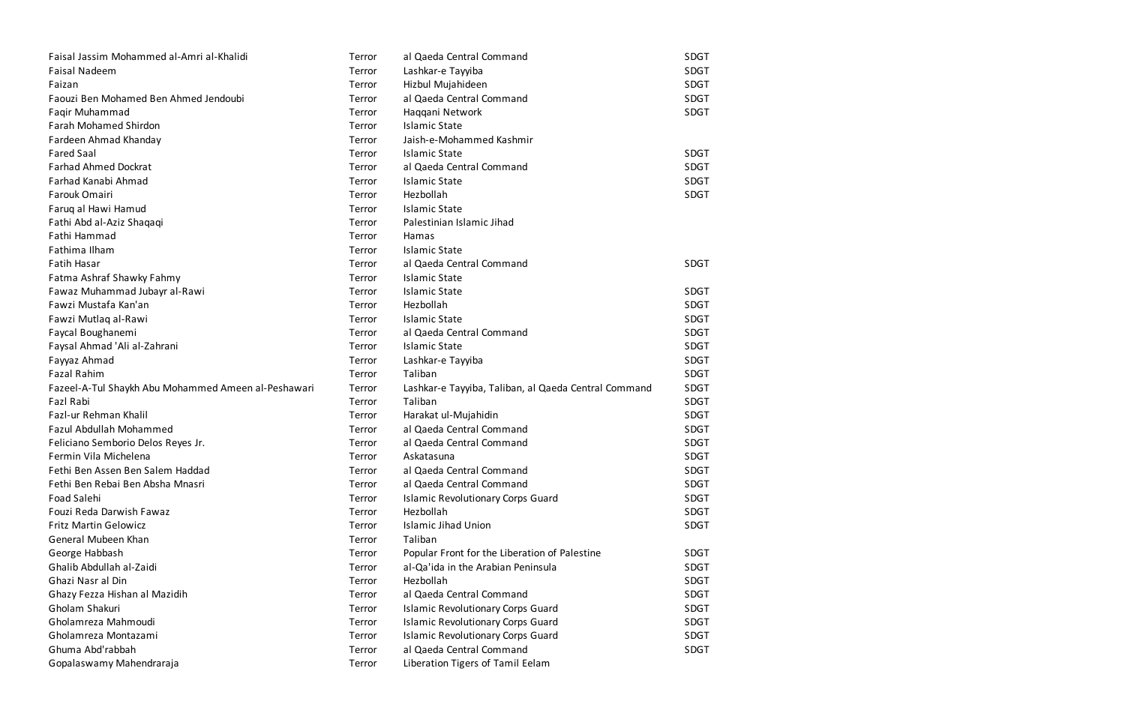| Faisal Jassim Mohammed al-Amri al-Khalidi           | Terror | al Qaeda Central Command                             | SDGT        |
|-----------------------------------------------------|--------|------------------------------------------------------|-------------|
| <b>Faisal Nadeem</b>                                | Terror | Lashkar-e Tayyiba                                    | <b>SDGT</b> |
| Faizan                                              | Terror | Hizbul Mujahideen                                    | <b>SDGT</b> |
| Faouzi Ben Mohamed Ben Ahmed Jendoubi               | Terror | al Qaeda Central Command                             | <b>SDGT</b> |
| Faqir Muhammad                                      | Terror | Haqqani Network                                      | <b>SDGT</b> |
| <b>Farah Mohamed Shirdon</b>                        | Terror | <b>Islamic State</b>                                 |             |
| Fardeen Ahmad Khanday                               | Terror | Jaish-e-Mohammed Kashmir                             |             |
| <b>Fared Saal</b>                                   | Terror | <b>Islamic State</b>                                 | <b>SDGT</b> |
| <b>Farhad Ahmed Dockrat</b>                         | Terror | al Qaeda Central Command                             | <b>SDGT</b> |
| Farhad Kanabi Ahmad                                 | Terror | <b>Islamic State</b>                                 | <b>SDGT</b> |
| Farouk Omairi                                       | Terror | Hezbollah                                            | <b>SDGT</b> |
| Faruq al Hawi Hamud                                 | Terror | <b>Islamic State</b>                                 |             |
| Fathi Abd al-Aziz Shaqaqi                           | Terror | Palestinian Islamic Jihad                            |             |
| Fathi Hammad                                        | Terror | Hamas                                                |             |
| Fathima Ilham                                       | Terror | <b>Islamic State</b>                                 |             |
| <b>Fatih Hasar</b>                                  | Terror | al Qaeda Central Command                             | <b>SDGT</b> |
| Fatma Ashraf Shawky Fahmy                           | Terror | <b>Islamic State</b>                                 |             |
| Fawaz Muhammad Jubayr al-Rawi                       | Terror | <b>Islamic State</b>                                 | <b>SDGT</b> |
| Fawzi Mustafa Kan'an                                | Terror | Hezbollah                                            | <b>SDGT</b> |
| Fawzi Mutlaq al-Rawi                                | Terror | <b>Islamic State</b>                                 | <b>SDGT</b> |
| Faycal Boughanemi                                   | Terror | al Qaeda Central Command                             | <b>SDGT</b> |
| Faysal Ahmad 'Ali al-Zahrani                        | Terror | <b>Islamic State</b>                                 | <b>SDGT</b> |
| Fayyaz Ahmad                                        | Terror | Lashkar-e Tayyiba                                    | <b>SDGT</b> |
| <b>Fazal Rahim</b>                                  | Terror | Taliban                                              | <b>SDGT</b> |
| Fazeel-A-Tul Shaykh Abu Mohammed Ameen al-Peshawari | Terror | Lashkar-e Tayyiba, Taliban, al Qaeda Central Command | <b>SDGT</b> |
| Fazl Rabi                                           | Terror | Taliban                                              | <b>SDGT</b> |
| Fazl-ur Rehman Khalil                               | Terror | Harakat ul-Mujahidin                                 | <b>SDGT</b> |
| Fazul Abdullah Mohammed                             | Terror | al Qaeda Central Command                             | <b>SDGT</b> |
| Feliciano Semborio Delos Reyes Jr.                  | Terror | al Qaeda Central Command                             | <b>SDGT</b> |
| Fermin Vila Michelena                               | Terror | Askatasuna                                           | <b>SDGT</b> |
| Fethi Ben Assen Ben Salem Haddad                    | Terror | al Qaeda Central Command                             | <b>SDGT</b> |
| Fethi Ben Rebai Ben Absha Mnasri                    | Terror | al Qaeda Central Command                             | <b>SDGT</b> |
| Foad Salehi                                         | Terror | <b>Islamic Revolutionary Corps Guard</b>             | <b>SDGT</b> |
| Fouzi Reda Darwish Fawaz                            | Terror | Hezbollah                                            | <b>SDGT</b> |
| <b>Fritz Martin Gelowicz</b>                        | Terror | <b>Islamic Jihad Union</b>                           | <b>SDGT</b> |
| General Mubeen Khan                                 | Terror | Taliban                                              |             |
| George Habbash                                      | Terror | Popular Front for the Liberation of Palestine        | <b>SDGT</b> |
| Ghalib Abdullah al-Zaidi                            | Terror | al-Qa'ida in the Arabian Peninsula                   | <b>SDGT</b> |
| Ghazi Nasr al Din                                   | Terror | Hezbollah                                            | <b>SDGT</b> |
| Ghazy Fezza Hishan al Mazidih                       | Terror | al Qaeda Central Command                             | <b>SDGT</b> |
| Gholam Shakuri                                      | Terror | <b>Islamic Revolutionary Corps Guard</b>             | <b>SDGT</b> |
| Gholamreza Mahmoudi                                 | Terror | <b>Islamic Revolutionary Corps Guard</b>             | <b>SDGT</b> |
| Gholamreza Montazami                                | Terror | <b>Islamic Revolutionary Corps Guard</b>             | <b>SDGT</b> |
| Ghuma Abd'rabbah                                    | Terror | al Qaeda Central Command                             | <b>SDGT</b> |
| Gopalaswamy Mahendraraja                            | Terror | Liberation Tigers of Tamil Eelam                     |             |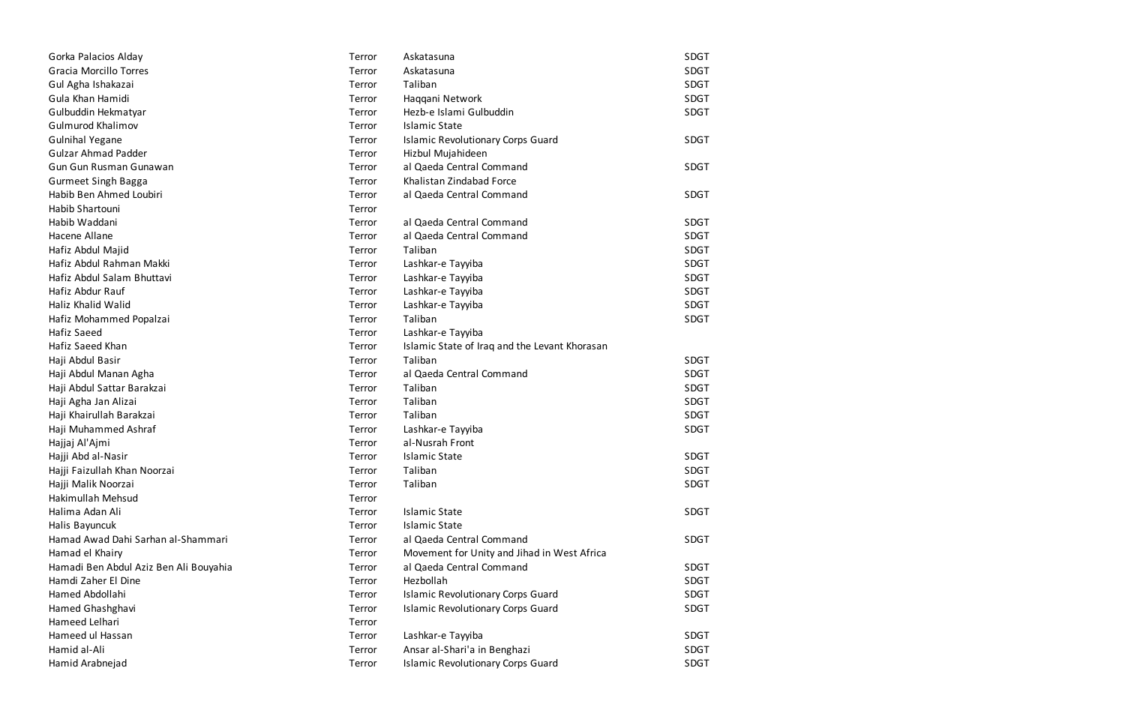| Gorka Palacios Alday                   | Terror | Askatasuna                                    | SDGT        |
|----------------------------------------|--------|-----------------------------------------------|-------------|
| <b>Gracia Morcillo Torres</b>          | Terror | Askatasuna                                    | <b>SDGT</b> |
| Gul Agha Ishakazai                     | Terror | Taliban                                       | <b>SDGT</b> |
| Gula Khan Hamidi                       | Terror | Haqqani Network                               | <b>SDGT</b> |
| Gulbuddin Hekmatyar                    | Terror | Hezb-e Islami Gulbuddin                       | <b>SDGT</b> |
| <b>Gulmurod Khalimov</b>               | Terror | <b>Islamic State</b>                          |             |
| <b>Gulnihal Yegane</b>                 | Terror | <b>Islamic Revolutionary Corps Guard</b>      | SDGT        |
| <b>Gulzar Ahmad Padder</b>             | Terror | Hizbul Mujahideen                             |             |
| Gun Gun Rusman Gunawan                 | Terror | al Qaeda Central Command                      | <b>SDGT</b> |
| <b>Gurmeet Singh Bagga</b>             | Terror | Khalistan Zindabad Force                      |             |
| Habib Ben Ahmed Loubiri                | Terror | al Qaeda Central Command                      | <b>SDGT</b> |
| Habib Shartouni                        | Terror |                                               |             |
| Habib Waddani                          | Terror | al Qaeda Central Command                      | <b>SDGT</b> |
| Hacene Allane                          | Terror | al Qaeda Central Command                      | <b>SDGT</b> |
| Hafiz Abdul Majid                      | Terror | Taliban                                       | <b>SDGT</b> |
| Hafiz Abdul Rahman Makki               | Terror | Lashkar-e Tayyiba                             | <b>SDGT</b> |
| Hafiz Abdul Salam Bhuttavi             | Terror | Lashkar-e Tayyiba                             | <b>SDGT</b> |
| Hafiz Abdur Rauf                       | Terror | Lashkar-e Tayyiba                             | <b>SDGT</b> |
| Haliz Khalid Walid                     | Terror | Lashkar-e Tayyiba                             | <b>SDGT</b> |
| Hafiz Mohammed Popalzai                | Terror | Taliban                                       | <b>SDGT</b> |
| Hafiz Saeed                            | Terror | Lashkar-e Tayyiba                             |             |
| Hafiz Saeed Khan                       | Terror | Islamic State of Iraq and the Levant Khorasan |             |
| Haji Abdul Basir                       | Terror | Taliban                                       | SDGT        |
| Haji Abdul Manan Agha                  | Terror | al Qaeda Central Command                      | <b>SDGT</b> |
| Haji Abdul Sattar Barakzai             | Terror | Taliban                                       | <b>SDGT</b> |
| Haji Agha Jan Alizai                   | Terror | Taliban                                       | <b>SDGT</b> |
| Haji Khairullah Barakzai               | Terror | Taliban                                       | <b>SDGT</b> |
| Haji Muhammed Ashraf                   | Terror | Lashkar-e Tayyiba                             | <b>SDGT</b> |
| Hajjaj Al'Ajmi                         | Terror | al-Nusrah Front                               |             |
| Hajji Abd al-Nasir                     | Terror | <b>Islamic State</b>                          | SDGT        |
| Hajji Faizullah Khan Noorzai           | Terror | Taliban                                       | <b>SDGT</b> |
| Hajji Malik Noorzai                    | Terror | Taliban                                       | SDGT        |
| Hakimullah Mehsud                      | Terror |                                               |             |
| Halima Adan Ali                        | Terror | <b>Islamic State</b>                          | SDGT        |
| Halis Bayuncuk                         | Terror | <b>Islamic State</b>                          |             |
| Hamad Awad Dahi Sarhan al-Shammari     | Terror | al Qaeda Central Command                      | <b>SDGT</b> |
| Hamad el Khairy                        | Terror | Movement for Unity and Jihad in West Africa   |             |
| Hamadi Ben Abdul Aziz Ben Ali Bouyahia | Terror | al Qaeda Central Command                      | <b>SDGT</b> |
| Hamdi Zaher El Dine                    | Terror | Hezbollah                                     | <b>SDGT</b> |
| Hamed Abdollahi                        | Terror | <b>Islamic Revolutionary Corps Guard</b>      | SDGT        |
| Hamed Ghashghavi                       | Terror | <b>Islamic Revolutionary Corps Guard</b>      | <b>SDGT</b> |
| Hameed Lelhari                         | Terror |                                               |             |
| Hameed ul Hassan                       | Terror | Lashkar-e Tayyiba                             | SDGT        |
| Hamid al-Ali                           | Terror | Ansar al-Shari'a in Benghazi                  | SDGT        |
| Hamid Arabnejad                        | Terror | <b>Islamic Revolutionary Corps Guard</b>      | <b>SDGT</b> |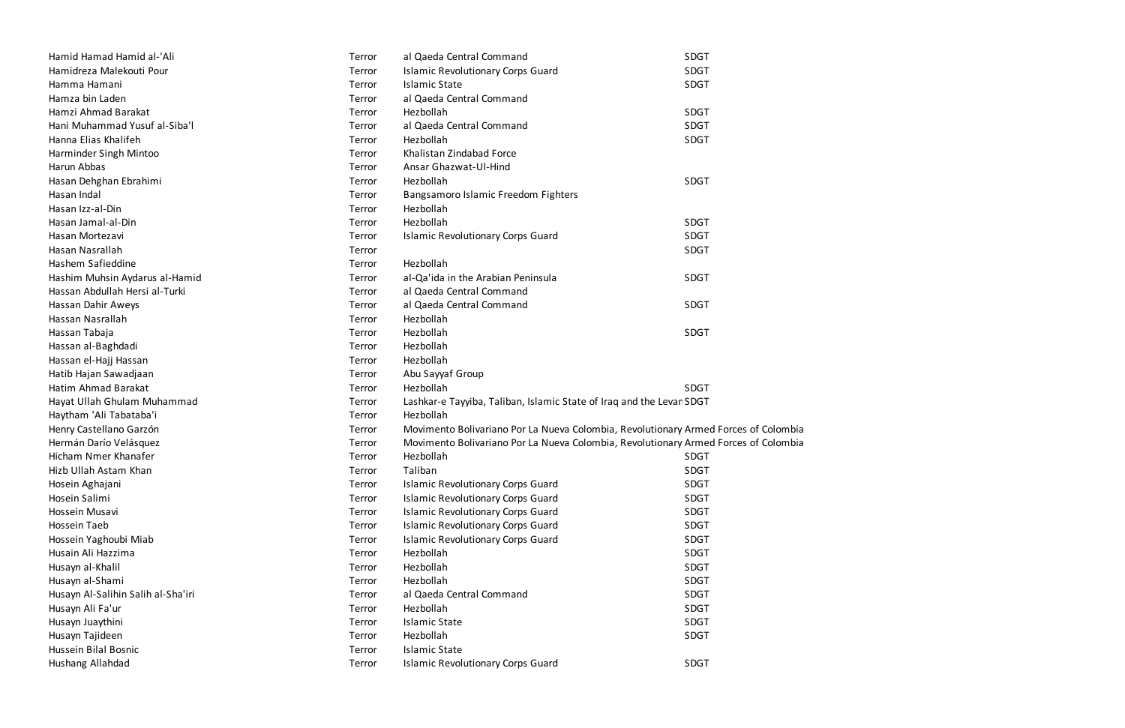| Hamid Hamad Hamid al-'Ali          | Terror | al Qaeda Central Command                                                            | SDGT |
|------------------------------------|--------|-------------------------------------------------------------------------------------|------|
| Hamidreza Malekouti Pour           | Terror | <b>Islamic Revolutionary Corps Guard</b>                                            | SDGT |
| Hamma Hamani                       | Terror | <b>Islamic State</b>                                                                | SDGT |
| Hamza bin Laden                    | Terror | al Qaeda Central Command                                                            |      |
| Hamzi Ahmad Barakat                | Terror | Hezbollah                                                                           | SDGT |
| Hani Muhammad Yusuf al-Siba'l      | Terror | al Qaeda Central Command                                                            | SDGT |
| Hanna Elias Khalifeh               | Terror | Hezbollah                                                                           | SDGT |
| Harminder Singh Mintoo             | Terror | Khalistan Zindabad Force                                                            |      |
| Harun Abbas                        | Terror | Ansar Ghazwat-Ul-Hind                                                               |      |
| Hasan Dehghan Ebrahimi             | Terror | Hezbollah                                                                           | SDGT |
| Hasan Indal                        | Terror | Bangsamoro Islamic Freedom Fighters                                                 |      |
| Hasan Izz-al-Din                   | Terror | Hezbollah                                                                           |      |
| Hasan Jamal-al-Din                 | Terror | Hezbollah                                                                           | SDGT |
| Hasan Mortezavi                    | Terror | <b>Islamic Revolutionary Corps Guard</b>                                            | SDGT |
| Hasan Nasrallah                    | Terror |                                                                                     | SDGT |
| Hashem Safieddine                  | Terror | Hezbollah                                                                           |      |
| Hashim Muhsin Aydarus al-Hamid     | Terror | al-Qa'ida in the Arabian Peninsula                                                  | SDGT |
| Hassan Abdullah Hersi al-Turki     | Terror | al Qaeda Central Command                                                            |      |
| Hassan Dahir Aweys                 | Terror | al Qaeda Central Command                                                            | SDGT |
| Hassan Nasrallah                   | Terror | Hezbollah                                                                           |      |
| Hassan Tabaja                      | Terror | Hezbollah                                                                           | SDGT |
| Hassan al-Baghdadi                 | Terror | Hezbollah                                                                           |      |
| Hassan el-Hajj Hassan              | Terror | Hezbollah                                                                           |      |
| Hatib Hajan Sawadjaan              | Terror | Abu Sayyaf Group                                                                    |      |
| Hatim Ahmad Barakat                | Terror | Hezbollah                                                                           | SDGT |
| Hayat Ullah Ghulam Muhammad        | Terror | Lashkar-e Tayyiba, Taliban, Islamic State of Iraq and the Levar SDGT                |      |
| Haytham 'Ali Tabataba'i            | Terror | Hezbollah                                                                           |      |
| Henry Castellano Garzón            | Terror | Movimento Bolivariano Por La Nueva Colombia, Revolutionary Armed Forces of Colombia |      |
| Hermán Darío Velásquez             | Terror | Movimento Bolivariano Por La Nueva Colombia, Revolutionary Armed Forces of Colombia |      |
| Hicham Nmer Khanafer               | Terror | Hezbollah                                                                           | SDGT |
| Hizb Ullah Astam Khan              | Terror | Taliban                                                                             | SDGT |
| Hosein Aghajani                    | Terror | <b>Islamic Revolutionary Corps Guard</b>                                            | SDGT |
| Hosein Salimi                      | Terror | <b>Islamic Revolutionary Corps Guard</b>                                            | SDGT |
| Hossein Musavi                     | Terror | <b>Islamic Revolutionary Corps Guard</b>                                            | SDGT |
| Hossein Taeb                       | Terror | <b>Islamic Revolutionary Corps Guard</b>                                            | SDGT |
| Hossein Yaghoubi Miab              | Terror | <b>Islamic Revolutionary Corps Guard</b>                                            | SDGT |
| Husain Ali Hazzima                 | Terror | Hezbollah                                                                           | SDGT |
| Husayn al-Khalil                   | Terror | Hezbollah                                                                           | SDGT |
| Husayn al-Shami                    | Terror | Hezbollah                                                                           | SDGT |
| Husayn Al-Salihin Salih al-Sha'iri | Terror | al Qaeda Central Command                                                            | SDGT |
| Husayn Ali Fa'ur                   | Terror | Hezbollah                                                                           | SDGT |
| Husayn Juaythini                   | Terror | <b>Islamic State</b>                                                                | SDGT |
| Husayn Tajideen                    | Terror | Hezbollah                                                                           | SDGT |
| Hussein Bilal Bosnic               | Terror | <b>Islamic State</b>                                                                |      |
| Hushang Allahdad                   | Terror | <b>Islamic Revolutionary Corps Guard</b>                                            | SDGT |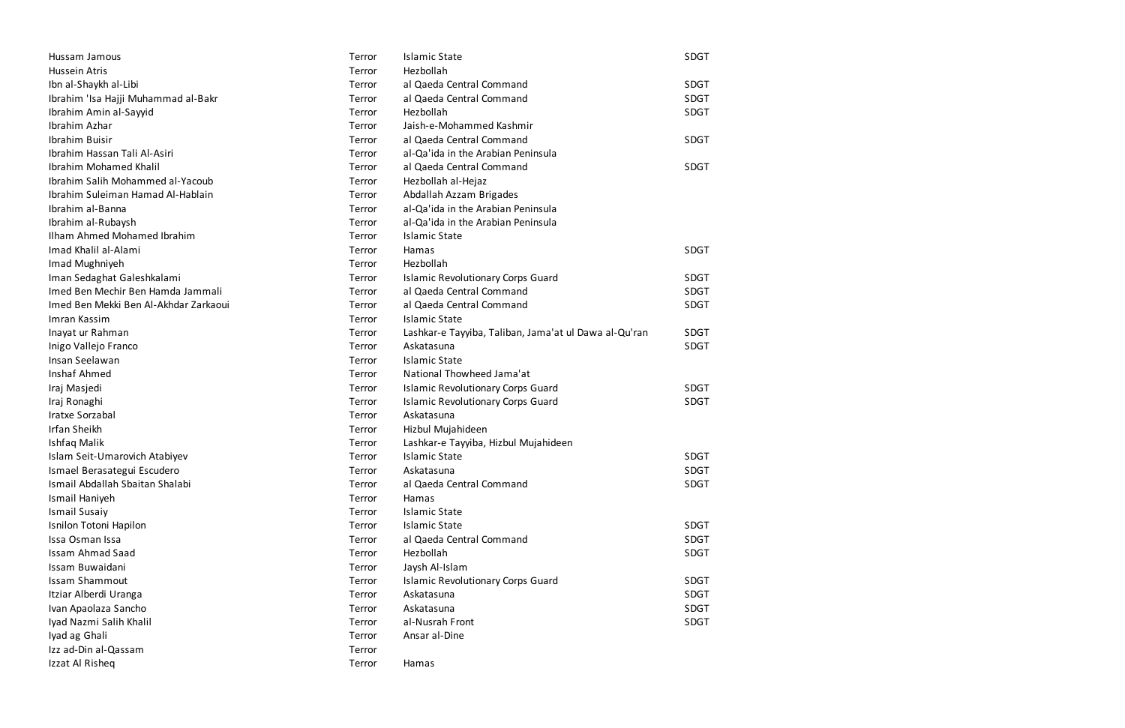| Hussam Jamous                         | Terror | <b>Islamic State</b>                                  | <b>SDGT</b> |
|---------------------------------------|--------|-------------------------------------------------------|-------------|
| Hussein Atris                         | Terror | Hezbollah                                             |             |
| Ibn al-Shaykh al-Libi                 | Terror | al Qaeda Central Command                              | <b>SDGT</b> |
| Ibrahim 'Isa Hajji Muhammad al-Bakr   | Terror | al Qaeda Central Command                              | <b>SDGT</b> |
| Ibrahim Amin al-Sayyid                | Terror | Hezbollah                                             | <b>SDGT</b> |
| Ibrahim Azhar                         | Terror | Jaish-e-Mohammed Kashmir                              |             |
| Ibrahim Buisir                        | Terror | al Qaeda Central Command                              | <b>SDGT</b> |
| Ibrahim Hassan Tali Al-Asiri          | Terror | al-Qa'ida in the Arabian Peninsula                    |             |
| <b>Ibrahim Mohamed Khalil</b>         | Terror | al Qaeda Central Command                              | <b>SDGT</b> |
| Ibrahim Salih Mohammed al-Yacoub      | Terror | Hezbollah al-Hejaz                                    |             |
| Ibrahim Suleiman Hamad Al-Hablain     | Terror | Abdallah Azzam Brigades                               |             |
| Ibrahim al-Banna                      | Terror | al-Qa'ida in the Arabian Peninsula                    |             |
| Ibrahim al-Rubaysh                    | Terror | al-Qa'ida in the Arabian Peninsula                    |             |
| Ilham Ahmed Mohamed Ibrahim           | Terror | <b>Islamic State</b>                                  |             |
| Imad Khalil al-Alami                  | Terror | Hamas                                                 | <b>SDGT</b> |
| Imad Mughniyeh                        | Terror | Hezbollah                                             |             |
| Iman Sedaghat Galeshkalami            | Terror | <b>Islamic Revolutionary Corps Guard</b>              | <b>SDGT</b> |
| Imed Ben Mechir Ben Hamda Jammali     | Terror | al Qaeda Central Command                              | <b>SDGT</b> |
| Imed Ben Mekki Ben Al-Akhdar Zarkaoui | Terror | al Qaeda Central Command                              | <b>SDGT</b> |
| Imran Kassim                          | Terror | <b>Islamic State</b>                                  |             |
| Inayat ur Rahman                      | Terror | Lashkar-e Tayyiba, Taliban, Jama'at ul Dawa al-Qu'ran | <b>SDGT</b> |
| Inigo Vallejo Franco                  | Terror | Askatasuna                                            | <b>SDGT</b> |
| Insan Seelawan                        | Terror | <b>Islamic State</b>                                  |             |
| Inshaf Ahmed                          | Terror | National Thowheed Jama'at                             |             |
| Iraj Masjedi                          | Terror | <b>Islamic Revolutionary Corps Guard</b>              | <b>SDGT</b> |
| Iraj Ronaghi                          | Terror | <b>Islamic Revolutionary Corps Guard</b>              | <b>SDGT</b> |
| Iratxe Sorzabal                       | Terror | Askatasuna                                            |             |
| <b>Irfan Sheikh</b>                   | Terror | Hizbul Mujahideen                                     |             |
| Ishfaq Malik                          | Terror | Lashkar-e Tayyiba, Hizbul Mujahideen                  |             |
| Islam Seit-Umarovich Atabiyev         | Terror | <b>Islamic State</b>                                  | <b>SDGT</b> |
| Ismael Berasategui Escudero           | Terror | Askatasuna                                            | SDGT        |
| Ismail Abdallah Sbaitan Shalabi       | Terror | al Qaeda Central Command                              | SDGT        |
| Ismail Haniyeh                        | Terror | Hamas                                                 |             |
| <b>Ismail Susaiy</b>                  | Terror | <b>Islamic State</b>                                  |             |
| Isnilon Totoni Hapilon                | Terror | <b>Islamic State</b>                                  | <b>SDGT</b> |
| Issa Osman Issa                       | Terror | al Qaeda Central Command                              | <b>SDGT</b> |
| <b>Issam Ahmad Saad</b>               | Terror | Hezbollah                                             | <b>SDGT</b> |
| Issam Buwaidani                       | Terror | Jaysh Al-Islam                                        |             |
| <b>Issam Shammout</b>                 | Terror | <b>Islamic Revolutionary Corps Guard</b>              | <b>SDGT</b> |
| Itziar Alberdi Uranga                 | Terror | Askatasuna                                            | <b>SDGT</b> |
| Ivan Apaolaza Sancho                  | Terror | Askatasuna                                            | <b>SDGT</b> |
| Iyad Nazmi Salih Khalil               | Terror | al-Nusrah Front                                       | <b>SDGT</b> |
| Iyad ag Ghali                         | Terror | Ansar al-Dine                                         |             |
| Izz ad-Din al-Qassam                  | Terror |                                                       |             |
| Izzat Al Risheq                       | Terror | Hamas                                                 |             |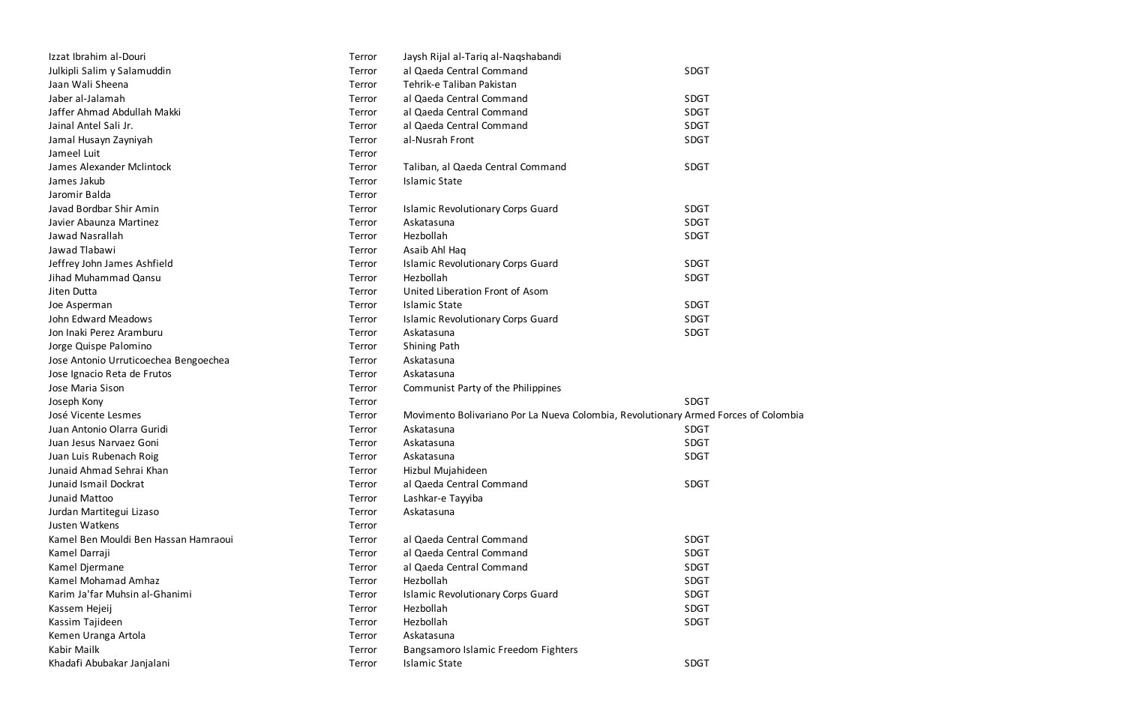| Izzat Ibrahim al-Douri                | Terror | Jaysh Rijal al-Tariq al-Naqshabandi                                                 |             |
|---------------------------------------|--------|-------------------------------------------------------------------------------------|-------------|
| Julkipli Salim y Salamuddin           | Terror | al Qaeda Central Command                                                            | <b>SDGT</b> |
| Jaan Wali Sheena                      | Terror | Tehrik-e Taliban Pakistan                                                           |             |
| Jaber al-Jalamah                      | Terror | al Qaeda Central Command                                                            | <b>SDGT</b> |
| Jaffer Ahmad Abdullah Makki           | Terror | al Qaeda Central Command                                                            | <b>SDGT</b> |
| Jainal Antel Sali Jr.                 | Terror | al Qaeda Central Command                                                            | <b>SDGT</b> |
| Jamal Husayn Zayniyah                 | Terror | al-Nusrah Front                                                                     | <b>SDGT</b> |
| Jameel Luit                           | Terror |                                                                                     |             |
| James Alexander Mclintock             | Terror | Taliban, al Qaeda Central Command                                                   | SDGT        |
| James Jakub                           | Terror | <b>Islamic State</b>                                                                |             |
| Jaromir Balda                         | Terror |                                                                                     |             |
| Javad Bordbar Shir Amin               | Terror | <b>Islamic Revolutionary Corps Guard</b>                                            | <b>SDGT</b> |
| Javier Abaunza Martinez               | Terror | Askatasuna                                                                          | <b>SDGT</b> |
| Jawad Nasrallah                       | Terror | Hezbollah                                                                           | <b>SDGT</b> |
| Jawad Tlabawi                         | Terror | Asaib Ahl Haq                                                                       |             |
| Jeffrey John James Ashfield           | Terror | <b>Islamic Revolutionary Corps Guard</b>                                            | <b>SDGT</b> |
| Jihad Muhammad Qansu                  | Terror | Hezbollah                                                                           | <b>SDGT</b> |
| Jiten Dutta                           | Terror | United Liberation Front of Asom                                                     |             |
| Joe Asperman                          | Terror | <b>Islamic State</b>                                                                | SDGT        |
| John Edward Meadows                   | Terror | <b>Islamic Revolutionary Corps Guard</b>                                            | <b>SDGT</b> |
| Jon Inaki Perez Aramburu              | Terror | Askatasuna                                                                          | <b>SDGT</b> |
| Jorge Quispe Palomino                 | Terror | <b>Shining Path</b>                                                                 |             |
| Jose Antonio Urruticoechea Bengoechea | Terror | Askatasuna                                                                          |             |
| Jose Ignacio Reta de Frutos           | Terror | Askatasuna                                                                          |             |
| Jose Maria Sison                      | Terror | Communist Party of the Philippines                                                  |             |
| Joseph Kony                           | Terror |                                                                                     | <b>SDGT</b> |
| José Vicente Lesmes                   | Terror | Movimento Bolivariano Por La Nueva Colombia, Revolutionary Armed Forces of Colombia |             |
| Juan Antonio Olarra Guridi            | Terror | Askatasuna                                                                          | <b>SDGT</b> |
| Juan Jesus Narvaez Goni               | Terror | Askatasuna                                                                          | <b>SDGT</b> |
| Juan Luis Rubenach Roig               | Terror | Askatasuna                                                                          | <b>SDGT</b> |
| Junaid Ahmad Sehrai Khan              | Terror | Hizbul Mujahideen                                                                   |             |
| Junaid Ismail Dockrat                 | Terror | al Qaeda Central Command                                                            | <b>SDGT</b> |
| Junaid Mattoo                         | Terror | Lashkar-e Tayyiba                                                                   |             |
| Jurdan Martitegui Lizaso              | Terror | Askatasuna                                                                          |             |
| Justen Watkens                        | Terror |                                                                                     |             |
| Kamel Ben Mouldi Ben Hassan Hamraoui  | Terror | al Qaeda Central Command                                                            | <b>SDGT</b> |
| Kamel Darraji                         | Terror | al Qaeda Central Command                                                            | <b>SDGT</b> |
| Kamel Djermane                        | Terror | al Qaeda Central Command                                                            | <b>SDGT</b> |
| Kamel Mohamad Amhaz                   | Terror | Hezbollah                                                                           | <b>SDGT</b> |
| Karim Ja'far Muhsin al-Ghanimi        | Terror | <b>Islamic Revolutionary Corps Guard</b>                                            | <b>SDGT</b> |
| Kassem Hejeij                         | Terror | Hezbollah                                                                           | <b>SDGT</b> |
| Kassim Tajideen                       | Terror | Hezbollah                                                                           | <b>SDGT</b> |
| Kemen Uranga Artola                   | Terror | Askatasuna                                                                          |             |
| Kabir Mailk                           | Terror | Bangsamoro Islamic Freedom Fighters                                                 |             |
| Khadafi Abubakar Janjalani            | Terror | <b>Islamic State</b>                                                                | SDGT        |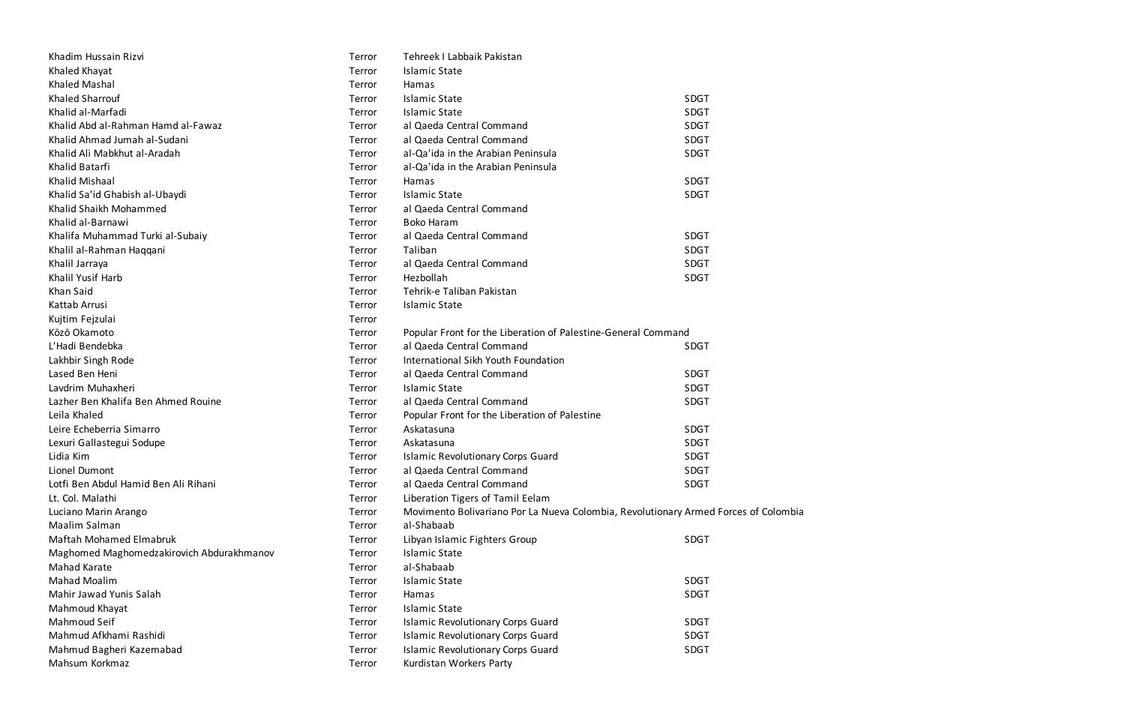| Khadim Hussain Rizvi                      | Terror | Tehreek I Labbaik Pakistan                                                          |             |
|-------------------------------------------|--------|-------------------------------------------------------------------------------------|-------------|
| Khaled Khayat                             | Terror | <b>Islamic State</b>                                                                |             |
| <b>Khaled Mashal</b>                      | Terror | Hamas                                                                               |             |
| <b>Khaled Sharrouf</b>                    | Terror | <b>Islamic State</b>                                                                | <b>SDGT</b> |
| Khalid al-Marfadi                         | Terror | <b>Islamic State</b>                                                                | <b>SDGT</b> |
| Khalid Abd al-Rahman Hamd al-Fawaz        | Terror | al Qaeda Central Command                                                            | <b>SDGT</b> |
| Khalid Ahmad Jumah al-Sudani              | Terror | al Qaeda Central Command                                                            | SDGT        |
| Khalid Ali Mabkhut al-Aradah              | Terror | al-Qa'ida in the Arabian Peninsula                                                  | <b>SDGT</b> |
| Khalid Batarfi                            | Terror | al-Qa'ida in the Arabian Peninsula                                                  |             |
| <b>Khalid Mishaal</b>                     | Terror | Hamas                                                                               | <b>SDGT</b> |
| Khalid Sa'id Ghabish al-Ubaydi            | Terror | <b>Islamic State</b>                                                                | <b>SDGT</b> |
| Khalid Shaikh Mohammed                    | Terror | al Qaeda Central Command                                                            |             |
| Khalid al-Barnawi                         | Terror | <b>Boko Haram</b>                                                                   |             |
| Khalifa Muhammad Turki al-Subaiy          | Terror | al Qaeda Central Command                                                            | <b>SDGT</b> |
| Khalil al-Rahman Haqqani                  | Terror | Taliban                                                                             | <b>SDGT</b> |
| Khalil Jarraya                            | Terror | al Qaeda Central Command                                                            | <b>SDGT</b> |
| Khalil Yusif Harb                         | Terror | Hezbollah                                                                           | <b>SDGT</b> |
| Khan Said                                 | Terror | Tehrik-e Taliban Pakistan                                                           |             |
| Kattab Arrusi                             | Terror | <b>Islamic State</b>                                                                |             |
| Kujtim Fejzulai                           | Terror |                                                                                     |             |
| Kōzō Okamoto                              | Terror | Popular Front for the Liberation of Palestine-General Command                       |             |
| L'Hadi Bendebka                           | Terror | al Qaeda Central Command                                                            | <b>SDGT</b> |
| Lakhbir Singh Rode                        | Terror | International Sikh Youth Foundation                                                 |             |
| Lased Ben Heni                            | Terror | al Qaeda Central Command                                                            | <b>SDGT</b> |
| Lavdrim Muhaxheri                         | Terror | <b>Islamic State</b>                                                                | <b>SDGT</b> |
| Lazher Ben Khalifa Ben Ahmed Rouine       | Terror | al Qaeda Central Command                                                            | <b>SDGT</b> |
| Leila Khaled                              | Terror | Popular Front for the Liberation of Palestine                                       |             |
| Leire Echeberria Simarro                  | Terror | Askatasuna                                                                          | SDGT        |
| Lexuri Gallastegui Sodupe                 | Terror | Askatasuna                                                                          | <b>SDGT</b> |
| Lidia Kim                                 | Terror | <b>Islamic Revolutionary Corps Guard</b>                                            | <b>SDGT</b> |
| Lionel Dumont                             | Terror | al Qaeda Central Command                                                            | <b>SDGT</b> |
| Lotfi Ben Abdul Hamid Ben Ali Rihani      | Terror | al Qaeda Central Command                                                            | <b>SDGT</b> |
| Lt. Col. Malathi                          | Terror | Liberation Tigers of Tamil Eelam                                                    |             |
| Luciano Marin Arango                      | Terror | Movimento Bolivariano Por La Nueva Colombia, Revolutionary Armed Forces of Colombia |             |
| Maalim Salman                             | Terror | al-Shabaab                                                                          |             |
| <b>Maftah Mohamed Elmabruk</b>            | Terror | Libyan Islamic Fighters Group                                                       | <b>SDGT</b> |
| Maghomed Maghomedzakirovich Abdurakhmanov | Terror | Islamic State                                                                       |             |
| Mahad Karate                              | Terror | al-Shabaab                                                                          |             |
| <b>Mahad Moalim</b>                       | Terror | <b>Islamic State</b>                                                                | SDGT        |
| Mahir Jawad Yunis Salah                   | Terror | Hamas                                                                               | <b>SDGT</b> |
| Mahmoud Khayat                            | Terror | <b>Islamic State</b>                                                                |             |
| Mahmoud Seif                              | Terror | <b>Islamic Revolutionary Corps Guard</b>                                            | <b>SDGT</b> |
| Mahmud Afkhami Rashidi                    | Terror | <b>Islamic Revolutionary Corps Guard</b>                                            | SDGT        |
| Mahmud Bagheri Kazemabad                  | Terror | <b>Islamic Revolutionary Corps Guard</b>                                            | <b>SDGT</b> |
| Mahsum Korkmaz                            | Terror | Kurdistan Workers Party                                                             |             |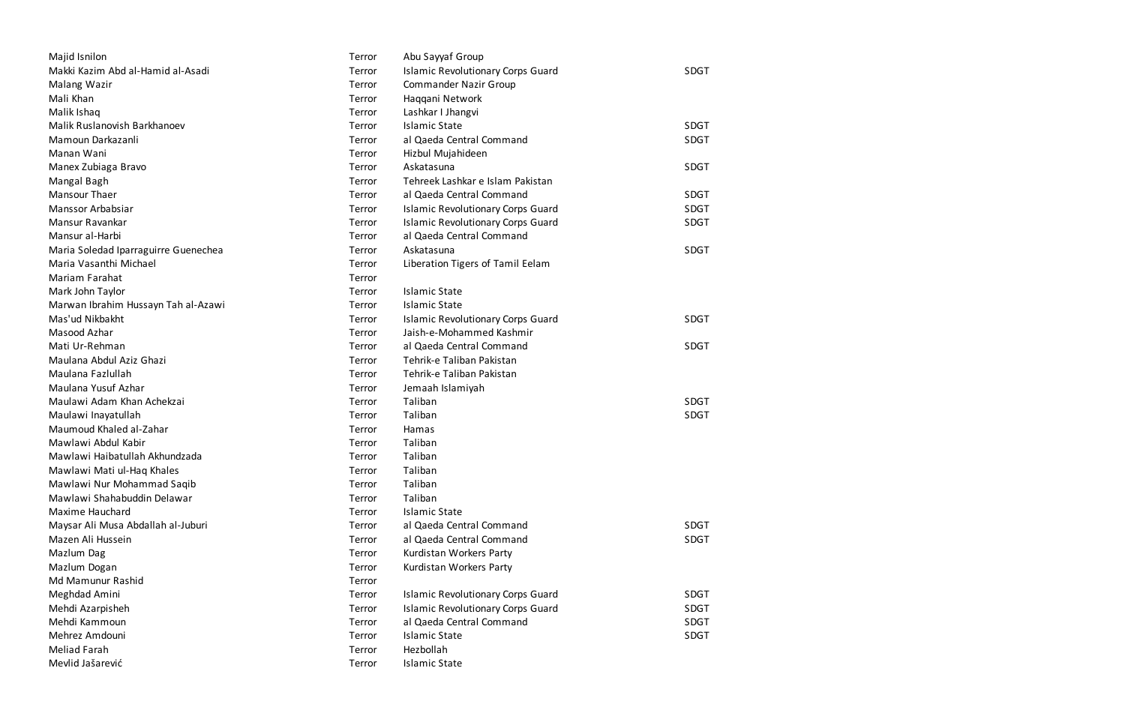| Majid Isnilon                        | Terror | Abu Sayyaf Group                         |             |
|--------------------------------------|--------|------------------------------------------|-------------|
| Makki Kazim Abd al-Hamid al-Asadi    | Terror | <b>Islamic Revolutionary Corps Guard</b> | <b>SDGT</b> |
| Malang Wazir                         | Terror | <b>Commander Nazir Group</b>             |             |
| Mali Khan                            | Terror | Haqqani Network                          |             |
| Malik Ishaq                          | Terror | Lashkar I Jhangvi                        |             |
| Malik Ruslanovish Barkhanoev         | Terror | <b>Islamic State</b>                     | <b>SDGT</b> |
| Mamoun Darkazanli                    | Terror | al Qaeda Central Command                 | <b>SDGT</b> |
| Manan Wani                           | Terror | Hizbul Mujahideen                        |             |
| Manex Zubiaga Bravo                  | Terror | Askatasuna                               | <b>SDGT</b> |
| Mangal Bagh                          | Terror | Tehreek Lashkar e Islam Pakistan         |             |
| Mansour Thaer                        | Terror | al Qaeda Central Command                 | <b>SDGT</b> |
| Manssor Arbabsiar                    | Terror | <b>Islamic Revolutionary Corps Guard</b> | <b>SDGT</b> |
| Mansur Ravankar                      | Terror | <b>Islamic Revolutionary Corps Guard</b> | <b>SDGT</b> |
| Mansur al-Harbi                      | Terror | al Qaeda Central Command                 |             |
| Maria Soledad Iparraguirre Guenechea | Terror | Askatasuna                               | <b>SDGT</b> |
| Maria Vasanthi Michael               | Terror | Liberation Tigers of Tamil Eelam         |             |
| Mariam Farahat                       | Terror |                                          |             |
| Mark John Taylor                     | Terror | <b>Islamic State</b>                     |             |
| Marwan Ibrahim Hussayn Tah al-Azawi  | Terror | <b>Islamic State</b>                     |             |
| Mas'ud Nikbakht                      | Terror | <b>Islamic Revolutionary Corps Guard</b> | <b>SDGT</b> |
| Masood Azhar                         | Terror | Jaish-e-Mohammed Kashmir                 |             |
| Mati Ur-Rehman                       | Terror | al Qaeda Central Command                 | <b>SDGT</b> |
| Maulana Abdul Aziz Ghazi             | Terror | Tehrik-e Taliban Pakistan                |             |
| Maulana Fazlullah                    | Terror | Tehrik-e Taliban Pakistan                |             |
| Maulana Yusuf Azhar                  | Terror | Jemaah Islamiyah                         |             |
| Maulawi Adam Khan Achekzai           | Terror | Taliban                                  | <b>SDGT</b> |
| Maulawi Inayatullah                  | Terror | Taliban                                  | <b>SDGT</b> |
| Maumoud Khaled al-Zahar              | Terror | Hamas                                    |             |
| Mawlawi Abdul Kabir                  | Terror | Taliban                                  |             |
| Mawlawi Haibatullah Akhundzada       | Terror | Taliban                                  |             |
| Mawlawi Mati ul-Haq Khales           | Terror | Taliban                                  |             |
| Mawlawi Nur Mohammad Saqib           | Terror | Taliban                                  |             |
| Mawlawi Shahabuddin Delawar          | Terror | Taliban                                  |             |
| Maxime Hauchard                      | Terror | <b>Islamic State</b>                     |             |
| Maysar Ali Musa Abdallah al-Juburi   | Terror | al Qaeda Central Command                 | <b>SDGT</b> |
| Mazen Ali Hussein                    | Terror | al Qaeda Central Command                 | <b>SDGT</b> |
| Mazlum Dag                           | Terror | Kurdistan Workers Party                  |             |
| Mazlum Dogan                         | Terror | Kurdistan Workers Party                  |             |
| Md Mamunur Rashid                    | Terror |                                          |             |
| Meghdad Amini                        | Terror | <b>Islamic Revolutionary Corps Guard</b> | <b>SDGT</b> |
| Mehdi Azarpisheh                     | Terror | <b>Islamic Revolutionary Corps Guard</b> | <b>SDGT</b> |
| Mehdi Kammoun                        | Terror | al Qaeda Central Command                 | <b>SDGT</b> |
| Mehrez Amdouni                       | Terror | <b>Islamic State</b>                     | <b>SDGT</b> |
| <b>Meliad Farah</b>                  | Terror | Hezbollah                                |             |
| Mevlid Jašarević                     | Terror | <b>Islamic State</b>                     |             |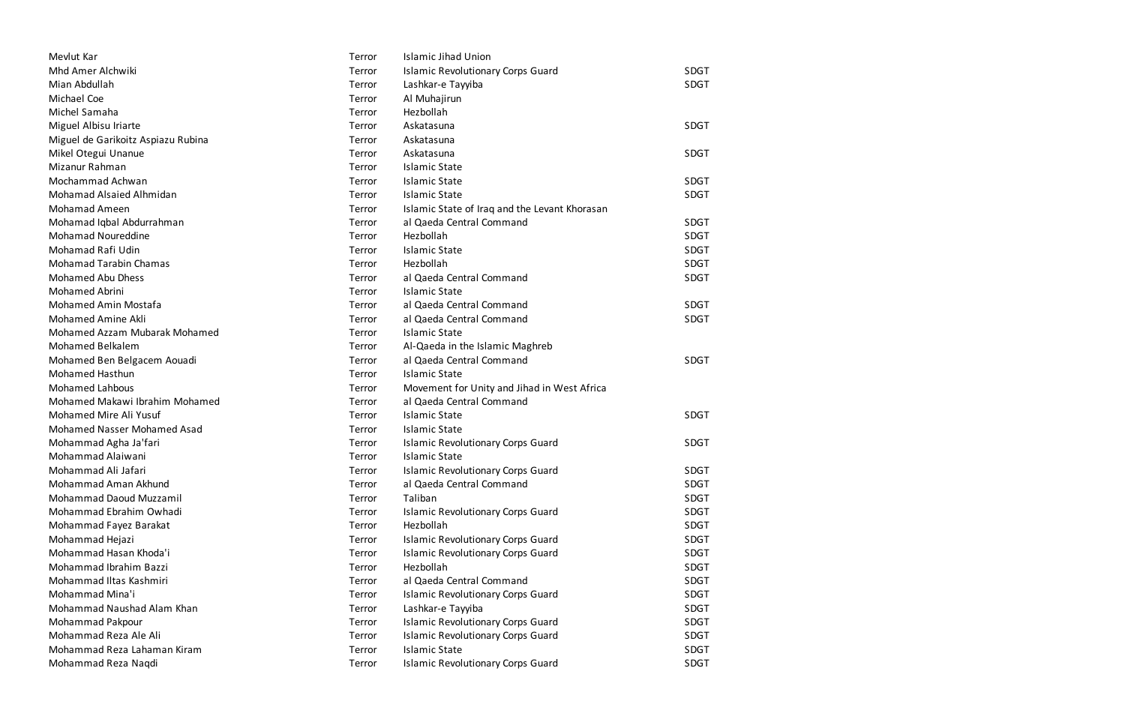| Mevlut Kar                         | Terror | <b>Islamic Jihad Union</b>                    |             |
|------------------------------------|--------|-----------------------------------------------|-------------|
| Mhd Amer Alchwiki                  | Terror | <b>Islamic Revolutionary Corps Guard</b>      | <b>SDGT</b> |
| Mian Abdullah                      | Terror | Lashkar-e Tayyiba                             | SDGT        |
| Michael Coe                        | Terror | Al Muhajirun                                  |             |
| Michel Samaha                      | Terror | Hezbollah                                     |             |
| Miguel Albisu Iriarte              | Terror | Askatasuna                                    | <b>SDGT</b> |
| Miguel de Garikoitz Aspiazu Rubina | Terror | Askatasuna                                    |             |
| Mikel Otegui Unanue                | Terror | Askatasuna                                    | <b>SDGT</b> |
| Mizanur Rahman                     | Terror | <b>Islamic State</b>                          |             |
| Mochammad Achwan                   | Terror | <b>Islamic State</b>                          | <b>SDGT</b> |
| Mohamad Alsaied Alhmidan           | Terror | <b>Islamic State</b>                          | <b>SDGT</b> |
| <b>Mohamad Ameen</b>               | Terror | Islamic State of Iraq and the Levant Khorasan |             |
| Mohamad Iqbal Abdurrahman          | Terror | al Qaeda Central Command                      | <b>SDGT</b> |
| Mohamad Noureddine                 | Terror | Hezbollah                                     | <b>SDGT</b> |
| Mohamad Rafi Udin                  | Terror | <b>Islamic State</b>                          | <b>SDGT</b> |
| <b>Mohamad Tarabin Chamas</b>      | Terror | Hezbollah                                     | <b>SDGT</b> |
| <b>Mohamed Abu Dhess</b>           | Terror | al Qaeda Central Command                      | <b>SDGT</b> |
| <b>Mohamed Abrini</b>              | Terror | <b>Islamic State</b>                          |             |
| Mohamed Amin Mostafa               | Terror | al Qaeda Central Command                      | <b>SDGT</b> |
| Mohamed Amine Akli                 | Terror | al Qaeda Central Command                      | <b>SDGT</b> |
| Mohamed Azzam Mubarak Mohamed      | Terror | <b>Islamic State</b>                          |             |
| Mohamed Belkalem                   | Terror | Al-Qaeda in the Islamic Maghreb               |             |
| Mohamed Ben Belgacem Aouadi        | Terror | al Qaeda Central Command                      | <b>SDGT</b> |
| <b>Mohamed Hasthun</b>             | Terror | <b>Islamic State</b>                          |             |
| <b>Mohamed Lahbous</b>             | Terror | Movement for Unity and Jihad in West Africa   |             |
| Mohamed Makawi Ibrahim Mohamed     | Terror | al Qaeda Central Command                      |             |
| Mohamed Mire Ali Yusuf             | Terror | <b>Islamic State</b>                          | <b>SDGT</b> |
| Mohamed Nasser Mohamed Asad        | Terror | <b>Islamic State</b>                          |             |
| Mohammad Agha Ja'fari              | Terror | <b>Islamic Revolutionary Corps Guard</b>      | <b>SDGT</b> |
| Mohammad Alaiwani                  | Terror | <b>Islamic State</b>                          |             |
| Mohammad Ali Jafari                | Terror | <b>Islamic Revolutionary Corps Guard</b>      | <b>SDGT</b> |
| Mohammad Aman Akhund               | Terror | al Qaeda Central Command                      | <b>SDGT</b> |
| Mohammad Daoud Muzzamil            | Terror | Taliban                                       | <b>SDGT</b> |
| Mohammad Ebrahim Owhadi            | Terror | <b>Islamic Revolutionary Corps Guard</b>      | <b>SDGT</b> |
| Mohammad Fayez Barakat             | Terror | Hezbollah                                     | <b>SDGT</b> |
| Mohammad Hejazi                    | Terror | <b>Islamic Revolutionary Corps Guard</b>      | <b>SDGT</b> |
| Mohammad Hasan Khoda'i             | Terror | <b>Islamic Revolutionary Corps Guard</b>      | <b>SDGT</b> |
| Mohammad Ibrahim Bazzi             | Terror | Hezbollah                                     | <b>SDGT</b> |
| Mohammad Iltas Kashmiri            | Terror | al Qaeda Central Command                      | <b>SDGT</b> |
| Mohammad Mina'i                    | Terror | <b>Islamic Revolutionary Corps Guard</b>      | <b>SDGT</b> |
| Mohammad Naushad Alam Khan         | Terror | Lashkar-e Tayyiba                             | <b>SDGT</b> |
| Mohammad Pakpour                   | Terror | <b>Islamic Revolutionary Corps Guard</b>      | <b>SDGT</b> |
| Mohammad Reza Ale Ali              | Terror | <b>Islamic Revolutionary Corps Guard</b>      | <b>SDGT</b> |
| Mohammad Reza Lahaman Kiram        | Terror | <b>Islamic State</b>                          | <b>SDGT</b> |
| Mohammad Reza Naqdi                | Terror | <b>Islamic Revolutionary Corps Guard</b>      | <b>SDGT</b> |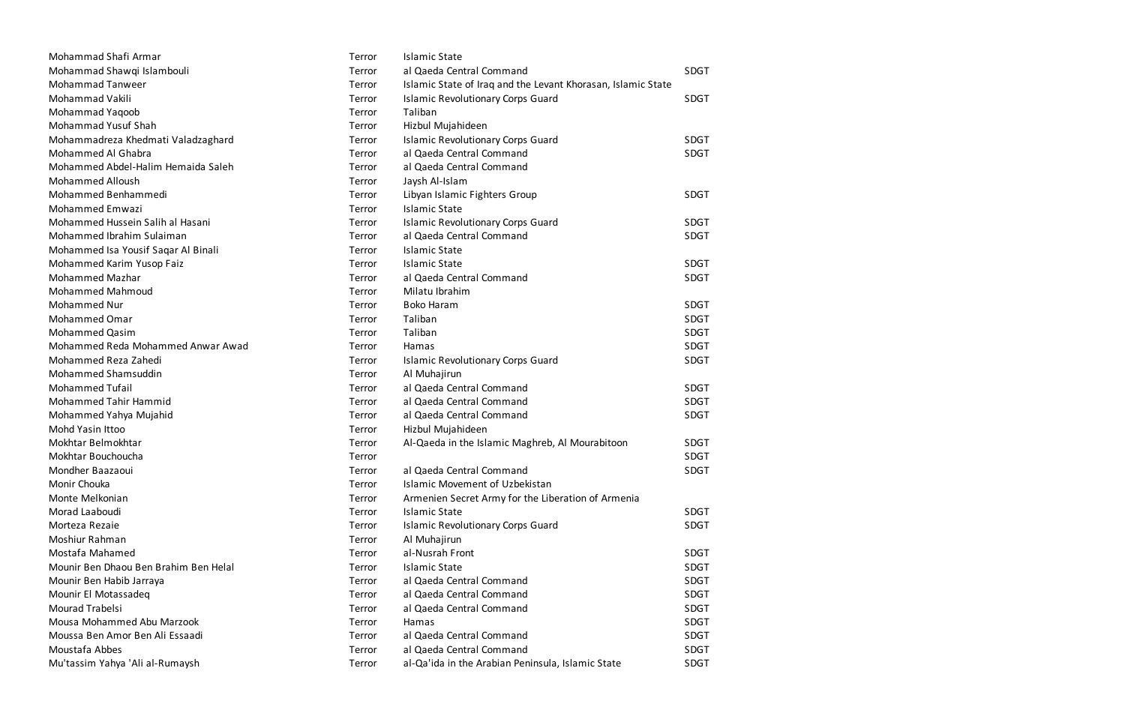| Mohammad Shafi Armar                  | Terror | <b>Islamic State</b>                                         |             |
|---------------------------------------|--------|--------------------------------------------------------------|-------------|
| Mohammad Shawqi Islambouli            | Terror | al Qaeda Central Command                                     | <b>SDGT</b> |
| <b>Mohammad Tanweer</b>               | Terror | Islamic State of Iraq and the Levant Khorasan, Islamic State |             |
| Mohammad Vakili                       | Terror | <b>Islamic Revolutionary Corps Guard</b>                     | <b>SDGT</b> |
| Mohammad Yaqoob                       | Terror | Taliban                                                      |             |
| Mohammad Yusuf Shah                   | Terror | Hizbul Mujahideen                                            |             |
| Mohammadreza Khedmati Valadzaghard    | Terror | <b>Islamic Revolutionary Corps Guard</b>                     | <b>SDGT</b> |
| Mohammed Al Ghabra                    | Terror | al Qaeda Central Command                                     | <b>SDGT</b> |
| Mohammed Abdel-Halim Hemaida Saleh    | Terror | al Qaeda Central Command                                     |             |
| <b>Mohammed Alloush</b>               | Terror | Jaysh Al-Islam                                               |             |
| Mohammed Benhammedi                   | Terror | Libyan Islamic Fighters Group                                | <b>SDGT</b> |
| Mohammed Emwazi                       | Terror | <b>Islamic State</b>                                         |             |
| Mohammed Hussein Salih al Hasani      | Terror | <b>Islamic Revolutionary Corps Guard</b>                     | <b>SDGT</b> |
| Mohammed Ibrahim Sulaiman             | Terror | al Qaeda Central Command                                     | <b>SDGT</b> |
| Mohammed Isa Yousif Saqar Al Binali   | Terror | <b>Islamic State</b>                                         |             |
| Mohammed Karim Yusop Faiz             | Terror | <b>Islamic State</b>                                         | <b>SDGT</b> |
| Mohammed Mazhar                       | Terror | al Qaeda Central Command                                     | <b>SDGT</b> |
| <b>Mohammed Mahmoud</b>               | Terror | Milatu Ibrahim                                               |             |
| Mohammed Nur                          | Terror | <b>Boko Haram</b>                                            | <b>SDGT</b> |
| <b>Mohammed Omar</b>                  | Terror | Taliban                                                      | <b>SDGT</b> |
| <b>Mohammed Qasim</b>                 | Terror | Taliban                                                      | <b>SDGT</b> |
| Mohammed Reda Mohammed Anwar Awad     | Terror | Hamas                                                        | <b>SDGT</b> |
| Mohammed Reza Zahedi                  | Terror | <b>Islamic Revolutionary Corps Guard</b>                     | <b>SDGT</b> |
| Mohammed Shamsuddin                   | Terror | Al Muhajirun                                                 |             |
| <b>Mohammed Tufail</b>                | Terror | al Qaeda Central Command                                     | <b>SDGT</b> |
| Mohammed Tahir Hammid                 | Terror | al Qaeda Central Command                                     | <b>SDGT</b> |
| Mohammed Yahya Mujahid                | Terror | al Qaeda Central Command                                     | <b>SDGT</b> |
| Mohd Yasin Ittoo                      | Terror | Hizbul Mujahideen                                            |             |
| Mokhtar Belmokhtar                    | Terror | Al-Qaeda in the Islamic Maghreb, Al Mourabitoon              | SDGT        |
| Mokhtar Bouchoucha                    | Terror |                                                              | <b>SDGT</b> |
| Mondher Baazaoui                      | Terror | al Qaeda Central Command                                     | SDGT        |
| Monir Chouka                          | Terror | <b>Islamic Movement of Uzbekistan</b>                        |             |
| Monte Melkonian                       | Terror | Armenien Secret Army for the Liberation of Armenia           |             |
| Morad Laaboudi                        | Terror | <b>Islamic State</b>                                         | <b>SDGT</b> |
| Morteza Rezaie                        | Terror | <b>Islamic Revolutionary Corps Guard</b>                     | <b>SDGT</b> |
| Moshiur Rahman                        | Terror | Al Muhajirun                                                 |             |
| Mostafa Mahamed                       | Terror | al-Nusrah Front                                              | <b>SDGT</b> |
| Mounir Ben Dhaou Ben Brahim Ben Helal | Terror | <b>Islamic State</b>                                         | <b>SDGT</b> |
| Mounir Ben Habib Jarraya              | Terror | al Qaeda Central Command                                     | <b>SDGT</b> |
| Mounir El Motassadeg                  | Terror | al Qaeda Central Command                                     | <b>SDGT</b> |
| Mourad Trabelsi                       | Terror | al Qaeda Central Command                                     | <b>SDGT</b> |
| Mousa Mohammed Abu Marzook            | Terror | Hamas                                                        | <b>SDGT</b> |
| Moussa Ben Amor Ben Ali Essaadi       | Terror | al Qaeda Central Command                                     | <b>SDGT</b> |
| Moustafa Abbes                        | Terror | al Qaeda Central Command                                     | <b>SDGT</b> |
| Mu'tassim Yahya 'Ali al-Rumaysh       | Terror | al-Qa'ida in the Arabian Peninsula, Islamic State            | SDGT        |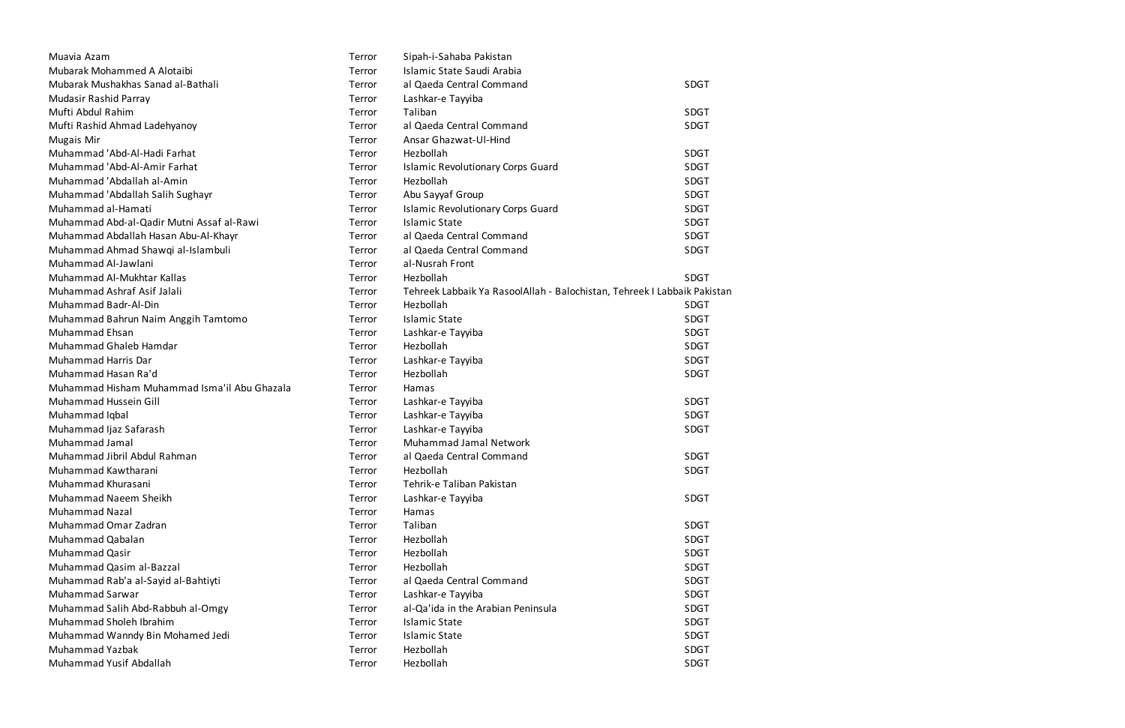| Muavia Azam                                  | Terror | Sipah-i-Sahaba Pakistan                                                  |             |
|----------------------------------------------|--------|--------------------------------------------------------------------------|-------------|
| Mubarak Mohammed A Alotaibi                  | Terror | Islamic State Saudi Arabia                                               |             |
| Mubarak Mushakhas Sanad al-Bathali           | Terror | al Qaeda Central Command                                                 | <b>SDGT</b> |
| Mudasir Rashid Parray                        | Terror | Lashkar-e Tayyiba                                                        |             |
| Mufti Abdul Rahim                            | Terror | Taliban                                                                  | <b>SDGT</b> |
| Mufti Rashid Ahmad Ladehyanoy                | Terror | al Qaeda Central Command                                                 | <b>SDGT</b> |
| <b>Mugais Mir</b>                            | Terror | Ansar Ghazwat-Ul-Hind                                                    |             |
| Muhammad 'Abd-Al-Hadi Farhat                 | Terror | Hezbollah                                                                | <b>SDGT</b> |
| Muhammad 'Abd-Al-Amir Farhat                 | Terror | <b>Islamic Revolutionary Corps Guard</b>                                 | <b>SDGT</b> |
| Muhammad 'Abdallah al-Amin                   | Terror | Hezbollah                                                                | <b>SDGT</b> |
| Muhammad 'Abdallah Salih Sughayr             | Terror | Abu Sayyaf Group                                                         | <b>SDGT</b> |
| Muhammad al-Hamati                           | Terror | <b>Islamic Revolutionary Corps Guard</b>                                 | <b>SDGT</b> |
| Muhammad Abd-al-Qadir Mutni Assaf al-Rawi    | Terror | <b>Islamic State</b>                                                     | <b>SDGT</b> |
| Muhammad Abdallah Hasan Abu-Al-Khayr         | Terror | al Qaeda Central Command                                                 | <b>SDGT</b> |
| Muhammad Ahmad Shawqi al-Islambuli           | Terror | al Qaeda Central Command                                                 | <b>SDGT</b> |
| Muhammad Al-Jawlani                          | Terror | al-Nusrah Front                                                          |             |
| Muhammad Al-Mukhtar Kallas                   | Terror | Hezbollah                                                                | <b>SDGT</b> |
| Muhammad Ashraf Asif Jalali                  | Terror | Tehreek Labbaik Ya RasoolAllah - Balochistan, Tehreek I Labbaik Pakistan |             |
| Muhammad Badr-Al-Din                         | Terror | Hezbollah                                                                | <b>SDGT</b> |
| Muhammad Bahrun Naim Anggih Tamtomo          | Terror | <b>Islamic State</b>                                                     | <b>SDGT</b> |
| Muhammad Ehsan                               | Terror | Lashkar-e Tayyiba                                                        | <b>SDGT</b> |
| Muhammad Ghaleb Hamdar                       | Terror | Hezbollah                                                                | <b>SDGT</b> |
| Muhammad Harris Dar                          | Terror | Lashkar-e Tayyiba                                                        | <b>SDGT</b> |
| Muhammad Hasan Ra'd                          | Terror | Hezbollah                                                                | <b>SDGT</b> |
| Muhammad Hisham Muhammad Isma'il Abu Ghazala | Terror | Hamas                                                                    |             |
| Muhammad Hussein Gill                        | Terror | Lashkar-e Tayyiba                                                        | <b>SDGT</b> |
| Muhammad Iqbal                               | Terror | Lashkar-e Tayyiba                                                        | <b>SDGT</b> |
| Muhammad Ijaz Safarash                       | Terror | Lashkar-e Tayyiba                                                        | <b>SDGT</b> |
| Muhammad Jamal                               | Terror | Muhammad Jamal Network                                                   |             |
| Muhammad Jibril Abdul Rahman                 | Terror | al Qaeda Central Command                                                 | <b>SDGT</b> |
| Muhammad Kawtharani                          | Terror | Hezbollah                                                                | <b>SDGT</b> |
| Muhammad Khurasani                           | Terror | Tehrik-e Taliban Pakistan                                                |             |
| Muhammad Naeem Sheikh                        | Terror | Lashkar-e Tayyiba                                                        | <b>SDGT</b> |
| <b>Muhammad Nazal</b>                        | Terror | Hamas                                                                    |             |
| Muhammad Omar Zadran                         | Terror | Taliban                                                                  | <b>SDGT</b> |
| Muhammad Qabalan                             | Terror | Hezbollah                                                                | <b>SDGT</b> |
| Muhammad Qasir                               | Terror | Hezbollah                                                                | <b>SDGT</b> |
| Muhammad Qasim al-Bazzal                     | Terror | Hezbollah                                                                | <b>SDGT</b> |
| Muhammad Rab'a al-Sayid al-Bahtiyti          | Terror | al Qaeda Central Command                                                 | <b>SDGT</b> |
| Muhammad Sarwar                              | Terror | Lashkar-e Tayyiba                                                        | <b>SDGT</b> |
| Muhammad Salih Abd-Rabbuh al-Omgy            | Terror | al-Qa'ida in the Arabian Peninsula                                       | <b>SDGT</b> |
| Muhammad Sholeh Ibrahim                      | Terror | <b>Islamic State</b>                                                     | <b>SDGT</b> |
| Muhammad Wanndy Bin Mohamed Jedi             | Terror | <b>Islamic State</b>                                                     | <b>SDGT</b> |
| Muhammad Yazbak                              | Terror | Hezbollah                                                                | <b>SDGT</b> |
| Muhammad Yusif Abdallah                      | Terror | Hezbollah                                                                | <b>SDGT</b> |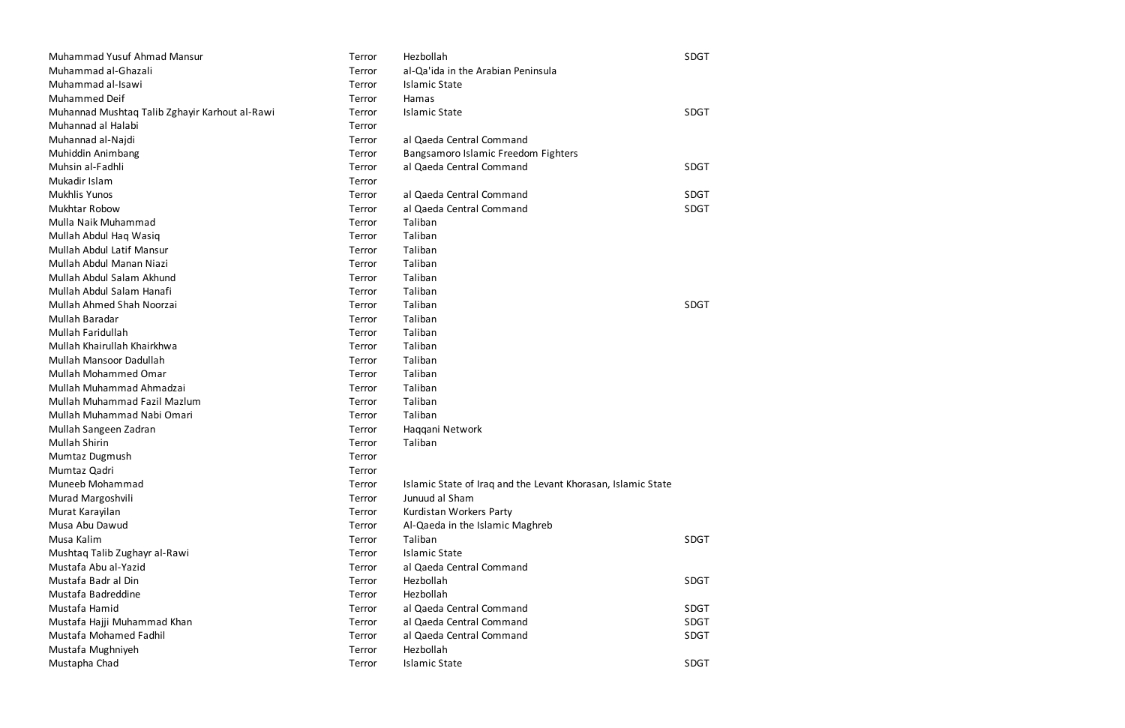| Muhammad Yusuf Ahmad Mansur                    | Terror | Hezbollah                                                    | SDGT        |
|------------------------------------------------|--------|--------------------------------------------------------------|-------------|
| Muhammad al-Ghazali                            | Terror | al-Qa'ida in the Arabian Peninsula                           |             |
| Muhammad al-Isawi                              | Terror | Islamic State                                                |             |
| Muhammed Deif                                  | Terror | Hamas                                                        |             |
| Muhannad Mushtaq Talib Zghayir Karhout al-Rawi | Terror | <b>Islamic State</b>                                         | <b>SDGT</b> |
| Muhannad al Halabi                             | Terror |                                                              |             |
| Muhannad al-Najdi                              | Terror | al Qaeda Central Command                                     |             |
| Muhiddin Animbang                              | Terror | Bangsamoro Islamic Freedom Fighters                          |             |
| Muhsin al-Fadhli                               | Terror | al Qaeda Central Command                                     | <b>SDGT</b> |
| Mukadir Islam                                  | Terror |                                                              |             |
| <b>Mukhlis Yunos</b>                           | Terror | al Qaeda Central Command                                     | <b>SDGT</b> |
| <b>Mukhtar Robow</b>                           | Terror | al Qaeda Central Command                                     | <b>SDGT</b> |
| Mulla Naik Muhammad                            | Terror | Taliban                                                      |             |
| Mullah Abdul Haq Wasiq                         | Terror | Taliban                                                      |             |
| Mullah Abdul Latif Mansur                      | Terror | Taliban                                                      |             |
| Mullah Abdul Manan Niazi                       | Terror | Taliban                                                      |             |
| Mullah Abdul Salam Akhund                      | Terror | Taliban                                                      |             |
| Mullah Abdul Salam Hanafi                      | Terror | Taliban                                                      |             |
| <b>Mullah Ahmed Shah Noorzai</b>               | Terror | Taliban                                                      | <b>SDGT</b> |
| Mullah Baradar                                 | Terror | Taliban                                                      |             |
| Mullah Faridullah                              | Terror | Taliban                                                      |             |
| Mullah Khairullah Khairkhwa                    | Terror | Taliban                                                      |             |
| Mullah Mansoor Dadullah                        | Terror | Taliban                                                      |             |
| <b>Mullah Mohammed Omar</b>                    | Terror | Taliban                                                      |             |
| Mullah Muhammad Ahmadzai                       | Terror | Taliban                                                      |             |
| Mullah Muhammad Fazil Mazlum                   | Terror | Taliban                                                      |             |
| Mullah Muhammad Nabi Omari                     | Terror | Taliban                                                      |             |
| Mullah Sangeen Zadran                          | Terror | Haqqani Network                                              |             |
| <b>Mullah Shirin</b>                           | Terror | Taliban                                                      |             |
| Mumtaz Dugmush                                 | Terror |                                                              |             |
| Mumtaz Qadri                                   | Terror |                                                              |             |
| Muneeb Mohammad                                | Terror | Islamic State of Iraq and the Levant Khorasan, Islamic State |             |
| Murad Margoshvili                              | Terror | Junuud al Sham                                               |             |
| Murat Karayilan                                | Terror | Kurdistan Workers Party                                      |             |
| Musa Abu Dawud                                 | Terror | Al-Qaeda in the Islamic Maghreb                              |             |
| Musa Kalim                                     | Terror | Taliban                                                      | <b>SDGT</b> |
| Mushtaq Talib Zughayr al-Rawi                  | Terror | <b>Islamic State</b>                                         |             |
| Mustafa Abu al-Yazid                           | Terror | al Qaeda Central Command                                     |             |
| Mustafa Badr al Din                            | Terror | Hezbollah                                                    | <b>SDGT</b> |
| Mustafa Badreddine                             | Terror | Hezbollah                                                    |             |
| Mustafa Hamid                                  | Terror | al Qaeda Central Command                                     | <b>SDGT</b> |
| Mustafa Hajji Muhammad Khan                    | Terror | al Qaeda Central Command                                     | <b>SDGT</b> |
| Mustafa Mohamed Fadhil                         | Terror | al Qaeda Central Command                                     | <b>SDGT</b> |
| Mustafa Mughniyeh                              | Terror | Hezbollah                                                    |             |
| Mustapha Chad                                  | Terror | <b>Islamic State</b>                                         | SDGT        |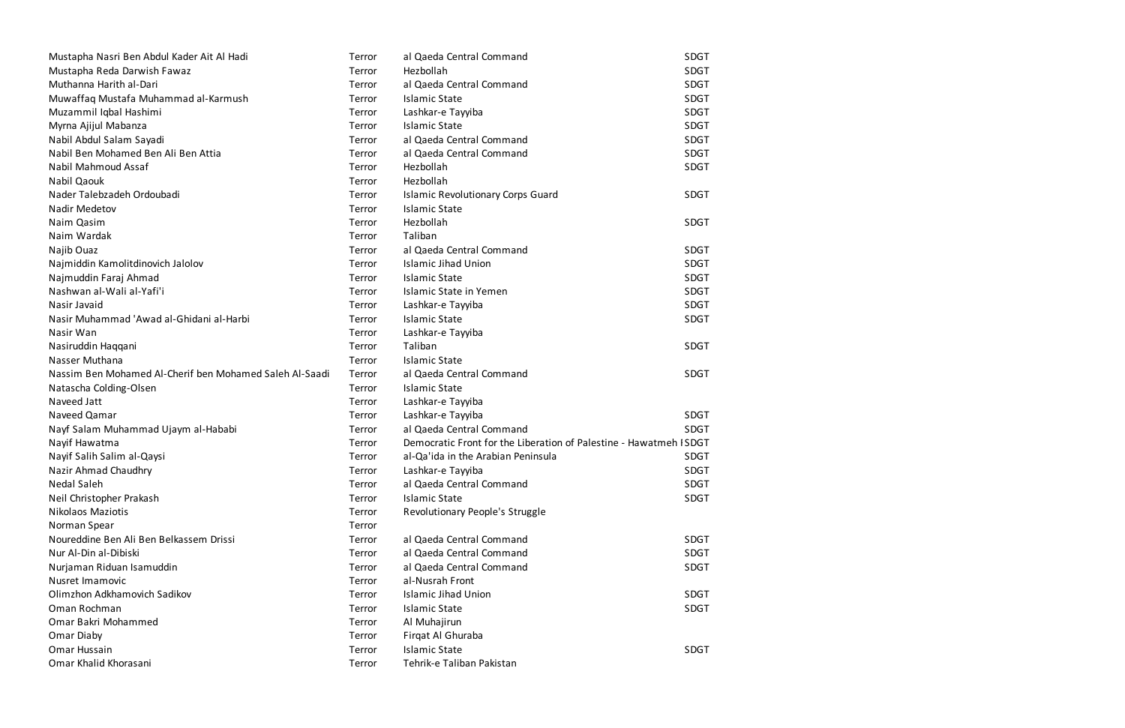| Mustapha Nasri Ben Abdul Kader Ait Al Hadi              | Terror | al Qaeda Central Command                                          | <b>SDGT</b> |
|---------------------------------------------------------|--------|-------------------------------------------------------------------|-------------|
| Mustapha Reda Darwish Fawaz                             | Terror | Hezbollah                                                         | <b>SDGT</b> |
| Muthanna Harith al-Dari                                 | Terror | al Qaeda Central Command                                          | <b>SDGT</b> |
| Muwaffaq Mustafa Muhammad al-Karmush                    | Terror | <b>Islamic State</b>                                              | <b>SDGT</b> |
| Muzammil Iqbal Hashimi                                  | Terror | Lashkar-e Tayyiba                                                 | <b>SDGT</b> |
| Myrna Ajijul Mabanza                                    | Terror | <b>Islamic State</b>                                              | <b>SDGT</b> |
| Nabil Abdul Salam Sayadi                                | Terror | al Qaeda Central Command                                          | <b>SDGT</b> |
| Nabil Ben Mohamed Ben Ali Ben Attia                     | Terror | al Qaeda Central Command                                          | <b>SDGT</b> |
| Nabil Mahmoud Assaf                                     | Terror | Hezbollah                                                         | <b>SDGT</b> |
| Nabil Qaouk                                             | Terror | Hezbollah                                                         |             |
| Nader Talebzadeh Ordoubadi                              | Terror | <b>Islamic Revolutionary Corps Guard</b>                          | <b>SDGT</b> |
| Nadir Medetov                                           | Terror | <b>Islamic State</b>                                              |             |
| Naim Qasim                                              | Terror | Hezbollah                                                         | <b>SDGT</b> |
| Naim Wardak                                             | Terror | Taliban                                                           |             |
| Najib Ouaz                                              | Terror | al Qaeda Central Command                                          | <b>SDGT</b> |
| Najmiddin Kamolitdinovich Jalolov                       | Terror | <b>Islamic Jihad Union</b>                                        | <b>SDGT</b> |
| Najmuddin Faraj Ahmad                                   | Terror | <b>Islamic State</b>                                              | <b>SDGT</b> |
| Nashwan al-Wali al-Yafi'i                               | Terror | Islamic State in Yemen                                            | <b>SDGT</b> |
| Nasir Javaid                                            | Terror | Lashkar-e Tayyiba                                                 | <b>SDGT</b> |
| Nasir Muhammad 'Awad al-Ghidani al-Harbi                | Terror | <b>Islamic State</b>                                              | <b>SDGT</b> |
| Nasir Wan                                               | Terror | Lashkar-e Tayyiba                                                 |             |
| Nasiruddin Haqqani                                      | Terror | Taliban                                                           | <b>SDGT</b> |
| Nasser Muthana                                          | Terror | <b>Islamic State</b>                                              |             |
| Nassim Ben Mohamed Al-Cherif ben Mohamed Saleh Al-Saadi | Terror | al Qaeda Central Command                                          | <b>SDGT</b> |
| Natascha Colding-Olsen                                  | Terror | <b>Islamic State</b>                                              |             |
| Naveed Jatt                                             | Terror | Lashkar-e Tayyiba                                                 |             |
| Naveed Qamar                                            | Terror | Lashkar-e Tayyiba                                                 | <b>SDGT</b> |
| Nayf Salam Muhammad Ujaym al-Hababi                     | Terror | al Qaeda Central Command                                          | <b>SDGT</b> |
| Nayif Hawatma                                           | Terror | Democratic Front for the Liberation of Palestine - Hawatmeh ISDGT |             |
| Nayif Salih Salim al-Qaysi                              | Terror | al-Qa'ida in the Arabian Peninsula                                | <b>SDGT</b> |
| Nazir Ahmad Chaudhry                                    | Terror | Lashkar-e Tayyiba                                                 | <b>SDGT</b> |
| <b>Nedal Saleh</b>                                      | Terror | al Qaeda Central Command                                          | <b>SDGT</b> |
| Neil Christopher Prakash                                | Terror | <b>Islamic State</b>                                              | <b>SDGT</b> |
| <b>Nikolaos Maziotis</b>                                | Terror | Revolutionary People's Struggle                                   |             |
| Norman Spear                                            | Terror |                                                                   |             |
| Noureddine Ben Ali Ben Belkassem Drissi                 | Terror | al Qaeda Central Command                                          | <b>SDGT</b> |
| Nur Al-Din al-Dibiski                                   | Terror | al Qaeda Central Command                                          | <b>SDGT</b> |
| Nurjaman Riduan Isamuddin                               | Terror | al Qaeda Central Command                                          | <b>SDGT</b> |
| Nusret Imamovic                                         | Terror | al-Nusrah Front                                                   |             |
| Olimzhon Adkhamovich Sadikov                            | Terror | <b>Islamic Jihad Union</b>                                        | <b>SDGT</b> |
| Oman Rochman                                            | Terror | <b>Islamic State</b>                                              | <b>SDGT</b> |
| Omar Bakri Mohammed                                     | Terror | Al Muhajirun                                                      |             |
| Omar Diaby                                              | Terror | Firgat Al Ghuraba                                                 |             |
| Omar Hussain                                            | Terror | <b>Islamic State</b>                                              | <b>SDGT</b> |
| Omar Khalid Khorasani                                   | Terror | Tehrik-e Taliban Pakistan                                         |             |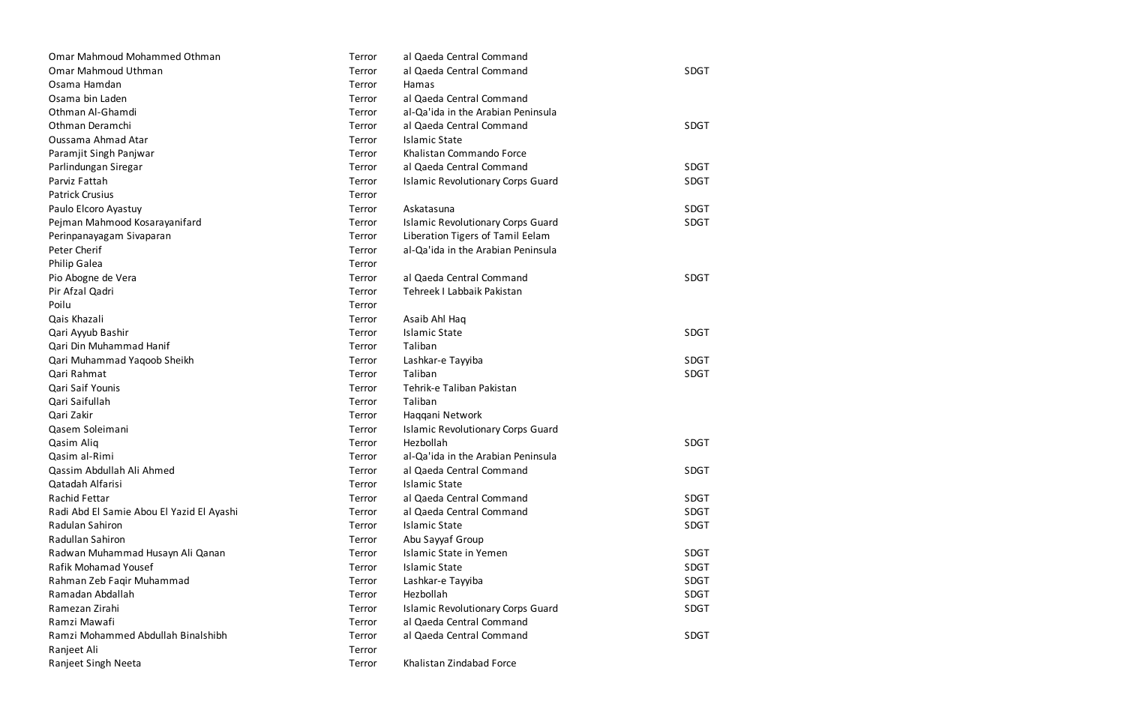| Omar Mahmoud Mohammed Othman              | Terror | al Qaeda Central Command                 |             |
|-------------------------------------------|--------|------------------------------------------|-------------|
| Omar Mahmoud Uthman                       | Terror | al Qaeda Central Command                 | <b>SDGT</b> |
| Osama Hamdan                              | Terror | Hamas                                    |             |
| Osama bin Laden                           | Terror | al Qaeda Central Command                 |             |
| Othman Al-Ghamdi                          | Terror | al-Qa'ida in the Arabian Peninsula       |             |
| Othman Deramchi                           | Terror | al Qaeda Central Command                 | <b>SDGT</b> |
| Oussama Ahmad Atar                        | Terror | <b>Islamic State</b>                     |             |
| Paramjit Singh Panjwar                    | Terror | Khalistan Commando Force                 |             |
| Parlindungan Siregar                      | Terror | al Qaeda Central Command                 | <b>SDGT</b> |
| Parviz Fattah                             | Terror | <b>Islamic Revolutionary Corps Guard</b> | <b>SDGT</b> |
| <b>Patrick Crusius</b>                    | Terror |                                          |             |
| Paulo Elcoro Ayastuy                      | Terror | Askatasuna                               | <b>SDGT</b> |
| Pejman Mahmood Kosarayanifard             | Terror | <b>Islamic Revolutionary Corps Guard</b> | <b>SDGT</b> |
| Perinpanayagam Sivaparan                  | Terror | Liberation Tigers of Tamil Eelam         |             |
| Peter Cherif                              | Terror | al-Qa'ida in the Arabian Peninsula       |             |
| Philip Galea                              | Terror |                                          |             |
| Pio Abogne de Vera                        | Terror | al Qaeda Central Command                 | <b>SDGT</b> |
| Pir Afzal Qadri                           | Terror | Tehreek I Labbaik Pakistan               |             |
| Poilu                                     | Terror |                                          |             |
| Qais Khazali                              | Terror | Asaib Ahl Haq                            |             |
| Qari Ayyub Bashir                         | Terror | <b>Islamic State</b>                     | <b>SDGT</b> |
| Qari Din Muhammad Hanif                   | Terror | Taliban                                  |             |
| Qari Muhammad Yaqoob Sheikh               | Terror | Lashkar-e Tayyiba                        | <b>SDGT</b> |
| Qari Rahmat                               | Terror | Taliban                                  | <b>SDGT</b> |
| Qari Saif Younis                          | Terror | Tehrik-e Taliban Pakistan                |             |
| Qari Saifullah                            | Terror | Taliban                                  |             |
| Qari Zakir                                | Terror | Haqqani Network                          |             |
| Qasem Soleimani                           | Terror | <b>Islamic Revolutionary Corps Guard</b> |             |
| Qasim Aliq                                | Terror | Hezbollah                                | <b>SDGT</b> |
| Qasim al-Rimi                             | Terror | al-Qa'ida in the Arabian Peninsula       |             |
| Qassim Abdullah Ali Ahmed                 | Terror | al Qaeda Central Command                 | SDGT        |
| Qatadah Alfarisi                          | Terror | <b>Islamic State</b>                     |             |
| <b>Rachid Fettar</b>                      | Terror | al Qaeda Central Command                 | <b>SDGT</b> |
| Radi Abd El Samie Abou El Yazid El Ayashi | Terror | al Qaeda Central Command                 | <b>SDGT</b> |
| Radulan Sahiron                           | Terror | <b>Islamic State</b>                     | <b>SDGT</b> |
| Radullan Sahiron                          | Terror | Abu Sayyaf Group                         |             |
| Radwan Muhammad Husayn Ali Qanan          | Terror | <b>Islamic State in Yemen</b>            | <b>SDGT</b> |
| Rafik Mohamad Yousef                      | Terror | <b>Islamic State</b>                     | <b>SDGT</b> |
| Rahman Zeb Faqir Muhammad                 | Terror | Lashkar-e Tayyiba                        | <b>SDGT</b> |
| Ramadan Abdallah                          | Terror | Hezbollah                                | <b>SDGT</b> |
| Ramezan Zirahi                            | Terror | <b>Islamic Revolutionary Corps Guard</b> | <b>SDGT</b> |
| Ramzi Mawafi                              | Terror | al Qaeda Central Command                 |             |
| Ramzi Mohammed Abdullah Binalshibh        | Terror | al Qaeda Central Command                 | <b>SDGT</b> |
| Ranjeet Ali                               | Terror |                                          |             |
| Ranjeet Singh Neeta                       | Terror | Khalistan Zindabad Force                 |             |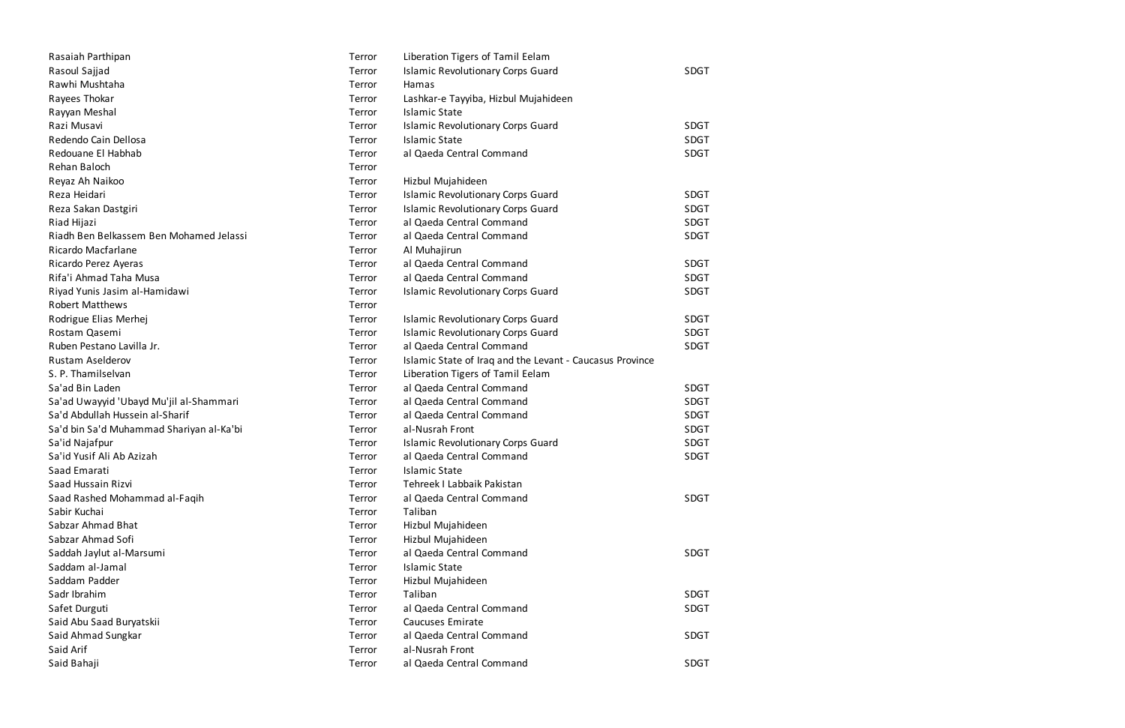| Rasaiah Parthipan                        | Terror | Liberation Tigers of Tamil Eelam                         |             |
|------------------------------------------|--------|----------------------------------------------------------|-------------|
| Rasoul Sajjad                            | Terror | <b>Islamic Revolutionary Corps Guard</b>                 | <b>SDGT</b> |
| Rawhi Mushtaha                           | Terror | Hamas                                                    |             |
| Rayees Thokar                            | Terror | Lashkar-e Tayyiba, Hizbul Mujahideen                     |             |
| Rayyan Meshal                            | Terror | <b>Islamic State</b>                                     |             |
| Razi Musavi                              | Terror | <b>Islamic Revolutionary Corps Guard</b>                 | <b>SDGT</b> |
| Redendo Cain Dellosa                     | Terror | <b>Islamic State</b>                                     | <b>SDGT</b> |
| Redouane El Habhab                       | Terror | al Qaeda Central Command                                 | <b>SDGT</b> |
| Rehan Baloch                             | Terror |                                                          |             |
| Reyaz Ah Naikoo                          | Terror | Hizbul Mujahideen                                        |             |
| Reza Heidari                             | Terror | <b>Islamic Revolutionary Corps Guard</b>                 | <b>SDGT</b> |
| Reza Sakan Dastgiri                      | Terror | <b>Islamic Revolutionary Corps Guard</b>                 | <b>SDGT</b> |
| Riad Hijazi                              | Terror | al Qaeda Central Command                                 | <b>SDGT</b> |
| Riadh Ben Belkassem Ben Mohamed Jelassi  | Terror | al Qaeda Central Command                                 | <b>SDGT</b> |
| Ricardo Macfarlane                       | Terror | Al Muhajirun                                             |             |
| Ricardo Perez Ayeras                     | Terror | al Qaeda Central Command                                 | <b>SDGT</b> |
| Rifa'i Ahmad Taha Musa                   | Terror | al Qaeda Central Command                                 | <b>SDGT</b> |
| Riyad Yunis Jasim al-Hamidawi            | Terror | <b>Islamic Revolutionary Corps Guard</b>                 | SDGT        |
| <b>Robert Matthews</b>                   | Terror |                                                          |             |
| Rodrigue Elias Merhej                    | Terror | <b>Islamic Revolutionary Corps Guard</b>                 | SDGT        |
| Rostam Qasemi                            | Terror | <b>Islamic Revolutionary Corps Guard</b>                 | <b>SDGT</b> |
| Ruben Pestano Lavilla Jr.                | Terror | al Qaeda Central Command                                 | SDGT        |
| Rustam Aselderov                         | Terror | Islamic State of Iraq and the Levant - Caucasus Province |             |
| S. P. Thamilselvan                       | Terror | Liberation Tigers of Tamil Eelam                         |             |
| Sa'ad Bin Laden                          | Terror | al Qaeda Central Command                                 | <b>SDGT</b> |
| Sa'ad Uwayyid 'Ubayd Mu'jil al-Shammari  | Terror | al Qaeda Central Command                                 | <b>SDGT</b> |
| Sa'd Abdullah Hussein al-Sharif          | Terror | al Qaeda Central Command                                 | <b>SDGT</b> |
| Sa'd bin Sa'd Muhammad Shariyan al-Ka'bi | Terror | al-Nusrah Front                                          | SDGT        |
| Sa'id Najafpur                           | Terror | <b>Islamic Revolutionary Corps Guard</b>                 | <b>SDGT</b> |
| Sa'id Yusif Ali Ab Azizah                | Terror | al Qaeda Central Command                                 | <b>SDGT</b> |
| Saad Emarati                             | Terror | <b>Islamic State</b>                                     |             |
| Saad Hussain Rizvi                       | Terror | Tehreek I Labbaik Pakistan                               |             |
| Saad Rashed Mohammad al-Faqih            | Terror | al Qaeda Central Command                                 | SDGT        |
| Sabir Kuchai                             | Terror | Taliban                                                  |             |
| Sabzar Ahmad Bhat                        | Terror | Hizbul Mujahideen                                        |             |
| Sabzar Ahmad Sofi                        | Terror | Hizbul Mujahideen                                        |             |
| Saddah Jaylut al-Marsumi                 | Terror | al Qaeda Central Command                                 | SDGT        |
| Saddam al-Jamal                          | Terror | <b>Islamic State</b>                                     |             |
| Saddam Padder                            | Terror | Hizbul Mujahideen                                        |             |
| Sadr Ibrahim                             | Terror | Taliban                                                  | <b>SDGT</b> |
| Safet Durguti                            | Terror | al Qaeda Central Command                                 | <b>SDGT</b> |
| Said Abu Saad Buryatskii                 | Terror | <b>Caucuses Emirate</b>                                  |             |
| Said Ahmad Sungkar                       | Terror | al Qaeda Central Command                                 | <b>SDGT</b> |
| Said Arif                                | Terror | al-Nusrah Front                                          |             |
| Said Bahaji                              | Terror | al Qaeda Central Command                                 | <b>SDGT</b> |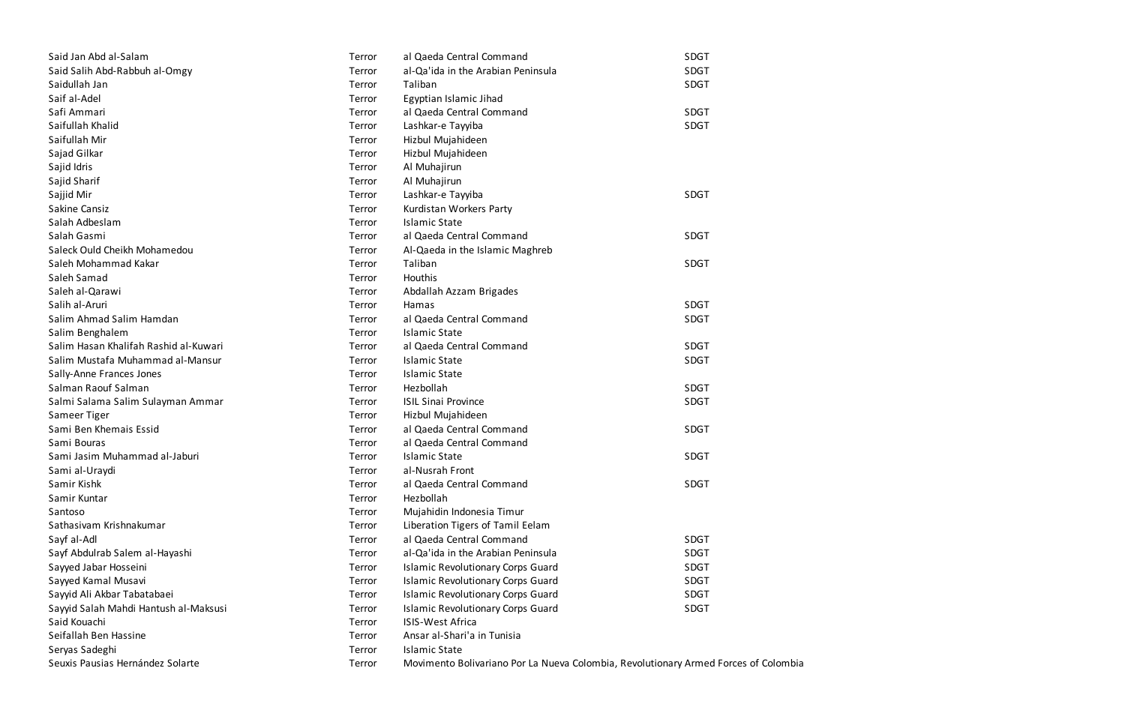| Said Jan Abd al-Salam                 | Terror | al Qaeda Central Command                                                            | <b>SDGT</b> |
|---------------------------------------|--------|-------------------------------------------------------------------------------------|-------------|
| Said Salih Abd-Rabbuh al-Omgy         | Terror | al-Qa'ida in the Arabian Peninsula<br><b>SDGT</b>                                   |             |
| Saidullah Jan                         | Terror | <b>SDGT</b><br>Taliban                                                              |             |
| Saif al-Adel                          | Terror | Egyptian Islamic Jihad                                                              |             |
| Safi Ammari                           | Terror | al Qaeda Central Command                                                            | <b>SDGT</b> |
| Saifullah Khalid                      | Terror | Lashkar-e Tayyiba                                                                   | <b>SDGT</b> |
| Saifullah Mir                         | Terror | Hizbul Mujahideen                                                                   |             |
| Sajad Gilkar                          | Terror | Hizbul Mujahideen                                                                   |             |
| Sajid Idris                           | Terror | Al Muhajirun                                                                        |             |
| Sajid Sharif                          | Terror | Al Muhajirun                                                                        |             |
| Sajjid Mir                            | Terror | Lashkar-e Tayyiba                                                                   | <b>SDGT</b> |
| Sakine Cansiz                         | Terror | Kurdistan Workers Party                                                             |             |
| Salah Adbeslam                        | Terror | <b>Islamic State</b>                                                                |             |
| Salah Gasmi                           | Terror | al Qaeda Central Command                                                            | SDGT        |
| Saleck Ould Cheikh Mohamedou          | Terror | Al-Qaeda in the Islamic Maghreb                                                     |             |
| Saleh Mohammad Kakar                  | Terror | Taliban                                                                             | <b>SDGT</b> |
| Saleh Samad                           | Terror | Houthis                                                                             |             |
| Saleh al-Qarawi                       | Terror | Abdallah Azzam Brigades                                                             |             |
| Salih al-Aruri                        | Terror | Hamas                                                                               | <b>SDGT</b> |
| Salim Ahmad Salim Hamdan              | Terror | al Qaeda Central Command                                                            | <b>SDGT</b> |
| Salim Benghalem                       | Terror | <b>Islamic State</b>                                                                |             |
| Salim Hasan Khalifah Rashid al-Kuwari | Terror | al Qaeda Central Command                                                            | <b>SDGT</b> |
| Salim Mustafa Muhammad al-Mansur      | Terror | <b>Islamic State</b><br><b>SDGT</b>                                                 |             |
| Sally-Anne Frances Jones              | Terror | <b>Islamic State</b>                                                                |             |
| Salman Raouf Salman                   | Terror | Hezbollah                                                                           | <b>SDGT</b> |
| Salmi Salama Salim Sulayman Ammar     | Terror | <b>ISIL Sinai Province</b>                                                          | <b>SDGT</b> |
| Sameer Tiger                          | Terror | Hizbul Mujahideen                                                                   |             |
| Sami Ben Khemais Essid                | Terror | al Qaeda Central Command                                                            | SDGT        |
| Sami Bouras                           | Terror | al Qaeda Central Command                                                            |             |
| Sami Jasim Muhammad al-Jaburi         | Terror | <b>Islamic State</b>                                                                | <b>SDGT</b> |
| Sami al-Uraydi                        | Terror | al-Nusrah Front                                                                     |             |
| Samir Kishk                           | Terror | al Qaeda Central Command                                                            | <b>SDGT</b> |
| Samir Kuntar                          | Terror | Hezbollah                                                                           |             |
| Santoso                               | Terror | Mujahidin Indonesia Timur                                                           |             |
| Sathasivam Krishnakumar               | Terror | Liberation Tigers of Tamil Eelam                                                    |             |
| Sayf al-Adl                           | Terror | al Qaeda Central Command                                                            | <b>SDGT</b> |
| Sayf Abdulrab Salem al-Hayashi        | Terror | al-Qa'ida in the Arabian Peninsula                                                  | <b>SDGT</b> |
| Sayyed Jabar Hosseini                 | Terror | <b>Islamic Revolutionary Corps Guard</b>                                            | <b>SDGT</b> |
| Sayyed Kamal Musavi                   | Terror | <b>Islamic Revolutionary Corps Guard</b>                                            | <b>SDGT</b> |
| Sayyid Ali Akbar Tabatabaei           | Terror | <b>Islamic Revolutionary Corps Guard</b>                                            | SDGT        |
| Sayyid Salah Mahdi Hantush al-Maksusi | Terror | <b>Islamic Revolutionary Corps Guard</b>                                            | <b>SDGT</b> |
| Said Kouachi                          | Terror | <b>ISIS-West Africa</b>                                                             |             |
| Seifallah Ben Hassine                 | Terror | Ansar al-Shari'a in Tunisia                                                         |             |
| Seryas Sadeghi                        | Terror | <b>Islamic State</b>                                                                |             |
| Seuxis Pausias Hernández Solarte      | Terror | Movimento Bolivariano Por La Nueva Colombia, Revolutionary Armed Forces of Colombia |             |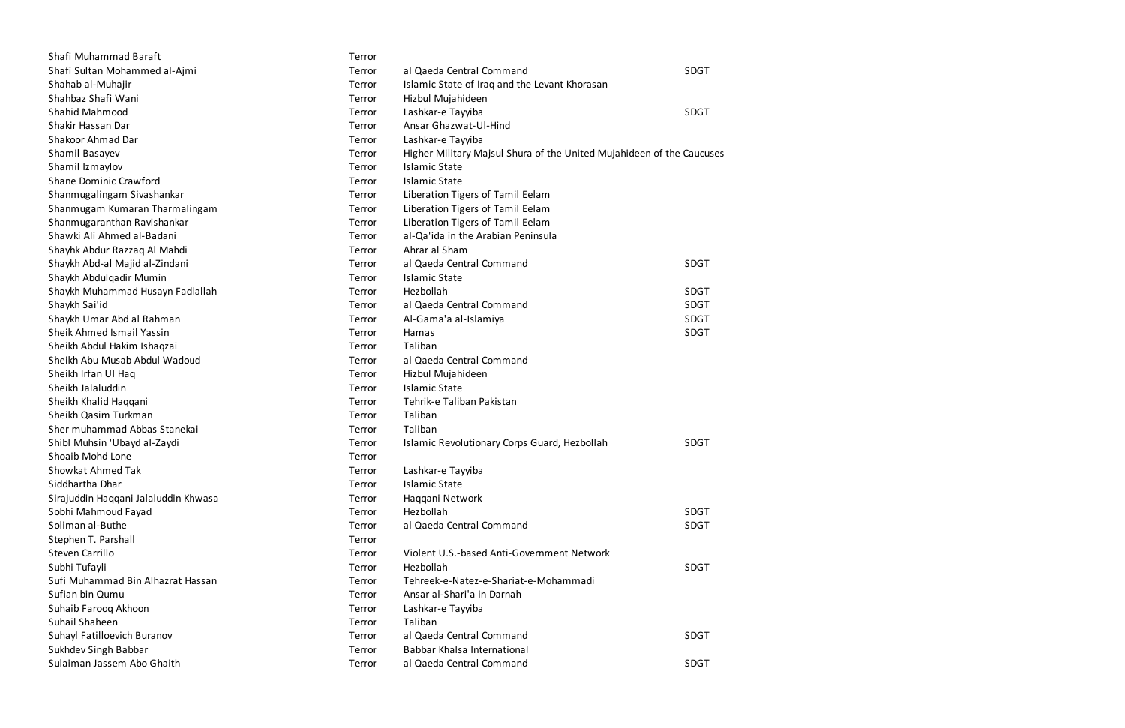| Shafi Muhammad Baraft                | Terror |                                                                       |             |
|--------------------------------------|--------|-----------------------------------------------------------------------|-------------|
| Shafi Sultan Mohammed al-Ajmi        | Terror | al Qaeda Central Command                                              | <b>SDGT</b> |
| Shahab al-Muhajir                    | Terror | Islamic State of Iraq and the Levant Khorasan                         |             |
| Shahbaz Shafi Wani                   | Terror | Hizbul Mujahideen                                                     |             |
| Shahid Mahmood                       | Terror | Lashkar-e Tayyiba                                                     | <b>SDGT</b> |
| Shakir Hassan Dar                    | Terror | Ansar Ghazwat-Ul-Hind                                                 |             |
| Shakoor Ahmad Dar                    | Terror | Lashkar-e Tayyiba                                                     |             |
| Shamil Basayev                       | Terror | Higher Military Majsul Shura of the United Mujahideen of the Caucuses |             |
| Shamil Izmaylov                      | Terror | <b>Islamic State</b>                                                  |             |
| Shane Dominic Crawford               | Terror | <b>Islamic State</b>                                                  |             |
| Shanmugalingam Sivashankar           | Terror | Liberation Tigers of Tamil Eelam                                      |             |
| Shanmugam Kumaran Tharmalingam       | Terror | Liberation Tigers of Tamil Eelam                                      |             |
| Shanmugaranthan Ravishankar          | Terror | Liberation Tigers of Tamil Eelam                                      |             |
| Shawki Ali Ahmed al-Badani           | Terror | al-Qa'ida in the Arabian Peninsula                                    |             |
| Shayhk Abdur Razzaq Al Mahdi         | Terror | Ahrar al Sham                                                         |             |
| Shaykh Abd-al Majid al-Zindani       | Terror | al Qaeda Central Command                                              | <b>SDGT</b> |
| Shaykh Abdulqadir Mumin              | Terror | <b>Islamic State</b>                                                  |             |
| Shaykh Muhammad Husayn Fadlallah     | Terror | Hezbollah                                                             | SDGT        |
| Shaykh Sai'id                        | Terror | al Qaeda Central Command                                              | SDGT        |
| Shaykh Umar Abd al Rahman            | Terror | Al-Gama'a al-Islamiya                                                 | SDGT        |
| Sheik Ahmed Ismail Yassin            | Terror | Hamas                                                                 | SDGT        |
| Sheikh Abdul Hakim Ishaqzai          | Terror | Taliban                                                               |             |
| Sheikh Abu Musab Abdul Wadoud        | Terror | al Qaeda Central Command                                              |             |
| Sheikh Irfan Ul Haq                  | Terror | Hizbul Mujahideen                                                     |             |
| Sheikh Jalaluddin                    | Terror | <b>Islamic State</b>                                                  |             |
| Sheikh Khalid Haqqani                | Terror | Tehrik-e Taliban Pakistan                                             |             |
| Sheikh Qasim Turkman                 | Terror | Taliban                                                               |             |
| Sher muhammad Abbas Stanekai         | Terror | Taliban                                                               |             |
| Shibl Muhsin 'Ubayd al-Zaydi         | Terror | Islamic Revolutionary Corps Guard, Hezbollah                          | <b>SDGT</b> |
| Shoaib Mohd Lone                     | Terror |                                                                       |             |
| Showkat Ahmed Tak                    | Terror | Lashkar-e Tayyiba                                                     |             |
| Siddhartha Dhar                      | Terror | <b>Islamic State</b>                                                  |             |
| Sirajuddin Haqqani Jalaluddin Khwasa | Terror | Haqqani Network                                                       |             |
| Sobhi Mahmoud Fayad                  | Terror | Hezbollah                                                             | SDGT        |
| Soliman al-Buthe                     | Terror | al Qaeda Central Command                                              | <b>SDGT</b> |
| Stephen T. Parshall                  | Terror |                                                                       |             |
| Steven Carrillo                      | Terror | Violent U.S.-based Anti-Government Network                            |             |
| Subhi Tufayli                        | Terror | Hezbollah                                                             | <b>SDGT</b> |
| Sufi Muhammad Bin Alhazrat Hassan    | Terror | Tehreek-e-Natez-e-Shariat-e-Mohammadi                                 |             |
| Sufian bin Qumu                      | Terror | Ansar al-Shari'a in Darnah                                            |             |
| Suhaib Farooq Akhoon                 | Terror | Lashkar-e Tayyiba                                                     |             |
| Suhail Shaheen                       | Terror | Taliban                                                               |             |
| Suhayl Fatilloevich Buranov          | Terror | al Qaeda Central Command                                              | <b>SDGT</b> |
| Sukhdev Singh Babbar                 | Terror | Babbar Khalsa International                                           |             |
| Sulaiman Jassem Abo Ghaith           | Terror | al Qaeda Central Command                                              | SDGT        |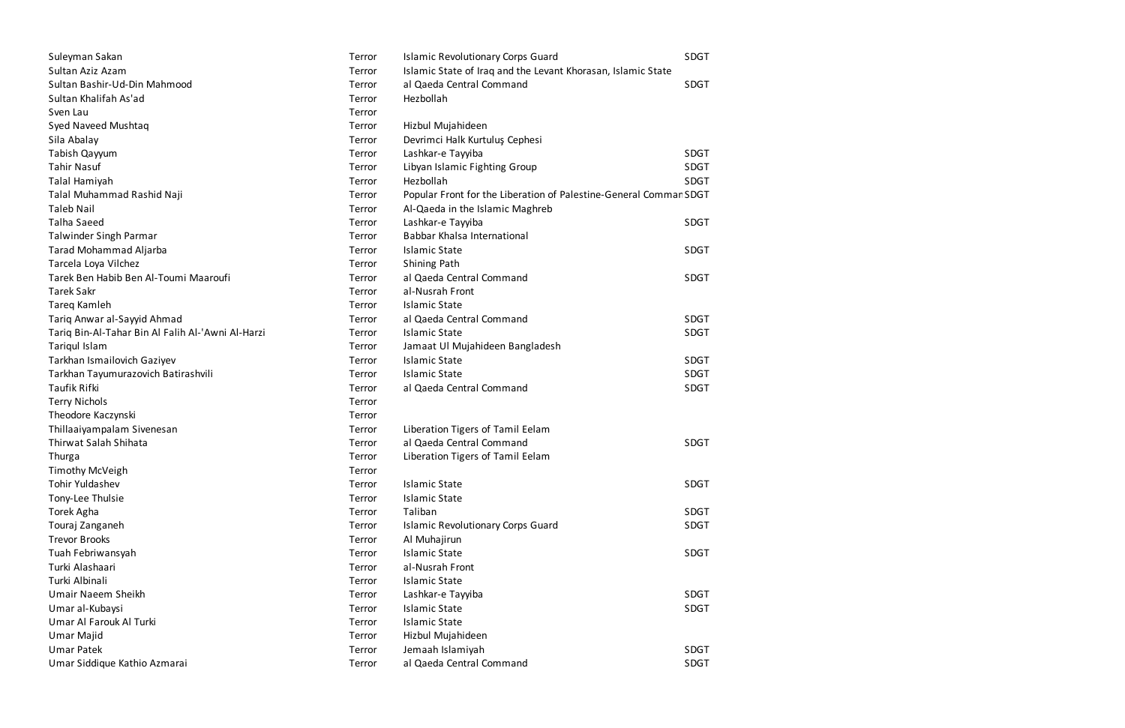| Suleyman Sakan                                    | Terror | <b>Islamic Revolutionary Corps Guard</b>                          | SDGT        |
|---------------------------------------------------|--------|-------------------------------------------------------------------|-------------|
| Sultan Aziz Azam                                  | Terror | Islamic State of Iraq and the Levant Khorasan, Islamic State      |             |
| Sultan Bashir-Ud-Din Mahmood                      | Terror | al Qaeda Central Command                                          | SDGT        |
| Sultan Khalifah As'ad                             | Terror | Hezbollah                                                         |             |
| Sven Lau                                          | Terror |                                                                   |             |
| Syed Naveed Mushtaq                               | Terror | Hizbul Mujahideen                                                 |             |
| Sila Abalay                                       | Terror | Devrimci Halk Kurtuluş Cephesi                                    |             |
| Tabish Qayyum                                     | Terror | Lashkar-e Tayyiba                                                 | <b>SDGT</b> |
| <b>Tahir Nasuf</b>                                | Terror | Libyan Islamic Fighting Group                                     | <b>SDGT</b> |
| Talal Hamiyah                                     | Terror | Hezbollah                                                         | <b>SDGT</b> |
| Talal Muhammad Rashid Naji                        | Terror | Popular Front for the Liberation of Palestine-General Commar SDGT |             |
| <b>Taleb Nail</b>                                 | Terror | Al-Qaeda in the Islamic Maghreb                                   |             |
| Talha Saeed                                       | Terror | Lashkar-e Tayyiba                                                 | <b>SDGT</b> |
| Talwinder Singh Parmar                            | Terror | Babbar Khalsa International                                       |             |
| Tarad Mohammad Aljarba                            | Terror | <b>Islamic State</b>                                              | SDGT        |
| Tarcela Loya Vilchez                              | Terror | Shining Path                                                      |             |
| Tarek Ben Habib Ben Al-Toumi Maaroufi             | Terror | al Qaeda Central Command                                          | <b>SDGT</b> |
| <b>Tarek Sakr</b>                                 | Terror | al-Nusrah Front                                                   |             |
| Tareg Kamleh                                      | Terror | <b>Islamic State</b>                                              |             |
| Tariq Anwar al-Sayyid Ahmad                       | Terror | al Qaeda Central Command                                          | <b>SDGT</b> |
| Tariq Bin-Al-Tahar Bin Al Falih Al-'Awni Al-Harzi | Terror | <b>Islamic State</b>                                              | <b>SDGT</b> |
| Tariqul Islam                                     | Terror | Jamaat Ul Mujahideen Bangladesh                                   |             |
| Tarkhan Ismailovich Gaziyev                       | Terror | <b>Islamic State</b>                                              | <b>SDGT</b> |
| Tarkhan Tayumurazovich Batirashvili               | Terror | <b>Islamic State</b>                                              | <b>SDGT</b> |
| <b>Taufik Rifki</b>                               | Terror | al Qaeda Central Command                                          | <b>SDGT</b> |
| <b>Terry Nichols</b>                              | Terror |                                                                   |             |
| Theodore Kaczynski                                | Terror |                                                                   |             |
| Thillaaiyampalam Sivenesan                        | Terror | Liberation Tigers of Tamil Eelam                                  |             |
| <b>Thirwat Salah Shihata</b>                      | Terror | al Qaeda Central Command                                          | <b>SDGT</b> |
| Thurga                                            | Terror | Liberation Tigers of Tamil Eelam                                  |             |
| <b>Timothy McVeigh</b>                            | Terror |                                                                   |             |
| <b>Tohir Yuldashev</b>                            | Terror | <b>Islamic State</b>                                              | SDGT        |
| Tony-Lee Thulsie                                  | Terror | <b>Islamic State</b>                                              |             |
| Torek Agha                                        | Terror | Taliban                                                           | SDGT        |
| Touraj Zanganeh                                   | Terror | <b>Islamic Revolutionary Corps Guard</b>                          | <b>SDGT</b> |
| <b>Trevor Brooks</b>                              | Terror | Al Muhajirun                                                      |             |
| Tuah Febriwansyah                                 | Terror | <b>Islamic State</b>                                              | SDGT        |
| Turki Alashaari                                   | Terror | al-Nusrah Front                                                   |             |
| Turki Albinali                                    | Terror | <b>Islamic State</b>                                              |             |
| Umair Naeem Sheikh                                | Terror | Lashkar-e Tayyiba                                                 | <b>SDGT</b> |
| Umar al-Kubaysi                                   | Terror | <b>Islamic State</b>                                              | SDGT        |
| Umar Al Farouk Al Turki                           | Terror | <b>Islamic State</b>                                              |             |
| Umar Majid                                        | Terror | Hizbul Mujahideen                                                 |             |
| <b>Umar Patek</b>                                 | Terror | Jemaah Islamiyah                                                  | <b>SDGT</b> |
| Umar Siddique Kathio Azmarai                      | Terror | al Qaeda Central Command                                          | <b>SDGT</b> |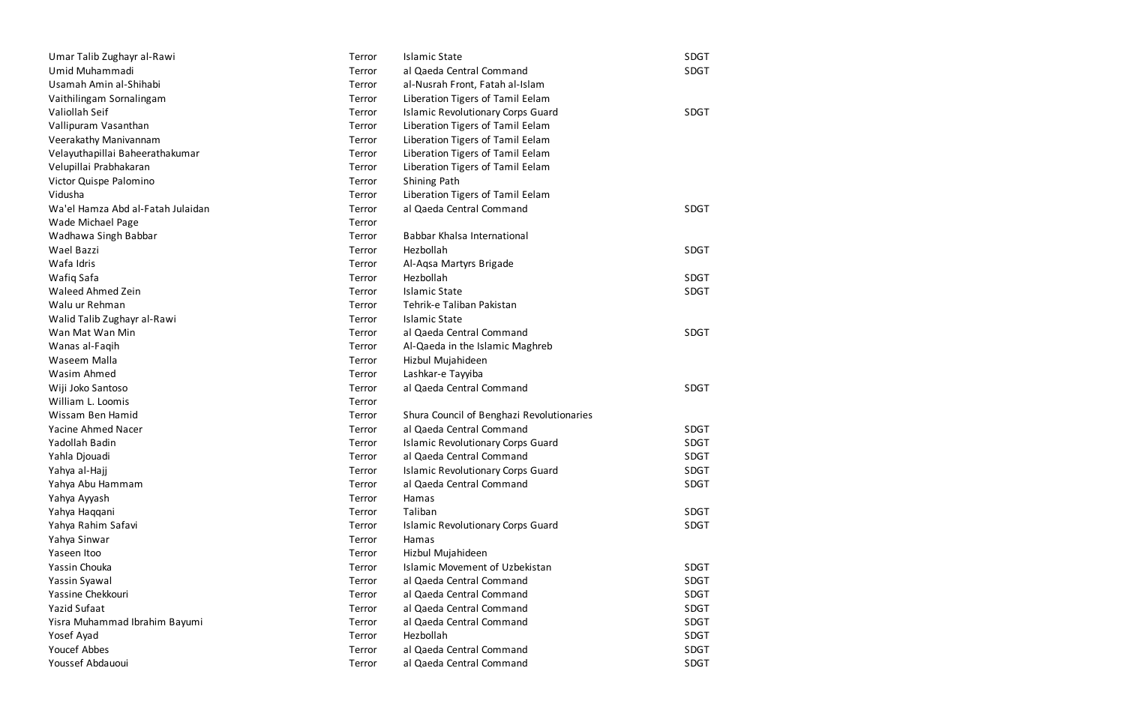| Umar Talib Zughayr al-Rawi        | Terror | <b>Islamic State</b>                      | SDGT        |
|-----------------------------------|--------|-------------------------------------------|-------------|
| Umid Muhammadi                    | Terror | al Qaeda Central Command                  | SDGT        |
| Usamah Amin al-Shihabi            | Terror | al-Nusrah Front, Fatah al-Islam           |             |
| Vaithilingam Sornalingam          | Terror | Liberation Tigers of Tamil Eelam          |             |
| Valiollah Seif                    | Terror | <b>Islamic Revolutionary Corps Guard</b>  | <b>SDGT</b> |
| Vallipuram Vasanthan              | Terror | Liberation Tigers of Tamil Eelam          |             |
| Veerakathy Manivannam             | Terror | Liberation Tigers of Tamil Eelam          |             |
| Velayuthapillai Baheerathakumar   | Terror | Liberation Tigers of Tamil Eelam          |             |
| Velupillai Prabhakaran            | Terror | Liberation Tigers of Tamil Eelam          |             |
| Victor Quispe Palomino            | Terror | Shining Path                              |             |
| Vidusha                           | Terror | Liberation Tigers of Tamil Eelam          |             |
| Wa'el Hamza Abd al-Fatah Julaidan | Terror | al Qaeda Central Command                  | <b>SDGT</b> |
| Wade Michael Page                 | Terror |                                           |             |
| Wadhawa Singh Babbar              | Terror | Babbar Khalsa International               |             |
| Wael Bazzi                        | Terror | Hezbollah                                 | <b>SDGT</b> |
| Wafa Idris                        | Terror | Al-Aqsa Martyrs Brigade                   |             |
| Wafiq Safa                        | Terror | Hezbollah                                 | <b>SDGT</b> |
| Waleed Ahmed Zein                 | Terror | <b>Islamic State</b>                      | <b>SDGT</b> |
| Walu ur Rehman                    | Terror | Tehrik-e Taliban Pakistan                 |             |
| Walid Talib Zughayr al-Rawi       | Terror | <b>Islamic State</b>                      |             |
| Wan Mat Wan Min                   | Terror | al Qaeda Central Command                  | <b>SDGT</b> |
| Wanas al-Faqih                    | Terror | Al-Qaeda in the Islamic Maghreb           |             |
| Waseem Malla                      | Terror | Hizbul Mujahideen                         |             |
| Wasim Ahmed                       | Terror | Lashkar-e Tayyiba                         |             |
| Wiji Joko Santoso                 | Terror | al Qaeda Central Command                  | <b>SDGT</b> |
| William L. Loomis                 | Terror |                                           |             |
| Wissam Ben Hamid                  | Terror | Shura Council of Benghazi Revolutionaries |             |
| Yacine Ahmed Nacer                | Terror | al Qaeda Central Command                  | <b>SDGT</b> |
| Yadollah Badin                    | Terror | <b>Islamic Revolutionary Corps Guard</b>  | <b>SDGT</b> |
| Yahla Djouadi                     | Terror | al Qaeda Central Command                  | <b>SDGT</b> |
| Yahya al-Hajj                     | Terror | <b>Islamic Revolutionary Corps Guard</b>  | <b>SDGT</b> |
| Yahya Abu Hammam                  | Terror | al Qaeda Central Command                  | <b>SDGT</b> |
| Yahya Ayyash                      | Terror | Hamas                                     |             |
| Yahya Haqqani                     | Terror | Taliban                                   | SDGT        |
| Yahya Rahim Safavi                | Terror | <b>Islamic Revolutionary Corps Guard</b>  | <b>SDGT</b> |
| Yahya Sinwar                      | Terror | Hamas                                     |             |
| Yaseen Itoo                       | Terror | Hizbul Mujahideen                         |             |
| Yassin Chouka                     | Terror | <b>Islamic Movement of Uzbekistan</b>     | <b>SDGT</b> |
| Yassin Syawal                     | Terror | al Qaeda Central Command                  | <b>SDGT</b> |
| Yassine Chekkouri                 | Terror | al Qaeda Central Command                  | <b>SDGT</b> |
| Yazid Sufaat                      | Terror | al Qaeda Central Command                  | <b>SDGT</b> |
| Yisra Muhammad Ibrahim Bayumi     | Terror | al Qaeda Central Command                  | <b>SDGT</b> |
| Yosef Ayad                        | Terror | Hezbollah                                 | <b>SDGT</b> |
| <b>Youcef Abbes</b>               | Terror | al Qaeda Central Command                  | <b>SDGT</b> |
| Youssef Abdauoui                  | Terror | al Qaeda Central Command                  | <b>SDGT</b> |